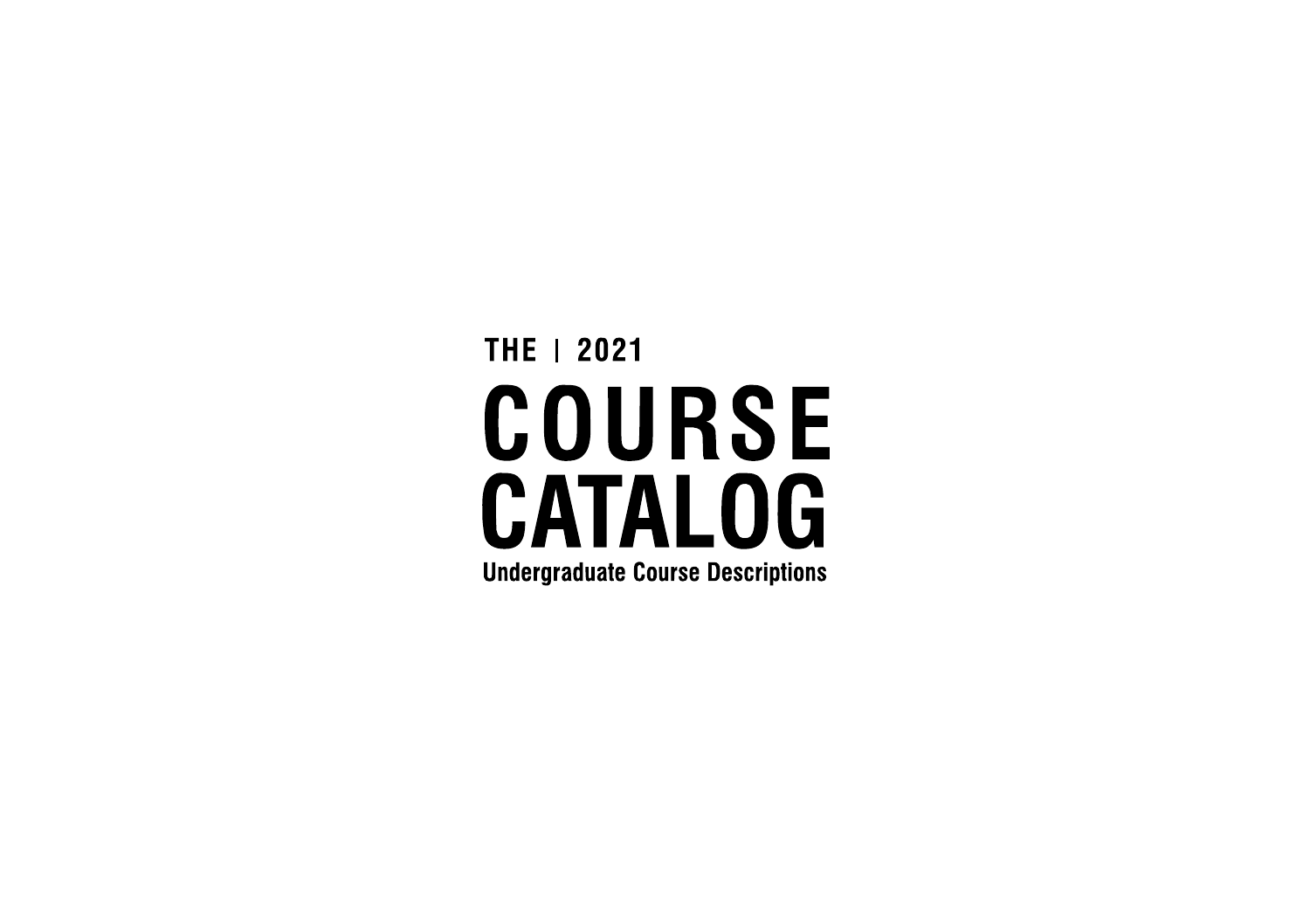# THE 1 2021 **COURSE CATALOG Undergraduate Course Descriptions**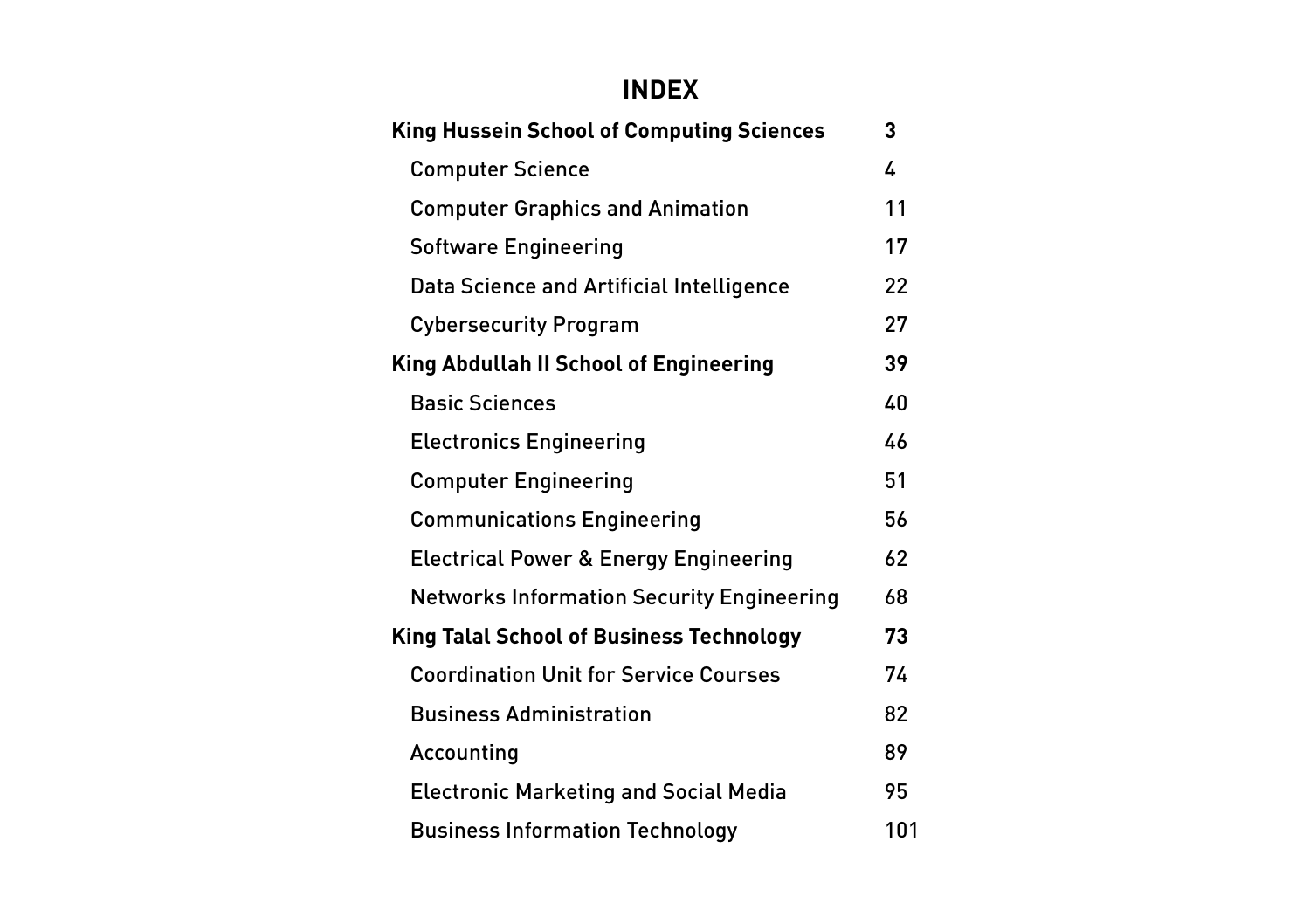#### **INDEX**

| <b>King Hussein School of Computing Sciences</b> | 3   |  |
|--------------------------------------------------|-----|--|
| <b>Computer Science</b>                          | 4   |  |
| <b>Computer Graphics and Animation</b>           | 11  |  |
| <b>Software Engineering</b>                      | 17  |  |
| Data Science and Artificial Intelligence         | 22  |  |
| <b>Cybersecurity Program</b>                     | 27  |  |
| <b>King Abdullah II School of Engineering</b>    | 39  |  |
| <b>Basic Sciences</b>                            | 40  |  |
| <b>Electronics Engineering</b>                   | 46  |  |
| <b>Computer Engineering</b>                      | 51  |  |
| <b>Communications Engineering</b>                | 56  |  |
| <b>Electrical Power &amp; Energy Engineering</b> | 62  |  |
| <b>Networks Information Security Engineering</b> | 68  |  |
| <b>King Talal School of Business Technology</b>  | 73  |  |
| <b>Coordination Unit for Service Courses</b>     | 74  |  |
| <b>Business Administration</b>                   | 82  |  |
| Accounting                                       | 89  |  |
| <b>Electronic Marketing and Social Media</b>     | 95  |  |
| <b>Business Information Technology</b>           | 101 |  |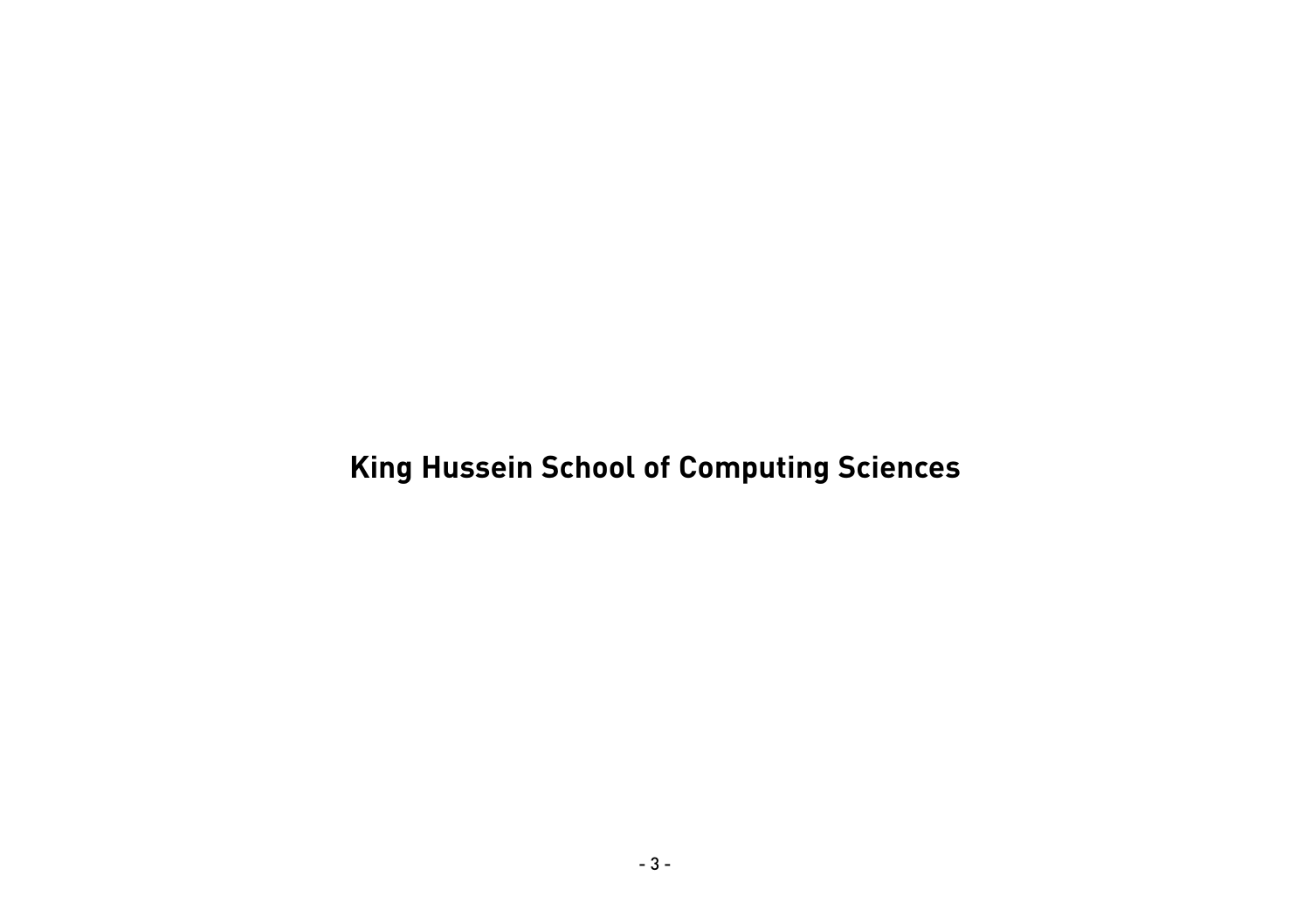# **King Hussein School of Computing Sciences**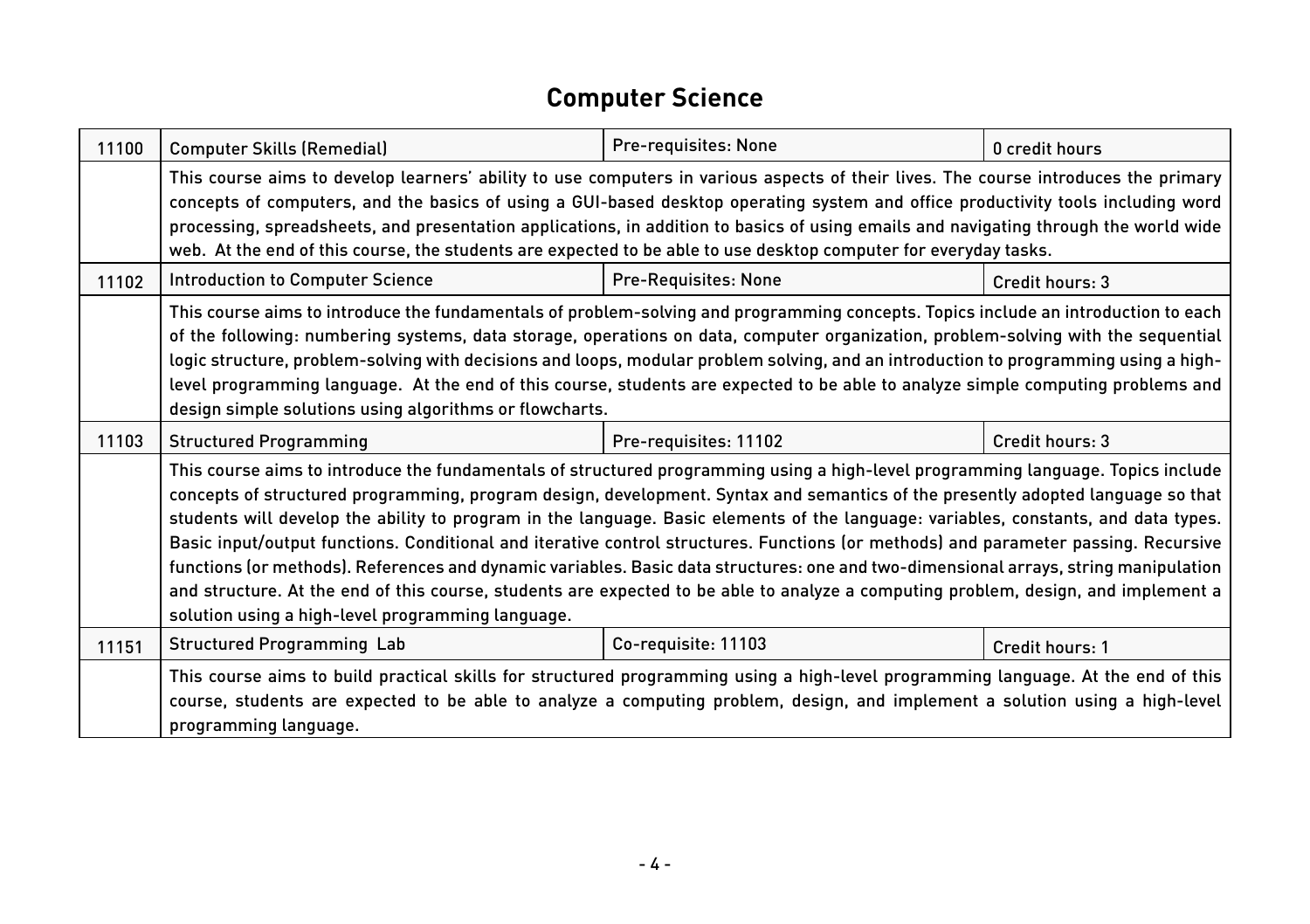#### **Computer Science**

| 11100 | <b>Computer Skills (Remedial)</b>                                                                                                                                                                                                                                                                                                                                                                                                                                                                                                                                                                                                                                                                                                                                                                                                                                                    | Pre-requisites: None        | 0 credit hours  |
|-------|--------------------------------------------------------------------------------------------------------------------------------------------------------------------------------------------------------------------------------------------------------------------------------------------------------------------------------------------------------------------------------------------------------------------------------------------------------------------------------------------------------------------------------------------------------------------------------------------------------------------------------------------------------------------------------------------------------------------------------------------------------------------------------------------------------------------------------------------------------------------------------------|-----------------------------|-----------------|
|       | This course aims to develop learners' ability to use computers in various aspects of their lives. The course introduces the primary<br>concepts of computers, and the basics of using a GUI-based desktop operating system and office productivity tools including word<br>processing, spreadsheets, and presentation applications, in addition to basics of using emails and navigating through the world wide<br>web. At the end of this course, the students are expected to be able to use desktop computer for everyday tasks.                                                                                                                                                                                                                                                                                                                                                  |                             |                 |
| 11102 | <b>Introduction to Computer Science</b>                                                                                                                                                                                                                                                                                                                                                                                                                                                                                                                                                                                                                                                                                                                                                                                                                                              | <b>Pre-Requisites: None</b> | Credit hours: 3 |
|       | This course aims to introduce the fundamentals of problem-solving and programming concepts. Topics include an introduction to each<br>of the following: numbering systems, data storage, operations on data, computer organization, problem-solving with the sequential<br>logic structure, problem-solving with decisions and loops, modular problem solving, and an introduction to programming using a high-<br>level programming language. At the end of this course, students are expected to be able to analyze simple computing problems and<br>design simple solutions using algorithms or flowcharts.                                                                                                                                                                                                                                                                       |                             |                 |
| 11103 | <b>Structured Programming</b>                                                                                                                                                                                                                                                                                                                                                                                                                                                                                                                                                                                                                                                                                                                                                                                                                                                        | Pre-requisites: 11102       | Credit hours: 3 |
|       | This course aims to introduce the fundamentals of structured programming using a high-level programming language. Topics include<br>concepts of structured programming, program design, development. Syntax and semantics of the presently adopted language so that<br>students will develop the ability to program in the language. Basic elements of the language: variables, constants, and data types.<br>Basic input/output functions. Conditional and iterative control structures. Functions (or methods) and parameter passing. Recursive<br>functions (or methods). References and dynamic variables. Basic data structures: one and two-dimensional arrays, string manipulation<br>and structure. At the end of this course, students are expected to be able to analyze a computing problem, design, and implement a<br>solution using a high-level programming language. |                             |                 |
| 11151 | <b>Structured Programming Lab</b>                                                                                                                                                                                                                                                                                                                                                                                                                                                                                                                                                                                                                                                                                                                                                                                                                                                    | Co-requisite: 11103         | Credit hours: 1 |
|       | This course aims to build practical skills for structured programming using a high-level programming language. At the end of this<br>course, students are expected to be able to analyze a computing problem, design, and implement a solution using a high-level<br>programming language.                                                                                                                                                                                                                                                                                                                                                                                                                                                                                                                                                                                           |                             |                 |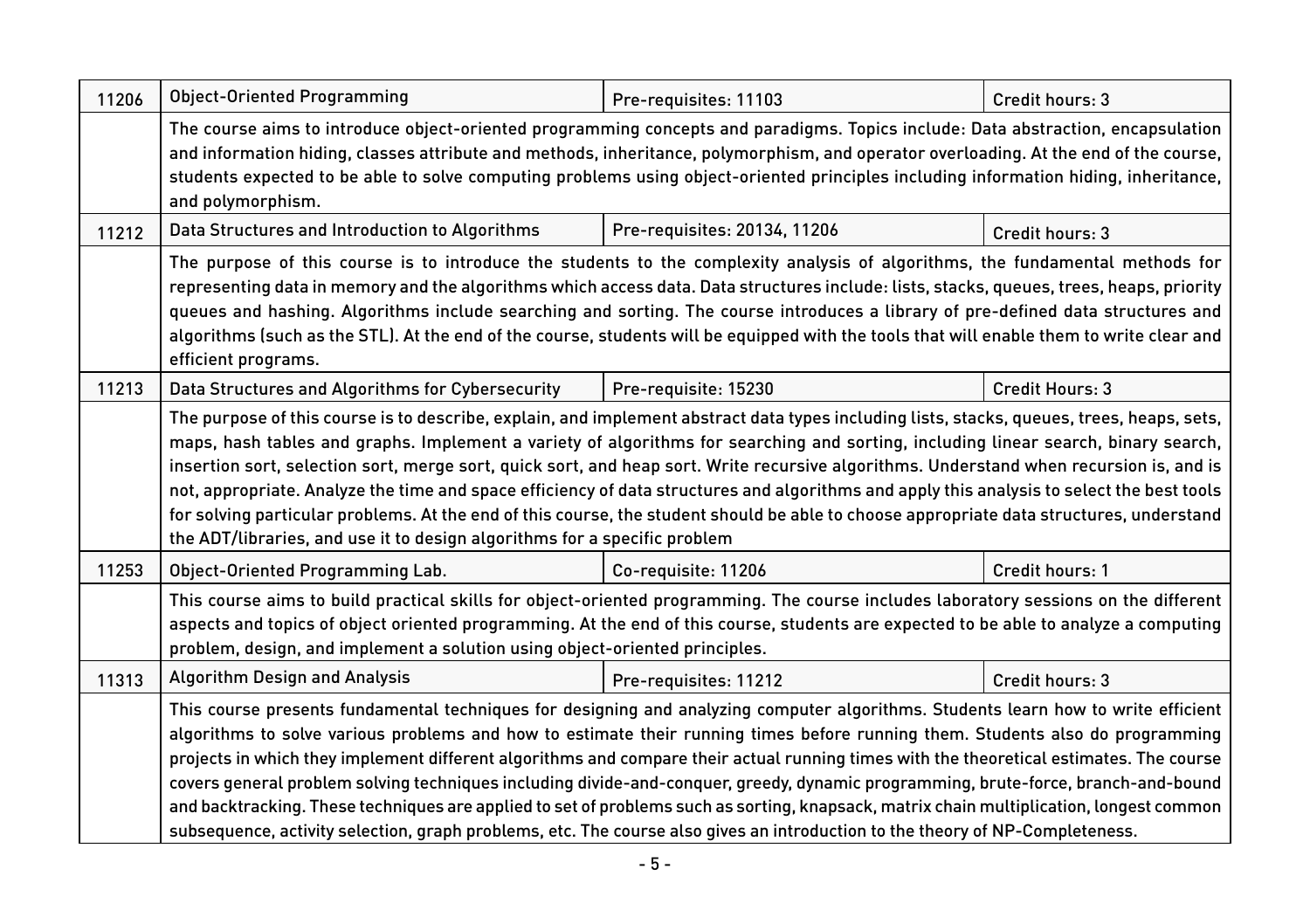| <b>Object-Oriented Programming</b>                                                                                                                                                                                                                                                                                                                                                                                                                                                                                                                                                                                                                                                                | Pre-requisites: 11103                    | Credit hours: 3                                                                                                                                                                                                                                                                                                                                                                                                                         |
|---------------------------------------------------------------------------------------------------------------------------------------------------------------------------------------------------------------------------------------------------------------------------------------------------------------------------------------------------------------------------------------------------------------------------------------------------------------------------------------------------------------------------------------------------------------------------------------------------------------------------------------------------------------------------------------------------|------------------------------------------|-----------------------------------------------------------------------------------------------------------------------------------------------------------------------------------------------------------------------------------------------------------------------------------------------------------------------------------------------------------------------------------------------------------------------------------------|
| The course aims to introduce object-oriented programming concepts and paradigms. Topics include: Data abstraction, encapsulation<br>and information hiding, classes attribute and methods, inheritance, polymorphism, and operator overloading. At the end of the course,<br>students expected to be able to solve computing problems using object-oriented principles including information hiding, inheritance,                                                                                                                                                                                                                                                                                 |                                          |                                                                                                                                                                                                                                                                                                                                                                                                                                         |
| Data Structures and Introduction to Algorithms                                                                                                                                                                                                                                                                                                                                                                                                                                                                                                                                                                                                                                                    | Pre-requisites: 20134, 11206             | Credit hours: 3                                                                                                                                                                                                                                                                                                                                                                                                                         |
| The purpose of this course is to introduce the students to the complexity analysis of algorithms, the fundamental methods for<br>representing data in memory and the algorithms which access data. Data structures include: lists, stacks, queues, trees, heaps, priority<br>queues and hashing. Algorithms include searching and sorting. The course introduces a library of pre-defined data structures and<br>algorithms (such as the STL). At the end of the course, students will be equipped with the tools that will enable them to write clear and                                                                                                                                        |                                          |                                                                                                                                                                                                                                                                                                                                                                                                                                         |
| Data Structures and Algorithms for Cybersecurity                                                                                                                                                                                                                                                                                                                                                                                                                                                                                                                                                                                                                                                  | Pre-requisite: 15230                     | Credit Hours: 3                                                                                                                                                                                                                                                                                                                                                                                                                         |
| maps, hash tables and graphs. Implement a variety of algorithms for searching and sorting, including linear search, binary search,<br>insertion sort, selection sort, merge sort, quick sort, and heap sort. Write recursive algorithms. Understand when recursion is, and is<br>not, appropriate. Analyze the time and space efficiency of data structures and algorithms and apply this analysis to select the best tools<br>for solving particular problems. At the end of this course, the student should be able to choose appropriate data structures, understand                                                                                                                           |                                          |                                                                                                                                                                                                                                                                                                                                                                                                                                         |
| Object-Oriented Programming Lab.                                                                                                                                                                                                                                                                                                                                                                                                                                                                                                                                                                                                                                                                  | Co-requisite: 11206                      | Credit hours: 1                                                                                                                                                                                                                                                                                                                                                                                                                         |
| This course aims to build practical skills for object-oriented programming. The course includes laboratory sessions on the different<br>aspects and topics of object oriented programming. At the end of this course, students are expected to be able to analyze a computing                                                                                                                                                                                                                                                                                                                                                                                                                     |                                          |                                                                                                                                                                                                                                                                                                                                                                                                                                         |
| <b>Algorithm Design and Analysis</b>                                                                                                                                                                                                                                                                                                                                                                                                                                                                                                                                                                                                                                                              | Pre-requisites: 11212                    | Credit hours: 3                                                                                                                                                                                                                                                                                                                                                                                                                         |
| This course presents fundamental techniques for designing and analyzing computer algorithms. Students learn how to write efficient<br>algorithms to solve various problems and how to estimate their running times before running them. Students also do programming<br>projects in which they implement different algorithms and compare their actual running times with the theoretical estimates. The course<br>covers general problem solving techniques including divide-and-conquer, greedy, dynamic programming, brute-force, branch-and-bound<br>and backtracking. These techniques are applied to set of problems such as sorting, knapsack, matrix chain multiplication, longest common |                                          |                                                                                                                                                                                                                                                                                                                                                                                                                                         |
|                                                                                                                                                                                                                                                                                                                                                                                                                                                                                                                                                                                                                                                                                                   | and polymorphism.<br>efficient programs. | The purpose of this course is to describe, explain, and implement abstract data types including lists, stacks, queues, trees, heaps, sets,<br>the ADT/libraries, and use it to design algorithms for a specific problem<br>problem, design, and implement a solution using object-oriented principles.<br>subsequence, activity selection, graph problems, etc. The course also gives an introduction to the theory of NP-Completeness. |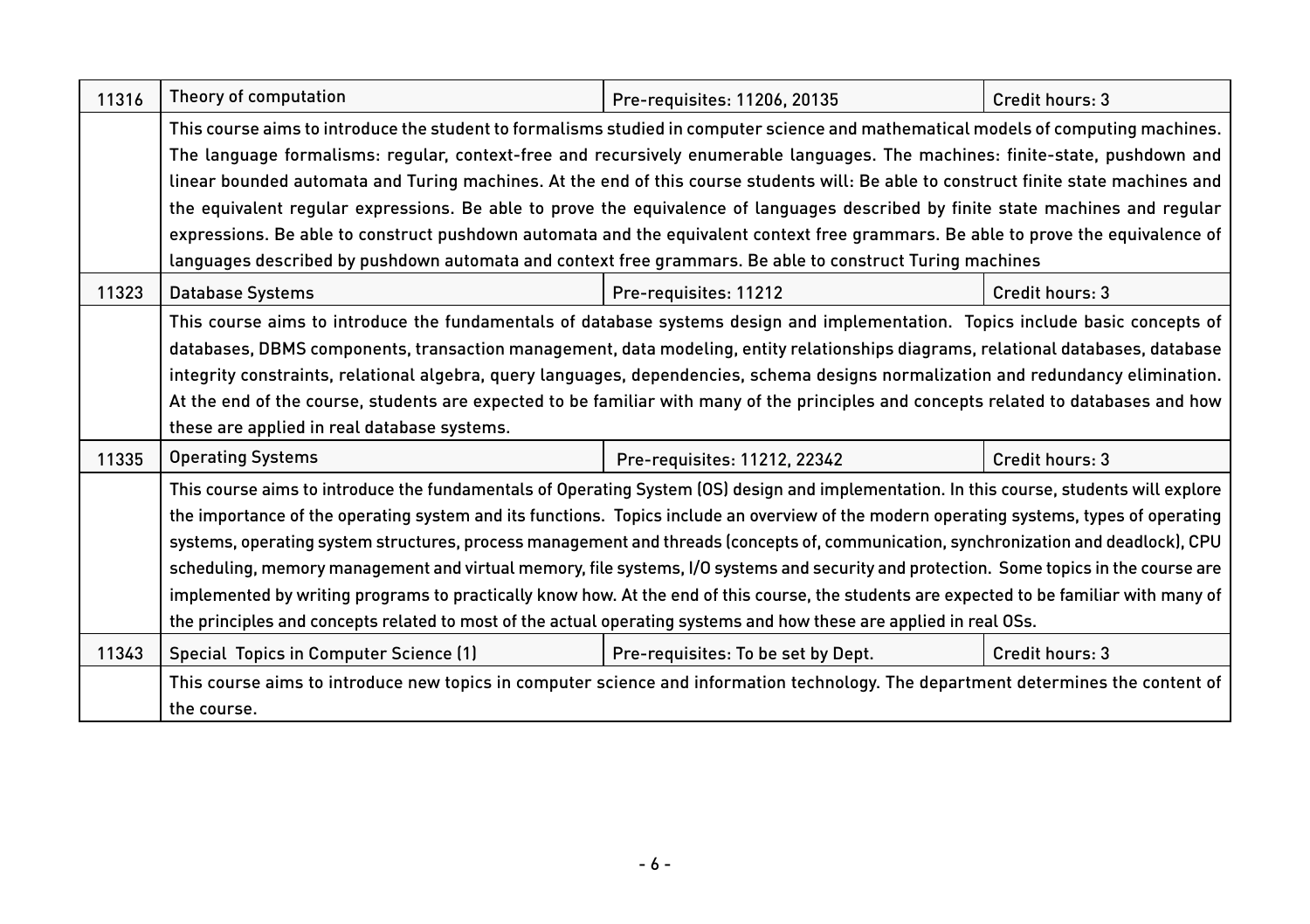| 11316 | Theory of computation                                                                                                                                                                                                                                                                                                                                                                                                                                                                                                                                                                                                                                                                                                                                                                                                                     | Pre-requisites: 11206, 20135       | Credit hours: 3 |
|-------|-------------------------------------------------------------------------------------------------------------------------------------------------------------------------------------------------------------------------------------------------------------------------------------------------------------------------------------------------------------------------------------------------------------------------------------------------------------------------------------------------------------------------------------------------------------------------------------------------------------------------------------------------------------------------------------------------------------------------------------------------------------------------------------------------------------------------------------------|------------------------------------|-----------------|
|       | This course aims to introduce the student to formalisms studied in computer science and mathematical models of computing machines.<br>The language formalisms: regular, context-free and recursively enumerable languages. The machines: finite-state, pushdown and<br>linear bounded automata and Turing machines. At the end of this course students will: Be able to construct finite state machines and<br>the equivalent regular expressions. Be able to prove the equivalence of languages described by finite state machines and regular                                                                                                                                                                                                                                                                                           |                                    |                 |
|       | expressions. Be able to construct pushdown automata and the equivalent context free grammars. Be able to prove the equivalence of<br>languages described by pushdown automata and context free grammars. Be able to construct Turing machines                                                                                                                                                                                                                                                                                                                                                                                                                                                                                                                                                                                             |                                    |                 |
| 11323 | <b>Database Systems</b>                                                                                                                                                                                                                                                                                                                                                                                                                                                                                                                                                                                                                                                                                                                                                                                                                   | Pre-requisites: 11212              | Credit hours: 3 |
|       | This course aims to introduce the fundamentals of database systems design and implementation. Topics include basic concepts of<br>databases, DBMS components, transaction management, data modeling, entity relationships diagrams, relational databases, database<br>integrity constraints, relational algebra, query languages, dependencies, schema designs normalization and redundancy elimination.<br>At the end of the course, students are expected to be familiar with many of the principles and concepts related to databases and how<br>these are applied in real database systems.                                                                                                                                                                                                                                           |                                    |                 |
| 11335 | <b>Operating Systems</b>                                                                                                                                                                                                                                                                                                                                                                                                                                                                                                                                                                                                                                                                                                                                                                                                                  | Pre-requisites: 11212, 22342       | Credit hours: 3 |
|       | This course aims to introduce the fundamentals of Operating System (OS) design and implementation. In this course, students will explore<br>the importance of the operating system and its functions. Topics include an overview of the modern operating systems, types of operating<br>systems, operating system structures, process management and threads (concepts of, communication, synchronization and deadlock), CPU<br>scheduling, memory management and virtual memory, file systems, I/O systems and security and protection. Some topics in the course are<br>implemented by writing programs to practically know how. At the end of this course, the students are expected to be familiar with many of<br>the principles and concepts related to most of the actual operating systems and how these are applied in real OSs. |                                    |                 |
| 11343 | Special Topics in Computer Science (1)                                                                                                                                                                                                                                                                                                                                                                                                                                                                                                                                                                                                                                                                                                                                                                                                    | Pre-requisites: To be set by Dept. | Credit hours: 3 |
|       | This course aims to introduce new topics in computer science and information technology. The department determines the content of<br>the course.                                                                                                                                                                                                                                                                                                                                                                                                                                                                                                                                                                                                                                                                                          |                                    |                 |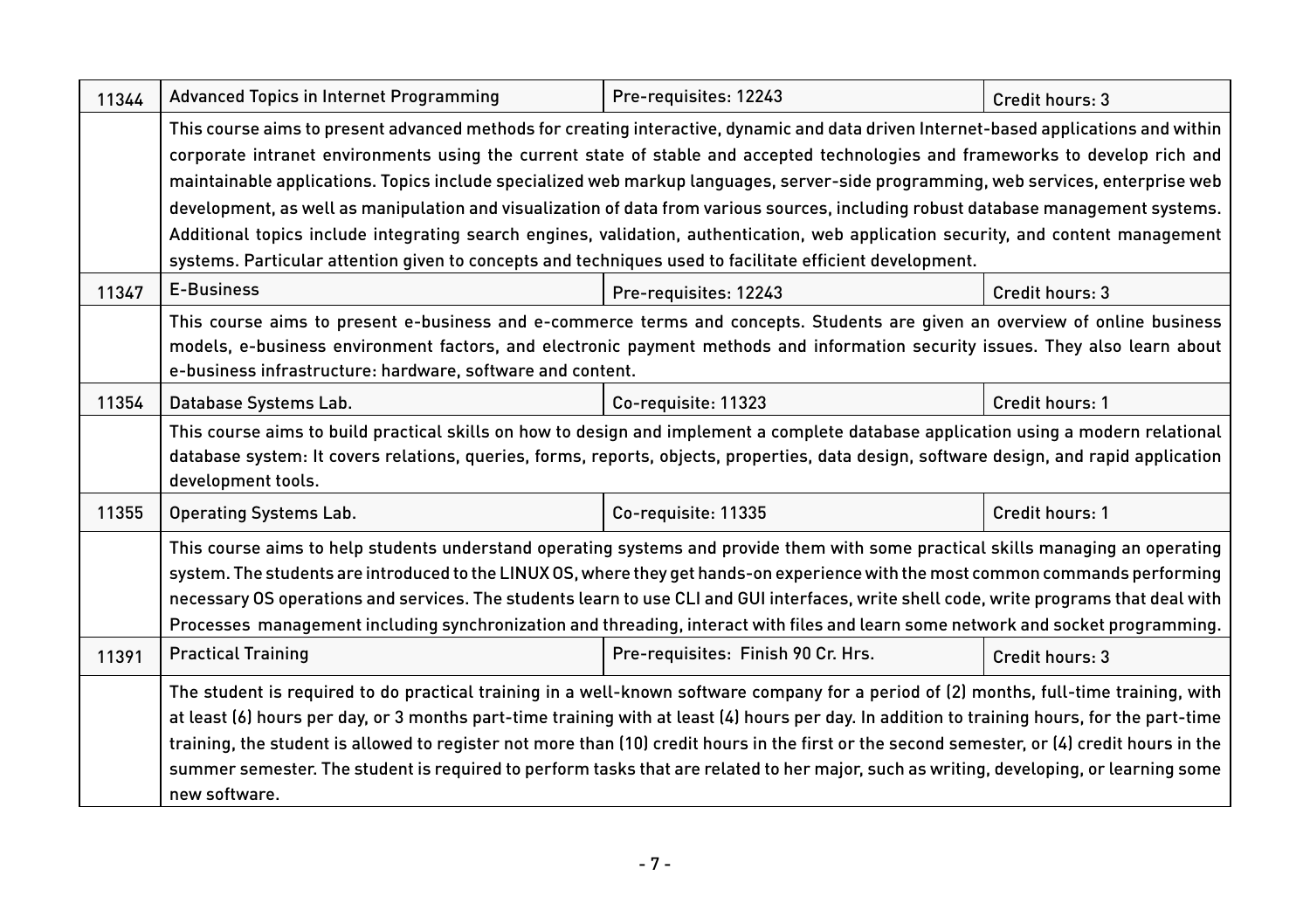| 11344 | Advanced Topics in Internet Programming                                                                                                                                                                                                                                                                                                                                                                                                                                                                                                                                                                                                                                                                                                                                                              | Pre-requisites: 12243              | Credit hours: 3 |
|-------|------------------------------------------------------------------------------------------------------------------------------------------------------------------------------------------------------------------------------------------------------------------------------------------------------------------------------------------------------------------------------------------------------------------------------------------------------------------------------------------------------------------------------------------------------------------------------------------------------------------------------------------------------------------------------------------------------------------------------------------------------------------------------------------------------|------------------------------------|-----------------|
|       | This course aims to present advanced methods for creating interactive, dynamic and data driven Internet-based applications and within<br>corporate intranet environments using the current state of stable and accepted technologies and frameworks to develop rich and<br>maintainable applications. Topics include specialized web markup languages, server-side programming, web services, enterprise web<br>development, as well as manipulation and visualization of data from various sources, including robust database management systems.<br>Additional topics include integrating search engines, validation, authentication, web application security, and content management<br>systems. Particular attention given to concepts and techniques used to facilitate efficient development. |                                    |                 |
| 11347 | <b>E-Business</b>                                                                                                                                                                                                                                                                                                                                                                                                                                                                                                                                                                                                                                                                                                                                                                                    | Pre-requisites: 12243              | Credit hours: 3 |
|       | This course aims to present e-business and e-commerce terms and concepts. Students are given an overview of online business<br>models, e-business environment factors, and electronic payment methods and information security issues. They also learn about<br>e-business infrastructure: hardware, software and content.                                                                                                                                                                                                                                                                                                                                                                                                                                                                           |                                    |                 |
| 11354 | Database Systems Lab.                                                                                                                                                                                                                                                                                                                                                                                                                                                                                                                                                                                                                                                                                                                                                                                | Co-requisite: 11323                | Credit hours: 1 |
|       | This course aims to build practical skills on how to design and implement a complete database application using a modern relational<br>database system: It covers relations, queries, forms, reports, objects, properties, data design, software design, and rapid application<br>development tools.                                                                                                                                                                                                                                                                                                                                                                                                                                                                                                 |                                    |                 |
| 11355 | <b>Operating Systems Lab.</b>                                                                                                                                                                                                                                                                                                                                                                                                                                                                                                                                                                                                                                                                                                                                                                        | Co-requisite: 11335                | Credit hours: 1 |
|       | This course aims to help students understand operating systems and provide them with some practical skills managing an operating<br>system. The students are introduced to the LINUX OS, where they get hands-on experience with the most common commands performing<br>necessary OS operations and services. The students learn to use CLI and GUI interfaces, write shell code, write programs that deal with<br>Processes management including synchronization and threading, interact with files and learn some network and socket programming.                                                                                                                                                                                                                                                  |                                    |                 |
| 11391 | <b>Practical Training</b>                                                                                                                                                                                                                                                                                                                                                                                                                                                                                                                                                                                                                                                                                                                                                                            | Pre-requisites: Finish 90 Cr. Hrs. | Credit hours: 3 |
|       | The student is required to do practical training in a well-known software company for a period of (2) months, full-time training, with<br>at least (6) hours per day, or 3 months part-time training with at least (4) hours per day. In addition to training hours, for the part-time<br>training, the student is allowed to register not more than (10) credit hours in the first or the second semester, or (4) credit hours in the<br>summer semester. The student is required to perform tasks that are related to her major, such as writing, developing, or learning some<br>new software.                                                                                                                                                                                                    |                                    |                 |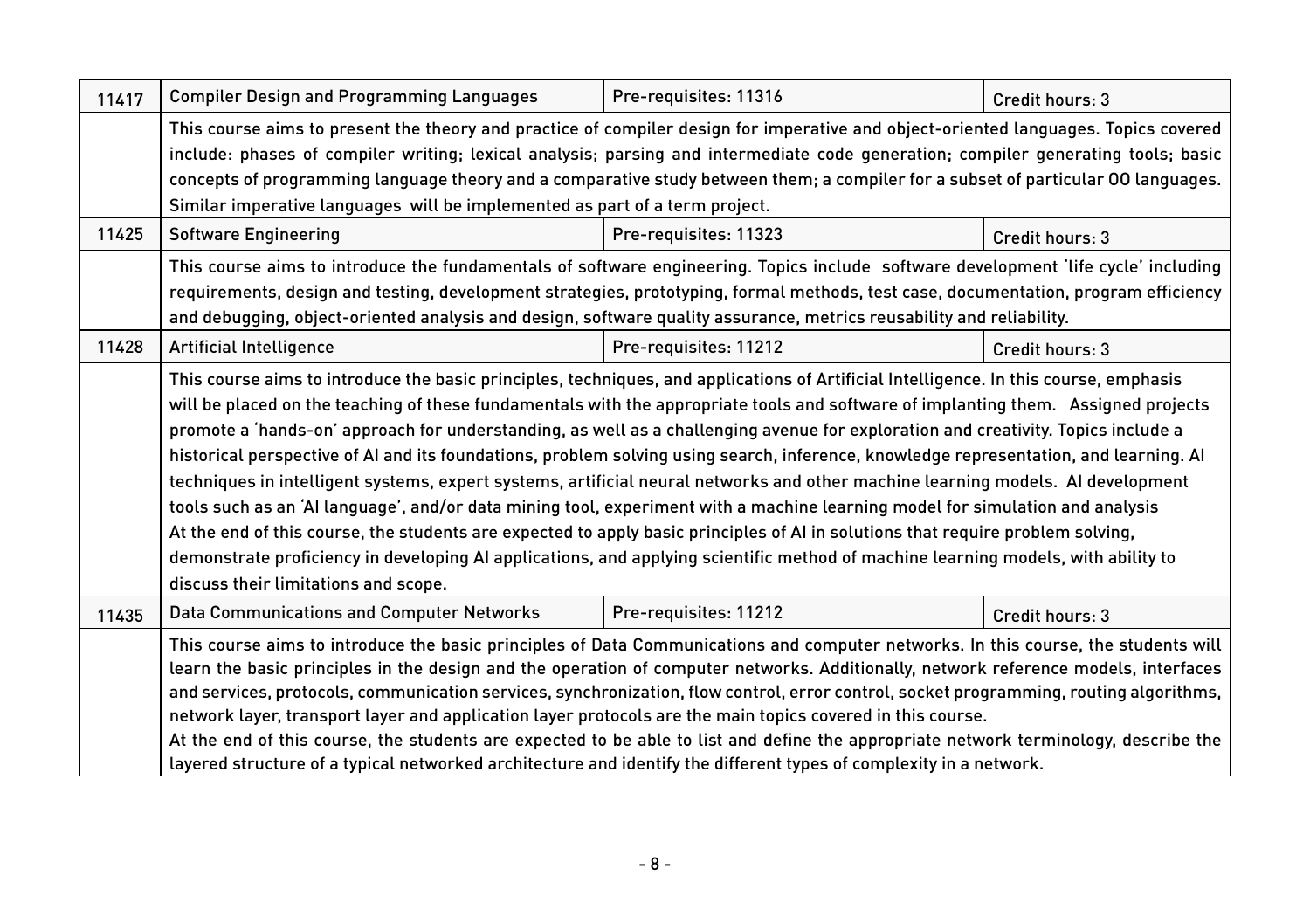| 11417 | <b>Compiler Design and Programming Languages</b>                                                                                       | Pre-requisites: 11316 | Credit hours: 3 |
|-------|----------------------------------------------------------------------------------------------------------------------------------------|-----------------------|-----------------|
|       | This course aims to present the theory and practice of compiler design for imperative and object-oriented languages. Topics covered    |                       |                 |
|       | include: phases of compiler writing; lexical analysis; parsing and intermediate code generation; compiler generating tools; basic      |                       |                 |
|       | concepts of programming language theory and a comparative study between them; a compiler for a subset of particular 00 languages.      |                       |                 |
|       | Similar imperative languages will be implemented as part of a term project.                                                            |                       |                 |
| 11425 | <b>Software Engineering</b>                                                                                                            | Pre-requisites: 11323 | Credit hours: 3 |
|       | This course aims to introduce the fundamentals of software engineering. Topics include software development 'life cycle' including     |                       |                 |
|       | requirements, design and testing, development strategies, prototyping, formal methods, test case, documentation, program efficiency    |                       |                 |
|       | and debugging, object-oriented analysis and design, software quality assurance, metrics reusability and reliability.                   |                       |                 |
| 11428 | Artificial Intelligence                                                                                                                | Pre-requisites: 11212 | Credit hours: 3 |
|       | This course aims to introduce the basic principles, techniques, and applications of Artificial Intelligence. In this course, emphasis  |                       |                 |
|       | will be placed on the teaching of these fundamentals with the appropriate tools and software of implanting them. Assigned projects     |                       |                 |
|       | promote a 'hands-on' approach for understanding, as well as a challenging avenue for exploration and creativity. Topics include a      |                       |                 |
|       | historical perspective of AI and its foundations, problem solving using search, inference, knowledge representation, and learning. AI  |                       |                 |
|       | techniques in intelligent systems, expert systems, artificial neural networks and other machine learning models. AI development        |                       |                 |
|       | tools such as an 'AI language', and/or data mining tool, experiment with a machine learning model for simulation and analysis          |                       |                 |
|       | At the end of this course, the students are expected to apply basic principles of AI in solutions that require problem solving,        |                       |                 |
|       | demonstrate proficiency in developing AI applications, and applying scientific method of machine learning models, with ability to      |                       |                 |
|       | discuss their limitations and scope.                                                                                                   |                       |                 |
| 11435 | Data Communications and Computer Networks                                                                                              | Pre-requisites: 11212 | Credit hours: 3 |
|       | This course aims to introduce the basic principles of Data Communications and computer networks. In this course, the students will     |                       |                 |
|       | learn the basic principles in the design and the operation of computer networks. Additionally, network reference models, interfaces    |                       |                 |
|       | and services, protocols, communication services, synchronization, flow control, error control, socket programming, routing algorithms, |                       |                 |
|       | network layer, transport layer and application layer protocols are the main topics covered in this course.                             |                       |                 |
|       | At the end of this course, the students are expected to be able to list and define the appropriate network terminology, describe the   |                       |                 |
|       | layered structure of a typical networked architecture and identify the different types of complexity in a network.                     |                       |                 |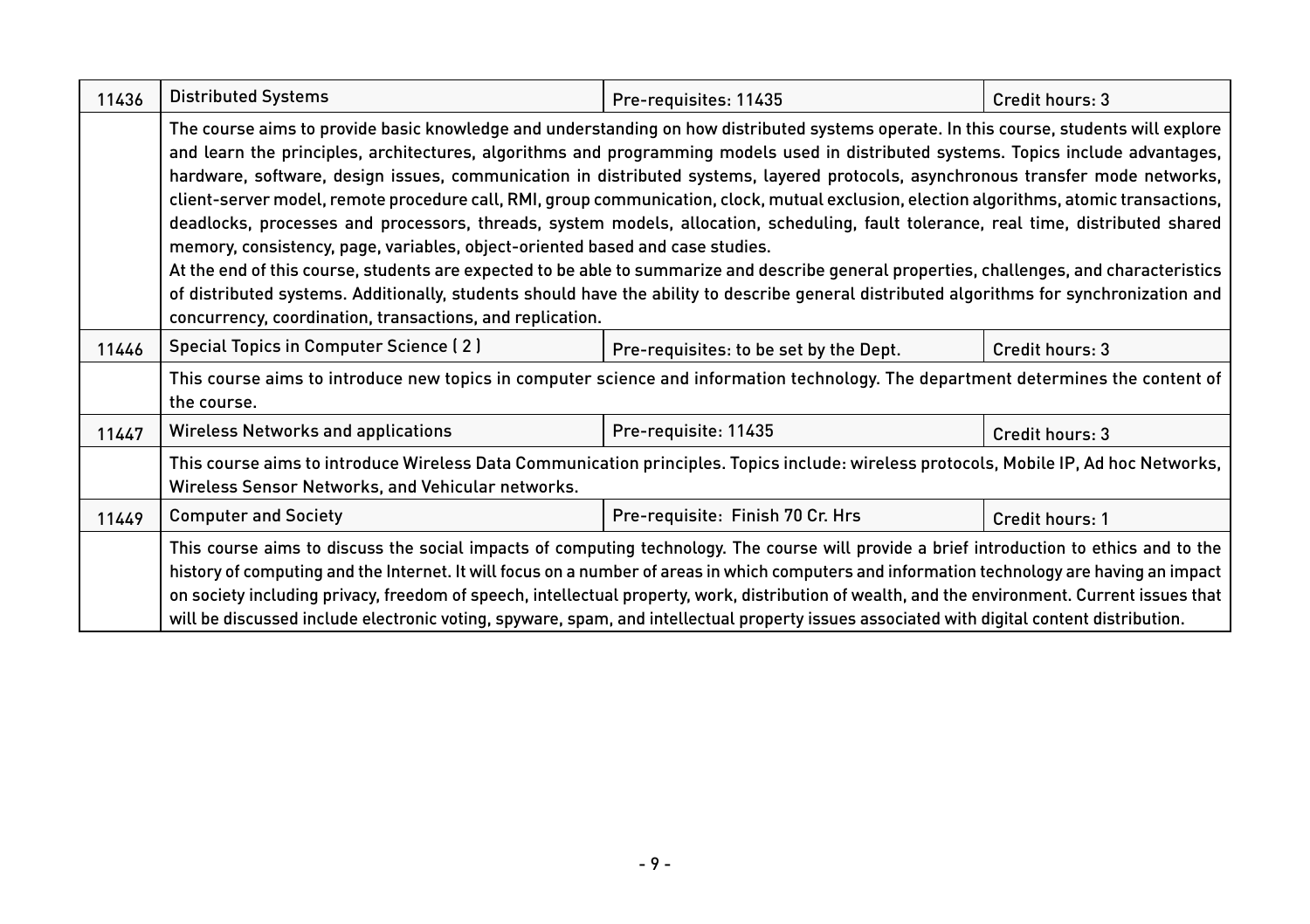| 11436 | <b>Distributed Systems</b>                                                                                                                                                                                                                                                                                                                                                                                                                                                                                                                                                                                                                                                                                                                                                                                                                                                                                                                                                                                                                                                                                                                  | Pre-requisites: 11435                  | Credit hours: 3 |
|-------|---------------------------------------------------------------------------------------------------------------------------------------------------------------------------------------------------------------------------------------------------------------------------------------------------------------------------------------------------------------------------------------------------------------------------------------------------------------------------------------------------------------------------------------------------------------------------------------------------------------------------------------------------------------------------------------------------------------------------------------------------------------------------------------------------------------------------------------------------------------------------------------------------------------------------------------------------------------------------------------------------------------------------------------------------------------------------------------------------------------------------------------------|----------------------------------------|-----------------|
|       | The course aims to provide basic knowledge and understanding on how distributed systems operate. In this course, students will explore<br>and learn the principles, architectures, algorithms and programming models used in distributed systems. Topics include advantages,<br>hardware, software, design issues, communication in distributed systems, layered protocols, asynchronous transfer mode networks,<br>client-server model, remote procedure call, RMI, group communication, clock, mutual exclusion, election algorithms, atomic transactions,<br>deadlocks, processes and processors, threads, system models, allocation, scheduling, fault tolerance, real time, distributed shared<br>memory, consistency, page, variables, object-oriented based and case studies.<br>At the end of this course, students are expected to be able to summarize and describe general properties, challenges, and characteristics<br>of distributed systems. Additionally, students should have the ability to describe general distributed algorithms for synchronization and<br>concurrency, coordination, transactions, and replication. |                                        |                 |
| 11446 | Special Topics in Computer Science (2)                                                                                                                                                                                                                                                                                                                                                                                                                                                                                                                                                                                                                                                                                                                                                                                                                                                                                                                                                                                                                                                                                                      | Pre-requisites: to be set by the Dept. | Credit hours: 3 |
|       | This course aims to introduce new topics in computer science and information technology. The department determines the content of<br>the course.                                                                                                                                                                                                                                                                                                                                                                                                                                                                                                                                                                                                                                                                                                                                                                                                                                                                                                                                                                                            |                                        |                 |
| 11447 | <b>Wireless Networks and applications</b>                                                                                                                                                                                                                                                                                                                                                                                                                                                                                                                                                                                                                                                                                                                                                                                                                                                                                                                                                                                                                                                                                                   | Pre-requisite: 11435                   | Credit hours: 3 |
|       | This course aims to introduce Wireless Data Communication principles. Topics include: wireless protocols, Mobile IP, Ad hoc Networks,<br>Wireless Sensor Networks, and Vehicular networks.                                                                                                                                                                                                                                                                                                                                                                                                                                                                                                                                                                                                                                                                                                                                                                                                                                                                                                                                                  |                                        |                 |
| 11449 | <b>Computer and Society</b>                                                                                                                                                                                                                                                                                                                                                                                                                                                                                                                                                                                                                                                                                                                                                                                                                                                                                                                                                                                                                                                                                                                 | Pre-requisite: Finish 70 Cr. Hrs       | Credit hours: 1 |
|       | This course aims to discuss the social impacts of computing technology. The course will provide a brief introduction to ethics and to the<br>history of computing and the Internet. It will focus on a number of areas in which computers and information technology are having an impact<br>on society including privacy, freedom of speech, intellectual property, work, distribution of wealth, and the environment. Current issues that<br>will be discussed include electronic voting, spyware, spam, and intellectual property issues associated with digital content distribution.                                                                                                                                                                                                                                                                                                                                                                                                                                                                                                                                                   |                                        |                 |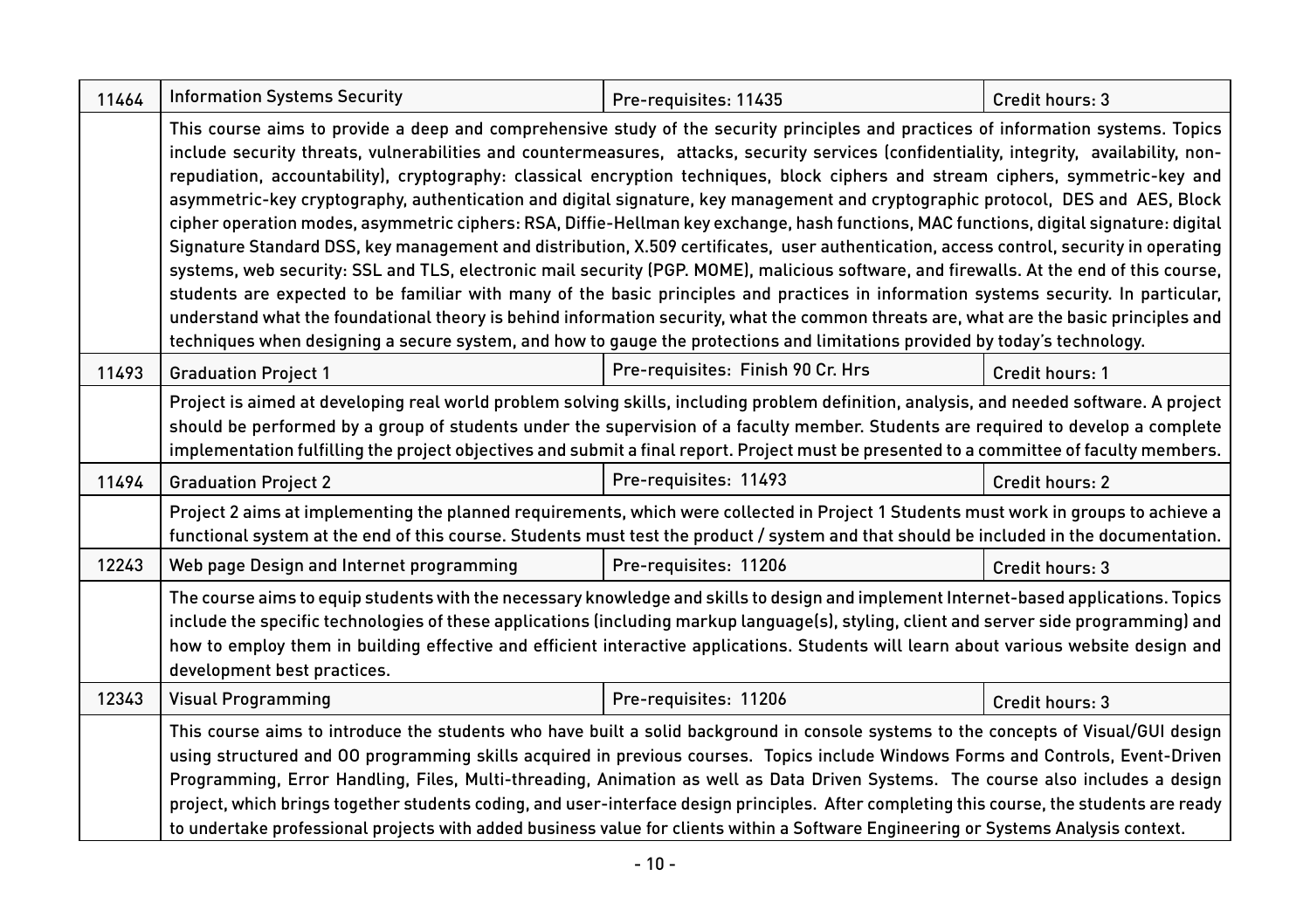| 11464 | <b>Information Systems Security</b>                                                                                                                                                                                                                                                                                                                                                                                                                                                                                                                                                                                                                                                                                                                                                                                                                                                                                                                                                                                                                                                                                                                                                                                                                                                                                                                                                                       | Pre-requisites: 11435             | Credit hours: 3 |
|-------|-----------------------------------------------------------------------------------------------------------------------------------------------------------------------------------------------------------------------------------------------------------------------------------------------------------------------------------------------------------------------------------------------------------------------------------------------------------------------------------------------------------------------------------------------------------------------------------------------------------------------------------------------------------------------------------------------------------------------------------------------------------------------------------------------------------------------------------------------------------------------------------------------------------------------------------------------------------------------------------------------------------------------------------------------------------------------------------------------------------------------------------------------------------------------------------------------------------------------------------------------------------------------------------------------------------------------------------------------------------------------------------------------------------|-----------------------------------|-----------------|
|       | This course aims to provide a deep and comprehensive study of the security principles and practices of information systems. Topics<br>include security threats, vulnerabilities and countermeasures, attacks, security services (confidentiality, integrity, availability, non-<br>repudiation, accountability), cryptography: classical encryption techniques, block ciphers and stream ciphers, symmetric-key and<br>asymmetric-key cryptography, authentication and digital signature, key management and cryptographic protocol, DES and AES, Block<br>cipher operation modes, asymmetric ciphers: RSA, Diffie-Hellman key exchange, hash functions, MAC functions, digital signature: digital<br>Signature Standard DSS, key management and distribution, X.509 certificates, user authentication, access control, security in operating<br>systems, web security: SSL and TLS, electronic mail security (PGP. MOME), malicious software, and firewalls. At the end of this course,<br>students are expected to be familiar with many of the basic principles and practices in information systems security. In particular,<br>understand what the foundational theory is behind information security, what the common threats are, what are the basic principles and<br>techniques when designing a secure system, and how to gauge the protections and limitations provided by today's technology. |                                   |                 |
| 11493 | <b>Graduation Project 1</b>                                                                                                                                                                                                                                                                                                                                                                                                                                                                                                                                                                                                                                                                                                                                                                                                                                                                                                                                                                                                                                                                                                                                                                                                                                                                                                                                                                               | Pre-requisites: Finish 90 Cr. Hrs | Credit hours: 1 |
|       | Project is aimed at developing real world problem solving skills, including problem definition, analysis, and needed software. A project<br>should be performed by a group of students under the supervision of a faculty member. Students are required to develop a complete<br>implementation fulfilling the project objectives and submit a final report. Project must be presented to a committee of faculty members.                                                                                                                                                                                                                                                                                                                                                                                                                                                                                                                                                                                                                                                                                                                                                                                                                                                                                                                                                                                 |                                   |                 |
| 11494 | <b>Graduation Project 2</b>                                                                                                                                                                                                                                                                                                                                                                                                                                                                                                                                                                                                                                                                                                                                                                                                                                                                                                                                                                                                                                                                                                                                                                                                                                                                                                                                                                               | Pre-requisites: 11493             | Credit hours: 2 |
|       | Project 2 aims at implementing the planned requirements, which were collected in Project 1 Students must work in groups to achieve a<br>functional system at the end of this course. Students must test the product / system and that should be included in the documentation.                                                                                                                                                                                                                                                                                                                                                                                                                                                                                                                                                                                                                                                                                                                                                                                                                                                                                                                                                                                                                                                                                                                            |                                   |                 |
| 12243 | Web page Design and Internet programming                                                                                                                                                                                                                                                                                                                                                                                                                                                                                                                                                                                                                                                                                                                                                                                                                                                                                                                                                                                                                                                                                                                                                                                                                                                                                                                                                                  | Pre-requisites: 11206             | Credit hours: 3 |
|       | The course aims to equip students with the necessary knowledge and skills to design and implement Internet-based applications. Topics<br>include the specific technologies of these applications (including markup language(s), styling, client and server side programming) and<br>how to employ them in building effective and efficient interactive applications. Students will learn about various website design and<br>development best practices.                                                                                                                                                                                                                                                                                                                                                                                                                                                                                                                                                                                                                                                                                                                                                                                                                                                                                                                                                  |                                   |                 |
| 12343 | Visual Programming                                                                                                                                                                                                                                                                                                                                                                                                                                                                                                                                                                                                                                                                                                                                                                                                                                                                                                                                                                                                                                                                                                                                                                                                                                                                                                                                                                                        | Pre-requisites: 11206             | Credit hours: 3 |
|       | This course aims to introduce the students who have built a solid background in console systems to the concepts of Visual/GUI design<br>using structured and 00 programming skills acquired in previous courses. Topics include Windows Forms and Controls, Event-Driven<br>Programming, Error Handling, Files, Multi-threading, Animation as well as Data Driven Systems. The course also includes a design<br>project, which brings together students coding, and user-interface design principles. After completing this course, the students are ready<br>to undertake professional projects with added business value for clients within a Software Engineering or Systems Analysis context.                                                                                                                                                                                                                                                                                                                                                                                                                                                                                                                                                                                                                                                                                                         |                                   |                 |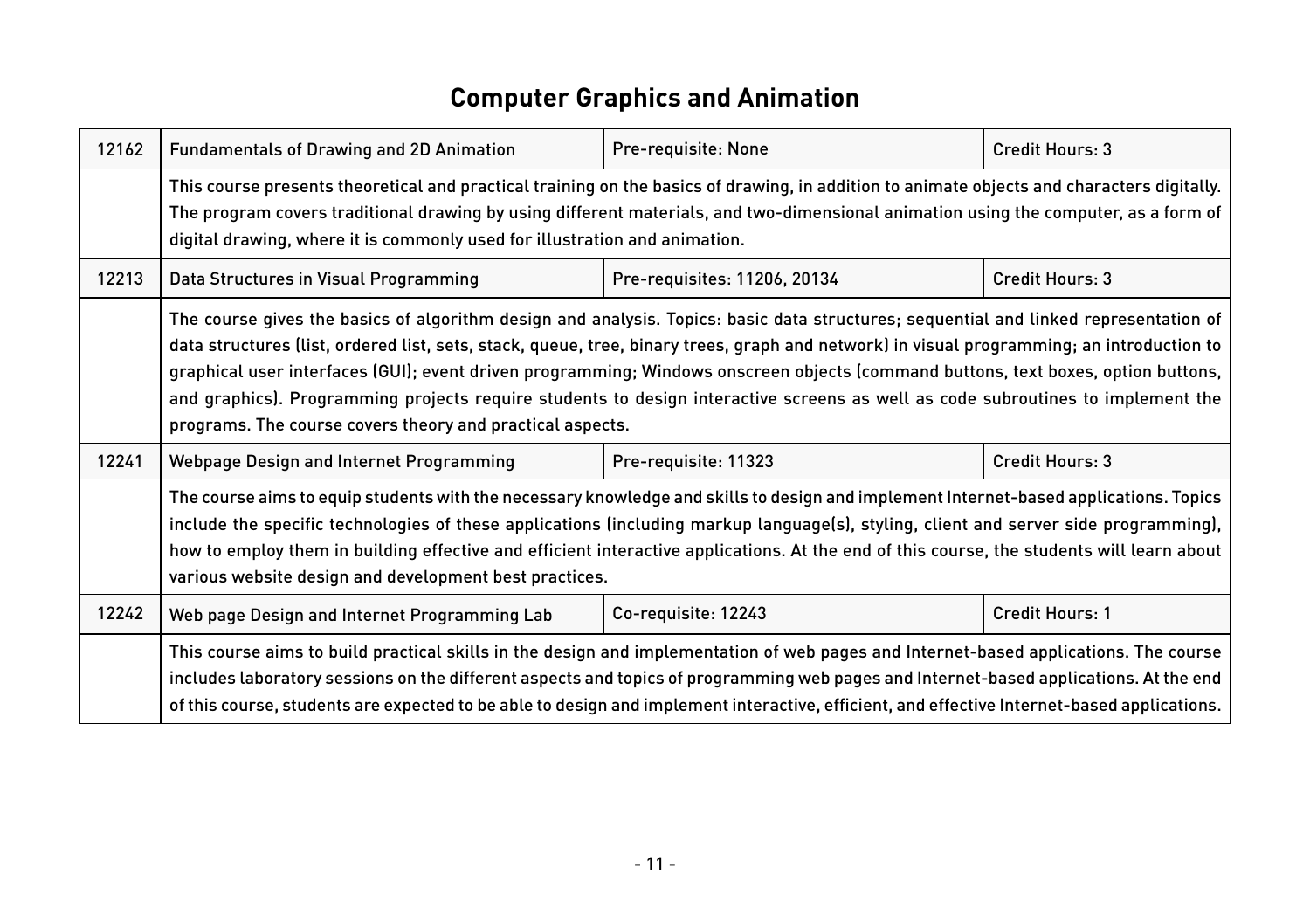## **Computer Graphics and Animation**

| 12162 | <b>Fundamentals of Drawing and 2D Animation</b>                                                                                                                                                                                                                                                                                                                                                                                                                                                                                                                                                                        | Pre-requisite: None          | Credit Hours: 3 |
|-------|------------------------------------------------------------------------------------------------------------------------------------------------------------------------------------------------------------------------------------------------------------------------------------------------------------------------------------------------------------------------------------------------------------------------------------------------------------------------------------------------------------------------------------------------------------------------------------------------------------------------|------------------------------|-----------------|
|       | This course presents theoretical and practical training on the basics of drawing, in addition to animate objects and characters digitally.<br>The program covers traditional drawing by using different materials, and two-dimensional animation using the computer, as a form of<br>digital drawing, where it is commonly used for illustration and animation.                                                                                                                                                                                                                                                        |                              |                 |
| 12213 | Data Structures in Visual Programming                                                                                                                                                                                                                                                                                                                                                                                                                                                                                                                                                                                  | Pre-requisites: 11206, 20134 | Credit Hours: 3 |
|       | The course gives the basics of algorithm design and analysis. Topics: basic data structures; sequential and linked representation of<br>data structures (list, ordered list, sets, stack, queue, tree, binary trees, graph and network) in visual programming; an introduction to<br>graphical user interfaces (GUI); event driven programming; Windows onscreen objects (command buttons, text boxes, option buttons,<br>and graphics). Programming projects require students to design interactive screens as well as code subroutines to implement the<br>programs. The course covers theory and practical aspects. |                              |                 |
| 12241 | Webpage Design and Internet Programming                                                                                                                                                                                                                                                                                                                                                                                                                                                                                                                                                                                | Pre-requisite: 11323         | Credit Hours: 3 |
|       | The course aims to equip students with the necessary knowledge and skills to design and implement Internet-based applications. Topics<br>include the specific technologies of these applications (including markup language(s), styling, client and server side programming),<br>how to employ them in building effective and efficient interactive applications. At the end of this course, the students will learn about<br>various website design and development best practices.                                                                                                                                   |                              |                 |
| 12242 | Web page Design and Internet Programming Lab                                                                                                                                                                                                                                                                                                                                                                                                                                                                                                                                                                           | Co-requisite: 12243          | Credit Hours: 1 |
|       | This course aims to build practical skills in the design and implementation of web pages and Internet-based applications. The course<br>includes laboratory sessions on the different aspects and topics of programming web pages and Internet-based applications. At the end<br>of this course, students are expected to be able to design and implement interactive, efficient, and effective Internet-based applications.                                                                                                                                                                                           |                              |                 |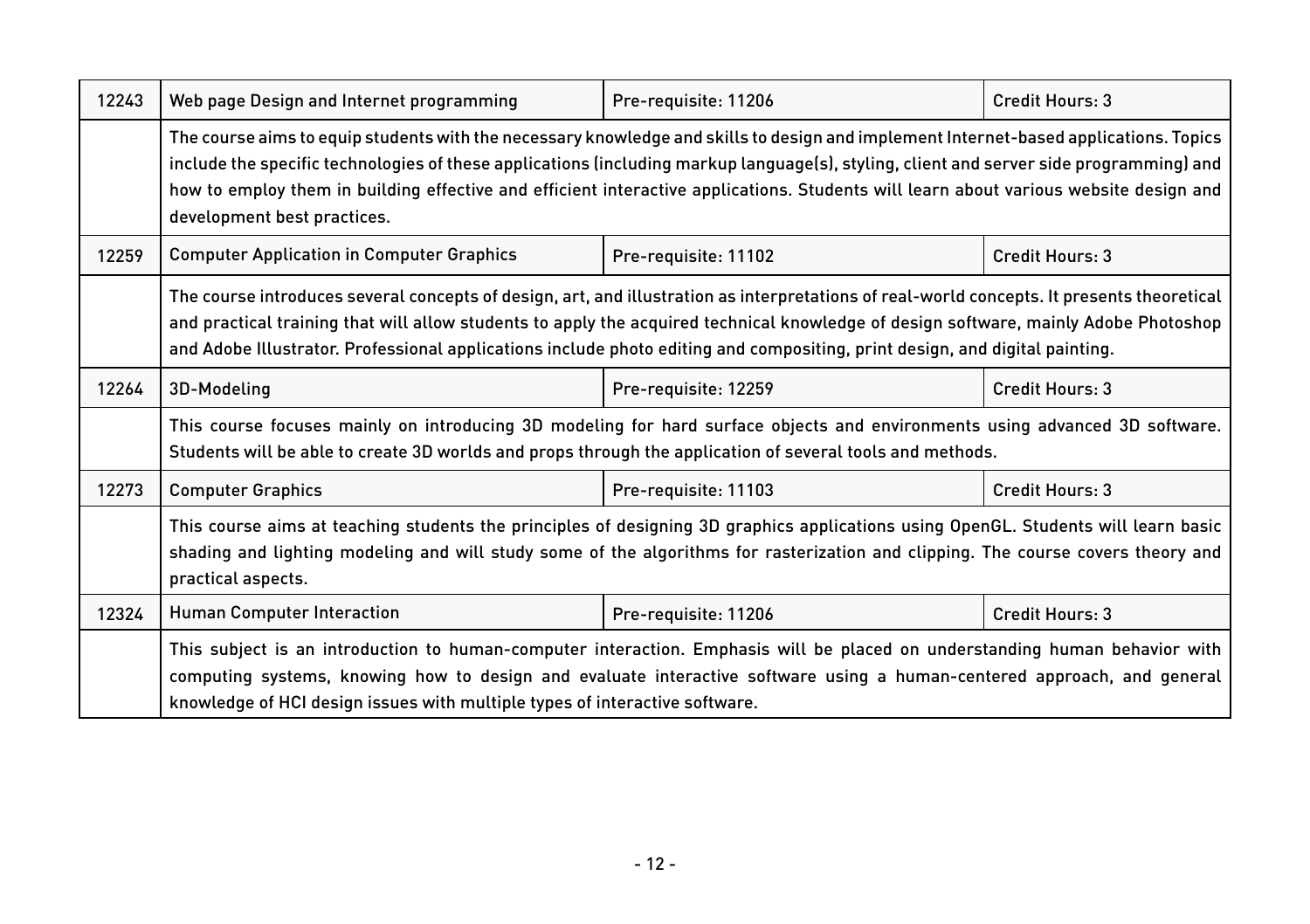| 12243 | Web page Design and Internet programming                                                                                                                                                                                                                                                                                                                                                                                                                 | Pre-requisite: 11206 | Credit Hours: 3 |
|-------|----------------------------------------------------------------------------------------------------------------------------------------------------------------------------------------------------------------------------------------------------------------------------------------------------------------------------------------------------------------------------------------------------------------------------------------------------------|----------------------|-----------------|
|       | The course aims to equip students with the necessary knowledge and skills to design and implement Internet-based applications. Topics<br>include the specific technologies of these applications (including markup language(s), styling, client and server side programming) and<br>how to employ them in building effective and efficient interactive applications. Students will learn about various website design and<br>development best practices. |                      |                 |
| 12259 | <b>Computer Application in Computer Graphics</b>                                                                                                                                                                                                                                                                                                                                                                                                         | Pre-requisite: 11102 | Credit Hours: 3 |
|       | The course introduces several concepts of design, art, and illustration as interpretations of real-world concepts. It presents theoretical<br>and practical training that will allow students to apply the acquired technical knowledge of design software, mainly Adobe Photoshop<br>and Adobe Illustrator. Professional applications include photo editing and compositing, print design, and digital painting.                                        |                      |                 |
| 12264 | 3D-Modeling                                                                                                                                                                                                                                                                                                                                                                                                                                              | Pre-requisite: 12259 | Credit Hours: 3 |
|       | This course focuses mainly on introducing 3D modeling for hard surface objects and environments using advanced 3D software.<br>Students will be able to create 3D worlds and props through the application of several tools and methods.                                                                                                                                                                                                                 |                      |                 |
| 12273 | <b>Computer Graphics</b>                                                                                                                                                                                                                                                                                                                                                                                                                                 | Pre-requisite: 11103 | Credit Hours: 3 |
|       | This course aims at teaching students the principles of designing 3D graphics applications using OpenGL. Students will learn basic<br>shading and lighting modeling and will study some of the algorithms for rasterization and clipping. The course covers theory and<br>practical aspects.                                                                                                                                                             |                      |                 |
| 12324 | <b>Human Computer Interaction</b>                                                                                                                                                                                                                                                                                                                                                                                                                        | Pre-requisite: 11206 | Credit Hours: 3 |
|       | This subject is an introduction to human-computer interaction. Emphasis will be placed on understanding human behavior with<br>computing systems, knowing how to design and evaluate interactive software using a human-centered approach, and general<br>knowledge of HCI design issues with multiple types of interactive software.                                                                                                                    |                      |                 |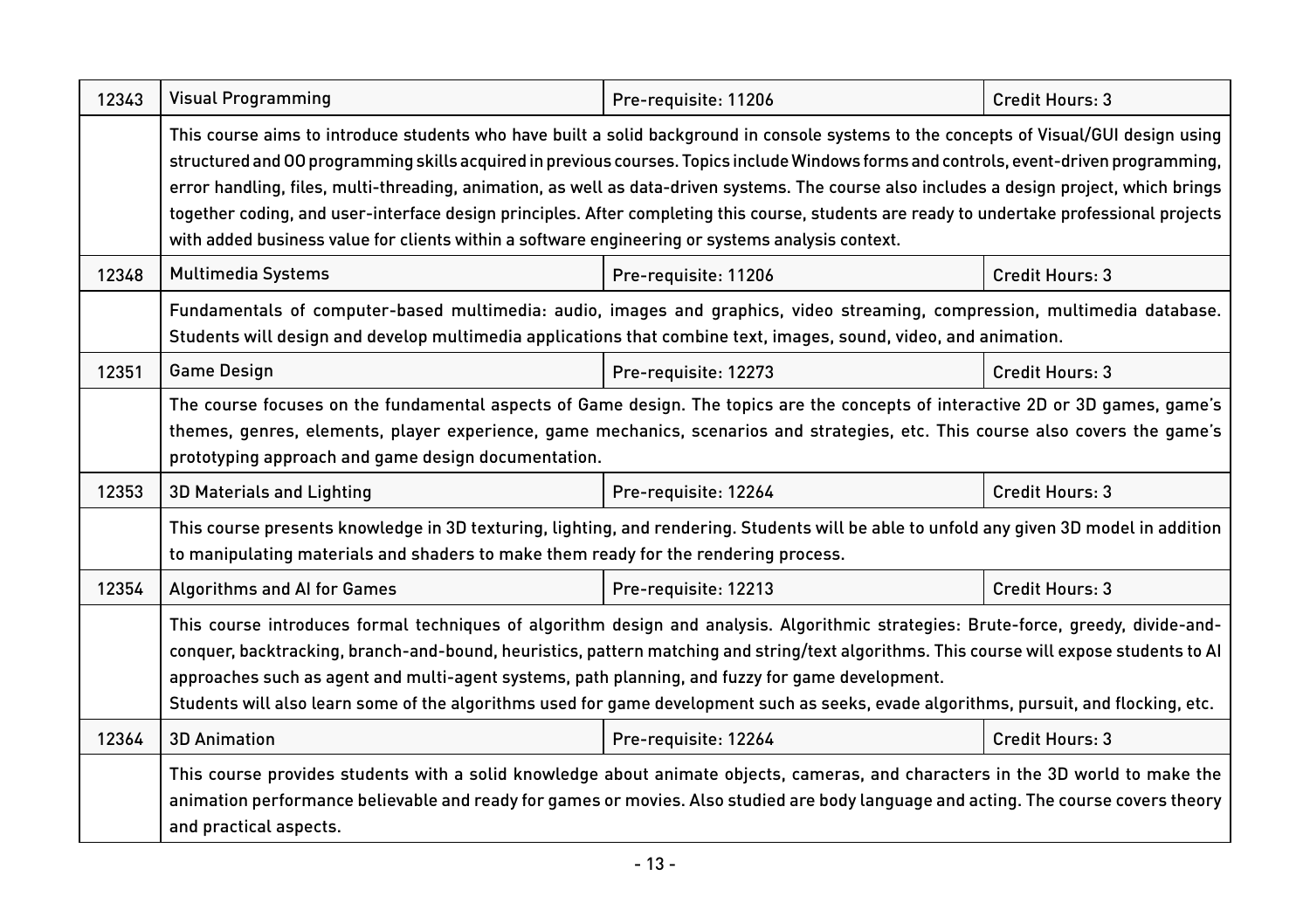| 12343 | <b>Visual Programming</b>                                                                                                                                                                                                                                                                                                                                                                                                                                                                                                                                                                                                                                                         | Pre-requisite: 11206 | Credit Hours: 3 |
|-------|-----------------------------------------------------------------------------------------------------------------------------------------------------------------------------------------------------------------------------------------------------------------------------------------------------------------------------------------------------------------------------------------------------------------------------------------------------------------------------------------------------------------------------------------------------------------------------------------------------------------------------------------------------------------------------------|----------------------|-----------------|
|       | This course aims to introduce students who have built a solid background in console systems to the concepts of Visual/GUI design using<br>structured and 00 programming skills acquired in previous courses. Topics include Windows forms and controls, event-driven programming,<br>error handling, files, multi-threading, animation, as well as data-driven systems. The course also includes a design project, which brings<br>together coding, and user-interface design principles. After completing this course, students are ready to undertake professional projects<br>with added business value for clients within a software engineering or systems analysis context. |                      |                 |
| 12348 | <b>Multimedia Systems</b>                                                                                                                                                                                                                                                                                                                                                                                                                                                                                                                                                                                                                                                         | Pre-requisite: 11206 | Credit Hours: 3 |
|       | Fundamentals of computer-based multimedia: audio, images and graphics, video streaming, compression, multimedia database.<br>Students will design and develop multimedia applications that combine text, images, sound, video, and animation.                                                                                                                                                                                                                                                                                                                                                                                                                                     |                      |                 |
| 12351 | <b>Game Design</b>                                                                                                                                                                                                                                                                                                                                                                                                                                                                                                                                                                                                                                                                | Pre-requisite: 12273 | Credit Hours: 3 |
|       | The course focuses on the fundamental aspects of Game design. The topics are the concepts of interactive 2D or 3D games, game's<br>themes, genres, elements, player experience, game mechanics, scenarios and strategies, etc. This course also covers the game's<br>prototyping approach and game design documentation.                                                                                                                                                                                                                                                                                                                                                          |                      |                 |
| 12353 | 3D Materials and Lighting                                                                                                                                                                                                                                                                                                                                                                                                                                                                                                                                                                                                                                                         | Pre-requisite: 12264 | Credit Hours: 3 |
|       | This course presents knowledge in 3D texturing, lighting, and rendering. Students will be able to unfold any given 3D model in addition<br>to manipulating materials and shaders to make them ready for the rendering process.                                                                                                                                                                                                                                                                                                                                                                                                                                                    |                      |                 |
| 12354 | <b>Algorithms and AI for Games</b>                                                                                                                                                                                                                                                                                                                                                                                                                                                                                                                                                                                                                                                | Pre-requisite: 12213 | Credit Hours: 3 |
|       | This course introduces formal techniques of algorithm design and analysis. Algorithmic strategies: Brute-force, greedy, divide-and-<br>conquer, backtracking, branch-and-bound, heuristics, pattern matching and string/text algorithms. This course will expose students to Al<br>approaches such as agent and multi-agent systems, path planning, and fuzzy for game development.<br>Students will also learn some of the algorithms used for game development such as seeks, evade algorithms, pursuit, and flocking, etc.                                                                                                                                                     |                      |                 |
| 12364 | <b>3D Animation</b>                                                                                                                                                                                                                                                                                                                                                                                                                                                                                                                                                                                                                                                               | Pre-requisite: 12264 | Credit Hours: 3 |
|       | This course provides students with a solid knowledge about animate objects, cameras, and characters in the 3D world to make the<br>animation performance believable and ready for games or movies. Also studied are body language and acting. The course covers theory<br>and practical aspects.                                                                                                                                                                                                                                                                                                                                                                                  |                      |                 |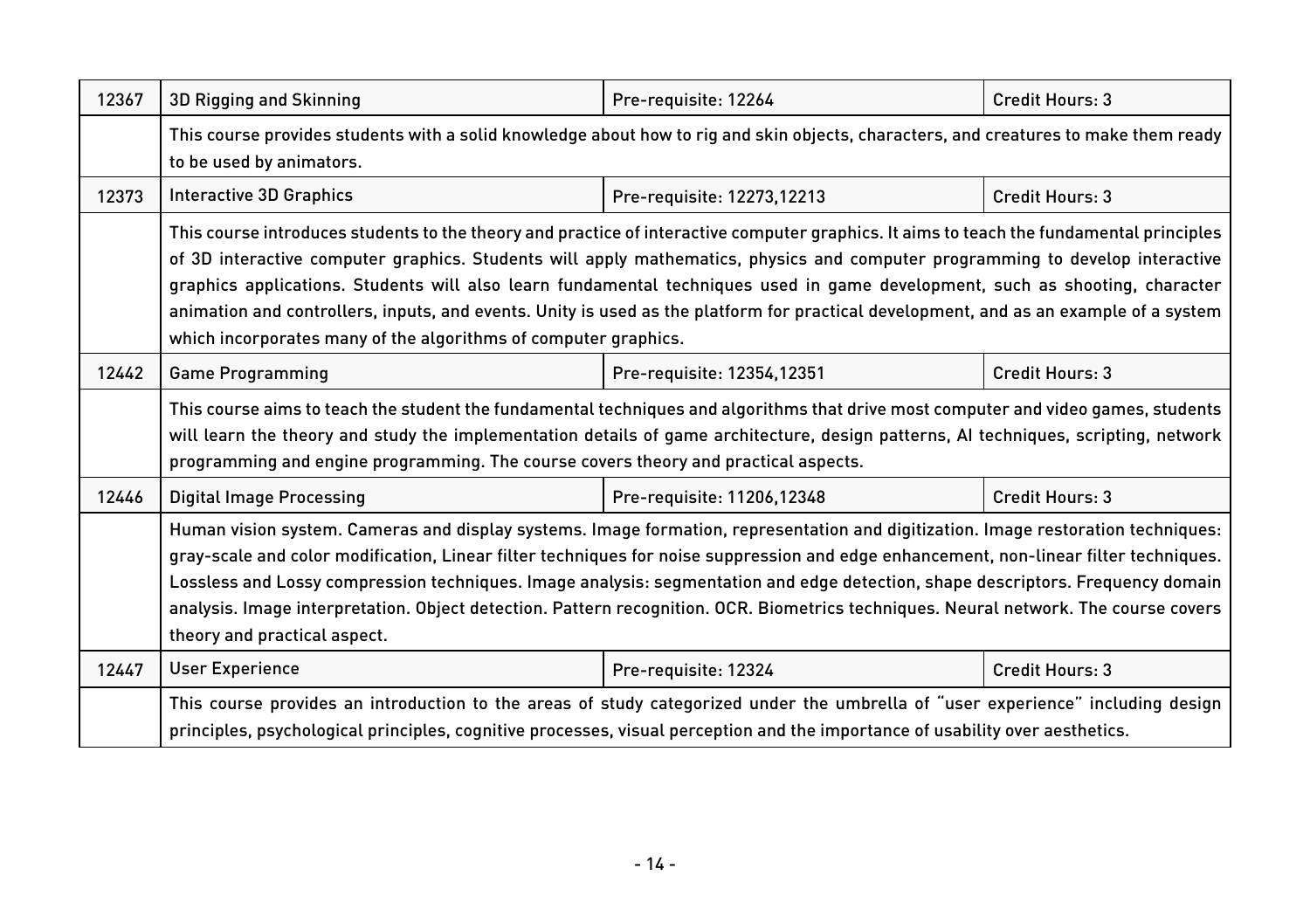| 12367 | 3D Rigging and Skinning                                                                                                                                                                                                                                                                                                                                                                                                                                                                                                                                                                                               | Pre-requisite: 12264       | Credit Hours: 3 |
|-------|-----------------------------------------------------------------------------------------------------------------------------------------------------------------------------------------------------------------------------------------------------------------------------------------------------------------------------------------------------------------------------------------------------------------------------------------------------------------------------------------------------------------------------------------------------------------------------------------------------------------------|----------------------------|-----------------|
|       | This course provides students with a solid knowledge about how to rig and skin objects, characters, and creatures to make them ready<br>to be used by animators.                                                                                                                                                                                                                                                                                                                                                                                                                                                      |                            |                 |
| 12373 | Interactive 3D Graphics                                                                                                                                                                                                                                                                                                                                                                                                                                                                                                                                                                                               | Pre-requisite: 12273,12213 | Credit Hours: 3 |
|       | This course introduces students to the theory and practice of interactive computer graphics. It aims to teach the fundamental principles<br>of 3D interactive computer graphics. Students will apply mathematics, physics and computer programming to develop interactive<br>graphics applications. Students will also learn fundamental techniques used in game development, such as shooting, character<br>animation and controllers, inputs, and events. Unity is used as the platform for practical development, and as an example of a system<br>which incorporates many of the algorithms of computer graphics. |                            |                 |
| 12442 | <b>Game Programming</b>                                                                                                                                                                                                                                                                                                                                                                                                                                                                                                                                                                                               | Pre-requisite: 12354,12351 | Credit Hours: 3 |
|       | This course aims to teach the student the fundamental techniques and algorithms that drive most computer and video games, students<br>will learn the theory and study the implementation details of game architecture, design patterns, AI techniques, scripting, network<br>programming and engine programming. The course covers theory and practical aspects.                                                                                                                                                                                                                                                      |                            |                 |
| 12446 | <b>Digital Image Processing</b>                                                                                                                                                                                                                                                                                                                                                                                                                                                                                                                                                                                       | Pre-requisite: 11206,12348 | Credit Hours: 3 |
|       | Human vision system. Cameras and display systems. Image formation, representation and digitization. Image restoration techniques:<br>gray-scale and color modification, Linear filter techniques for noise suppression and edge enhancement, non-linear filter techniques.<br>Lossless and Lossy compression techniques. Image analysis: segmentation and edge detection, shape descriptors. Frequency domain<br>analysis. Image interpretation. Object detection. Pattern recognition. OCR. Biometrics techniques. Neural network. The course covers<br>theory and practical aspect.                                 |                            |                 |
| 12447 | <b>User Experience</b>                                                                                                                                                                                                                                                                                                                                                                                                                                                                                                                                                                                                | Pre-requisite: 12324       | Credit Hours: 3 |
|       | This course provides an introduction to the areas of study categorized under the umbrella of "user experience" including design<br>principles, psychological principles, cognitive processes, visual perception and the importance of usability over aesthetics.                                                                                                                                                                                                                                                                                                                                                      |                            |                 |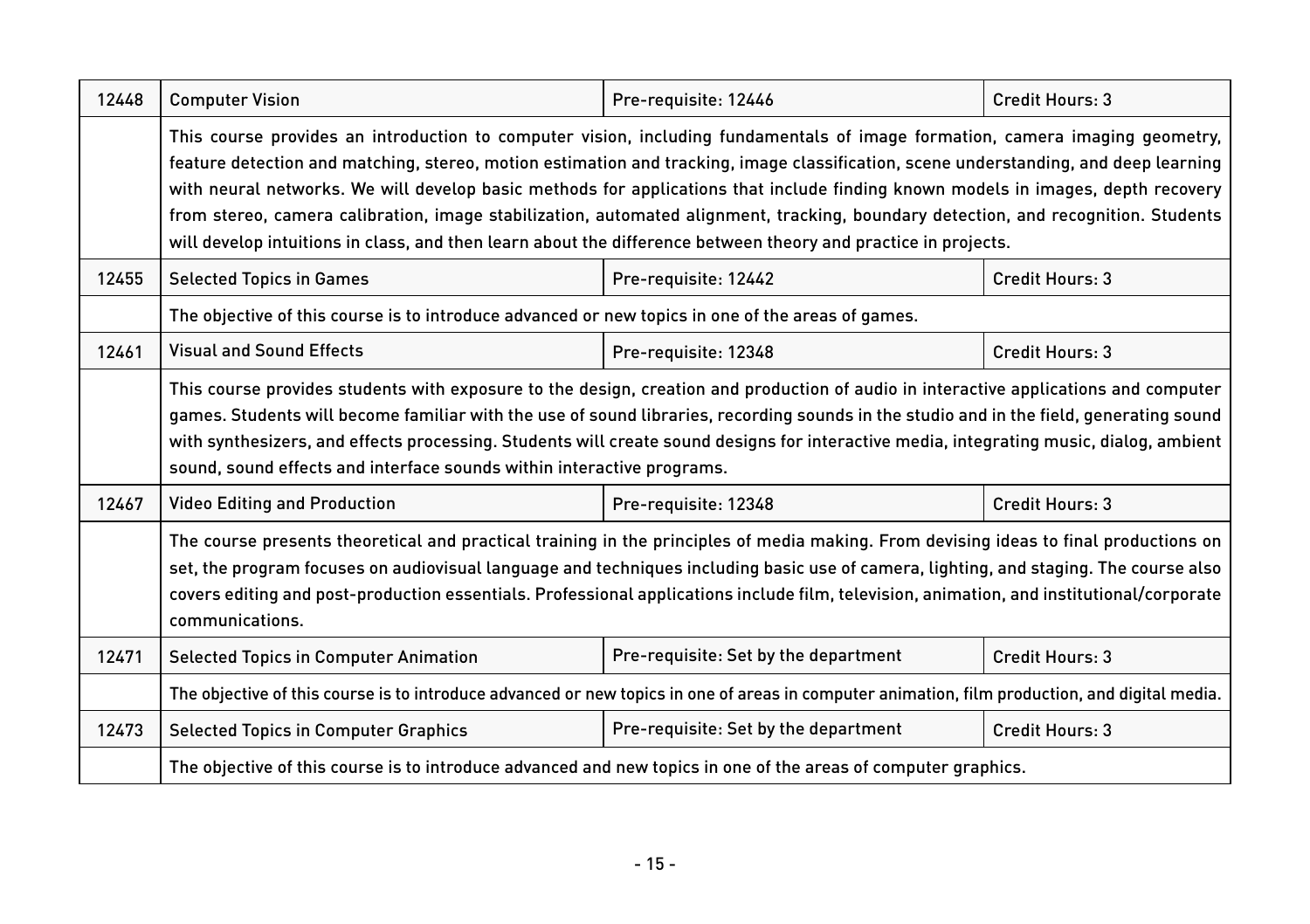| 12448 | <b>Computer Vision</b>                                                                                                                                                                                                                                                                                                                                                                                                                                                                                                                                                                                                                                           | Pre-requisite: 12446                 | Credit Hours: 3 |  |
|-------|------------------------------------------------------------------------------------------------------------------------------------------------------------------------------------------------------------------------------------------------------------------------------------------------------------------------------------------------------------------------------------------------------------------------------------------------------------------------------------------------------------------------------------------------------------------------------------------------------------------------------------------------------------------|--------------------------------------|-----------------|--|
|       | This course provides an introduction to computer vision, including fundamentals of image formation, camera imaging geometry,<br>feature detection and matching, stereo, motion estimation and tracking, image classification, scene understanding, and deep learning<br>with neural networks. We will develop basic methods for applications that include finding known models in images, depth recovery<br>from stereo, camera calibration, image stabilization, automated alignment, tracking, boundary detection, and recognition. Students<br>will develop intuitions in class, and then learn about the difference between theory and practice in projects. |                                      |                 |  |
| 12455 | <b>Selected Topics in Games</b>                                                                                                                                                                                                                                                                                                                                                                                                                                                                                                                                                                                                                                  | Pre-requisite: 12442                 | Credit Hours: 3 |  |
|       | The objective of this course is to introduce advanced or new topics in one of the areas of games.                                                                                                                                                                                                                                                                                                                                                                                                                                                                                                                                                                |                                      |                 |  |
| 12461 | <b>Visual and Sound Effects</b>                                                                                                                                                                                                                                                                                                                                                                                                                                                                                                                                                                                                                                  | Pre-requisite: 12348                 | Credit Hours: 3 |  |
|       | This course provides students with exposure to the design, creation and production of audio in interactive applications and computer<br>games. Students will become familiar with the use of sound libraries, recording sounds in the studio and in the field, generating sound<br>with synthesizers, and effects processing. Students will create sound designs for interactive media, integrating music, dialog, ambient<br>sound, sound effects and interface sounds within interactive programs.                                                                                                                                                             |                                      |                 |  |
| 12467 | <b>Video Editing and Production</b><br>Credit Hours: 3<br>Pre-requisite: 12348                                                                                                                                                                                                                                                                                                                                                                                                                                                                                                                                                                                   |                                      |                 |  |
|       | The course presents theoretical and practical training in the principles of media making. From devising ideas to final productions on<br>set, the program focuses on audiovisual language and techniques including basic use of camera, lighting, and staging. The course also<br>covers editing and post-production essentials. Professional applications include film, television, animation, and institutional/corporate<br>communications.                                                                                                                                                                                                                   |                                      |                 |  |
| 12471 | <b>Selected Topics in Computer Animation</b>                                                                                                                                                                                                                                                                                                                                                                                                                                                                                                                                                                                                                     | Pre-requisite: Set by the department | Credit Hours: 3 |  |
|       | The objective of this course is to introduce advanced or new topics in one of areas in computer animation, film production, and digital media.                                                                                                                                                                                                                                                                                                                                                                                                                                                                                                                   |                                      |                 |  |
| 12473 | <b>Selected Topics in Computer Graphics</b>                                                                                                                                                                                                                                                                                                                                                                                                                                                                                                                                                                                                                      | Pre-requisite: Set by the department | Credit Hours: 3 |  |
|       | The objective of this course is to introduce advanced and new topics in one of the areas of computer graphics.                                                                                                                                                                                                                                                                                                                                                                                                                                                                                                                                                   |                                      |                 |  |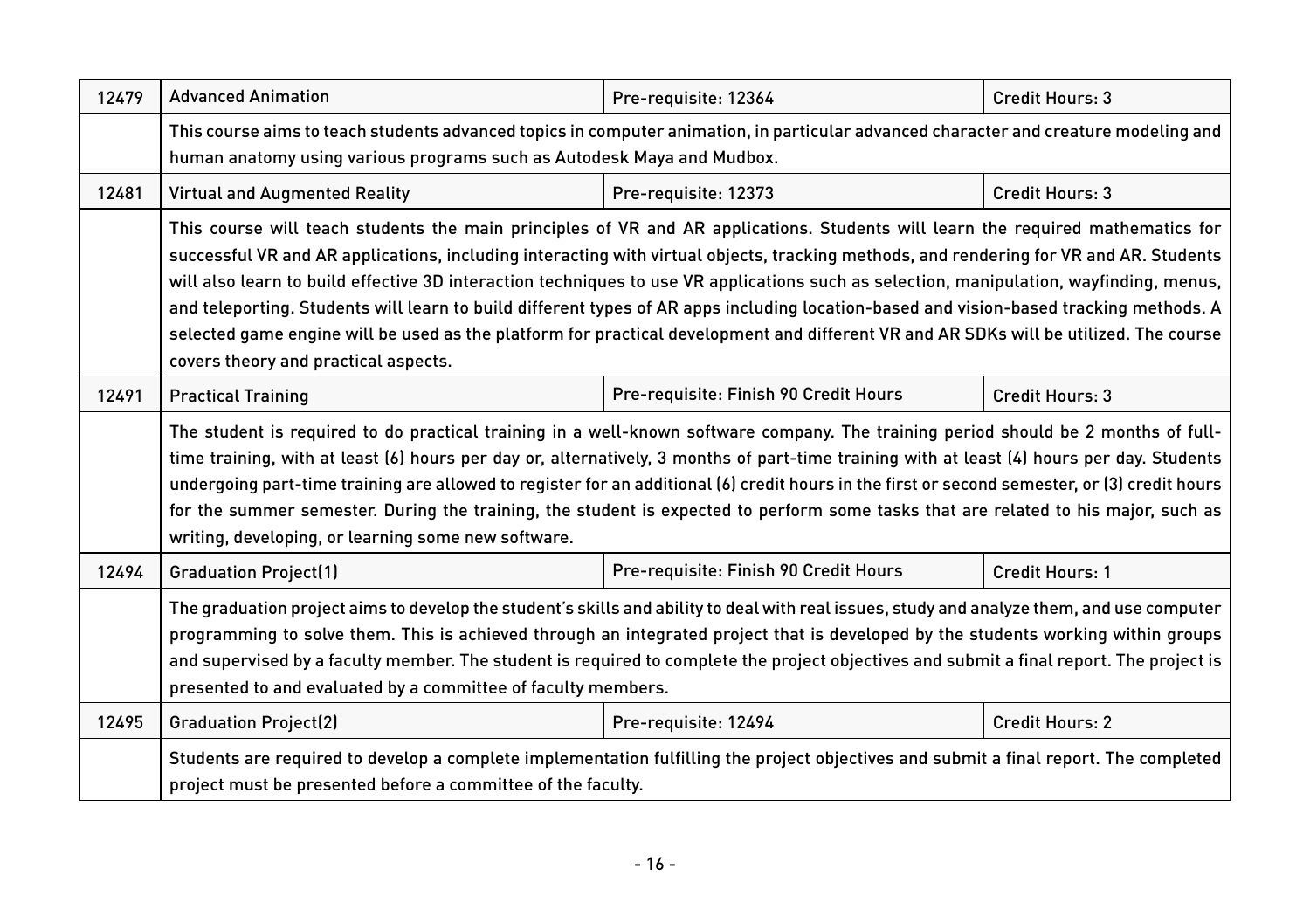| 12479 | <b>Advanced Animation</b>                                                                                                                                                                                                                                                                                                                                                                                                                                                                                                                                                                                                                                                                                                                       | Pre-requisite: 12364                  | Credit Hours: 3 |  |
|-------|-------------------------------------------------------------------------------------------------------------------------------------------------------------------------------------------------------------------------------------------------------------------------------------------------------------------------------------------------------------------------------------------------------------------------------------------------------------------------------------------------------------------------------------------------------------------------------------------------------------------------------------------------------------------------------------------------------------------------------------------------|---------------------------------------|-----------------|--|
|       | This course aims to teach students advanced topics in computer animation, in particular advanced character and creature modeling and<br>human anatomy using various programs such as Autodesk Maya and Mudbox.                                                                                                                                                                                                                                                                                                                                                                                                                                                                                                                                  |                                       |                 |  |
| 12481 | <b>Virtual and Augmented Reality</b>                                                                                                                                                                                                                                                                                                                                                                                                                                                                                                                                                                                                                                                                                                            | Pre-requisite: 12373                  | Credit Hours: 3 |  |
|       | This course will teach students the main principles of VR and AR applications. Students will learn the required mathematics for<br>successful VR and AR applications, including interacting with virtual objects, tracking methods, and rendering for VR and AR. Students<br>will also learn to build effective 3D interaction techniques to use VR applications such as selection, manipulation, wayfinding, menus,<br>and teleporting. Students will learn to build different types of AR apps including location-based and vision-based tracking methods. A<br>selected game engine will be used as the platform for practical development and different VR and AR SDKs will be utilized. The course<br>covers theory and practical aspects. |                                       |                 |  |
| 12491 | <b>Practical Training</b>                                                                                                                                                                                                                                                                                                                                                                                                                                                                                                                                                                                                                                                                                                                       | Pre-requisite: Finish 90 Credit Hours | Credit Hours: 3 |  |
|       | The student is required to do practical training in a well-known software company. The training period should be 2 months of full-<br>time training, with at least (6) hours per day or, alternatively, 3 months of part-time training with at least (4) hours per day. Students<br>undergoing part-time training are allowed to register for an additional (6) credit hours in the first or second semester, or (3) credit hours<br>for the summer semester. During the training, the student is expected to perform some tasks that are related to his major, such as<br>writing, developing, or learning some new software.                                                                                                                  |                                       |                 |  |
| 12494 | <b>Graduation Project(1)</b>                                                                                                                                                                                                                                                                                                                                                                                                                                                                                                                                                                                                                                                                                                                    | Pre-requisite: Finish 90 Credit Hours | Credit Hours: 1 |  |
|       | The graduation project aims to develop the student's skills and ability to deal with real issues, study and analyze them, and use computer<br>programming to solve them. This is achieved through an integrated project that is developed by the students working within groups<br>and supervised by a faculty member. The student is required to complete the project objectives and submit a final report. The project is<br>presented to and evaluated by a committee of faculty members.                                                                                                                                                                                                                                                    |                                       |                 |  |
| 12495 | <b>Graduation Project(2)</b>                                                                                                                                                                                                                                                                                                                                                                                                                                                                                                                                                                                                                                                                                                                    | Pre-requisite: 12494                  | Credit Hours: 2 |  |
|       | Students are required to develop a complete implementation fulfilling the project objectives and submit a final report. The completed<br>project must be presented before a committee of the faculty.                                                                                                                                                                                                                                                                                                                                                                                                                                                                                                                                           |                                       |                 |  |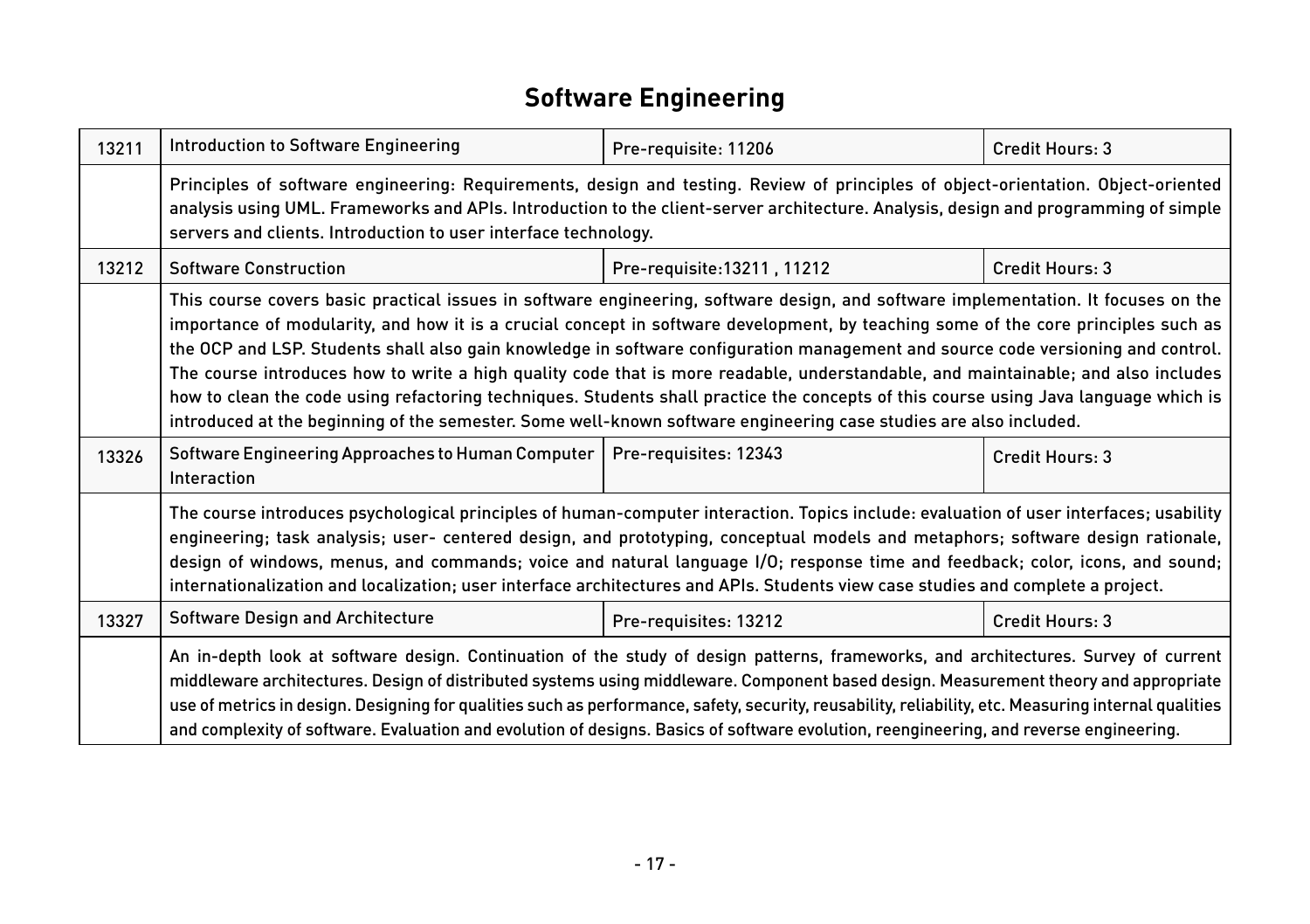## **Software Engineering**

| 13211 | Introduction to Software Engineering                                                                                                                                                                                                                                                                                                                                                                                                                                                                                                                                                                                                                                                                                                                                                                           | Pre-requisite: 11206        | Credit Hours: 3 |  |
|-------|----------------------------------------------------------------------------------------------------------------------------------------------------------------------------------------------------------------------------------------------------------------------------------------------------------------------------------------------------------------------------------------------------------------------------------------------------------------------------------------------------------------------------------------------------------------------------------------------------------------------------------------------------------------------------------------------------------------------------------------------------------------------------------------------------------------|-----------------------------|-----------------|--|
|       | Principles of software engineering: Requirements, design and testing. Review of principles of object-orientation. Object-oriented<br>analysis using UML. Frameworks and APIs. Introduction to the client-server architecture. Analysis, design and programming of simple<br>servers and clients. Introduction to user interface technology.                                                                                                                                                                                                                                                                                                                                                                                                                                                                    |                             |                 |  |
| 13212 | <b>Software Construction</b>                                                                                                                                                                                                                                                                                                                                                                                                                                                                                                                                                                                                                                                                                                                                                                                   | Pre-requisite: 13211, 11212 | Credit Hours: 3 |  |
|       | This course covers basic practical issues in software engineering, software design, and software implementation. It focuses on the<br>importance of modularity, and how it is a crucial concept in software development, by teaching some of the core principles such as<br>the OCP and LSP. Students shall also gain knowledge in software configuration management and source code versioning and control.<br>The course introduces how to write a high quality code that is more readable, understandable, and maintainable; and also includes<br>how to clean the code using refactoring techniques. Students shall practice the concepts of this course using Java language which is<br>introduced at the beginning of the semester. Some well-known software engineering case studies are also included. |                             |                 |  |
| 13326 | Software Engineering Approaches to Human Computer<br>Interaction                                                                                                                                                                                                                                                                                                                                                                                                                                                                                                                                                                                                                                                                                                                                               | Pre-requisites: 12343       | Credit Hours: 3 |  |
|       | The course introduces psychological principles of human-computer interaction. Topics include: evaluation of user interfaces; usability<br>engineering; task analysis; user- centered design, and prototyping, conceptual models and metaphors; software design rationale,<br>design of windows, menus, and commands; voice and natural language I/O; response time and feedback; color, icons, and sound;<br>internationalization and localization; user interface architectures and APIs. Students view case studies and complete a project.                                                                                                                                                                                                                                                                  |                             |                 |  |
| 13327 | Software Design and Architecture                                                                                                                                                                                                                                                                                                                                                                                                                                                                                                                                                                                                                                                                                                                                                                               | Pre-requisites: 13212       | Credit Hours: 3 |  |
|       | An in-depth look at software design. Continuation of the study of design patterns, frameworks, and architectures. Survey of current<br>middleware architectures. Design of distributed systems using middleware. Component based design. Measurement theory and appropriate<br>use of metrics in design. Designing for qualities such as performance, safety, security, reusability, reliability, etc. Measuring internal qualities<br>and complexity of software. Evaluation and evolution of designs. Basics of software evolution, reengineering, and reverse engineering.                                                                                                                                                                                                                                  |                             |                 |  |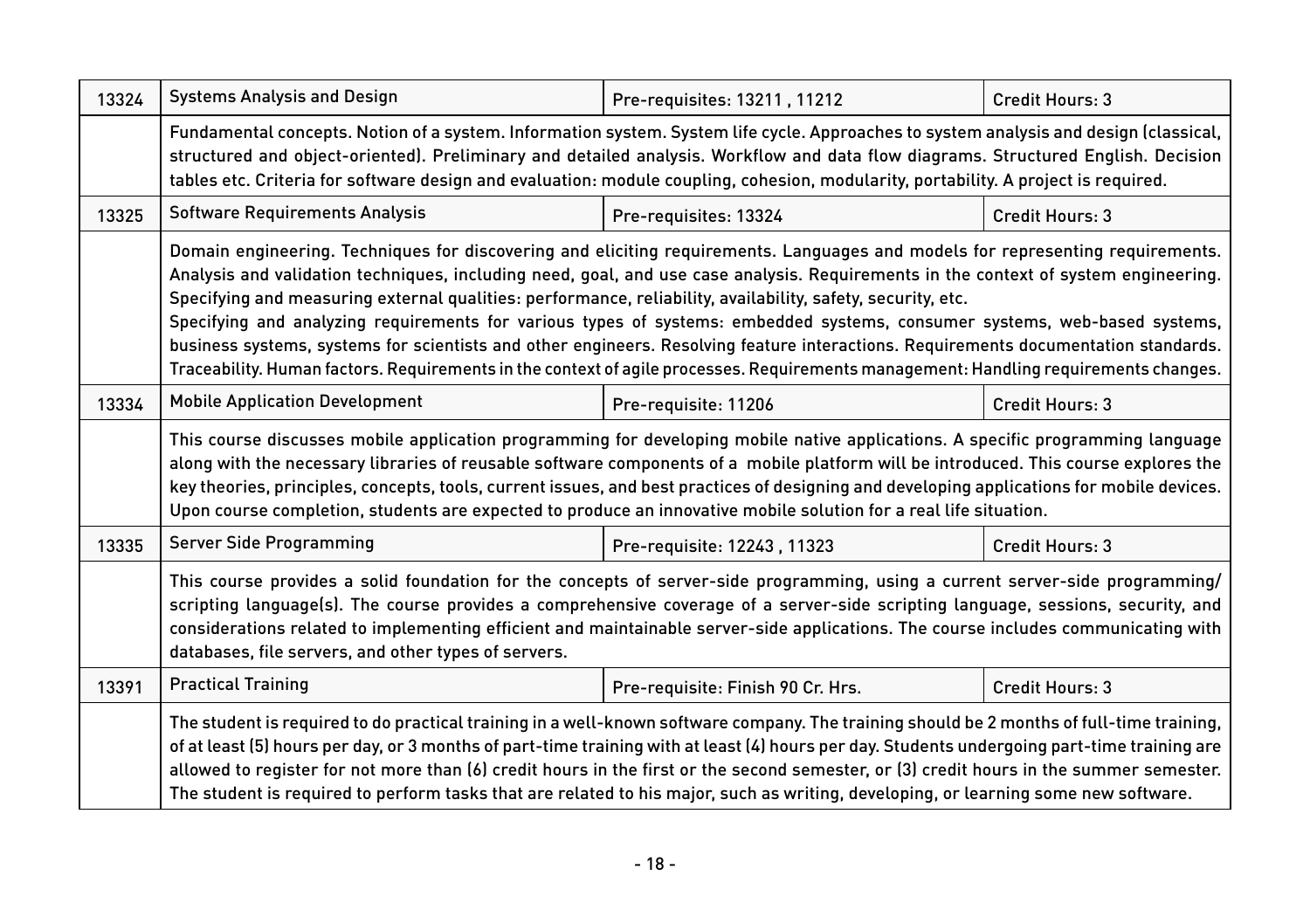| 13324 | <b>Systems Analysis and Design</b>                                                                                                                                                                                                                                                                                                                                                                                                                                                                                                                                                                                                                                                                                                                                                                | Pre-requisites: 13211, 11212      | Credit Hours: 3 |  |
|-------|---------------------------------------------------------------------------------------------------------------------------------------------------------------------------------------------------------------------------------------------------------------------------------------------------------------------------------------------------------------------------------------------------------------------------------------------------------------------------------------------------------------------------------------------------------------------------------------------------------------------------------------------------------------------------------------------------------------------------------------------------------------------------------------------------|-----------------------------------|-----------------|--|
|       | Fundamental concepts. Notion of a system. Information system. System life cycle. Approaches to system analysis and design (classical,<br>structured and object-oriented). Preliminary and detailed analysis. Workflow and data flow diagrams. Structured English. Decision<br>tables etc. Criteria for software design and evaluation: module coupling, cohesion, modularity, portability. A project is required.                                                                                                                                                                                                                                                                                                                                                                                 |                                   |                 |  |
| 13325 | <b>Software Requirements Analysis</b>                                                                                                                                                                                                                                                                                                                                                                                                                                                                                                                                                                                                                                                                                                                                                             | Pre-requisites: 13324             | Credit Hours: 3 |  |
|       | Domain engineering. Techniques for discovering and eliciting requirements. Languages and models for representing requirements.<br>Analysis and validation techniques, including need, goal, and use case analysis. Requirements in the context of system engineering.<br>Specifying and measuring external qualities: performance, reliability, availability, safety, security, etc.<br>Specifying and analyzing requirements for various types of systems: embedded systems, consumer systems, web-based systems,<br>business systems, systems for scientists and other engineers. Resolving feature interactions. Requirements documentation standards.<br>Traceability. Human factors. Requirements in the context of agile processes. Requirements management: Handling requirements changes. |                                   |                 |  |
| 13334 | <b>Mobile Application Development</b>                                                                                                                                                                                                                                                                                                                                                                                                                                                                                                                                                                                                                                                                                                                                                             | Pre-requisite: 11206              | Credit Hours: 3 |  |
|       | This course discusses mobile application programming for developing mobile native applications. A specific programming language<br>along with the necessary libraries of reusable software components of a mobile platform will be introduced. This course explores the<br>key theories, principles, concepts, tools, current issues, and best practices of designing and developing applications for mobile devices.<br>Upon course completion, students are expected to produce an innovative mobile solution for a real life situation.                                                                                                                                                                                                                                                        |                                   |                 |  |
| 13335 | <b>Server Side Programming</b>                                                                                                                                                                                                                                                                                                                                                                                                                                                                                                                                                                                                                                                                                                                                                                    | Pre-requisite: 12243, 11323       | Credit Hours: 3 |  |
|       | This course provides a solid foundation for the concepts of server-side programming, using a current server-side programming/<br>scripting language(s). The course provides a comprehensive coverage of a server-side scripting language, sessions, security, and<br>considerations related to implementing efficient and maintainable server-side applications. The course includes communicating with<br>databases, file servers, and other types of servers.                                                                                                                                                                                                                                                                                                                                   |                                   |                 |  |
| 13391 | <b>Practical Training</b>                                                                                                                                                                                                                                                                                                                                                                                                                                                                                                                                                                                                                                                                                                                                                                         | Pre-requisite: Finish 90 Cr. Hrs. | Credit Hours: 3 |  |
|       | The student is required to do practical training in a well-known software company. The training should be 2 months of full-time training,<br>of at least (5) hours per day, or 3 months of part-time training with at least (4) hours per day. Students undergoing part-time training are<br>allowed to register for not more than (6) credit hours in the first or the second semester, or (3) credit hours in the summer semester.<br>The student is required to perform tasks that are related to his major, such as writing, developing, or learning some new software.                                                                                                                                                                                                                       |                                   |                 |  |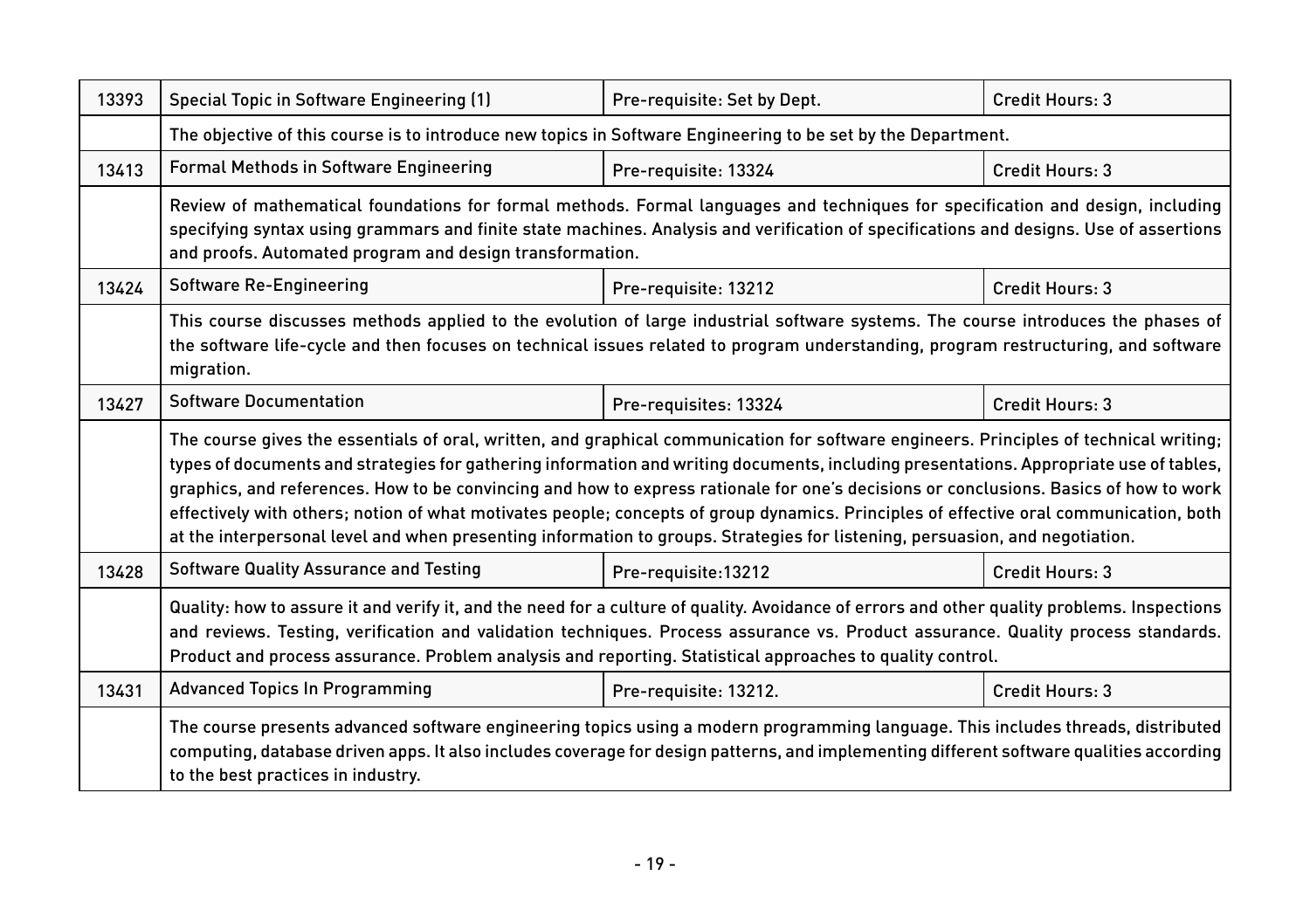| 13393 | Special Topic in Software Engineering (1)                                                                                                                                                                                                                                                                                                                                                                                                                                                                                                                                                                                                                                                           | Pre-requisite: Set by Dept. | Credit Hours: 3 |  |
|-------|-----------------------------------------------------------------------------------------------------------------------------------------------------------------------------------------------------------------------------------------------------------------------------------------------------------------------------------------------------------------------------------------------------------------------------------------------------------------------------------------------------------------------------------------------------------------------------------------------------------------------------------------------------------------------------------------------------|-----------------------------|-----------------|--|
|       | The objective of this course is to introduce new topics in Software Engineering to be set by the Department.                                                                                                                                                                                                                                                                                                                                                                                                                                                                                                                                                                                        |                             |                 |  |
| 13413 | <b>Formal Methods in Software Engineering</b>                                                                                                                                                                                                                                                                                                                                                                                                                                                                                                                                                                                                                                                       | Pre-requisite: 13324        | Credit Hours: 3 |  |
|       | Review of mathematical foundations for formal methods. Formal languages and techniques for specification and design, including<br>specifying syntax using grammars and finite state machines. Analysis and verification of specifications and designs. Use of assertions<br>and proofs. Automated program and design transformation.                                                                                                                                                                                                                                                                                                                                                                |                             |                 |  |
| 13424 | Software Re-Engineering                                                                                                                                                                                                                                                                                                                                                                                                                                                                                                                                                                                                                                                                             | Pre-requisite: 13212        | Credit Hours: 3 |  |
|       | This course discusses methods applied to the evolution of large industrial software systems. The course introduces the phases of<br>the software life-cycle and then focuses on technical issues related to program understanding, program restructuring, and software<br>migration.                                                                                                                                                                                                                                                                                                                                                                                                                |                             |                 |  |
| 13427 | <b>Software Documentation</b>                                                                                                                                                                                                                                                                                                                                                                                                                                                                                                                                                                                                                                                                       | Pre-requisites: 13324       | Credit Hours: 3 |  |
|       | The course gives the essentials of oral, written, and graphical communication for software engineers. Principles of technical writing;<br>types of documents and strategies for gathering information and writing documents, including presentations. Appropriate use of tables,<br>graphics, and references. How to be convincing and how to express rationale for one's decisions or conclusions. Basics of how to work<br>effectively with others; notion of what motivates people; concepts of group dynamics. Principles of effective oral communication, both<br>at the interpersonal level and when presenting information to groups. Strategies for listening, persuasion, and negotiation. |                             |                 |  |
| 13428 | <b>Software Quality Assurance and Testing</b>                                                                                                                                                                                                                                                                                                                                                                                                                                                                                                                                                                                                                                                       | Pre-requisite:13212         | Credit Hours: 3 |  |
|       | Quality: how to assure it and verify it, and the need for a culture of quality. Avoidance of errors and other quality problems. Inspections<br>and reviews. Testing, verification and validation techniques. Process assurance vs. Product assurance. Quality process standards.<br>Product and process assurance. Problem analysis and reporting. Statistical approaches to quality control.                                                                                                                                                                                                                                                                                                       |                             |                 |  |
| 13431 | <b>Advanced Topics In Programming</b>                                                                                                                                                                                                                                                                                                                                                                                                                                                                                                                                                                                                                                                               | Pre-requisite: 13212.       | Credit Hours: 3 |  |
|       | The course presents advanced software engineering topics using a modern programming language. This includes threads, distributed<br>computing, database driven apps. It also includes coverage for design patterns, and implementing different software qualities according<br>to the best practices in industry.                                                                                                                                                                                                                                                                                                                                                                                   |                             |                 |  |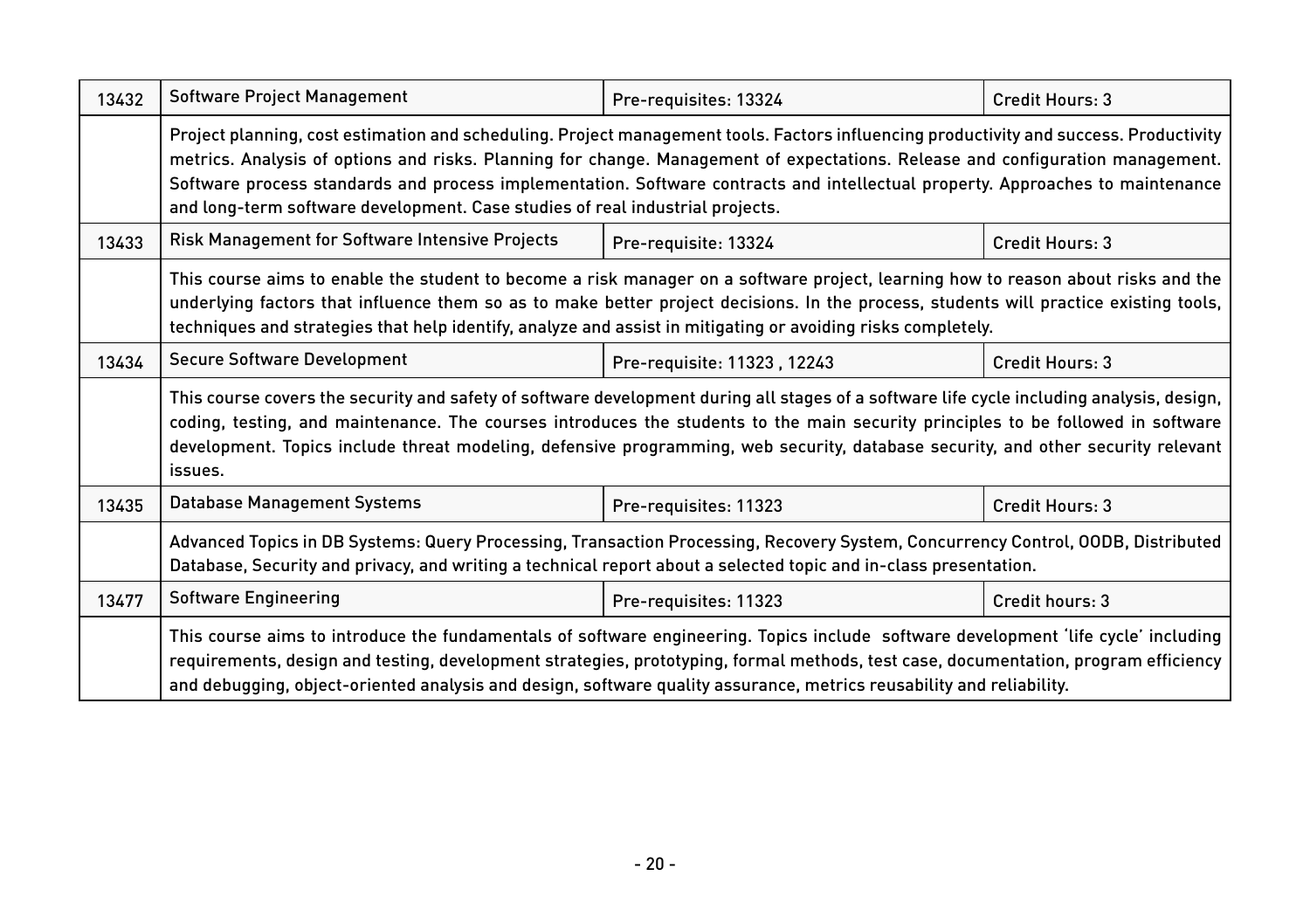| 13432 | Software Project Management                                                                                                                                                                                                                                                                                                                                                                                                                                                                 | Pre-requisites: 13324       | Credit Hours: 3 |  |
|-------|---------------------------------------------------------------------------------------------------------------------------------------------------------------------------------------------------------------------------------------------------------------------------------------------------------------------------------------------------------------------------------------------------------------------------------------------------------------------------------------------|-----------------------------|-----------------|--|
|       | Project planning, cost estimation and scheduling. Project management tools. Factors influencing productivity and success. Productivity<br>metrics. Analysis of options and risks. Planning for change. Management of expectations. Release and configuration management.<br>Software process standards and process implementation. Software contracts and intellectual property. Approaches to maintenance<br>and long-term software development. Case studies of real industrial projects. |                             |                 |  |
| 13433 | Risk Management for Software Intensive Projects                                                                                                                                                                                                                                                                                                                                                                                                                                             | Pre-requisite: 13324        | Credit Hours: 3 |  |
|       | This course aims to enable the student to become a risk manager on a software project, learning how to reason about risks and the<br>underlying factors that influence them so as to make better project decisions. In the process, students will practice existing tools,<br>techniques and strategies that help identify, analyze and assist in mitigating or avoiding risks completely.                                                                                                  |                             |                 |  |
| 13434 | <b>Secure Software Development</b>                                                                                                                                                                                                                                                                                                                                                                                                                                                          | Pre-requisite: 11323, 12243 | Credit Hours: 3 |  |
|       | This course covers the security and safety of software development during all stages of a software life cycle including analysis, design,<br>coding, testing, and maintenance. The courses introduces the students to the main security principles to be followed in software<br>development. Topics include threat modeling, defensive programming, web security, database security, and other security relevant<br>issues.                                                                |                             |                 |  |
| 13435 | <b>Database Management Systems</b>                                                                                                                                                                                                                                                                                                                                                                                                                                                          | Pre-requisites: 11323       | Credit Hours: 3 |  |
|       | Advanced Topics in DB Systems: Query Processing, Transaction Processing, Recovery System, Concurrency Control, OODB, Distributed<br>Database, Security and privacy, and writing a technical report about a selected topic and in-class presentation.                                                                                                                                                                                                                                        |                             |                 |  |
| 13477 | <b>Software Engineering</b>                                                                                                                                                                                                                                                                                                                                                                                                                                                                 | Pre-requisites: 11323       | Credit hours: 3 |  |
|       | This course aims to introduce the fundamentals of software engineering. Topics include software development 'life cycle' including<br>requirements, design and testing, development strategies, prototyping, formal methods, test case, documentation, program efficiency<br>and debugging, object-oriented analysis and design, software quality assurance, metrics reusability and reliability.                                                                                           |                             |                 |  |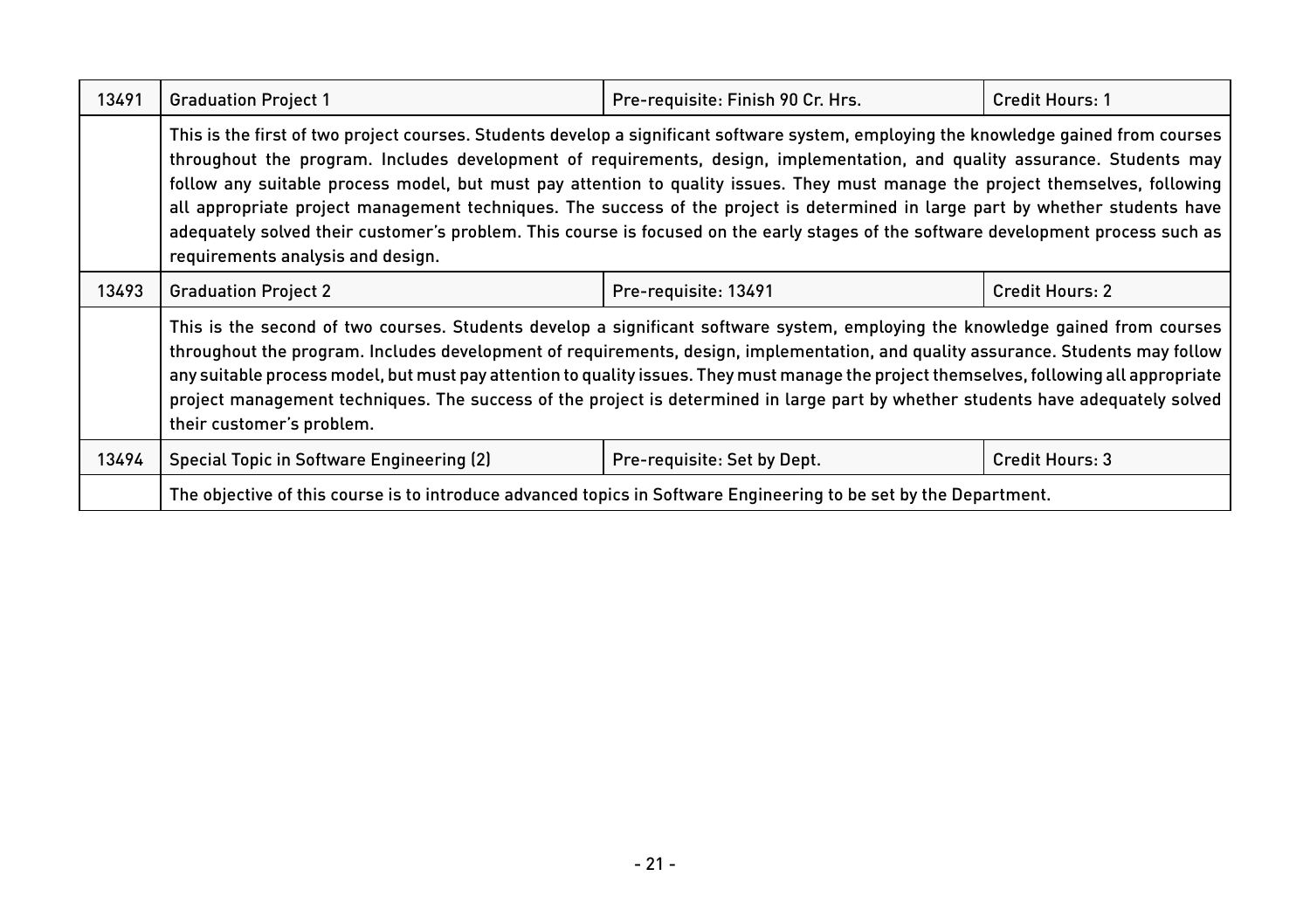| 13491 | <b>Graduation Project 1</b>                                                                                                                                                                                                                                                                                                                                                                                                                                                                                                                                                                                                                                                                                        | Pre-requisite: Finish 90 Cr. Hrs. | Credit Hours: 1 |
|-------|--------------------------------------------------------------------------------------------------------------------------------------------------------------------------------------------------------------------------------------------------------------------------------------------------------------------------------------------------------------------------------------------------------------------------------------------------------------------------------------------------------------------------------------------------------------------------------------------------------------------------------------------------------------------------------------------------------------------|-----------------------------------|-----------------|
|       | This is the first of two project courses. Students develop a significant software system, employing the knowledge gained from courses<br>throughout the program. Includes development of requirements, design, implementation, and quality assurance. Students may<br>follow any suitable process model, but must pay attention to quality issues. They must manage the project themselves, following<br>all appropriate project management techniques. The success of the project is determined in large part by whether students have<br>adequately solved their customer's problem. This course is focused on the early stages of the software development process such as<br>requirements analysis and design. |                                   |                 |
| 13493 | <b>Graduation Project 2</b>                                                                                                                                                                                                                                                                                                                                                                                                                                                                                                                                                                                                                                                                                        | Pre-requisite: 13491              | Credit Hours: 2 |
|       | This is the second of two courses. Students develop a significant software system, employing the knowledge gained from courses<br>throughout the program. Includes development of requirements, design, implementation, and quality assurance. Students may follow<br>any suitable process model, but must pay attention to quality issues. They must manage the project themselves, following all appropriate<br>project management techniques. The success of the project is determined in large part by whether students have adequately solved<br>their customer's problem.                                                                                                                                    |                                   |                 |
| 13494 | Special Topic in Software Engineering (2)                                                                                                                                                                                                                                                                                                                                                                                                                                                                                                                                                                                                                                                                          | Pre-requisite: Set by Dept.       | Credit Hours: 3 |
|       | The objective of this course is to introduce advanced topics in Software Engineering to be set by the Department.                                                                                                                                                                                                                                                                                                                                                                                                                                                                                                                                                                                                  |                                   |                 |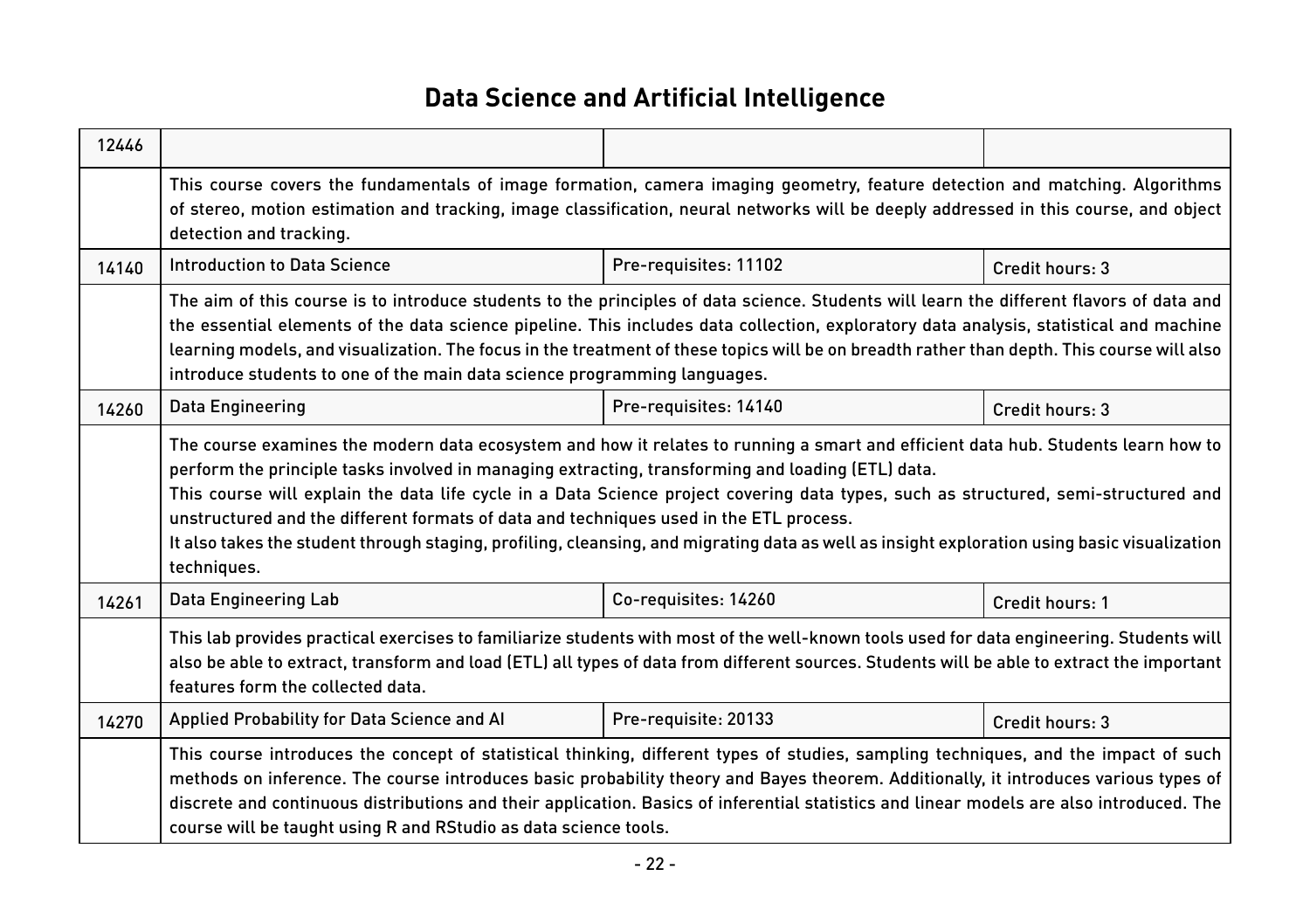## **Data Science and Artificial Intelligence**

| 12446 |                                                                                                                                                                                                                                                                                                                                                                                                                                                                                                                                                                                                                                        |                       |                 |  |
|-------|----------------------------------------------------------------------------------------------------------------------------------------------------------------------------------------------------------------------------------------------------------------------------------------------------------------------------------------------------------------------------------------------------------------------------------------------------------------------------------------------------------------------------------------------------------------------------------------------------------------------------------------|-----------------------|-----------------|--|
|       | This course covers the fundamentals of image formation, camera imaging geometry, feature detection and matching. Algorithms<br>of stereo, motion estimation and tracking, image classification, neural networks will be deeply addressed in this course, and object<br>detection and tracking.                                                                                                                                                                                                                                                                                                                                         |                       |                 |  |
| 14140 | <b>Introduction to Data Science</b>                                                                                                                                                                                                                                                                                                                                                                                                                                                                                                                                                                                                    | Pre-requisites: 11102 | Credit hours: 3 |  |
|       | The aim of this course is to introduce students to the principles of data science. Students will learn the different flavors of data and<br>the essential elements of the data science pipeline. This includes data collection, exploratory data analysis, statistical and machine<br>learning models, and visualization. The focus in the treatment of these topics will be on breadth rather than depth. This course will also<br>introduce students to one of the main data science programming languages.                                                                                                                          |                       |                 |  |
| 14260 | Data Engineering                                                                                                                                                                                                                                                                                                                                                                                                                                                                                                                                                                                                                       | Pre-requisites: 14140 | Credit hours: 3 |  |
|       | The course examines the modern data ecosystem and how it relates to running a smart and efficient data hub. Students learn how to<br>perform the principle tasks involved in managing extracting, transforming and loading (ETL) data.<br>This course will explain the data life cycle in a Data Science project covering data types, such as structured, semi-structured and<br>unstructured and the different formats of data and techniques used in the ETL process.<br>It also takes the student through staging, profiling, cleansing, and migrating data as well as insight exploration using basic visualization<br>techniques. |                       |                 |  |
| 14261 | Data Engineering Lab                                                                                                                                                                                                                                                                                                                                                                                                                                                                                                                                                                                                                   | Co-requisites: 14260  | Credit hours: 1 |  |
|       | This lab provides practical exercises to familiarize students with most of the well-known tools used for data engineering. Students will<br>also be able to extract, transform and load (ETL) all types of data from different sources. Students will be able to extract the important<br>features form the collected data.                                                                                                                                                                                                                                                                                                            |                       |                 |  |
| 14270 | Applied Probability for Data Science and Al                                                                                                                                                                                                                                                                                                                                                                                                                                                                                                                                                                                            | Pre-requisite: 20133  | Credit hours: 3 |  |
|       | This course introduces the concept of statistical thinking, different types of studies, sampling techniques, and the impact of such<br>methods on inference. The course introduces basic probability theory and Bayes theorem. Additionally, it introduces various types of<br>discrete and continuous distributions and their application. Basics of inferential statistics and linear models are also introduced. The<br>course will be taught using R and RStudio as data science tools.                                                                                                                                            |                       |                 |  |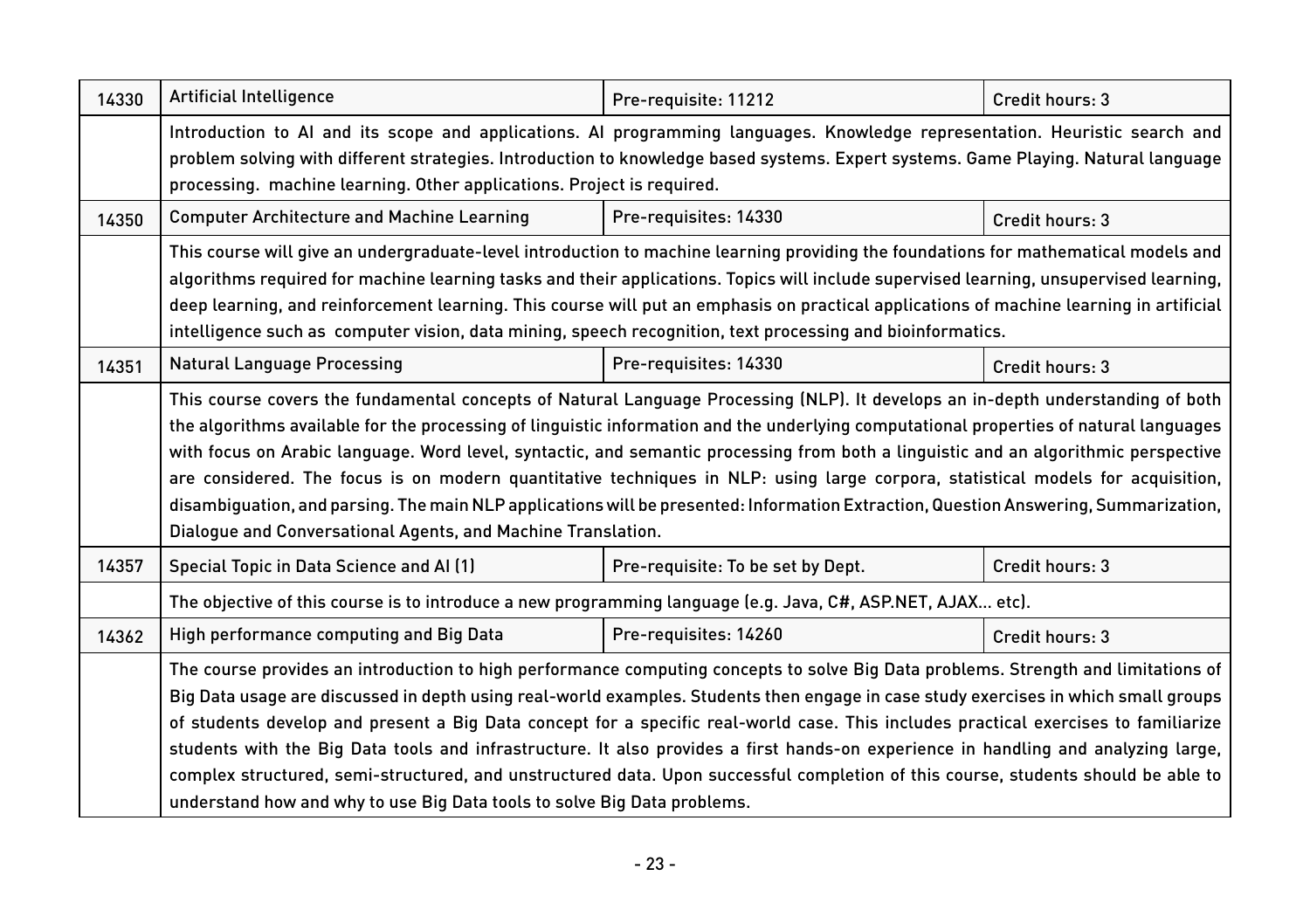| 14330 | Artificial Intelligence                                                                                                                                                                                                                                                                                                                                                                                                                                                                                                                                                                                                                                                                                                                                                 | Pre-requisite: 11212              | Credit hours: 3 |  |
|-------|-------------------------------------------------------------------------------------------------------------------------------------------------------------------------------------------------------------------------------------------------------------------------------------------------------------------------------------------------------------------------------------------------------------------------------------------------------------------------------------------------------------------------------------------------------------------------------------------------------------------------------------------------------------------------------------------------------------------------------------------------------------------------|-----------------------------------|-----------------|--|
|       | Introduction to AI and its scope and applications. AI programming languages. Knowledge representation. Heuristic search and<br>problem solving with different strategies. Introduction to knowledge based systems. Expert systems. Game Playing. Natural language<br>processing. machine learning. Other applications. Project is required.                                                                                                                                                                                                                                                                                                                                                                                                                             |                                   |                 |  |
| 14350 | <b>Computer Architecture and Machine Learning</b>                                                                                                                                                                                                                                                                                                                                                                                                                                                                                                                                                                                                                                                                                                                       | Pre-requisites: 14330             | Credit hours: 3 |  |
|       | This course will give an undergraduate-level introduction to machine learning providing the foundations for mathematical models and<br>algorithms required for machine learning tasks and their applications. Topics will include supervised learning, unsupervised learning,<br>deep learning, and reinforcement learning. This course will put an emphasis on practical applications of machine learning in artificial<br>intelligence such as computer vision, data mining, speech recognition, text processing and bioinformatics.                                                                                                                                                                                                                                  |                                   |                 |  |
| 14351 | <b>Natural Language Processing</b>                                                                                                                                                                                                                                                                                                                                                                                                                                                                                                                                                                                                                                                                                                                                      | Pre-requisites: 14330             | Credit hours: 3 |  |
|       | This course covers the fundamental concepts of Natural Language Processing (NLP). It develops an in-depth understanding of both<br>the algorithms available for the processing of linguistic information and the underlying computational properties of natural languages<br>with focus on Arabic language. Word level, syntactic, and semantic processing from both a linguistic and an algorithmic perspective<br>are considered. The focus is on modern quantitative techniques in NLP: using large corpora, statistical models for acquisition,<br>disambiguation, and parsing. The main NLP applications will be presented: Information Extraction, Question Answering, Summarization,<br>Dialogue and Conversational Agents, and Machine Translation.             |                                   |                 |  |
| 14357 | Special Topic in Data Science and AI (1)                                                                                                                                                                                                                                                                                                                                                                                                                                                                                                                                                                                                                                                                                                                                | Pre-requisite: To be set by Dept. | Credit hours: 3 |  |
|       | The objective of this course is to introduce a new programming language (e.g. Java, C#, ASP.NET, AJAX etc).                                                                                                                                                                                                                                                                                                                                                                                                                                                                                                                                                                                                                                                             |                                   |                 |  |
| 14362 | High performance computing and Big Data                                                                                                                                                                                                                                                                                                                                                                                                                                                                                                                                                                                                                                                                                                                                 | Pre-requisites: 14260             | Credit hours: 3 |  |
|       | The course provides an introduction to high performance computing concepts to solve Big Data problems. Strength and limitations of<br>Big Data usage are discussed in depth using real-world examples. Students then engage in case study exercises in which small groups<br>of students develop and present a Big Data concept for a specific real-world case. This includes practical exercises to familiarize<br>students with the Big Data tools and infrastructure. It also provides a first hands-on experience in handling and analyzing large,<br>complex structured, semi-structured, and unstructured data. Upon successful completion of this course, students should be able to<br>understand how and why to use Big Data tools to solve Big Data problems. |                                   |                 |  |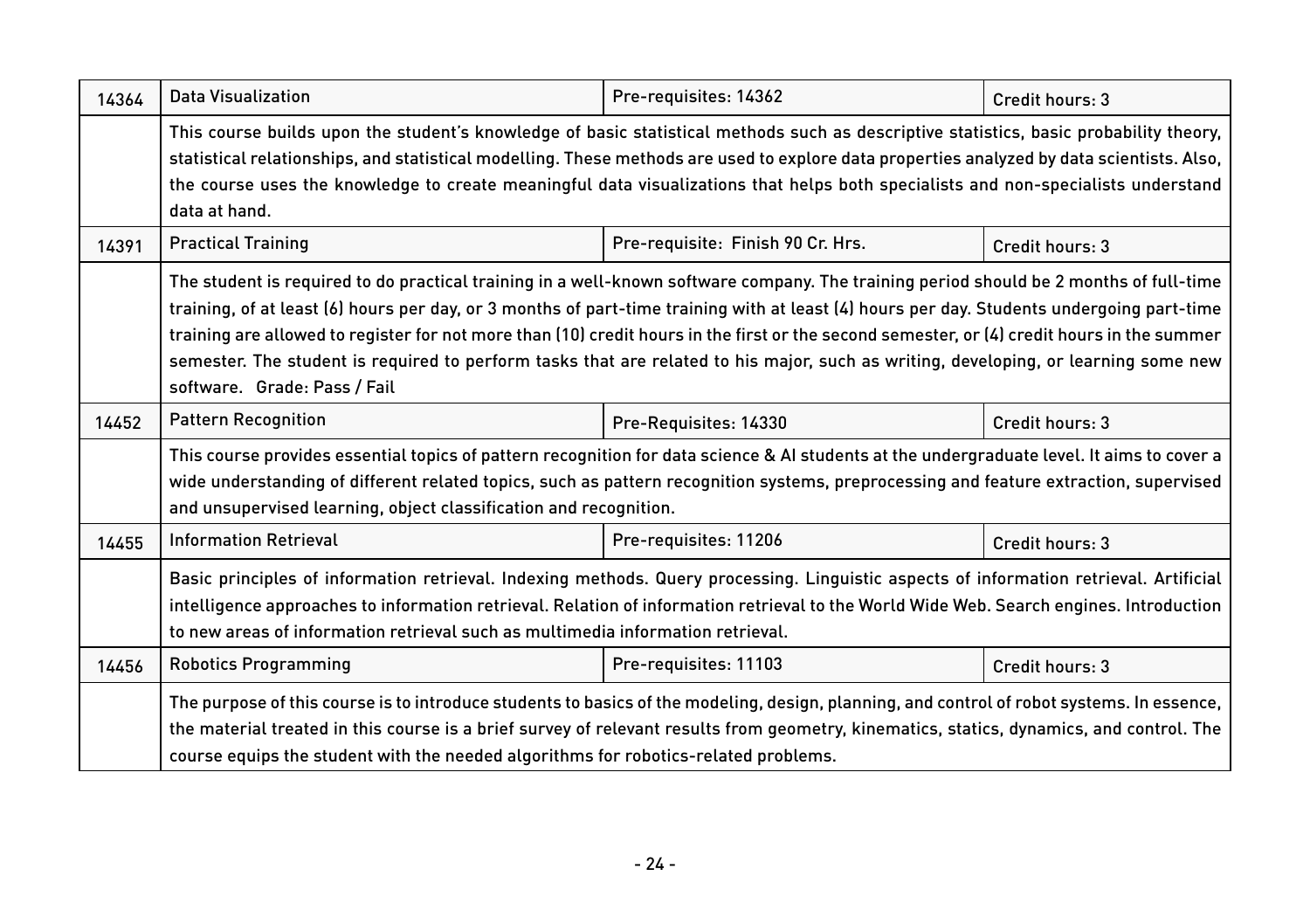| 14364 | Data Visualization                                                                                                                                                                                                                                                                                                                                                                                                                                                                                                                                                                                        | Pre-requisites: 14362             | Credit hours: 3 |  |
|-------|-----------------------------------------------------------------------------------------------------------------------------------------------------------------------------------------------------------------------------------------------------------------------------------------------------------------------------------------------------------------------------------------------------------------------------------------------------------------------------------------------------------------------------------------------------------------------------------------------------------|-----------------------------------|-----------------|--|
|       | This course builds upon the student's knowledge of basic statistical methods such as descriptive statistics, basic probability theory,<br>statistical relationships, and statistical modelling. These methods are used to explore data properties analyzed by data scientists. Also,<br>the course uses the knowledge to create meaningful data visualizations that helps both specialists and non-specialists understand<br>data at hand.                                                                                                                                                                |                                   |                 |  |
| 14391 | <b>Practical Training</b>                                                                                                                                                                                                                                                                                                                                                                                                                                                                                                                                                                                 | Pre-requisite: Finish 90 Cr. Hrs. | Credit hours: 3 |  |
|       | The student is required to do practical training in a well-known software company. The training period should be 2 months of full-time<br>training, of at least (6) hours per day, or 3 months of part-time training with at least (4) hours per day. Students undergoing part-time<br>training are allowed to register for not more than (10) credit hours in the first or the second semester, or (4) credit hours in the summer<br>semester. The student is required to perform tasks that are related to his major, such as writing, developing, or learning some new<br>software. Grade: Pass / Fail |                                   |                 |  |
| 14452 | <b>Pattern Recognition</b>                                                                                                                                                                                                                                                                                                                                                                                                                                                                                                                                                                                | Pre-Requisites: 14330             | Credit hours: 3 |  |
|       | This course provides essential topics of pattern recognition for data science & AI students at the undergraduate level. It aims to cover a<br>wide understanding of different related topics, such as pattern recognition systems, preprocessing and feature extraction, supervised<br>and unsupervised learning, object classification and recognition.                                                                                                                                                                                                                                                  |                                   |                 |  |
| 14455 | <b>Information Retrieval</b>                                                                                                                                                                                                                                                                                                                                                                                                                                                                                                                                                                              | Pre-requisites: 11206             | Credit hours: 3 |  |
|       | Basic principles of information retrieval. Indexing methods. Query processing. Linguistic aspects of information retrieval. Artificial<br>intelligence approaches to information retrieval. Relation of information retrieval to the World Wide Web. Search engines. Introduction<br>to new areas of information retrieval such as multimedia information retrieval.                                                                                                                                                                                                                                      |                                   |                 |  |
| 14456 | <b>Robotics Programming</b>                                                                                                                                                                                                                                                                                                                                                                                                                                                                                                                                                                               | Pre-requisites: 11103             | Credit hours: 3 |  |
|       | The purpose of this course is to introduce students to basics of the modeling, design, planning, and control of robot systems. In essence,<br>the material treated in this course is a brief survey of relevant results from geometry, kinematics, statics, dynamics, and control. The<br>course equips the student with the needed algorithms for robotics-related problems.                                                                                                                                                                                                                             |                                   |                 |  |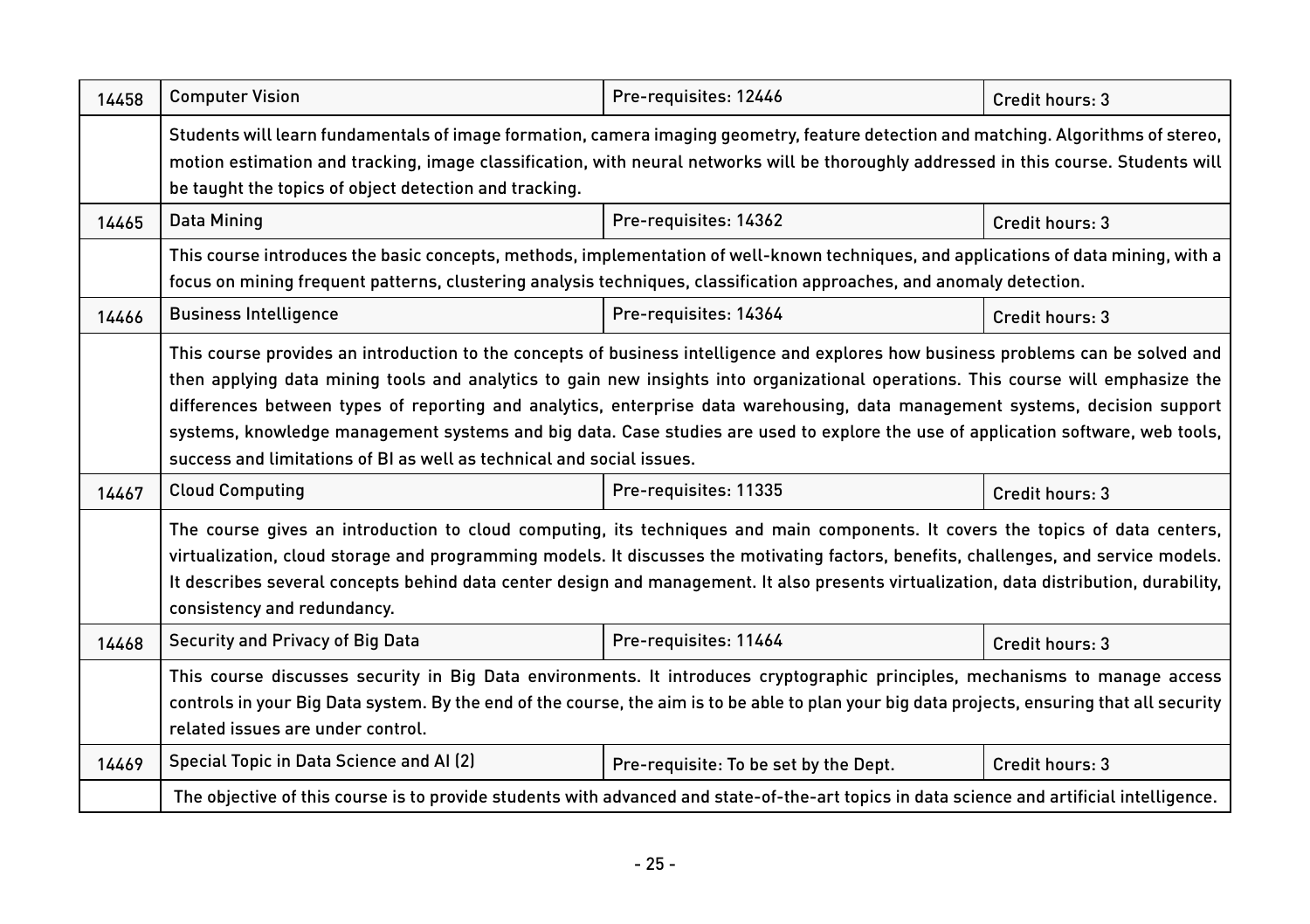| 14458 | <b>Computer Vision</b>                                                                                                                                                                                                                                                                                                                                                                                                                                                                                                                                                                                               | Pre-requisites: 12446                 | Credit hours: 3 |  |
|-------|----------------------------------------------------------------------------------------------------------------------------------------------------------------------------------------------------------------------------------------------------------------------------------------------------------------------------------------------------------------------------------------------------------------------------------------------------------------------------------------------------------------------------------------------------------------------------------------------------------------------|---------------------------------------|-----------------|--|
|       | Students will learn fundamentals of image formation, camera imaging geometry, feature detection and matching. Algorithms of stereo,<br>motion estimation and tracking, image classification, with neural networks will be thoroughly addressed in this course. Students will<br>be taught the topics of object detection and tracking.                                                                                                                                                                                                                                                                               |                                       |                 |  |
| 14465 | Data Mining                                                                                                                                                                                                                                                                                                                                                                                                                                                                                                                                                                                                          | Pre-requisites: 14362                 | Credit hours: 3 |  |
|       | This course introduces the basic concepts, methods, implementation of well-known techniques, and applications of data mining, with a<br>focus on mining frequent patterns, clustering analysis techniques, classification approaches, and anomaly detection.                                                                                                                                                                                                                                                                                                                                                         |                                       |                 |  |
| 14466 | <b>Business Intelligence</b>                                                                                                                                                                                                                                                                                                                                                                                                                                                                                                                                                                                         | Pre-requisites: 14364                 | Credit hours: 3 |  |
|       | This course provides an introduction to the concepts of business intelligence and explores how business problems can be solved and<br>then applying data mining tools and analytics to gain new insights into organizational operations. This course will emphasize the<br>differences between types of reporting and analytics, enterprise data warehousing, data management systems, decision support<br>systems, knowledge management systems and big data. Case studies are used to explore the use of application software, web tools,<br>success and limitations of BI as well as technical and social issues. |                                       |                 |  |
| 14467 | <b>Cloud Computing</b>                                                                                                                                                                                                                                                                                                                                                                                                                                                                                                                                                                                               | Pre-requisites: 11335                 | Credit hours: 3 |  |
|       | The course gives an introduction to cloud computing, its techniques and main components. It covers the topics of data centers,<br>virtualization, cloud storage and programming models. It discusses the motivating factors, benefits, challenges, and service models.<br>It describes several concepts behind data center design and management. It also presents virtualization, data distribution, durability,<br>consistency and redundancy.                                                                                                                                                                     |                                       |                 |  |
| 14468 | Security and Privacy of Big Data                                                                                                                                                                                                                                                                                                                                                                                                                                                                                                                                                                                     | Pre-requisites: 11464                 | Credit hours: 3 |  |
|       | This course discusses security in Big Data environments. It introduces cryptographic principles, mechanisms to manage access<br>controls in your Big Data system. By the end of the course, the aim is to be able to plan your big data projects, ensuring that all security<br>related issues are under control.                                                                                                                                                                                                                                                                                                    |                                       |                 |  |
| 14469 | Special Topic in Data Science and AI (2)                                                                                                                                                                                                                                                                                                                                                                                                                                                                                                                                                                             | Pre-requisite: To be set by the Dept. | Credit hours: 3 |  |
|       | The objective of this course is to provide students with advanced and state-of-the-art topics in data science and artificial intelligence.                                                                                                                                                                                                                                                                                                                                                                                                                                                                           |                                       |                 |  |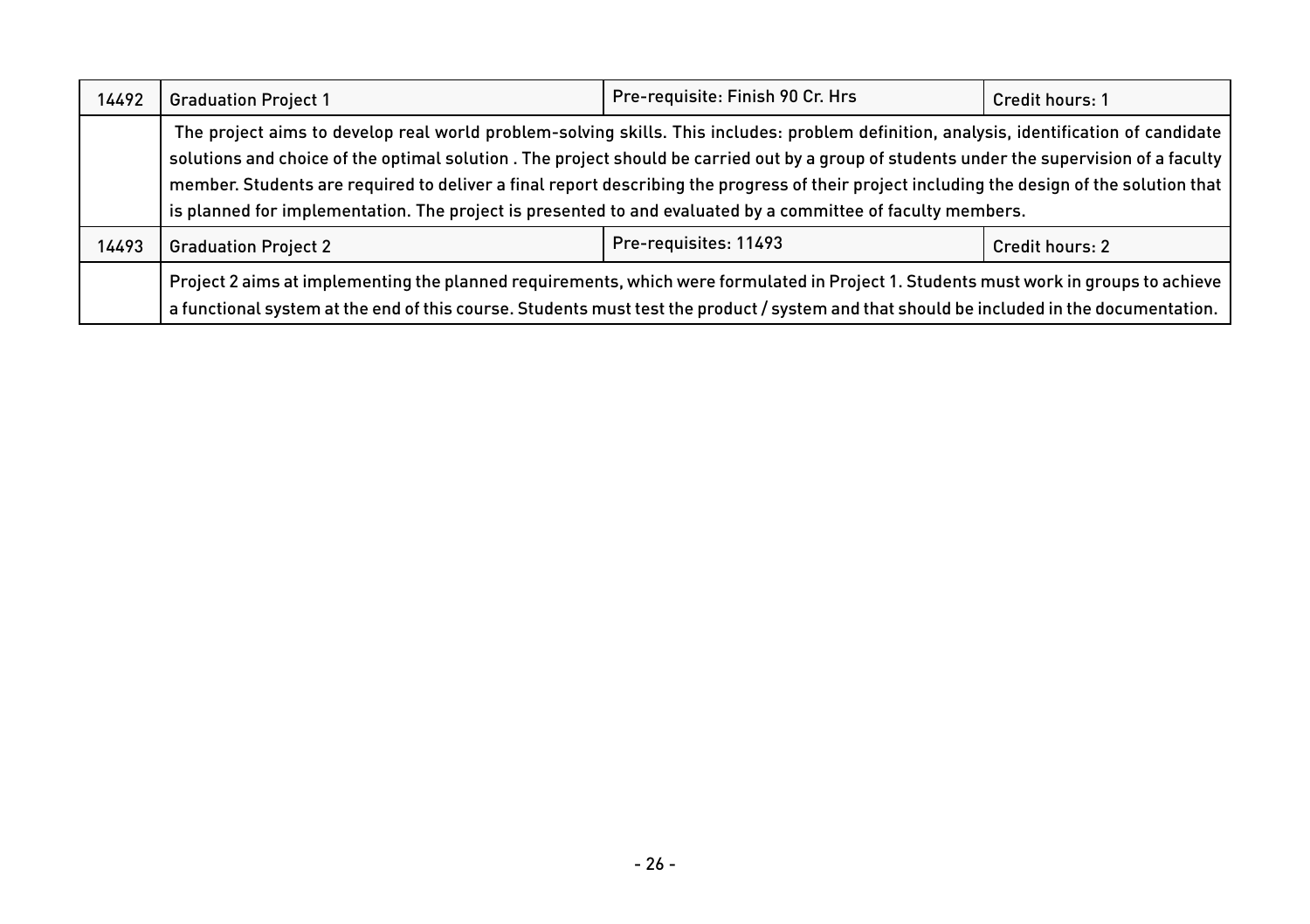| 14492 | <b>Graduation Project 1</b>                                                                                                                                                                                                                                                                                                                                                                                                                                                                                                                       | Pre-requisite: Finish 90 Cr. Hrs | Credit hours: 1        |
|-------|---------------------------------------------------------------------------------------------------------------------------------------------------------------------------------------------------------------------------------------------------------------------------------------------------------------------------------------------------------------------------------------------------------------------------------------------------------------------------------------------------------------------------------------------------|----------------------------------|------------------------|
|       | The project aims to develop real world problem-solving skills. This includes: problem definition, analysis, identification of candidate<br>solutions and choice of the optimal solution. The project should be carried out by a group of students under the supervision of a faculty<br>member. Students are required to deliver a final report describing the progress of their project including the design of the solution that<br>is planned for implementation. The project is presented to and evaluated by a committee of faculty members. |                                  |                        |
| 14493 | <b>Graduation Project 2</b>                                                                                                                                                                                                                                                                                                                                                                                                                                                                                                                       | Pre-requisites: 11493            | <b>Credit hours: 2</b> |
|       | Project 2 aims at implementing the planned requirements, which were formulated in Project 1. Students must work in groups to achieve<br>a functional system at the end of this course. Students must test the product / system and that should be included in the documentation.                                                                                                                                                                                                                                                                  |                                  |                        |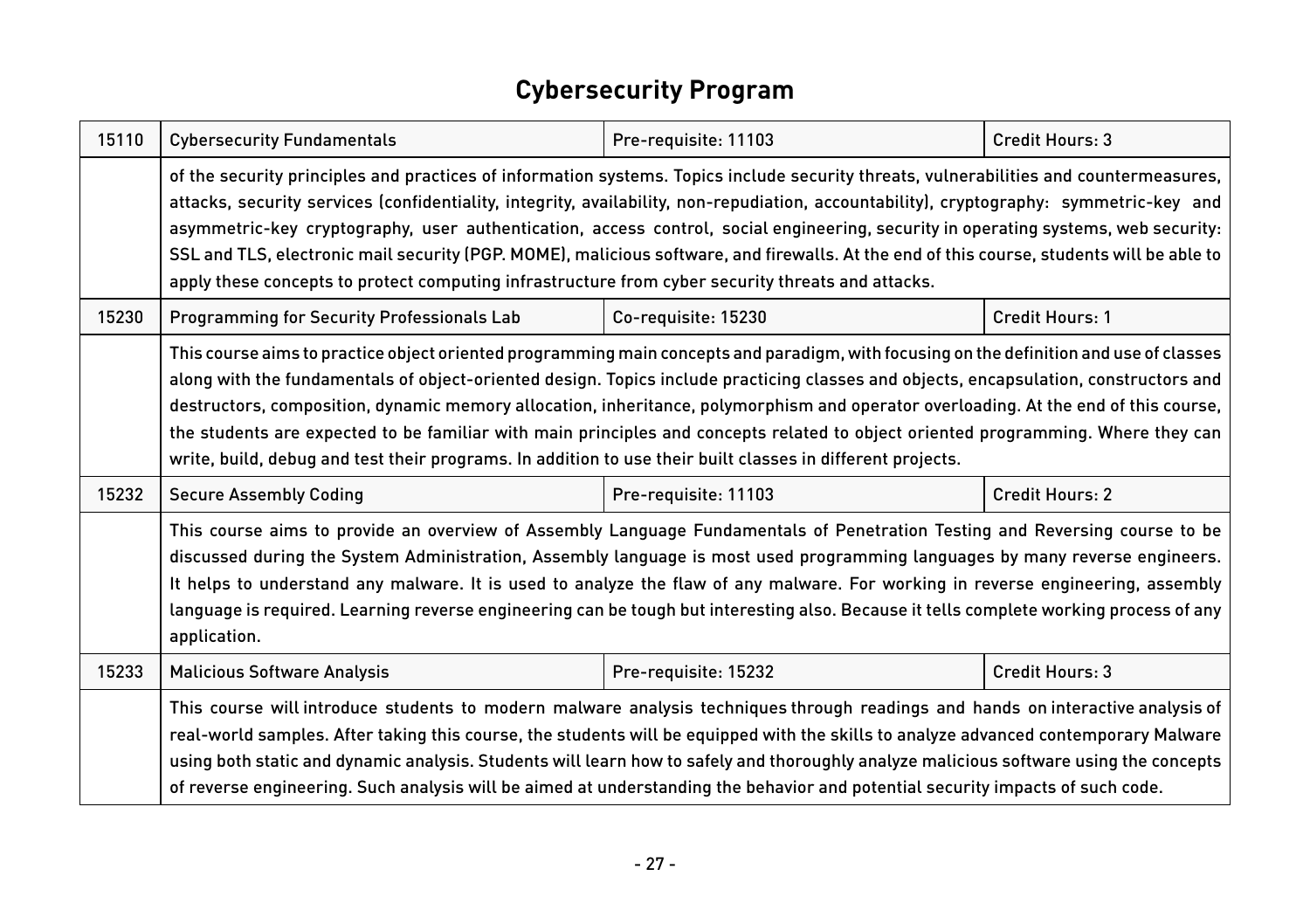#### **Cybersecurity Program**

| 15110 | <b>Cybersecurity Fundamentals</b>                                                                                                                                                                                                                                                                                                                                                                                                                                                                                                                                                                                                                                          | Pre-requisite: 11103 | Credit Hours: 3        |
|-------|----------------------------------------------------------------------------------------------------------------------------------------------------------------------------------------------------------------------------------------------------------------------------------------------------------------------------------------------------------------------------------------------------------------------------------------------------------------------------------------------------------------------------------------------------------------------------------------------------------------------------------------------------------------------------|----------------------|------------------------|
|       | of the security principles and practices of information systems. Topics include security threats, vulnerabilities and countermeasures,<br>attacks, security services (confidentiality, integrity, availability, non-repudiation, accountability), cryptography: symmetric-key and<br>asymmetric-key cryptography, user authentication, access control, social engineering, security in operating systems, web security:<br>SSL and TLS, electronic mail security (PGP. MOME), malicious software, and firewalls. At the end of this course, students will be able to<br>apply these concepts to protect computing infrastructure from cyber security threats and attacks.  |                      |                        |
| 15230 | <b>Programming for Security Professionals Lab</b>                                                                                                                                                                                                                                                                                                                                                                                                                                                                                                                                                                                                                          | Co-requisite: 15230  | Credit Hours: 1        |
|       | This course aims to practice object oriented programming main concepts and paradigm, with focusing on the definition and use of classes<br>along with the fundamentals of object-oriented design. Topics include practicing classes and objects, encapsulation, constructors and<br>destructors, composition, dynamic memory allocation, inheritance, polymorphism and operator overloading. At the end of this course,<br>the students are expected to be familiar with main principles and concepts related to object oriented programming. Where they can<br>write, build, debug and test their programs. In addition to use their built classes in different projects. |                      |                        |
| 15232 | <b>Secure Assembly Coding</b>                                                                                                                                                                                                                                                                                                                                                                                                                                                                                                                                                                                                                                              | Pre-requisite: 11103 | <b>Credit Hours: 2</b> |
|       | This course aims to provide an overview of Assembly Language Fundamentals of Penetration Testing and Reversing course to be<br>discussed during the System Administration, Assembly language is most used programming languages by many reverse engineers.<br>It helps to understand any malware. It is used to analyze the flaw of any malware. For working in reverse engineering, assembly<br>language is required. Learning reverse engineering can be tough but interesting also. Because it tells complete working process of any<br>application.                                                                                                                    |                      |                        |
| 15233 | <b>Malicious Software Analysis</b>                                                                                                                                                                                                                                                                                                                                                                                                                                                                                                                                                                                                                                         | Pre-requisite: 15232 | Credit Hours: 3        |
|       | This course will introduce students to modern malware analysis techniques through readings and hands on interactive analysis of<br>real-world samples. After taking this course, the students will be equipped with the skills to analyze advanced contemporary Malware<br>using both static and dynamic analysis. Students will learn how to safely and thoroughly analyze malicious software using the concepts<br>of reverse engineering. Such analysis will be aimed at understanding the behavior and potential security impacts of such code.                                                                                                                        |                      |                        |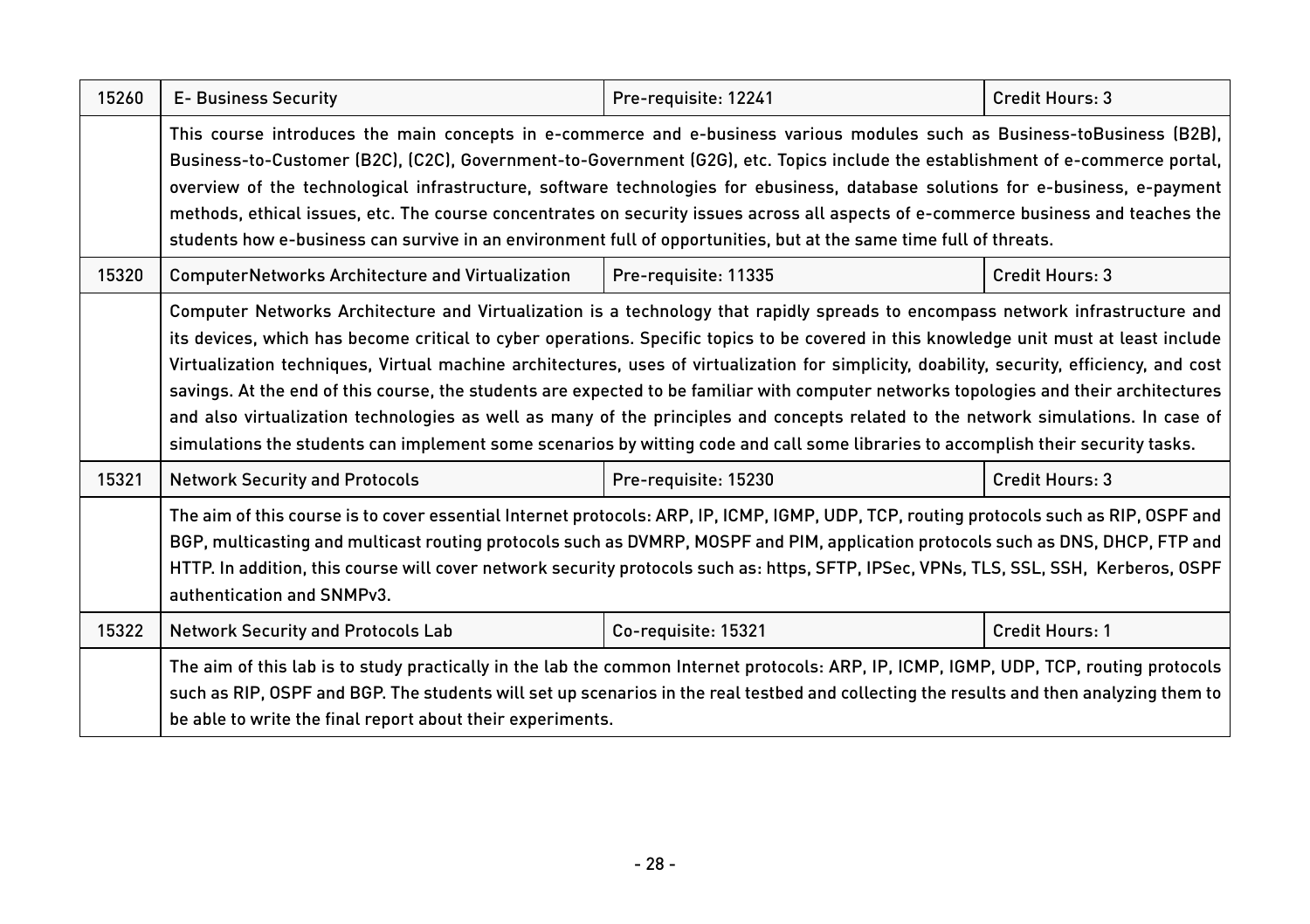| 15260 | <b>E- Business Security</b>                                                                                                                                                                                                                                                                                                                                                                                                                                                                                                                                                                                                                                                                                                                                                                                                                 | Pre-requisite: 12241 | Credit Hours: 3 |  |
|-------|---------------------------------------------------------------------------------------------------------------------------------------------------------------------------------------------------------------------------------------------------------------------------------------------------------------------------------------------------------------------------------------------------------------------------------------------------------------------------------------------------------------------------------------------------------------------------------------------------------------------------------------------------------------------------------------------------------------------------------------------------------------------------------------------------------------------------------------------|----------------------|-----------------|--|
|       | This course introduces the main concepts in e-commerce and e-business various modules such as Business-toBusiness (B2B),<br>Business-to-Customer (B2C), (C2C), Government-to-Government (G2G), etc. Topics include the establishment of e-commerce portal,<br>overview of the technological infrastructure, software technologies for ebusiness, database solutions for e-business, e-payment<br>methods, ethical issues, etc. The course concentrates on security issues across all aspects of e-commerce business and teaches the<br>students how e-business can survive in an environment full of opportunities, but at the same time full of threats.                                                                                                                                                                                   |                      |                 |  |
| 15320 | <b>ComputerNetworks Architecture and Virtualization</b>                                                                                                                                                                                                                                                                                                                                                                                                                                                                                                                                                                                                                                                                                                                                                                                     | Pre-requisite: 11335 | Credit Hours: 3 |  |
|       | Computer Networks Architecture and Virtualization is a technology that rapidly spreads to encompass network infrastructure and<br>its devices, which has become critical to cyber operations. Specific topics to be covered in this knowledge unit must at least include<br>Virtualization techniques, Virtual machine architectures, uses of virtualization for simplicity, doability, security, efficiency, and cost<br>savings. At the end of this course, the students are expected to be familiar with computer networks topologies and their architectures<br>and also virtualization technologies as well as many of the principles and concepts related to the network simulations. In case of<br>simulations the students can implement some scenarios by witting code and call some libraries to accomplish their security tasks. |                      |                 |  |
| 15321 | <b>Network Security and Protocols</b><br>Pre-requisite: 15230<br>Credit Hours: 3                                                                                                                                                                                                                                                                                                                                                                                                                                                                                                                                                                                                                                                                                                                                                            |                      |                 |  |
|       | The aim of this course is to cover essential Internet protocols: ARP, IP, ICMP, IGMP, UDP, TCP, routing protocols such as RIP, OSPF and<br>BGP, multicasting and multicast routing protocols such as DVMRP, MOSPF and PIM, application protocols such as DNS, DHCP, FTP and<br>HTTP. In addition, this course will cover network security protocols such as: https, SFTP, IPSec, VPNs, TLS, SSL, SSH, Kerberos, OSPF<br>authentication and SNMPv3.                                                                                                                                                                                                                                                                                                                                                                                          |                      |                 |  |
| 15322 | <b>Network Security and Protocols Lab</b>                                                                                                                                                                                                                                                                                                                                                                                                                                                                                                                                                                                                                                                                                                                                                                                                   | Co-requisite: 15321  | Credit Hours: 1 |  |
|       | The aim of this lab is to study practically in the lab the common Internet protocols: ARP, IP, ICMP, IGMP, UDP, TCP, routing protocols<br>such as RIP, OSPF and BGP. The students will set up scenarios in the real testbed and collecting the results and then analyzing them to<br>be able to write the final report about their experiments.                                                                                                                                                                                                                                                                                                                                                                                                                                                                                             |                      |                 |  |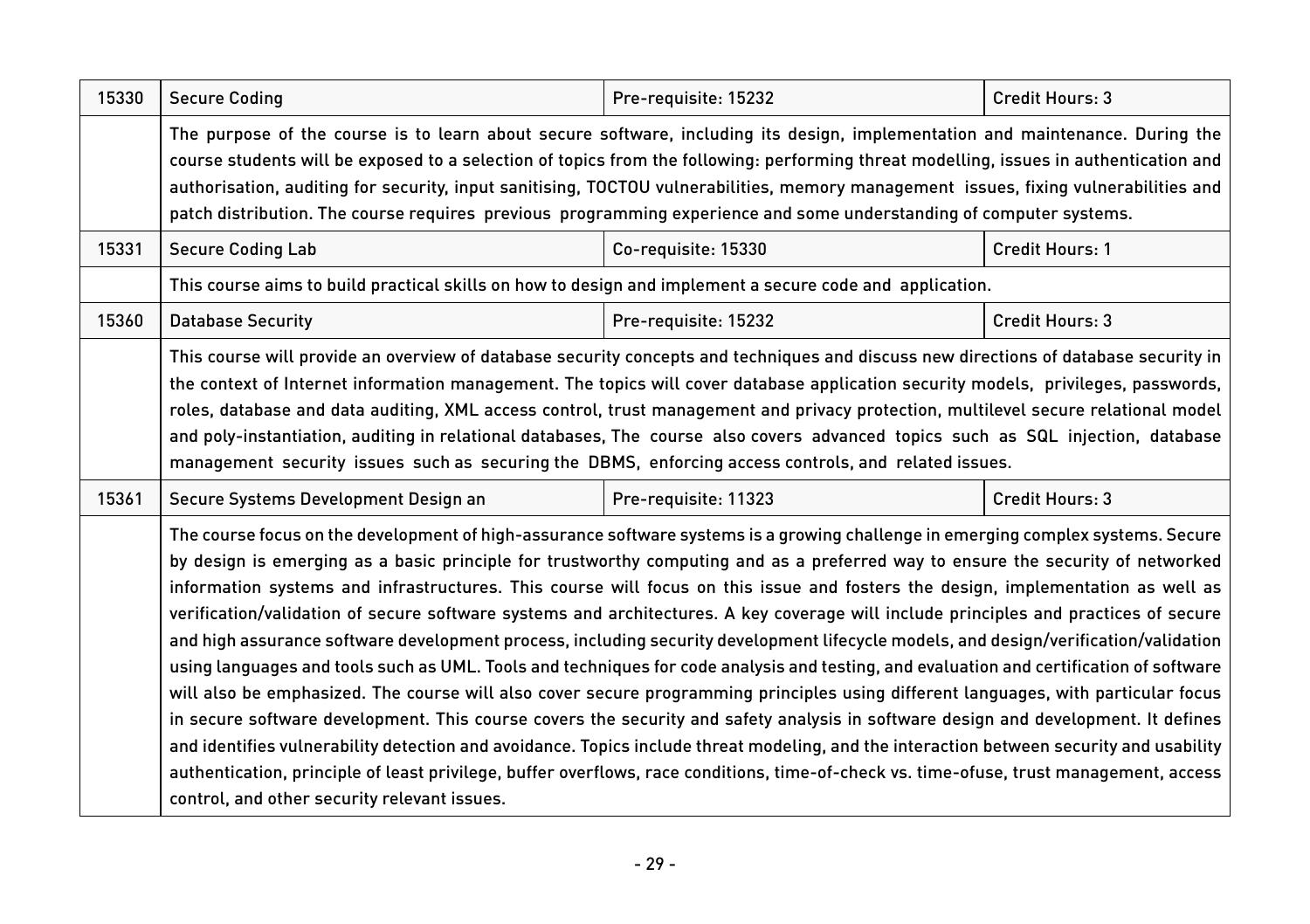| 15330 | <b>Secure Coding</b>                                                                                                                                                                                                                                                                                                                                                                                                                                                                                                                                                                                                                                                                                                                                                                                                                                                                                                                                                                                                                                                                                                                                                                                                                                                                                                                                                                                                                                  | Pre-requisite: 15232 | Credit Hours: 3        |
|-------|-------------------------------------------------------------------------------------------------------------------------------------------------------------------------------------------------------------------------------------------------------------------------------------------------------------------------------------------------------------------------------------------------------------------------------------------------------------------------------------------------------------------------------------------------------------------------------------------------------------------------------------------------------------------------------------------------------------------------------------------------------------------------------------------------------------------------------------------------------------------------------------------------------------------------------------------------------------------------------------------------------------------------------------------------------------------------------------------------------------------------------------------------------------------------------------------------------------------------------------------------------------------------------------------------------------------------------------------------------------------------------------------------------------------------------------------------------|----------------------|------------------------|
|       | The purpose of the course is to learn about secure software, including its design, implementation and maintenance. During the<br>course students will be exposed to a selection of topics from the following: performing threat modelling, issues in authentication and<br>authorisation, auditing for security, input sanitising, TOCTOU vulnerabilities, memory management issues, fixing vulnerabilities and<br>patch distribution. The course requires previous programming experience and some understanding of computer systems.                                                                                                                                                                                                                                                                                                                                                                                                                                                                                                                                                                                                                                                                                                                                                                                                                                                                                                                |                      |                        |
| 15331 | <b>Secure Coding Lab</b>                                                                                                                                                                                                                                                                                                                                                                                                                                                                                                                                                                                                                                                                                                                                                                                                                                                                                                                                                                                                                                                                                                                                                                                                                                                                                                                                                                                                                              | Co-requisite: 15330  | <b>Credit Hours: 1</b> |
|       | This course aims to build practical skills on how to design and implement a secure code and application.                                                                                                                                                                                                                                                                                                                                                                                                                                                                                                                                                                                                                                                                                                                                                                                                                                                                                                                                                                                                                                                                                                                                                                                                                                                                                                                                              |                      |                        |
| 15360 | <b>Database Security</b>                                                                                                                                                                                                                                                                                                                                                                                                                                                                                                                                                                                                                                                                                                                                                                                                                                                                                                                                                                                                                                                                                                                                                                                                                                                                                                                                                                                                                              | Pre-requisite: 15232 | Credit Hours: 3        |
|       | This course will provide an overview of database security concepts and techniques and discuss new directions of database security in<br>the context of Internet information management. The topics will cover database application security models, privileges, passwords,<br>roles, database and data auditing, XML access control, trust management and privacy protection, multilevel secure relational model<br>and poly-instantiation, auditing in relational databases, The course also covers advanced topics such as SQL injection, database<br>management security issues such as securing the DBMS, enforcing access controls, and related issues.                                                                                                                                                                                                                                                                                                                                                                                                                                                                                                                                                                                                                                                                                                                                                                                          |                      |                        |
| 15361 | Secure Systems Development Design an                                                                                                                                                                                                                                                                                                                                                                                                                                                                                                                                                                                                                                                                                                                                                                                                                                                                                                                                                                                                                                                                                                                                                                                                                                                                                                                                                                                                                  | Pre-requisite: 11323 | Credit Hours: 3        |
|       | The course focus on the development of high-assurance software systems is a growing challenge in emerging complex systems. Secure<br>by design is emerging as a basic principle for trustworthy computing and as a preferred way to ensure the security of networked<br>information systems and infrastructures. This course will focus on this issue and fosters the design, implementation as well as<br>verification/validation of secure software systems and architectures. A key coverage will include principles and practices of secure<br>and high assurance software development process, including security development lifecycle models, and design/verification/validation<br>using languages and tools such as UML. Tools and techniques for code analysis and testing, and evaluation and certification of software<br>will also be emphasized. The course will also cover secure programming principles using different languages, with particular focus<br>in secure software development. This course covers the security and safety analysis in software design and development. It defines<br>and identifies vulnerability detection and avoidance. Topics include threat modeling, and the interaction between security and usability<br>authentication, principle of least privilege, buffer overflows, race conditions, time-of-check vs. time-ofuse, trust management, access<br>control, and other security relevant issues. |                      |                        |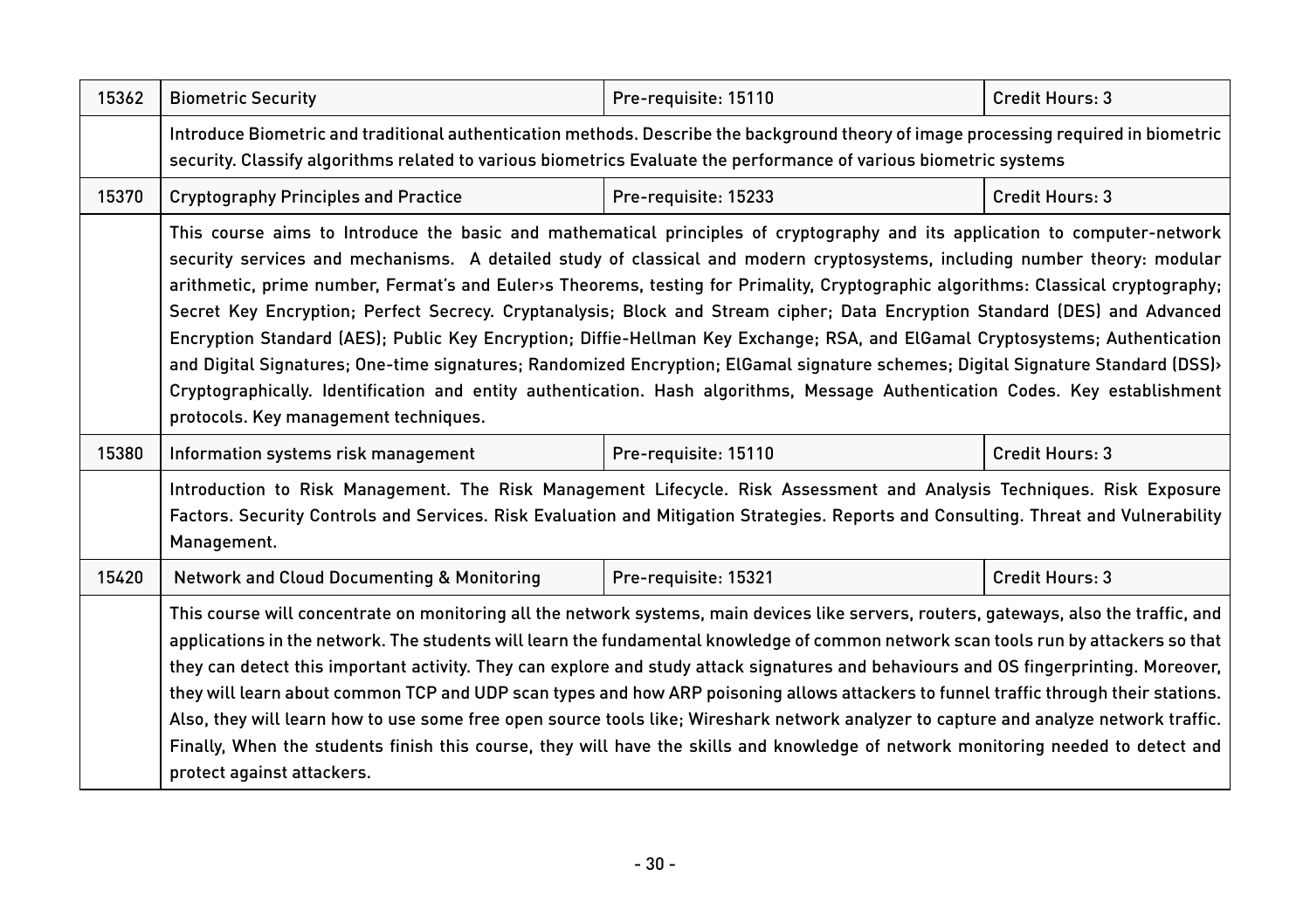| 15362 | <b>Biometric Security</b>                                                                                                                                                                                                                                                                                                                                                                                                                                                                                                                                                                                                                                                                                                                                                                                                                                                                                                                                                   | Pre-requisite: 15110 | Credit Hours: 3 |
|-------|-----------------------------------------------------------------------------------------------------------------------------------------------------------------------------------------------------------------------------------------------------------------------------------------------------------------------------------------------------------------------------------------------------------------------------------------------------------------------------------------------------------------------------------------------------------------------------------------------------------------------------------------------------------------------------------------------------------------------------------------------------------------------------------------------------------------------------------------------------------------------------------------------------------------------------------------------------------------------------|----------------------|-----------------|
|       | Introduce Biometric and traditional authentication methods. Describe the background theory of image processing required in biometric<br>security. Classify algorithms related to various biometrics Evaluate the performance of various biometric systems                                                                                                                                                                                                                                                                                                                                                                                                                                                                                                                                                                                                                                                                                                                   |                      |                 |
| 15370 | <b>Cryptography Principles and Practice</b>                                                                                                                                                                                                                                                                                                                                                                                                                                                                                                                                                                                                                                                                                                                                                                                                                                                                                                                                 | Pre-requisite: 15233 | Credit Hours: 3 |
|       | This course aims to Introduce the basic and mathematical principles of cryptography and its application to computer-network<br>security services and mechanisms. A detailed study of classical and modern cryptosystems, including number theory: modular<br>arithmetic, prime number, Fermat's and Euler>s Theorems, testing for Primality, Cryptographic algorithms: Classical cryptography;<br>Secret Key Encryption; Perfect Secrecy. Cryptanalysis; Block and Stream cipher; Data Encryption Standard (DES) and Advanced<br>Encryption Standard (AES); Public Key Encryption; Diffie-Hellman Key Exchange; RSA, and ElGamal Cryptosystems; Authentication<br>and Digital Signatures; One-time signatures; Randomized Encryption; ElGamal signature schemes; Digital Signature Standard (DSS)<br>Cryptographically. Identification and entity authentication. Hash algorithms, Message Authentication Codes. Key establishment<br>protocols. Key management techniques. |                      |                 |
| 15380 | Information systems risk management                                                                                                                                                                                                                                                                                                                                                                                                                                                                                                                                                                                                                                                                                                                                                                                                                                                                                                                                         | Pre-requisite: 15110 | Credit Hours: 3 |
|       | Introduction to Risk Management. The Risk Management Lifecycle. Risk Assessment and Analysis Techniques. Risk Exposure<br>Factors. Security Controls and Services. Risk Evaluation and Mitigation Strategies. Reports and Consulting. Threat and Vulnerability<br>Management.                                                                                                                                                                                                                                                                                                                                                                                                                                                                                                                                                                                                                                                                                               |                      |                 |
| 15420 | <b>Network and Cloud Documenting &amp; Monitoring</b>                                                                                                                                                                                                                                                                                                                                                                                                                                                                                                                                                                                                                                                                                                                                                                                                                                                                                                                       | Pre-requisite: 15321 | Credit Hours: 3 |
|       | This course will concentrate on monitoring all the network systems, main devices like servers, routers, gateways, also the traffic, and<br>applications in the network. The students will learn the fundamental knowledge of common network scan tools run by attackers so that<br>they can detect this important activity. They can explore and study attack signatures and behaviours and OS fingerprinting. Moreover,<br>they will learn about common TCP and UDP scan types and how ARP poisoning allows attackers to funnel traffic through their stations.<br>Also, they will learn how to use some free open source tools like; Wireshark network analyzer to capture and analyze network traffic.<br>Finally, When the students finish this course, they will have the skills and knowledge of network monitoring needed to detect and<br>protect against attackers.                                                                                                |                      |                 |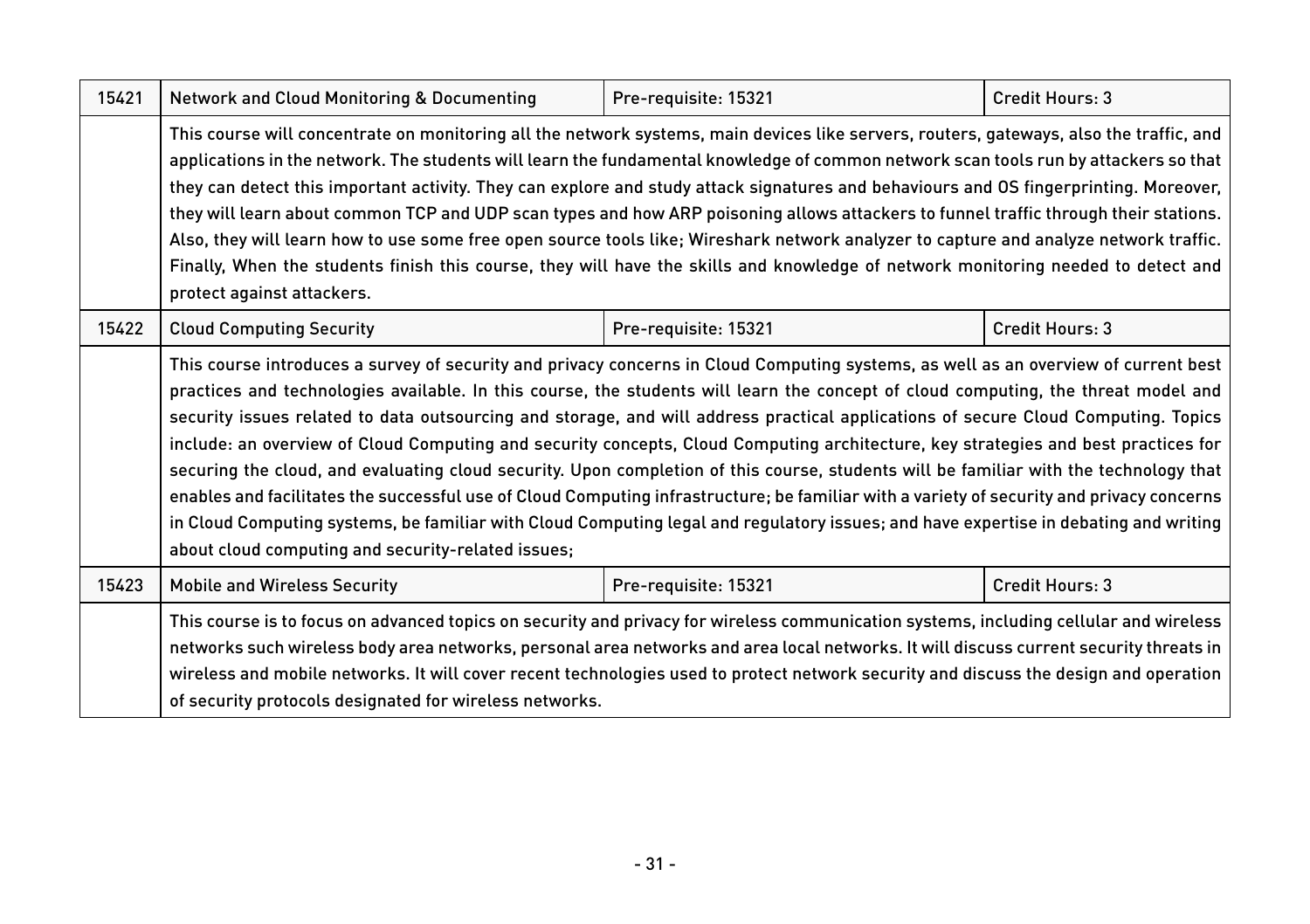| 15421 | <b>Network and Cloud Monitoring &amp; Documenting</b>                                                                                                                                                                                                                                                                                                                                                                                                                                                                                                                                                                                                                                                                                                                                                                                                                                                                                                                                                                                     | Pre-requisite: 15321 | Credit Hours: 3        |  |
|-------|-------------------------------------------------------------------------------------------------------------------------------------------------------------------------------------------------------------------------------------------------------------------------------------------------------------------------------------------------------------------------------------------------------------------------------------------------------------------------------------------------------------------------------------------------------------------------------------------------------------------------------------------------------------------------------------------------------------------------------------------------------------------------------------------------------------------------------------------------------------------------------------------------------------------------------------------------------------------------------------------------------------------------------------------|----------------------|------------------------|--|
|       | This course will concentrate on monitoring all the network systems, main devices like servers, routers, gateways, also the traffic, and<br>applications in the network. The students will learn the fundamental knowledge of common network scan tools run by attackers so that<br>they can detect this important activity. They can explore and study attack signatures and behaviours and OS fingerprinting. Moreover,<br>they will learn about common TCP and UDP scan types and how ARP poisoning allows attackers to funnel traffic through their stations.<br>Also, they will learn how to use some free open source tools like; Wireshark network analyzer to capture and analyze network traffic.<br>Finally, When the students finish this course, they will have the skills and knowledge of network monitoring needed to detect and<br>protect against attackers.                                                                                                                                                              |                      |                        |  |
| 15422 | <b>Cloud Computing Security</b>                                                                                                                                                                                                                                                                                                                                                                                                                                                                                                                                                                                                                                                                                                                                                                                                                                                                                                                                                                                                           | Pre-requisite: 15321 | <b>Credit Hours: 3</b> |  |
|       | This course introduces a survey of security and privacy concerns in Cloud Computing systems, as well as an overview of current best<br>practices and technologies available. In this course, the students will learn the concept of cloud computing, the threat model and<br>security issues related to data outsourcing and storage, and will address practical applications of secure Cloud Computing. Topics<br>include: an overview of Cloud Computing and security concepts, Cloud Computing architecture, key strategies and best practices for<br>securing the cloud, and evaluating cloud security. Upon completion of this course, students will be familiar with the technology that<br>enables and facilitates the successful use of Cloud Computing infrastructure; be familiar with a variety of security and privacy concerns<br>in Cloud Computing systems, be familiar with Cloud Computing legal and regulatory issues; and have expertise in debating and writing<br>about cloud computing and security-related issues; |                      |                        |  |
| 15423 | <b>Mobile and Wireless Security</b>                                                                                                                                                                                                                                                                                                                                                                                                                                                                                                                                                                                                                                                                                                                                                                                                                                                                                                                                                                                                       | Pre-requisite: 15321 | Credit Hours: 3        |  |
|       | This course is to focus on advanced topics on security and privacy for wireless communication systems, including cellular and wireless<br>networks such wireless body area networks, personal area networks and area local networks. It will discuss current security threats in<br>wireless and mobile networks. It will cover recent technologies used to protect network security and discuss the design and operation<br>of security protocols designated for wireless networks.                                                                                                                                                                                                                                                                                                                                                                                                                                                                                                                                                      |                      |                        |  |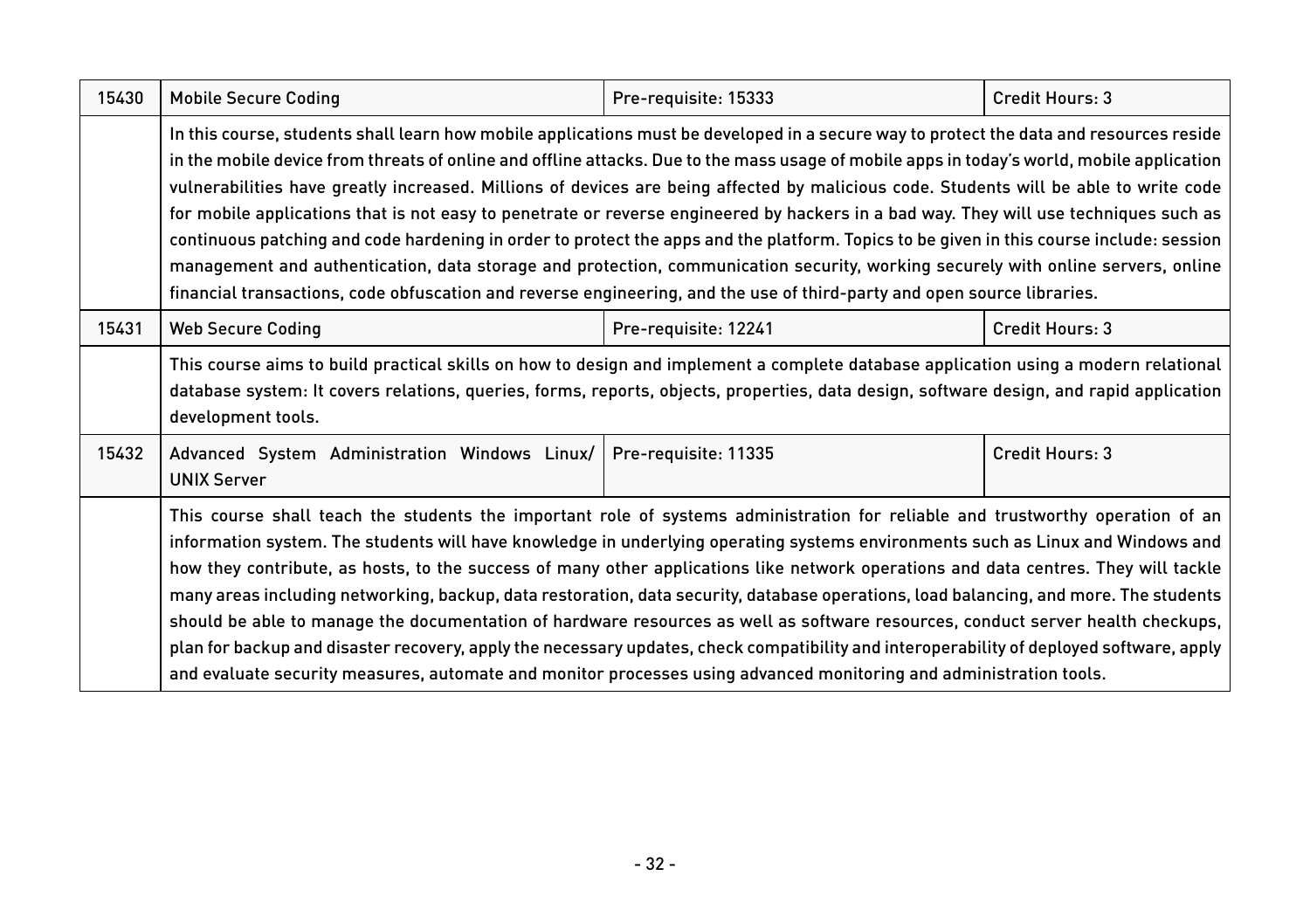| 15430 | <b>Mobile Secure Coding</b>                                                                                                                                                                                                                                                                                                                                                                                                                                                                                                                                                                                                                                                                                                                                                                                                                                                                                                                                                        | Pre-requisite: 15333 | Credit Hours: 3 |
|-------|------------------------------------------------------------------------------------------------------------------------------------------------------------------------------------------------------------------------------------------------------------------------------------------------------------------------------------------------------------------------------------------------------------------------------------------------------------------------------------------------------------------------------------------------------------------------------------------------------------------------------------------------------------------------------------------------------------------------------------------------------------------------------------------------------------------------------------------------------------------------------------------------------------------------------------------------------------------------------------|----------------------|-----------------|
|       | In this course, students shall learn how mobile applications must be developed in a secure way to protect the data and resources reside<br>in the mobile device from threats of online and offline attacks. Due to the mass usage of mobile apps in today's world, mobile application<br>vulnerabilities have greatly increased. Millions of devices are being affected by malicious code. Students will be able to write code<br>for mobile applications that is not easy to penetrate or reverse engineered by hackers in a bad way. They will use techniques such as<br>continuous patching and code hardening in order to protect the apps and the platform. Topics to be given in this course include: session<br>management and authentication, data storage and protection, communication security, working securely with online servers, online<br>financial transactions, code obfuscation and reverse engineering, and the use of third-party and open source libraries. |                      |                 |
| 15431 | <b>Web Secure Coding</b>                                                                                                                                                                                                                                                                                                                                                                                                                                                                                                                                                                                                                                                                                                                                                                                                                                                                                                                                                           | Pre-requisite: 12241 | Credit Hours: 3 |
|       | This course aims to build practical skills on how to design and implement a complete database application using a modern relational<br>database system: It covers relations, queries, forms, reports, objects, properties, data design, software design, and rapid application<br>development tools.                                                                                                                                                                                                                                                                                                                                                                                                                                                                                                                                                                                                                                                                               |                      |                 |
| 15432 | Advanced System Administration Windows Linux/<br><b>UNIX Server</b>                                                                                                                                                                                                                                                                                                                                                                                                                                                                                                                                                                                                                                                                                                                                                                                                                                                                                                                | Pre-requisite: 11335 | Credit Hours: 3 |
|       | This course shall teach the students the important role of systems administration for reliable and trustworthy operation of an<br>information system. The students will have knowledge in underlying operating systems environments such as Linux and Windows and<br>how they contribute, as hosts, to the success of many other applications like network operations and data centres. They will tackle<br>many areas including networking, backup, data restoration, data security, database operations, load balancing, and more. The students<br>should be able to manage the documentation of hardware resources as well as software resources, conduct server health checkups,<br>plan for backup and disaster recovery, apply the necessary updates, check compatibility and interoperability of deployed software, apply<br>and evaluate security measures, automate and monitor processes using advanced monitoring and administration tools.                             |                      |                 |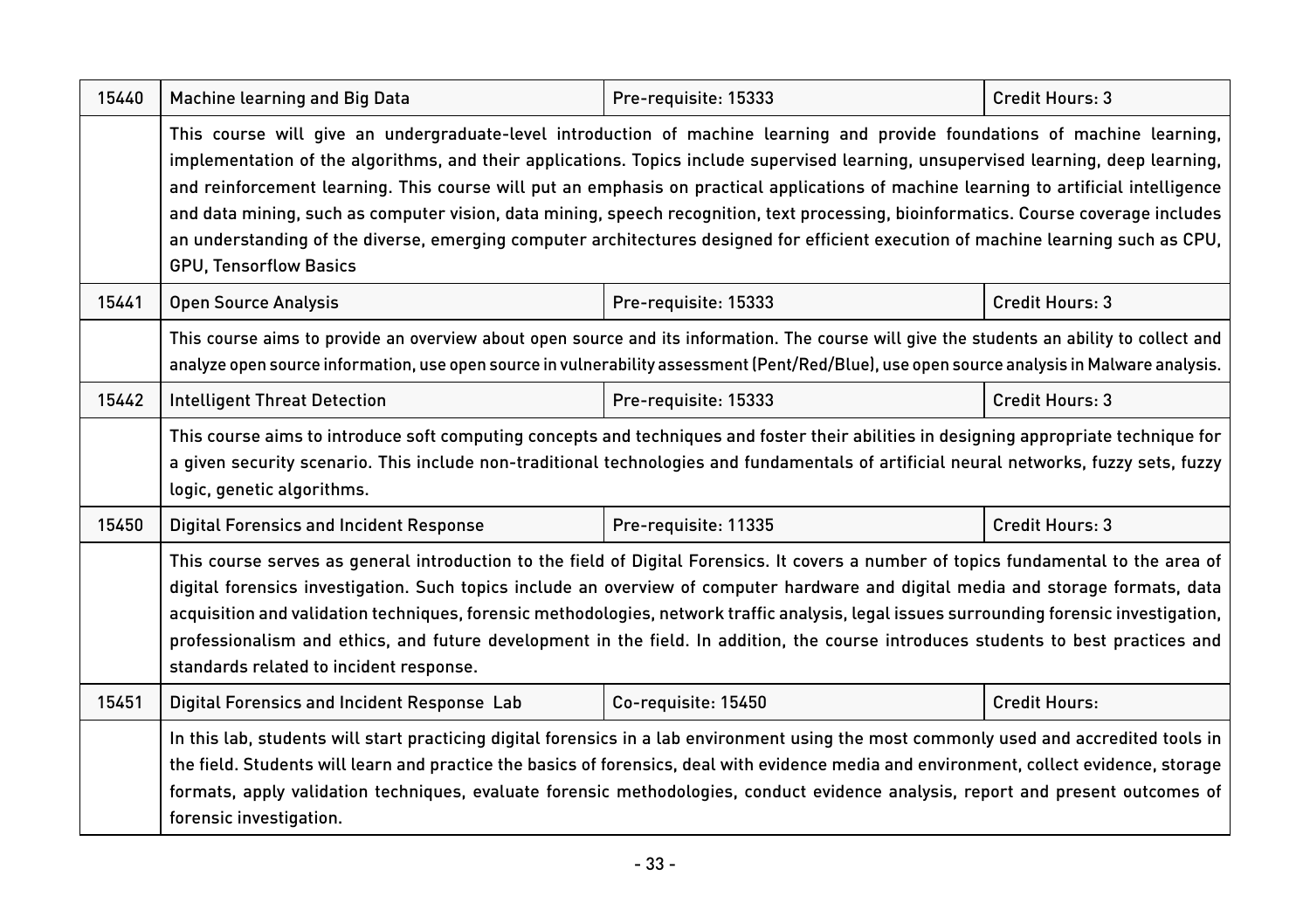| 15440 | Machine learning and Big Data                                                                                                                                                                                                                                                                                                                                                                                                                                                                                                                                                                                                                                                                                             | Pre-requisite: 15333 | <b>Credit Hours: 3</b> |
|-------|---------------------------------------------------------------------------------------------------------------------------------------------------------------------------------------------------------------------------------------------------------------------------------------------------------------------------------------------------------------------------------------------------------------------------------------------------------------------------------------------------------------------------------------------------------------------------------------------------------------------------------------------------------------------------------------------------------------------------|----------------------|------------------------|
|       | This course will give an undergraduate-level introduction of machine learning and provide foundations of machine learning,<br>implementation of the algorithms, and their applications. Topics include supervised learning, unsupervised learning, deep learning,<br>and reinforcement learning. This course will put an emphasis on practical applications of machine learning to artificial intelligence<br>and data mining, such as computer vision, data mining, speech recognition, text processing, bioinformatics. Course coverage includes<br>an understanding of the diverse, emerging computer architectures designed for efficient execution of machine learning such as CPU,<br><b>GPU. Tensorflow Basics</b> |                      |                        |
| 15441 | <b>Open Source Analysis</b>                                                                                                                                                                                                                                                                                                                                                                                                                                                                                                                                                                                                                                                                                               | Pre-requisite: 15333 | Credit Hours: 3        |
|       | This course aims to provide an overview about open source and its information. The course will give the students an ability to collect and<br>analyze open source information, use open source in vulnerability assessment (Pent/Red/Blue), use open source analysis in Malware analysis.                                                                                                                                                                                                                                                                                                                                                                                                                                 |                      |                        |
| 15442 | <b>Intelligent Threat Detection</b>                                                                                                                                                                                                                                                                                                                                                                                                                                                                                                                                                                                                                                                                                       | Pre-requisite: 15333 | Credit Hours: 3        |
|       | This course aims to introduce soft computing concepts and techniques and foster their abilities in designing appropriate technique for<br>a given security scenario. This include non-traditional technologies and fundamentals of artificial neural networks, fuzzy sets, fuzzy<br>logic, genetic algorithms.                                                                                                                                                                                                                                                                                                                                                                                                            |                      |                        |
| 15450 | <b>Digital Forensics and Incident Response</b>                                                                                                                                                                                                                                                                                                                                                                                                                                                                                                                                                                                                                                                                            | Pre-requisite: 11335 | Credit Hours: 3        |
|       | This course serves as general introduction to the field of Digital Forensics. It covers a number of topics fundamental to the area of<br>digital forensics investigation. Such topics include an overview of computer hardware and digital media and storage formats, data<br>acquisition and validation techniques, forensic methodologies, network traffic analysis, legal issues surrounding forensic investigation,<br>professionalism and ethics, and future development in the field. In addition, the course introduces students to best practices and<br>standards related to incident response.                                                                                                                  |                      |                        |
| 15451 | Digital Forensics and Incident Response Lab                                                                                                                                                                                                                                                                                                                                                                                                                                                                                                                                                                                                                                                                               | Co-requisite: 15450  | <b>Credit Hours:</b>   |
|       | In this lab, students will start practicing digital forensics in a lab environment using the most commonly used and accredited tools in<br>the field. Students will learn and practice the basics of forensics, deal with evidence media and environment, collect evidence, storage<br>formats, apply validation techniques, evaluate forensic methodologies, conduct evidence analysis, report and present outcomes of<br>forensic investigation.                                                                                                                                                                                                                                                                        |                      |                        |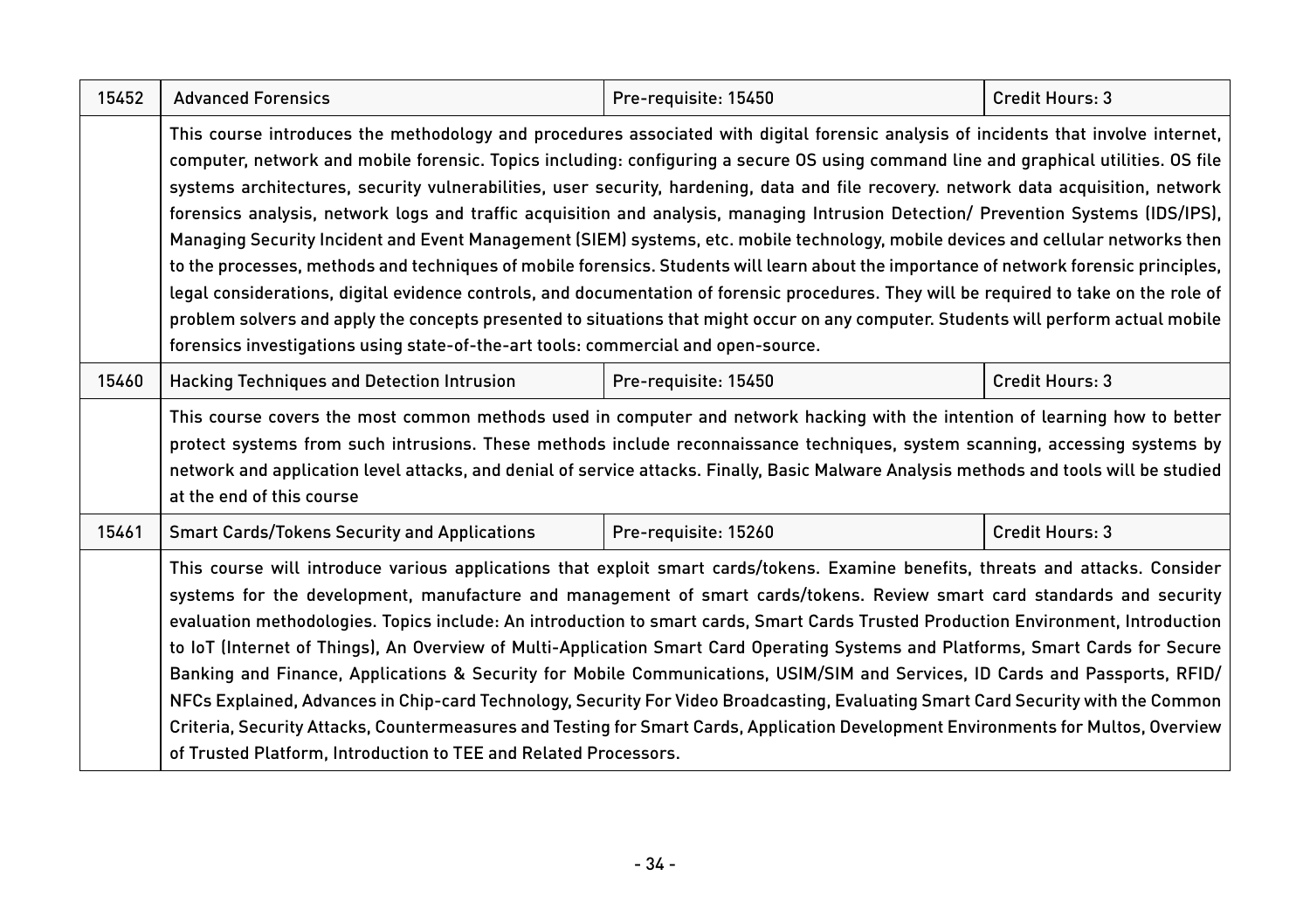| 15452 | <b>Advanced Forensics</b>                                                                                                                                                                                                                                                                                                                                                                                                                                                                                                                                                                                                                                                                                                                                                                                                                                                                                                                                                                                                                                                                                                                                                                                         | Pre-requisite: 15450 | Credit Hours: 3        |  |
|-------|-------------------------------------------------------------------------------------------------------------------------------------------------------------------------------------------------------------------------------------------------------------------------------------------------------------------------------------------------------------------------------------------------------------------------------------------------------------------------------------------------------------------------------------------------------------------------------------------------------------------------------------------------------------------------------------------------------------------------------------------------------------------------------------------------------------------------------------------------------------------------------------------------------------------------------------------------------------------------------------------------------------------------------------------------------------------------------------------------------------------------------------------------------------------------------------------------------------------|----------------------|------------------------|--|
|       | This course introduces the methodology and procedures associated with digital forensic analysis of incidents that involve internet,<br>computer, network and mobile forensic. Topics including: configuring a secure OS using command line and graphical utilities. OS file<br>systems architectures, security vulnerabilities, user security, hardening, data and file recovery. network data acquisition, network<br>forensics analysis, network logs and traffic acquisition and analysis, managing Intrusion Detection/ Prevention Systems (IDS/IPS),<br>Managing Security Incident and Event Management (SIEM) systems, etc. mobile technology, mobile devices and cellular networks then<br>to the processes, methods and techniques of mobile forensics. Students will learn about the importance of network forensic principles,<br>legal considerations, digital evidence controls, and documentation of forensic procedures. They will be required to take on the role of<br>problem solvers and apply the concepts presented to situations that might occur on any computer. Students will perform actual mobile<br>forensics investigations using state-of-the-art tools: commercial and open-source. |                      |                        |  |
| 15460 | Pre-requisite: 15450<br><b>Credit Hours: 3</b><br><b>Hacking Techniques and Detection Intrusion</b>                                                                                                                                                                                                                                                                                                                                                                                                                                                                                                                                                                                                                                                                                                                                                                                                                                                                                                                                                                                                                                                                                                               |                      |                        |  |
|       | This course covers the most common methods used in computer and network hacking with the intention of learning how to better<br>protect systems from such intrusions. These methods include reconnaissance techniques, system scanning, accessing systems by<br>network and application level attacks, and denial of service attacks. Finally, Basic Malware Analysis methods and tools will be studied<br>at the end of this course                                                                                                                                                                                                                                                                                                                                                                                                                                                                                                                                                                                                                                                                                                                                                                              |                      |                        |  |
| 15461 | <b>Smart Cards/Tokens Security and Applications</b>                                                                                                                                                                                                                                                                                                                                                                                                                                                                                                                                                                                                                                                                                                                                                                                                                                                                                                                                                                                                                                                                                                                                                               | Pre-requisite: 15260 | <b>Credit Hours: 3</b> |  |
|       | This course will introduce various applications that exploit smart cards/tokens. Examine benefits, threats and attacks. Consider<br>systems for the development, manufacture and management of smart cards/tokens. Review smart card standards and security<br>evaluation methodologies. Topics include: An introduction to smart cards, Smart Cards Trusted Production Environment, Introduction<br>to loT (Internet of Things), An Overview of Multi-Application Smart Card Operating Systems and Platforms, Smart Cards for Secure<br>Banking and Finance, Applications & Security for Mobile Communications, USIM/SIM and Services, ID Cards and Passports, RFID/<br>NFCs Explained, Advances in Chip-card Technology, Security For Video Broadcasting, Evaluating Smart Card Security with the Common<br>Criteria, Security Attacks, Countermeasures and Testing for Smart Cards, Application Development Environments for Multos, Overview<br>of Trusted Platform, Introduction to TEE and Related Processors.                                                                                                                                                                                              |                      |                        |  |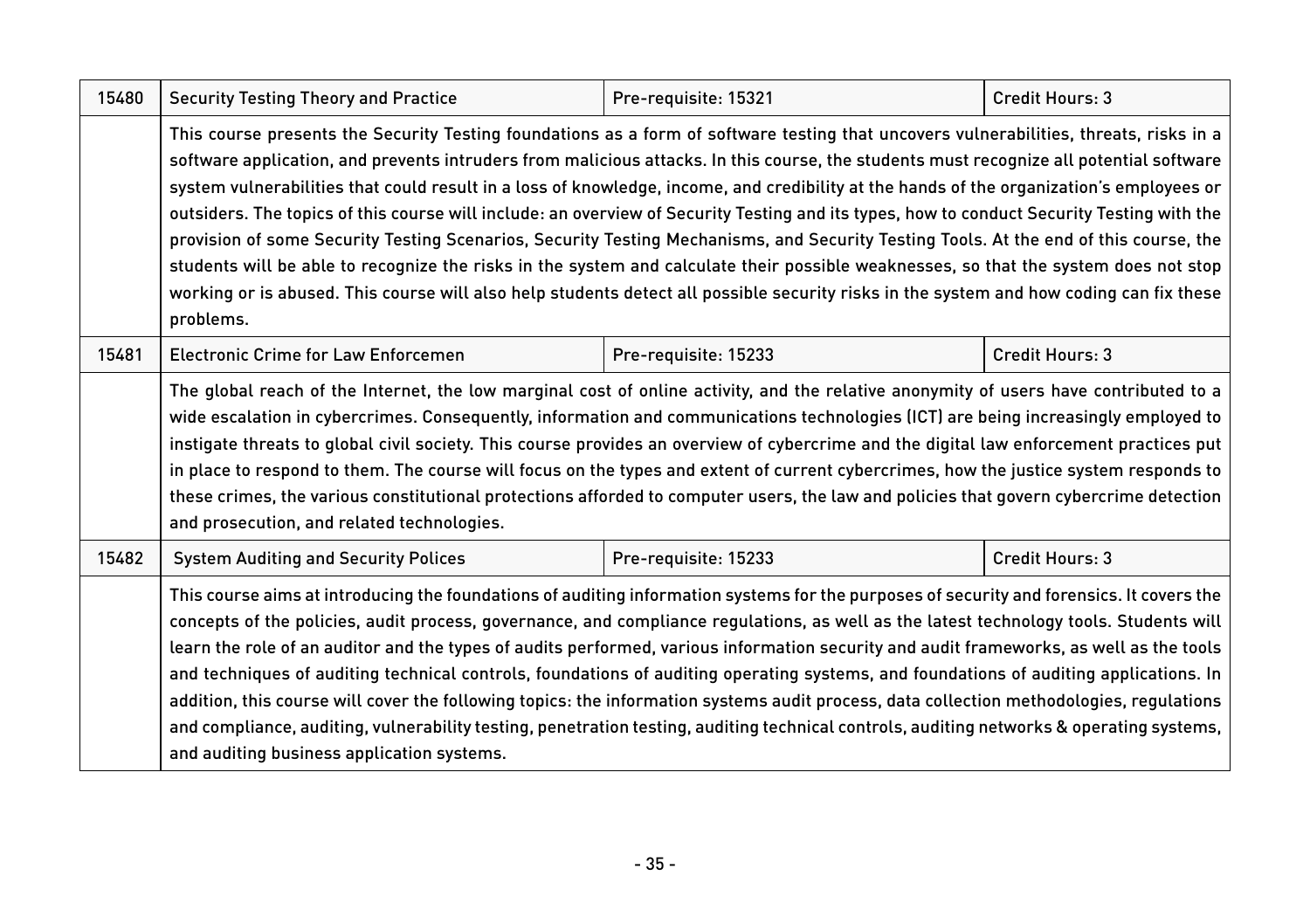| 15480 | <b>Security Testing Theory and Practice</b>                                                                                                                                                                                                                                                                                                                                                                                                                                                                                                                                                                                                                                                                                                                                                                                                                                                                                                                                                                          | Pre-requisite: 15321 | Credit Hours: 3 |  |
|-------|----------------------------------------------------------------------------------------------------------------------------------------------------------------------------------------------------------------------------------------------------------------------------------------------------------------------------------------------------------------------------------------------------------------------------------------------------------------------------------------------------------------------------------------------------------------------------------------------------------------------------------------------------------------------------------------------------------------------------------------------------------------------------------------------------------------------------------------------------------------------------------------------------------------------------------------------------------------------------------------------------------------------|----------------------|-----------------|--|
|       | This course presents the Security Testing foundations as a form of software testing that uncovers vulnerabilities, threats, risks in a<br>software application, and prevents intruders from malicious attacks. In this course, the students must recognize all potential software<br>system vulnerabilities that could result in a loss of knowledge, income, and credibility at the hands of the organization's employees or<br>outsiders. The topics of this course will include: an overview of Security Testing and its types, how to conduct Security Testing with the<br>provision of some Security Testing Scenarios, Security Testing Mechanisms, and Security Testing Tools. At the end of this course, the<br>students will be able to recognize the risks in the system and calculate their possible weaknesses, so that the system does not stop<br>working or is abused. This course will also help students detect all possible security risks in the system and how coding can fix these<br>problems. |                      |                 |  |
| 15481 | <b>Electronic Crime for Law Enforcemen</b>                                                                                                                                                                                                                                                                                                                                                                                                                                                                                                                                                                                                                                                                                                                                                                                                                                                                                                                                                                           | Pre-requisite: 15233 | Credit Hours: 3 |  |
|       | The global reach of the Internet, the low marginal cost of online activity, and the relative anonymity of users have contributed to a<br>wide escalation in cybercrimes. Consequently, information and communications technologies (ICT) are being increasingly employed to<br>instigate threats to global civil society. This course provides an overview of cybercrime and the digital law enforcement practices put<br>in place to respond to them. The course will focus on the types and extent of current cybercrimes, how the justice system responds to<br>these crimes, the various constitutional protections afforded to computer users, the law and policies that govern cybercrime detection<br>and prosecution, and related technologies.                                                                                                                                                                                                                                                              |                      |                 |  |
| 15482 | <b>System Auditing and Security Polices</b>                                                                                                                                                                                                                                                                                                                                                                                                                                                                                                                                                                                                                                                                                                                                                                                                                                                                                                                                                                          | Pre-requisite: 15233 | Credit Hours: 3 |  |
|       | This course aims at introducing the foundations of auditing information systems for the purposes of security and forensics. It covers the<br>concepts of the policies, audit process, governance, and compliance regulations, as well as the latest technology tools. Students will<br>learn the role of an auditor and the types of audits performed, various information security and audit frameworks, as well as the tools<br>and techniques of auditing technical controls, foundations of auditing operating systems, and foundations of auditing applications. In<br>addition, this course will cover the following topics: the information systems audit process, data collection methodologies, regulations<br>and compliance, auditing, vulnerability testing, penetration testing, auditing technical controls, auditing networks & operating systems,<br>and auditing business application systems.                                                                                                      |                      |                 |  |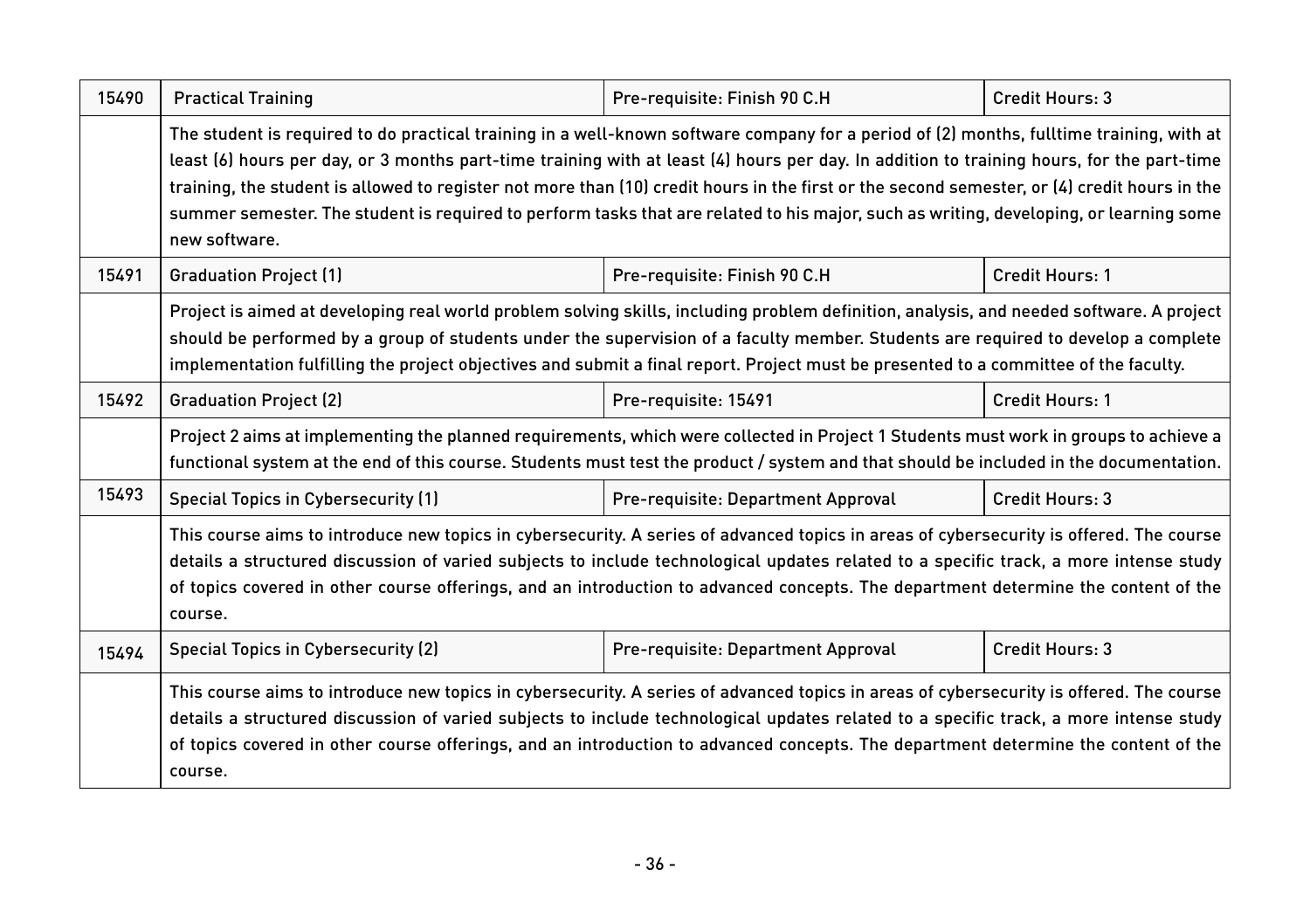| 15490 | <b>Practical Training</b>                                                                                                                                                                                                                                                                                                                                                                                                                                                                                                                                                                        | Pre-requisite: Finish 90 C.H       | Credit Hours: 3        |  |
|-------|--------------------------------------------------------------------------------------------------------------------------------------------------------------------------------------------------------------------------------------------------------------------------------------------------------------------------------------------------------------------------------------------------------------------------------------------------------------------------------------------------------------------------------------------------------------------------------------------------|------------------------------------|------------------------|--|
|       | The student is required to do practical training in a well-known software company for a period of (2) months, fulltime training, with at<br>least (6) hours per day, or 3 months part-time training with at least (4) hours per day. In addition to training hours, for the part-time<br>training, the student is allowed to register not more than (10) credit hours in the first or the second semester, or (4) credit hours in the<br>summer semester. The student is required to perform tasks that are related to his major, such as writing, developing, or learning some<br>new software. |                                    |                        |  |
| 15491 | <b>Graduation Project (1)</b>                                                                                                                                                                                                                                                                                                                                                                                                                                                                                                                                                                    | Pre-requisite: Finish 90 C.H       | <b>Credit Hours: 1</b> |  |
|       | Project is aimed at developing real world problem solving skills, including problem definition, analysis, and needed software. A project<br>should be performed by a group of students under the supervision of a faculty member. Students are required to develop a complete<br>implementation fulfilling the project objectives and submit a final report. Project must be presented to a committee of the faculty.                                                                                                                                                                            |                                    |                        |  |
| 15492 | <b>Graduation Project (2)</b>                                                                                                                                                                                                                                                                                                                                                                                                                                                                                                                                                                    | Pre-requisite: 15491               | Credit Hours: 1        |  |
|       | Project 2 aims at implementing the planned requirements, which were collected in Project 1 Students must work in groups to achieve a<br>functional system at the end of this course. Students must test the product / system and that should be included in the documentation.                                                                                                                                                                                                                                                                                                                   |                                    |                        |  |
| 15493 | <b>Special Topics in Cybersecurity (1)</b>                                                                                                                                                                                                                                                                                                                                                                                                                                                                                                                                                       | Pre-requisite: Department Approval | Credit Hours: 3        |  |
|       | This course aims to introduce new topics in cybersecurity. A series of advanced topics in areas of cybersecurity is offered. The course<br>details a structured discussion of varied subjects to include technological updates related to a specific track, a more intense study<br>of topics covered in other course offerings, and an introduction to advanced concepts. The department determine the content of the<br>course.                                                                                                                                                                |                                    |                        |  |
| 15494 | <b>Special Topics in Cybersecurity (2)</b>                                                                                                                                                                                                                                                                                                                                                                                                                                                                                                                                                       | Pre-requisite: Department Approval | Credit Hours: 3        |  |
|       | This course aims to introduce new topics in cybersecurity. A series of advanced topics in areas of cybersecurity is offered. The course<br>details a structured discussion of varied subjects to include technological updates related to a specific track, a more intense study<br>of topics covered in other course offerings, and an introduction to advanced concepts. The department determine the content of the<br>course.                                                                                                                                                                |                                    |                        |  |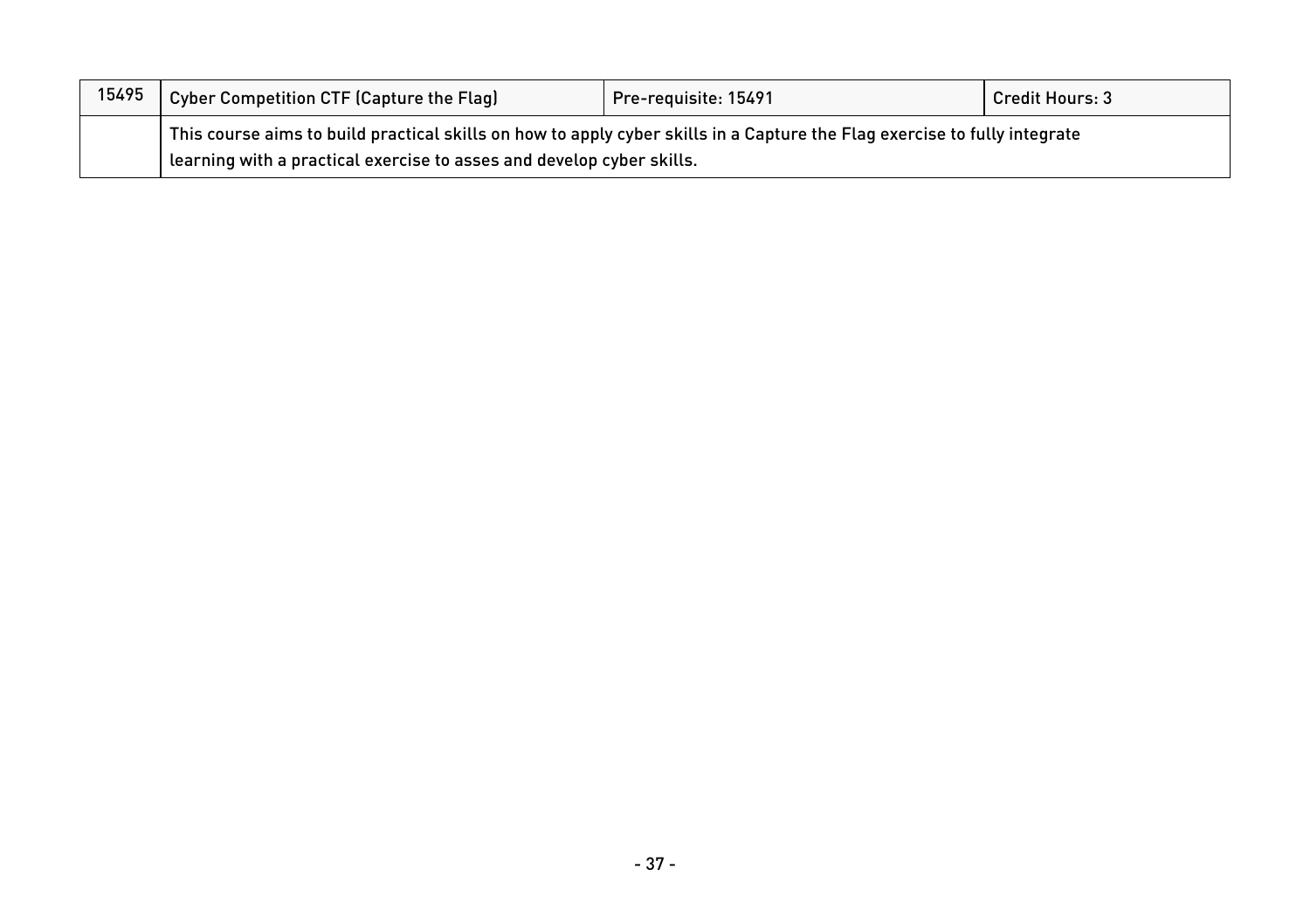| 15495 | Cyber Competition CTF (Capture the Flag)                                                                                    | Pre-requisite: 15491 | <b>Credit Hours: 3</b> |
|-------|-----------------------------------------------------------------------------------------------------------------------------|----------------------|------------------------|
|       | This course aims to build practical skills on how to apply cyber skills in a Capture the Flag exercise to fully integrate [ |                      |                        |
|       | learning with a practical exercise to asses and develop cyber skills.                                                       |                      |                        |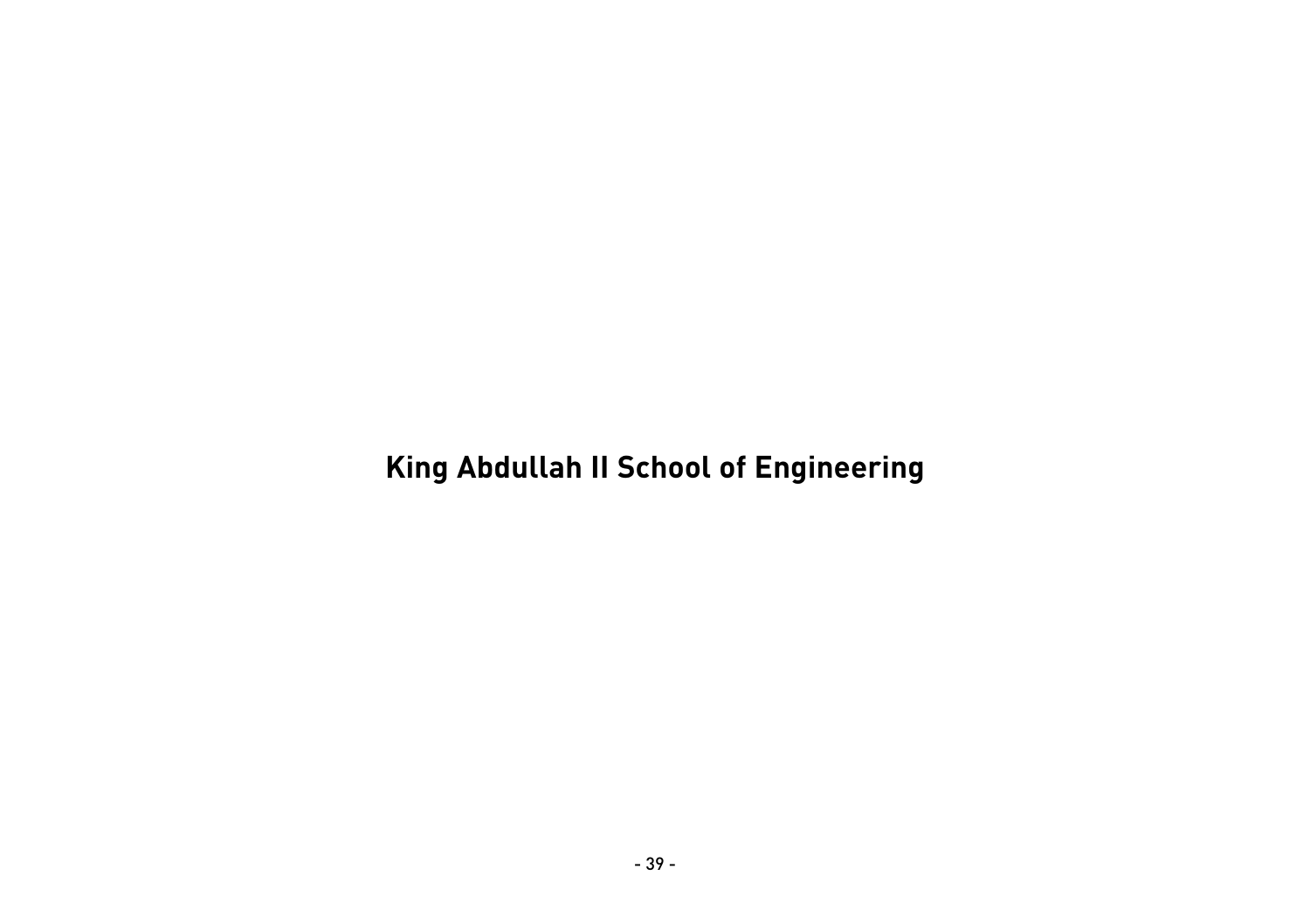**King Abdullah II School of Engineering**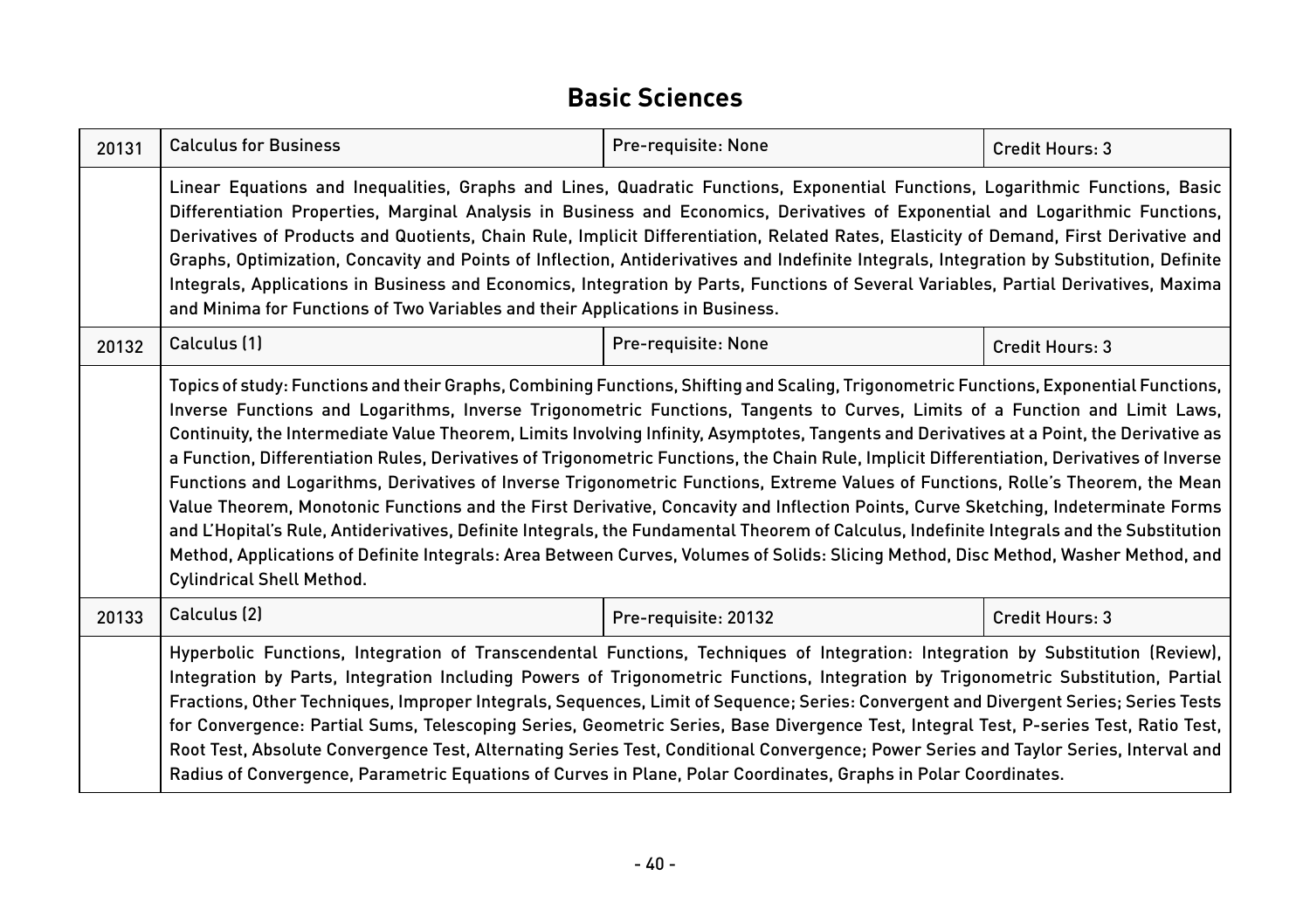#### **Basic Sciences**

| 20131 | <b>Calculus for Business</b>                                                                                                                                                                                                                                                                                                                                                                                                                                                                                                                                                                                                                                                                                                                                                                                                                                                                                                                                                                                                                                                                                                                                         | Pre-requisite: None | Credit Hours: 3 |  |
|-------|----------------------------------------------------------------------------------------------------------------------------------------------------------------------------------------------------------------------------------------------------------------------------------------------------------------------------------------------------------------------------------------------------------------------------------------------------------------------------------------------------------------------------------------------------------------------------------------------------------------------------------------------------------------------------------------------------------------------------------------------------------------------------------------------------------------------------------------------------------------------------------------------------------------------------------------------------------------------------------------------------------------------------------------------------------------------------------------------------------------------------------------------------------------------|---------------------|-----------------|--|
|       | Linear Equations and Inequalities, Graphs and Lines, Quadratic Functions, Exponential Functions, Logarithmic Functions, Basic<br>Differentiation Properties, Marginal Analysis in Business and Economics, Derivatives of Exponential and Logarithmic Functions,<br>Derivatives of Products and Quotients, Chain Rule, Implicit Differentiation, Related Rates, Elasticity of Demand, First Derivative and<br>Graphs, Optimization, Concavity and Points of Inflection, Antiderivatives and Indefinite Integrals, Integration by Substitution, Definite<br>Integrals, Applications in Business and Economics, Integration by Parts, Functions of Several Variables, Partial Derivatives, Maxima<br>and Minima for Functions of Two Variables and their Applications in Business.                                                                                                                                                                                                                                                                                                                                                                                      |                     |                 |  |
| 20132 | Calculus (1)                                                                                                                                                                                                                                                                                                                                                                                                                                                                                                                                                                                                                                                                                                                                                                                                                                                                                                                                                                                                                                                                                                                                                         | Pre-requisite: None | Credit Hours: 3 |  |
|       | Topics of study: Functions and their Graphs, Combining Functions, Shifting and Scaling, Trigonometric Functions, Exponential Functions,<br>Inverse Functions and Logarithms, Inverse Trigonometric Functions, Tangents to Curves, Limits of a Function and Limit Laws,<br>Continuity, the Intermediate Value Theorem, Limits Involving Infinity, Asymptotes, Tangents and Derivatives at a Point, the Derivative as<br>a Function, Differentiation Rules, Derivatives of Trigonometric Functions, the Chain Rule, Implicit Differentiation, Derivatives of Inverse<br>Functions and Logarithms, Derivatives of Inverse Trigonometric Functions, Extreme Values of Functions, Rolle's Theorem, the Mean<br>Value Theorem, Monotonic Functions and the First Derivative, Concavity and Inflection Points, Curve Sketching, Indeterminate Forms<br>and L'Hopital's Rule, Antiderivatives, Definite Integrals, the Fundamental Theorem of Calculus, Indefinite Integrals and the Substitution<br>Method, Applications of Definite Integrals: Area Between Curves, Volumes of Solids: Slicing Method, Disc Method, Washer Method, and<br><b>Cylindrical Shell Method.</b> |                     |                 |  |
| 20133 | Calculus (2)<br>Credit Hours: 3<br>Pre-requisite: 20132                                                                                                                                                                                                                                                                                                                                                                                                                                                                                                                                                                                                                                                                                                                                                                                                                                                                                                                                                                                                                                                                                                              |                     |                 |  |
|       | Hyperbolic Functions, Integration of Transcendental Functions, Techniques of Integration: Integration by Substitution (Review),<br>Integration by Parts, Integration Including Powers of Trigonometric Functions, Integration by Trigonometric Substitution, Partial<br>Fractions, Other Techniques, Improper Integrals, Sequences, Limit of Sequence; Series: Convergent and Divergent Series; Series Tests<br>for Convergence: Partial Sums, Telescoping Series, Geometric Series, Base Divergence Test, Integral Test, P-series Test, Ratio Test,<br>Root Test, Absolute Convergence Test, Alternating Series Test, Conditional Convergence; Power Series and Taylor Series, Interval and<br>Radius of Convergence, Parametric Equations of Curves in Plane, Polar Coordinates, Graphs in Polar Coordinates.                                                                                                                                                                                                                                                                                                                                                      |                     |                 |  |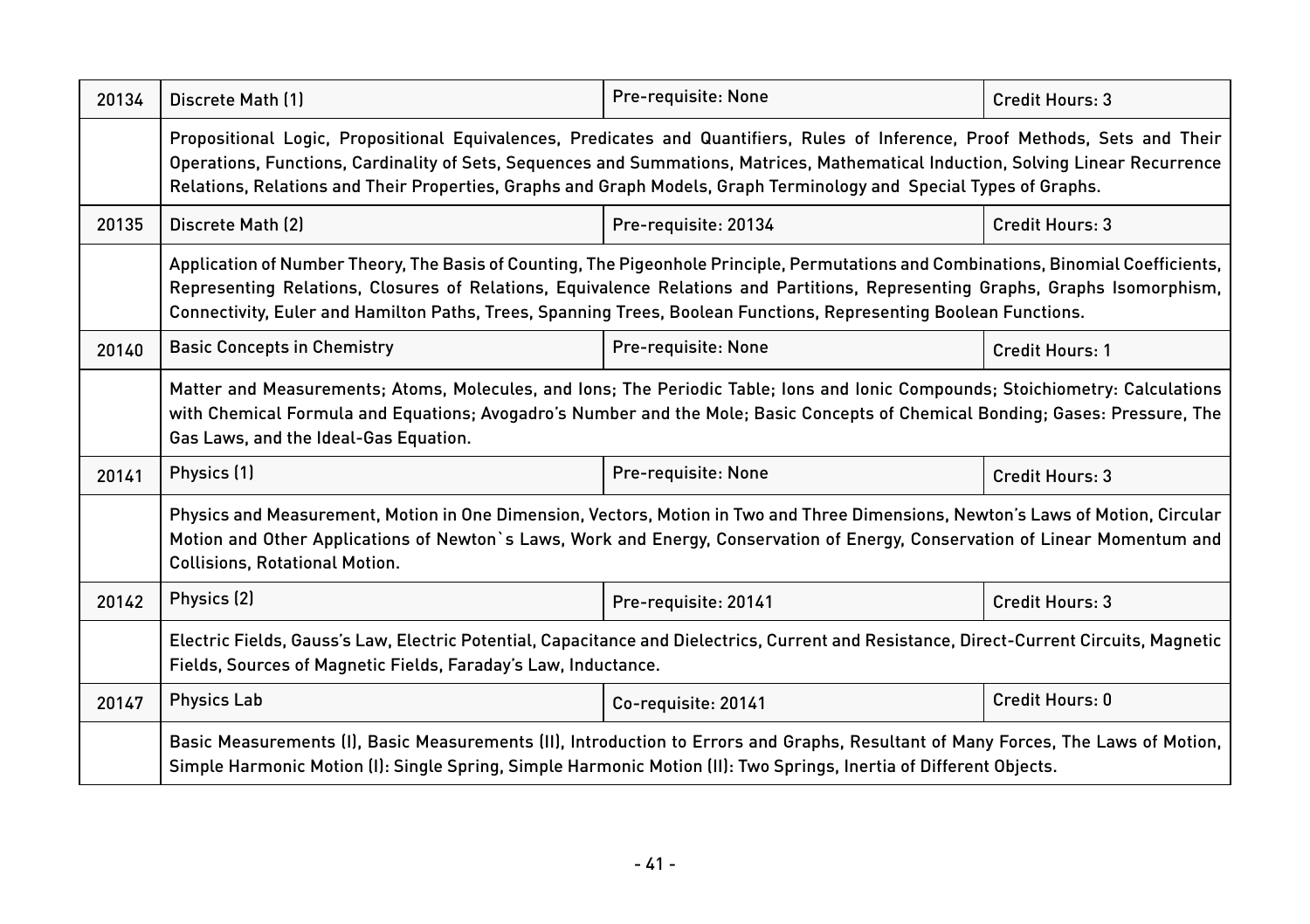| 20134 | Discrete Math [1]                                                                                                                                                                                                                                                                                                                                                                          | Pre-requisite: None  | Credit Hours: 3        |  |
|-------|--------------------------------------------------------------------------------------------------------------------------------------------------------------------------------------------------------------------------------------------------------------------------------------------------------------------------------------------------------------------------------------------|----------------------|------------------------|--|
|       | Propositional Logic, Propositional Equivalences, Predicates and Quantifiers, Rules of Inference, Proof Methods, Sets and Their<br>Operations, Functions, Cardinality of Sets, Sequences and Summations, Matrices, Mathematical Induction, Solving Linear Recurrence<br>Relations, Relations and Their Properties, Graphs and Graph Models, Graph Terminology and Special Types of Graphs.  |                      |                        |  |
| 20135 | Discrete Math (2)                                                                                                                                                                                                                                                                                                                                                                          | Pre-requisite: 20134 | Credit Hours: 3        |  |
|       | Application of Number Theory, The Basis of Counting, The Pigeonhole Principle, Permutations and Combinations, Binomial Coefficients,<br>Representing Relations, Closures of Relations, Equivalence Relations and Partitions, Representing Graphs, Graphs Isomorphism,<br>Connectivity, Euler and Hamilton Paths, Trees, Spanning Trees, Boolean Functions, Representing Boolean Functions. |                      |                        |  |
| 20140 | <b>Basic Concepts in Chemistry</b>                                                                                                                                                                                                                                                                                                                                                         | Pre-requisite: None  | <b>Credit Hours: 1</b> |  |
|       | Matter and Measurements; Atoms, Molecules, and Ions; The Periodic Table; Ions and Ionic Compounds; Stoichiometry: Calculations<br>with Chemical Formula and Equations; Avogadro's Number and the Mole; Basic Concepts of Chemical Bonding; Gases: Pressure, The<br>Gas Laws, and the Ideal-Gas Equation.                                                                                   |                      |                        |  |
| 20141 | Physics (1)                                                                                                                                                                                                                                                                                                                                                                                | Pre-requisite: None  | Credit Hours: 3        |  |
|       | Physics and Measurement, Motion in One Dimension, Vectors, Motion in Two and Three Dimensions, Newton's Laws of Motion, Circular<br>Motion and Other Applications of Newton's Laws, Work and Energy, Conservation of Energy, Conservation of Linear Momentum and<br><b>Collisions, Rotational Motion.</b>                                                                                  |                      |                        |  |
| 20142 | Physics (2)                                                                                                                                                                                                                                                                                                                                                                                | Pre-requisite: 20141 | Credit Hours: 3        |  |
|       | Electric Fields, Gauss's Law, Electric Potential, Capacitance and Dielectrics, Current and Resistance, Direct-Current Circuits, Magnetic<br>Fields, Sources of Magnetic Fields, Faraday's Law, Inductance.                                                                                                                                                                                 |                      |                        |  |
| 20147 | <b>Physics Lab</b>                                                                                                                                                                                                                                                                                                                                                                         | Co-requisite: 20141  | Credit Hours: 0        |  |
|       | Basic Measurements (I), Basic Measurements (II), Introduction to Errors and Graphs, Resultant of Many Forces, The Laws of Motion,<br>Simple Harmonic Motion (I): Single Spring, Simple Harmonic Motion (II): Two Springs, Inertia of Different Objects.                                                                                                                                    |                      |                        |  |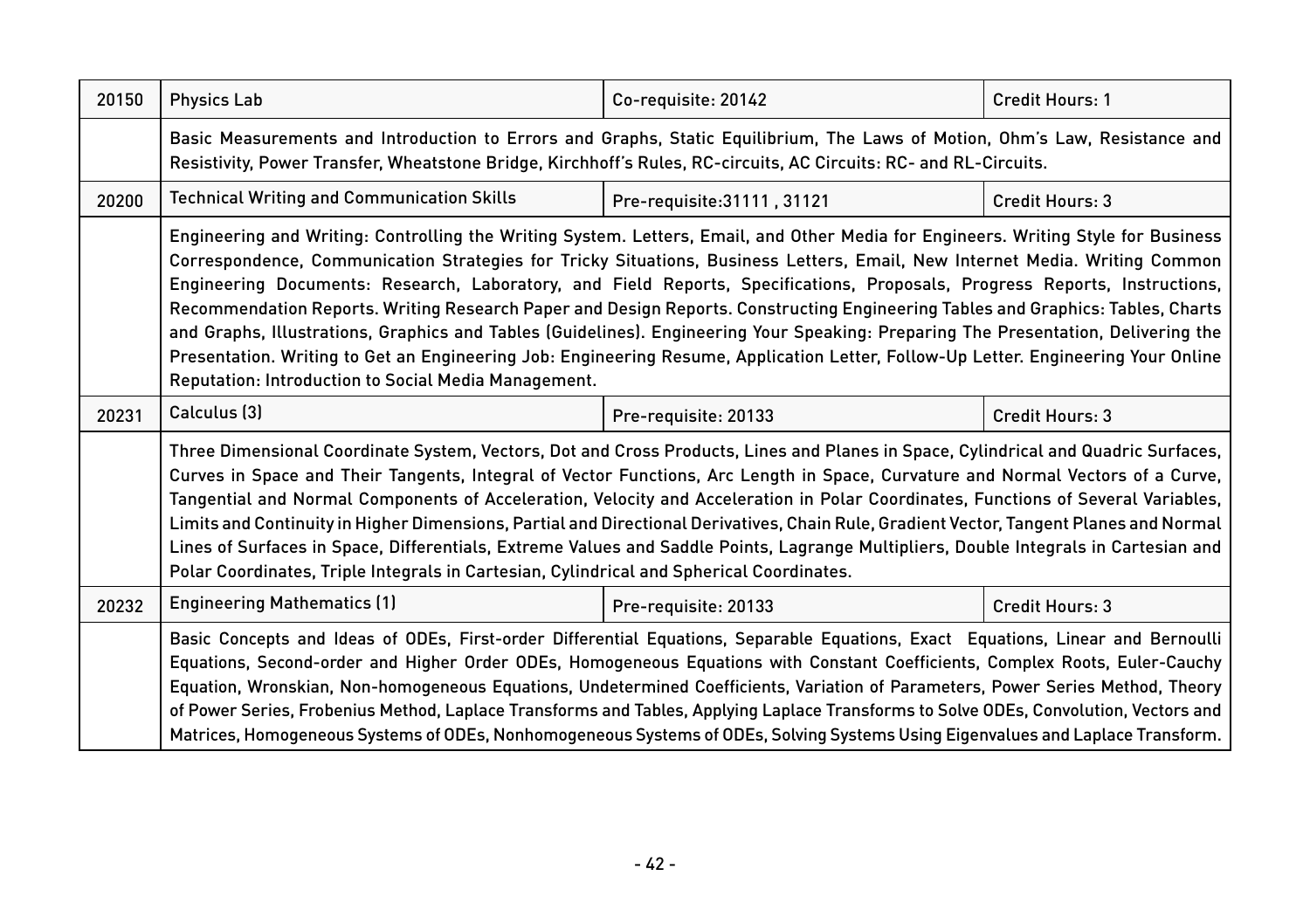| 20150 | <b>Physics Lab</b>                                                                                                                                                                                                                                                                                                                                                                                                                                                                                                                                                                                                                                                                                                                                                                                                                                                     | Co-requisite: 20142         | <b>Credit Hours: 1</b> |
|-------|------------------------------------------------------------------------------------------------------------------------------------------------------------------------------------------------------------------------------------------------------------------------------------------------------------------------------------------------------------------------------------------------------------------------------------------------------------------------------------------------------------------------------------------------------------------------------------------------------------------------------------------------------------------------------------------------------------------------------------------------------------------------------------------------------------------------------------------------------------------------|-----------------------------|------------------------|
|       | Basic Measurements and Introduction to Errors and Graphs, Static Equilibrium, The Laws of Motion, Ohm's Law, Resistance and<br>Resistivity, Power Transfer, Wheatstone Bridge, Kirchhoff's Rules, RC-circuits, AC Circuits: RC- and RL-Circuits.                                                                                                                                                                                                                                                                                                                                                                                                                                                                                                                                                                                                                       |                             |                        |
| 20200 | <b>Technical Writing and Communication Skills</b>                                                                                                                                                                                                                                                                                                                                                                                                                                                                                                                                                                                                                                                                                                                                                                                                                      | Pre-requisite: 31111, 31121 | <b>Credit Hours: 3</b> |
|       | Engineering and Writing: Controlling the Writing System. Letters, Email, and Other Media for Engineers. Writing Style for Business<br>Correspondence, Communication Strategies for Tricky Situations, Business Letters, Email, New Internet Media. Writing Common<br>Engineering Documents: Research, Laboratory, and Field Reports, Specifications, Proposals, Progress Reports, Instructions,<br>Recommendation Reports. Writing Research Paper and Design Reports. Constructing Engineering Tables and Graphics: Tables, Charts<br>and Graphs, Illustrations, Graphics and Tables (Guidelines). Engineering Your Speaking: Preparing The Presentation, Delivering the<br>Presentation. Writing to Get an Engineering Job: Engineering Resume, Application Letter, Follow-Up Letter. Engineering Your Online<br>Reputation: Introduction to Social Media Management. |                             |                        |
| 20231 | Calculus [3]                                                                                                                                                                                                                                                                                                                                                                                                                                                                                                                                                                                                                                                                                                                                                                                                                                                           | Pre-requisite: 20133        | Credit Hours: 3        |
|       | Three Dimensional Coordinate System, Vectors, Dot and Cross Products, Lines and Planes in Space, Cylindrical and Quadric Surfaces,<br>Curves in Space and Their Tangents, Integral of Vector Functions, Arc Length in Space, Curvature and Normal Vectors of a Curve,<br>Tangential and Normal Components of Acceleration, Velocity and Acceleration in Polar Coordinates, Functions of Several Variables,<br>Limits and Continuity in Higher Dimensions, Partial and Directional Derivatives, Chain Rule, Gradient Vector, Tangent Planes and Normal<br>Lines of Surfaces in Space, Differentials, Extreme Values and Saddle Points, Lagrange Multipliers, Double Integrals in Cartesian and<br>Polar Coordinates, Triple Integrals in Cartesian, Cylindrical and Spherical Coordinates.                                                                              |                             |                        |
| 20232 | <b>Engineering Mathematics (1)</b>                                                                                                                                                                                                                                                                                                                                                                                                                                                                                                                                                                                                                                                                                                                                                                                                                                     | Pre-requisite: 20133        | Credit Hours: 3        |
|       | Basic Concepts and Ideas of ODEs, First-order Differential Equations, Separable Equations, Exact Equations, Linear and Bernoulli<br>Equations, Second-order and Higher Order ODEs, Homogeneous Equations with Constant Coefficients, Complex Roots, Euler-Cauchy<br>Equation, Wronskian, Non-homogeneous Equations, Undetermined Coefficients, Variation of Parameters, Power Series Method, Theory<br>of Power Series, Frobenius Method, Laplace Transforms and Tables, Applying Laplace Transforms to Solve ODEs, Convolution, Vectors and<br>Matrices, Homogeneous Systems of ODEs, Nonhomogeneous Systems of ODEs, Solving Systems Using Eigenvalues and Laplace Transform.                                                                                                                                                                                        |                             |                        |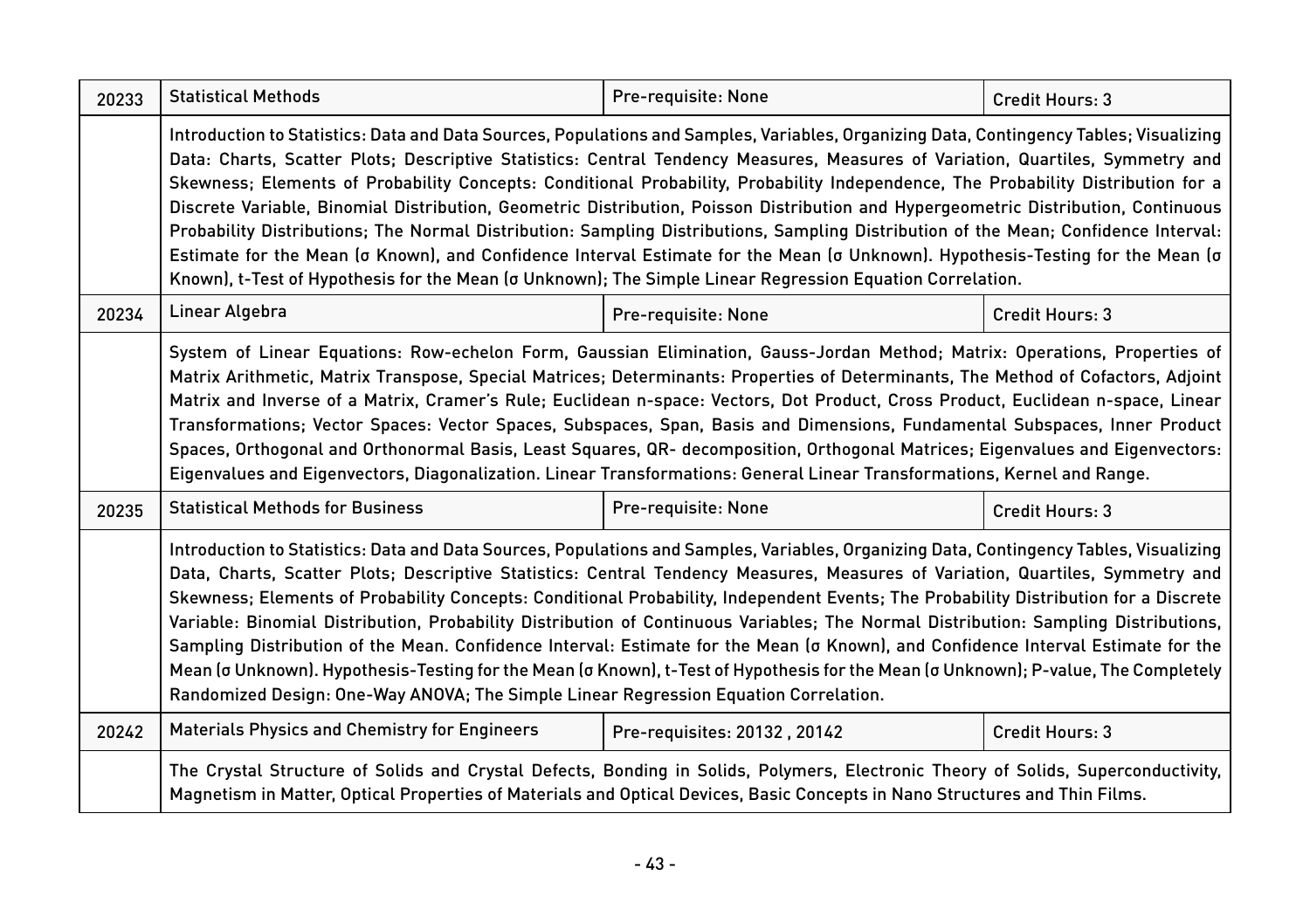| 20233 | <b>Statistical Methods</b>                                                                                                                                                                                                                                                                                                                                                                                                                                                                                                                                                                                                                                                                                                                                                                                                                                                                                                                 | Pre-requisite: None          | Credit Hours: 3 |  |
|-------|--------------------------------------------------------------------------------------------------------------------------------------------------------------------------------------------------------------------------------------------------------------------------------------------------------------------------------------------------------------------------------------------------------------------------------------------------------------------------------------------------------------------------------------------------------------------------------------------------------------------------------------------------------------------------------------------------------------------------------------------------------------------------------------------------------------------------------------------------------------------------------------------------------------------------------------------|------------------------------|-----------------|--|
|       | Introduction to Statistics: Data and Data Sources, Populations and Samples, Variables, Organizing Data, Contingency Tables; Visualizing<br>Data: Charts, Scatter Plots; Descriptive Statistics: Central Tendency Measures, Measures of Variation, Quartiles, Symmetry and<br>Skewness; Elements of Probability Concepts: Conditional Probability, Probability Independence, The Probability Distribution for a<br>Discrete Variable, Binomial Distribution, Geometric Distribution, Poisson Distribution and Hypergeometric Distribution, Continuous<br>Probability Distributions; The Normal Distribution: Sampling Distributions, Sampling Distribution of the Mean; Confidence Interval:<br>Estimate for the Mean (o Known), and Confidence Interval Estimate for the Mean (o Unknown). Hypothesis-Testing for the Mean (o<br>Known), t-Test of Hypothesis for the Mean (o Unknown); The Simple Linear Regression Equation Correlation. |                              |                 |  |
| 20234 | Linear Algebra                                                                                                                                                                                                                                                                                                                                                                                                                                                                                                                                                                                                                                                                                                                                                                                                                                                                                                                             | Pre-requisite: None          | Credit Hours: 3 |  |
|       | System of Linear Equations: Row-echelon Form, Gaussian Elimination, Gauss-Jordan Method; Matrix: Operations, Properties of<br>Matrix Arithmetic, Matrix Transpose, Special Matrices; Determinants: Properties of Determinants, The Method of Cofactors, Adjoint<br>Matrix and Inverse of a Matrix, Cramer's Rule; Euclidean n-space: Vectors, Dot Product, Cross Product, Euclidean n-space, Linear<br>Transformations; Vector Spaces: Vector Spaces, Subspaces, Span, Basis and Dimensions, Fundamental Subspaces, Inner Product<br>Spaces, Orthogonal and Orthonormal Basis, Least Squares, QR- decomposition, Orthogonal Matrices; Eigenvalues and Eigenvectors:<br>Eigenvalues and Eigenvectors, Diagonalization. Linear Transformations: General Linear Transformations, Kernel and Range.                                                                                                                                            |                              |                 |  |
| 20235 | <b>Statistical Methods for Business</b>                                                                                                                                                                                                                                                                                                                                                                                                                                                                                                                                                                                                                                                                                                                                                                                                                                                                                                    | Pre-requisite: None          | Credit Hours: 3 |  |
|       | Introduction to Statistics: Data and Data Sources, Populations and Samples, Variables, Organizing Data, Contingency Tables, Visualizing<br>Data, Charts, Scatter Plots; Descriptive Statistics: Central Tendency Measures, Measures of Variation, Quartiles, Symmetry and<br>Skewness; Elements of Probability Concepts: Conditional Probability, Independent Events; The Probability Distribution for a Discrete<br>Variable: Binomial Distribution, Probability Distribution of Continuous Variables; The Normal Distribution: Sampling Distributions,<br>Sampling Distribution of the Mean. Confidence Interval: Estimate for the Mean (o Known), and Confidence Interval Estimate for the<br>Mean (o Unknown). Hypothesis-Testing for the Mean (o Known), t-Test of Hypothesis for the Mean (o Unknown); P-value, The Completely<br>Randomized Design: One-Way ANOVA; The Simple Linear Regression Equation Correlation.               |                              |                 |  |
| 20242 | Materials Physics and Chemistry for Engineers                                                                                                                                                                                                                                                                                                                                                                                                                                                                                                                                                                                                                                                                                                                                                                                                                                                                                              | Pre-requisites: 20132, 20142 | Credit Hours: 3 |  |
|       | The Crystal Structure of Solids and Crystal Defects, Bonding in Solids, Polymers, Electronic Theory of Solids, Superconductivity,<br>Magnetism in Matter, Optical Properties of Materials and Optical Devices, Basic Concepts in Nano Structures and Thin Films.                                                                                                                                                                                                                                                                                                                                                                                                                                                                                                                                                                                                                                                                           |                              |                 |  |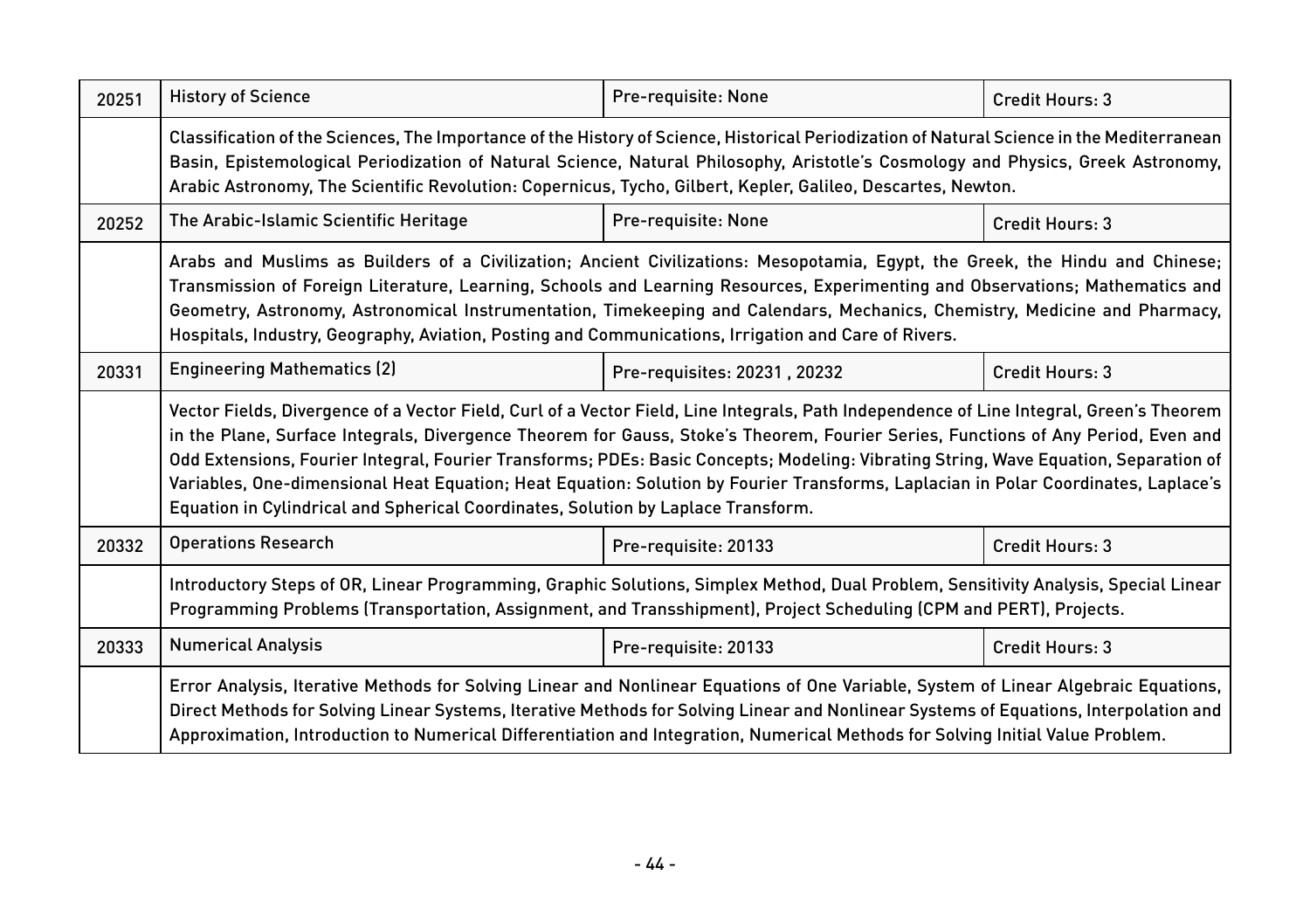| 20251 | <b>History of Science</b>                                                                                                                                                                                                                                                                                                                                                                                                                                                                                                                                                                                                                        | Pre-requisite: None          | Credit Hours: 3 |  |
|-------|--------------------------------------------------------------------------------------------------------------------------------------------------------------------------------------------------------------------------------------------------------------------------------------------------------------------------------------------------------------------------------------------------------------------------------------------------------------------------------------------------------------------------------------------------------------------------------------------------------------------------------------------------|------------------------------|-----------------|--|
|       | Classification of the Sciences, The Importance of the History of Science, Historical Periodization of Natural Science in the Mediterranean<br>Basin, Epistemological Periodization of Natural Science, Natural Philosophy, Aristotle's Cosmology and Physics, Greek Astronomy,<br>Arabic Astronomy, The Scientific Revolution: Copernicus, Tycho, Gilbert, Kepler, Galileo, Descartes, Newton.                                                                                                                                                                                                                                                   |                              |                 |  |
| 20252 | The Arabic-Islamic Scientific Heritage                                                                                                                                                                                                                                                                                                                                                                                                                                                                                                                                                                                                           | Pre-requisite: None          | Credit Hours: 3 |  |
|       | Arabs and Muslims as Builders of a Civilization; Ancient Civilizations: Mesopotamia, Egypt, the Greek, the Hindu and Chinese;<br>Transmission of Foreign Literature, Learning, Schools and Learning Resources, Experimenting and Observations; Mathematics and<br>Geometry, Astronomy, Astronomical Instrumentation, Timekeeping and Calendars, Mechanics, Chemistry, Medicine and Pharmacy,<br>Hospitals, Industry, Geography, Aviation, Posting and Communications, Irrigation and Care of Rivers.                                                                                                                                             |                              |                 |  |
| 20331 | <b>Engineering Mathematics (2)</b>                                                                                                                                                                                                                                                                                                                                                                                                                                                                                                                                                                                                               | Pre-requisites: 20231, 20232 | Credit Hours: 3 |  |
|       | Vector Fields, Divergence of a Vector Field, Curl of a Vector Field, Line Integrals, Path Independence of Line Integral, Green's Theorem<br>in the Plane, Surface Integrals, Divergence Theorem for Gauss, Stoke's Theorem, Fourier Series, Functions of Any Period, Even and<br>Odd Extensions, Fourier Integral, Fourier Transforms; PDEs: Basic Concepts; Modeling: Vibrating String, Wave Equation, Separation of<br>Variables, One-dimensional Heat Equation; Heat Equation: Solution by Fourier Transforms, Laplacian in Polar Coordinates, Laplace's<br>Equation in Cylindrical and Spherical Coordinates, Solution by Laplace Transform. |                              |                 |  |
| 20332 | <b>Operations Research</b>                                                                                                                                                                                                                                                                                                                                                                                                                                                                                                                                                                                                                       | Pre-requisite: 20133         | Credit Hours: 3 |  |
|       | Introductory Steps of OR, Linear Programming, Graphic Solutions, Simplex Method, Dual Problem, Sensitivity Analysis, Special Linear<br>Programming Problems (Transportation, Assignment, and Transshipment), Project Scheduling (CPM and PERT), Projects.                                                                                                                                                                                                                                                                                                                                                                                        |                              |                 |  |
| 20333 | <b>Numerical Analysis</b>                                                                                                                                                                                                                                                                                                                                                                                                                                                                                                                                                                                                                        | Pre-requisite: 20133         | Credit Hours: 3 |  |
|       | Error Analysis, Iterative Methods for Solving Linear and Nonlinear Equations of One Variable, System of Linear Algebraic Equations,<br>Direct Methods for Solving Linear Systems, Iterative Methods for Solving Linear and Nonlinear Systems of Equations, Interpolation and<br>Approximation, Introduction to Numerical Differentiation and Integration, Numerical Methods for Solving Initial Value Problem.                                                                                                                                                                                                                                   |                              |                 |  |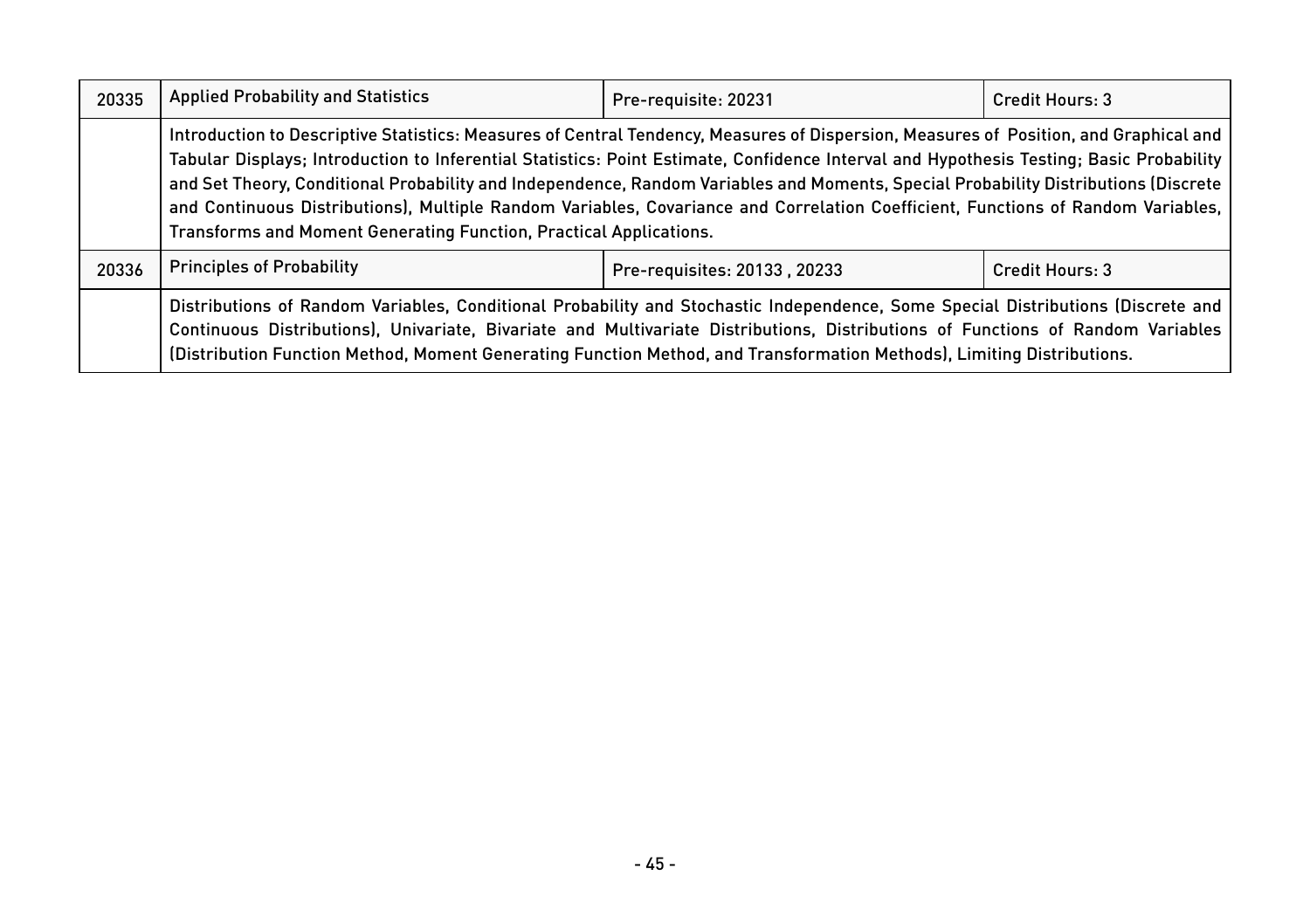| 20335 | <b>Applied Probability and Statistics</b>                                                                                                                                                                                                                                                                                                                                                                                                                                                                                                                                                                                         | Pre-requisite: 20231         | Credit Hours: 3 |
|-------|-----------------------------------------------------------------------------------------------------------------------------------------------------------------------------------------------------------------------------------------------------------------------------------------------------------------------------------------------------------------------------------------------------------------------------------------------------------------------------------------------------------------------------------------------------------------------------------------------------------------------------------|------------------------------|-----------------|
|       | Introduction to Descriptive Statistics: Measures of Central Tendency, Measures of Dispersion, Measures of Position, and Graphical and<br>Tabular Displays; Introduction to Inferential Statistics: Point Estimate, Confidence Interval and Hypothesis Testing; Basic Probability<br>and Set Theory, Conditional Probability and Independence, Random Variables and Moments, Special Probability Distributions (Discrete<br>and Continuous Distributions), Multiple Random Variables, Covariance and Correlation Coefficient, Functions of Random Variables,<br>Transforms and Moment Generating Function, Practical Applications. |                              |                 |
| 20336 | <b>Principles of Probability</b>                                                                                                                                                                                                                                                                                                                                                                                                                                                                                                                                                                                                  | Pre-requisites: 20133, 20233 | Credit Hours: 3 |
|       | Distributions of Random Variables, Conditional Probability and Stochastic Independence, Some Special Distributions (Discrete and<br>Continuous Distributions), Univariate, Bivariate and Multivariate Distributions, Distributions of Functions of Random Variables<br>(Distribution Function Method, Moment Generating Function Method, and Transformation Methods), Limiting Distributions.                                                                                                                                                                                                                                     |                              |                 |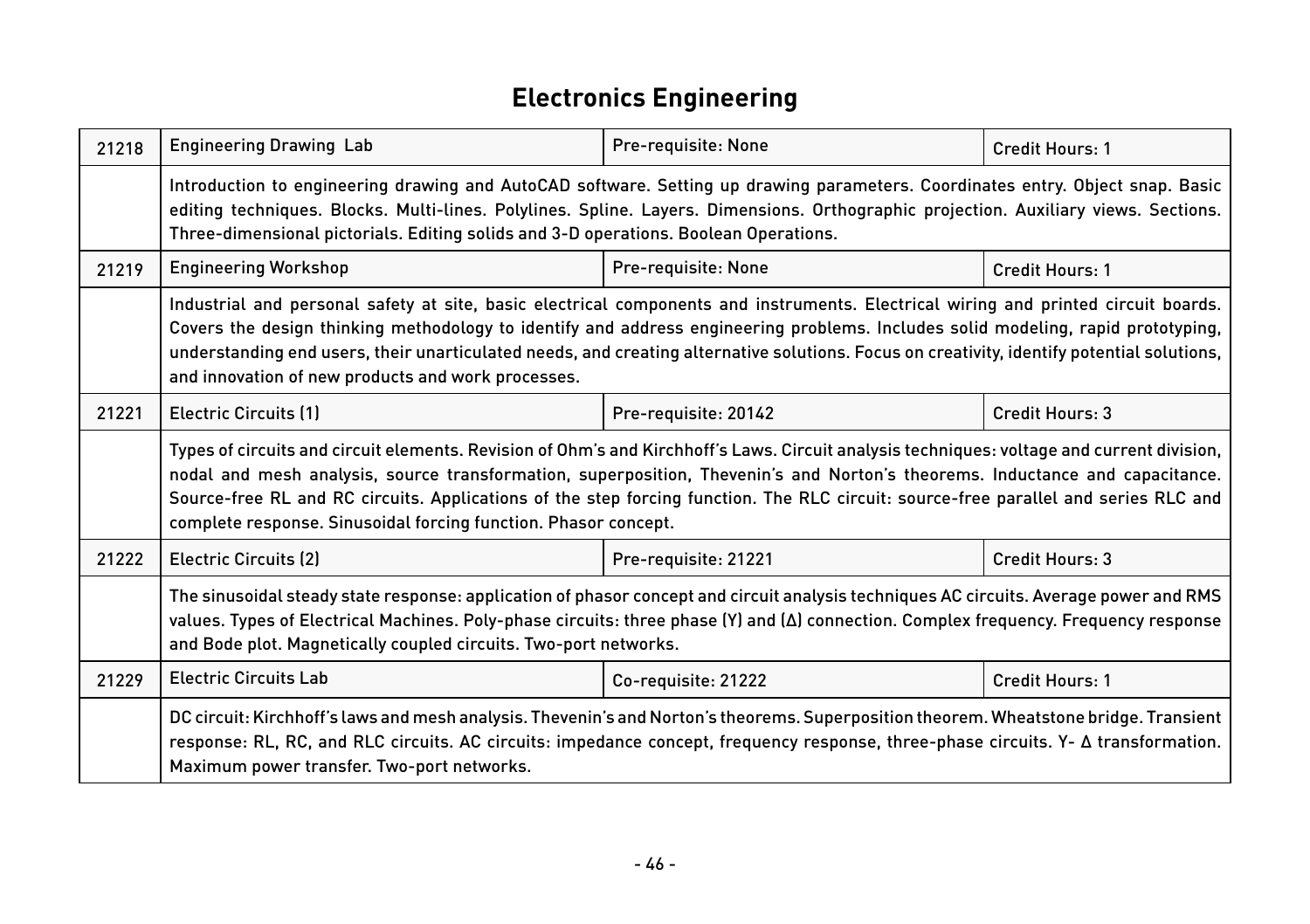# **Electronics Engineering**

| 21218 | <b>Engineering Drawing Lab</b>                                                                                                                                                                                                                                                                                                                                                                                                                                                       | Pre-requisite: None  | <b>Credit Hours: 1</b> |  |
|-------|--------------------------------------------------------------------------------------------------------------------------------------------------------------------------------------------------------------------------------------------------------------------------------------------------------------------------------------------------------------------------------------------------------------------------------------------------------------------------------------|----------------------|------------------------|--|
|       | Introduction to engineering drawing and AutoCAD software. Setting up drawing parameters. Coordinates entry. Object snap. Basic<br>editing techniques. Blocks. Multi-lines. Polylines. Spline. Layers. Dimensions. Orthographic projection. Auxiliary views. Sections.<br>Three-dimensional pictorials. Editing solids and 3-D operations. Boolean Operations.                                                                                                                        |                      |                        |  |
| 21219 | <b>Engineering Workshop</b>                                                                                                                                                                                                                                                                                                                                                                                                                                                          | Pre-requisite: None  | Credit Hours: 1        |  |
|       | Industrial and personal safety at site, basic electrical components and instruments. Electrical wiring and printed circuit boards.<br>Covers the design thinking methodology to identify and address engineering problems. Includes solid modeling, rapid prototyping,<br>understanding end users, their unarticulated needs, and creating alternative solutions. Focus on creativity, identify potential solutions,<br>and innovation of new products and work processes.           |                      |                        |  |
| 21221 | <b>Electric Circuits (1)</b>                                                                                                                                                                                                                                                                                                                                                                                                                                                         | Pre-requisite: 20142 | Credit Hours: 3        |  |
|       | Types of circuits and circuit elements. Revision of Ohm's and Kirchhoff's Laws. Circuit analysis techniques: voltage and current division,<br>nodal and mesh analysis, source transformation, superposition, Thevenin's and Norton's theorems. Inductance and capacitance.<br>Source-free RL and RC circuits. Applications of the step forcing function. The RLC circuit: source-free parallel and series RLC and<br>complete response. Sinusoidal forcing function. Phasor concept. |                      |                        |  |
| 21222 | <b>Electric Circuits (2)</b>                                                                                                                                                                                                                                                                                                                                                                                                                                                         | Pre-requisite: 21221 | Credit Hours: 3        |  |
|       | The sinusoidal steady state response: application of phasor concept and circuit analysis techniques AC circuits. Average power and RMS<br>values. Types of Electrical Machines. Poly-phase circuits: three phase (Y) and (Δ) connection. Complex frequency. Frequency response<br>and Bode plot. Magnetically coupled circuits. Two-port networks.                                                                                                                                   |                      |                        |  |
| 21229 | <b>Electric Circuits Lab</b>                                                                                                                                                                                                                                                                                                                                                                                                                                                         | Co-requisite: 21222  | Credit Hours: 1        |  |
|       | DC circuit: Kirchhoff's laws and mesh analysis. Thevenin's and Norton's theorems. Superposition theorem. Wheatstone bridge. Transient<br>response: RL, RC, and RLC circuits. AC circuits: impedance concept, frequency response, three-phase circuits. Y- A transformation.<br>Maximum power transfer. Two-port networks.                                                                                                                                                            |                      |                        |  |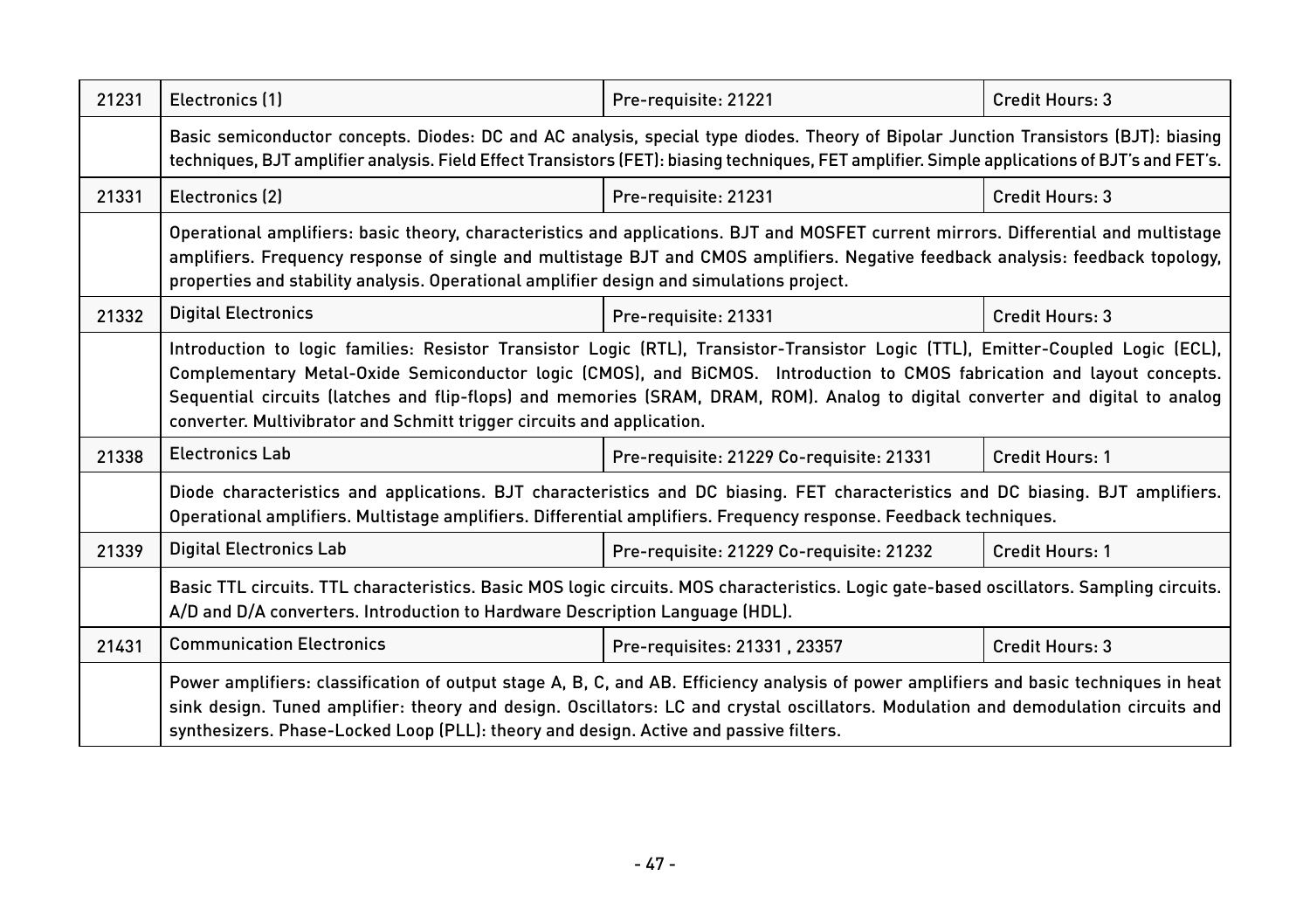| 21231 | Electronics (1)                                                                                                                                                                                                                                                                                                                                                                                                                                                         | Pre-requisite: 21221                     | Credit Hours: 3 |  |
|-------|-------------------------------------------------------------------------------------------------------------------------------------------------------------------------------------------------------------------------------------------------------------------------------------------------------------------------------------------------------------------------------------------------------------------------------------------------------------------------|------------------------------------------|-----------------|--|
|       | Basic semiconductor concepts. Diodes: DC and AC analysis, special type diodes. Theory of Bipolar Junction Transistors (BJT): biasing<br>techniques, BJT amplifier analysis. Field Effect Transistors (FET): biasing techniques, FET amplifier. Simple applications of BJT's and FET's.                                                                                                                                                                                  |                                          |                 |  |
| 21331 | Electronics (2)                                                                                                                                                                                                                                                                                                                                                                                                                                                         | Pre-requisite: 21231                     | Credit Hours: 3 |  |
|       | Operational amplifiers: basic theory, characteristics and applications. BJT and MOSFET current mirrors. Differential and multistage<br>amplifiers. Frequency response of single and multistage BJT and CMOS amplifiers. Negative feedback analysis: feedback topology,<br>properties and stability analysis. Operational amplifier design and simulations project.                                                                                                      |                                          |                 |  |
| 21332 | <b>Digital Electronics</b>                                                                                                                                                                                                                                                                                                                                                                                                                                              | Pre-requisite: 21331                     | Credit Hours: 3 |  |
|       | Introduction to logic families: Resistor Transistor Logic (RTL), Transistor-Transistor Logic (TTL), Emitter-Coupled Logic (ECL),<br>Complementary Metal-Oxide Semiconductor logic (CMOS), and BiCMOS. Introduction to CMOS fabrication and layout concepts.<br>Sequential circuits (latches and flip-flops) and memories (SRAM, DRAM, ROM). Analog to digital converter and digital to analog<br>converter. Multivibrator and Schmitt trigger circuits and application. |                                          |                 |  |
| 21338 | <b>Electronics Lab</b>                                                                                                                                                                                                                                                                                                                                                                                                                                                  | Pre-requisite: 21229 Co-requisite: 21331 | Credit Hours: 1 |  |
|       | Diode characteristics and applications. BJT characteristics and DC biasing. FET characteristics and DC biasing. BJT amplifiers.<br>Operational amplifiers. Multistage amplifiers. Differential amplifiers. Frequency response. Feedback techniques.                                                                                                                                                                                                                     |                                          |                 |  |
| 21339 | <b>Digital Electronics Lab</b>                                                                                                                                                                                                                                                                                                                                                                                                                                          | Pre-requisite: 21229 Co-requisite: 21232 | Credit Hours: 1 |  |
|       | Basic TTL circuits. TTL characteristics. Basic MOS logic circuits. MOS characteristics. Logic gate-based oscillators. Sampling circuits.<br>A/D and D/A converters. Introduction to Hardware Description Language (HDL).                                                                                                                                                                                                                                                |                                          |                 |  |
| 21431 | <b>Communication Electronics</b>                                                                                                                                                                                                                                                                                                                                                                                                                                        | Pre-requisites: 21331, 23357             | Credit Hours: 3 |  |
|       | Power amplifiers: classification of output stage A, B, C, and AB. Efficiency analysis of power amplifiers and basic techniques in heat<br>sink design. Tuned amplifier: theory and design. Oscillators: LC and crystal oscillators. Modulation and demodulation circuits and<br>synthesizers. Phase-Locked Loop (PLL): theory and design. Active and passive filters.                                                                                                   |                                          |                 |  |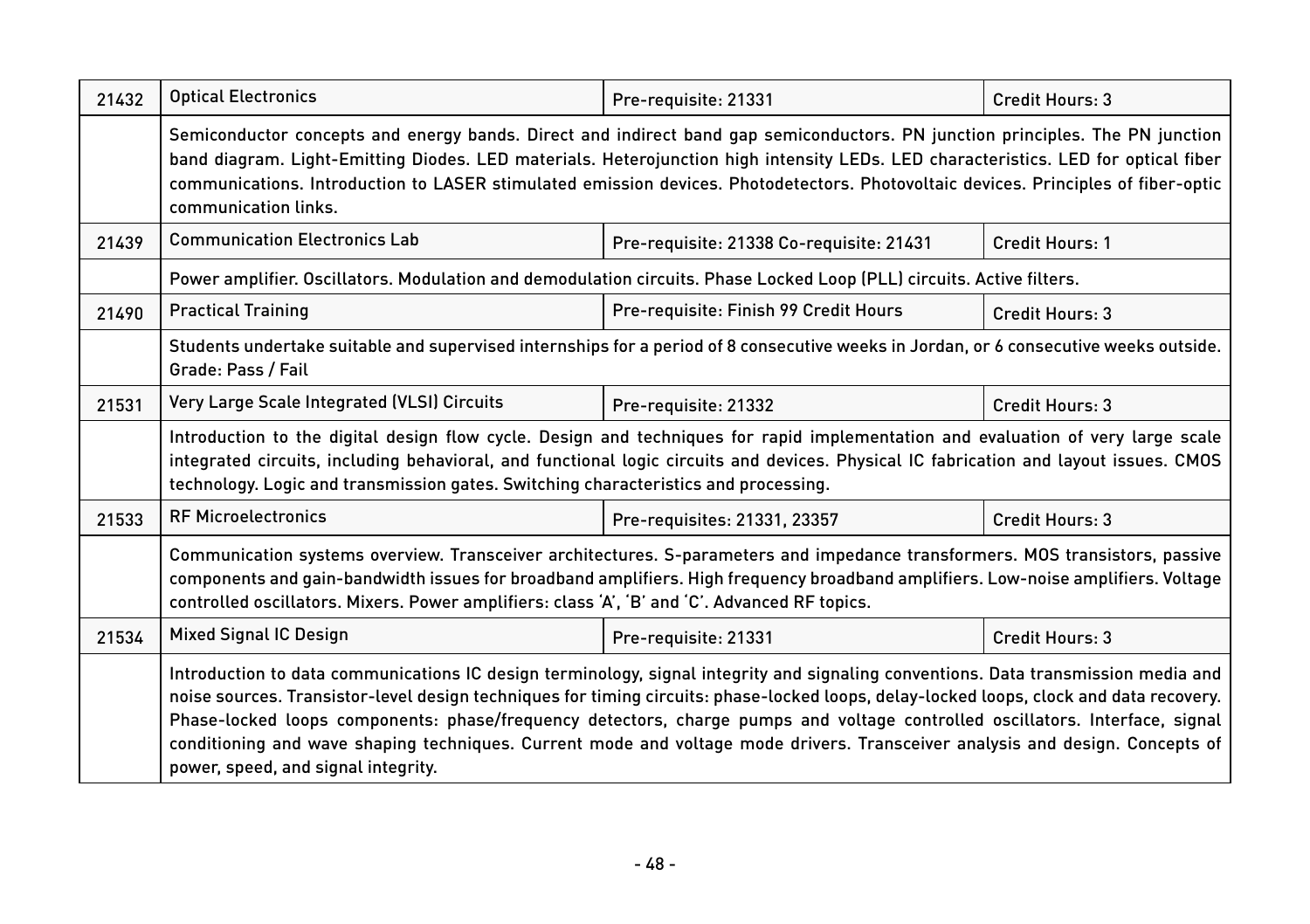| 21432 | <b>Optical Electronics</b>                                                                                                                                                                                                                                                                                                                                                                                                                                                                                                                                                            | Pre-requisite: 21331                     | Credit Hours: 3 |  |
|-------|---------------------------------------------------------------------------------------------------------------------------------------------------------------------------------------------------------------------------------------------------------------------------------------------------------------------------------------------------------------------------------------------------------------------------------------------------------------------------------------------------------------------------------------------------------------------------------------|------------------------------------------|-----------------|--|
|       | Semiconductor concepts and energy bands. Direct and indirect band gap semiconductors. PN junction principles. The PN junction<br>band diagram. Light-Emitting Diodes. LED materials. Heterojunction high intensity LEDs. LED characteristics. LED for optical fiber<br>communications. Introduction to LASER stimulated emission devices. Photodetectors. Photovoltaic devices. Principles of fiber-optic<br>communication links.                                                                                                                                                     |                                          |                 |  |
| 21439 | <b>Communication Electronics Lab</b>                                                                                                                                                                                                                                                                                                                                                                                                                                                                                                                                                  | Pre-requisite: 21338 Co-requisite: 21431 | Credit Hours: 1 |  |
|       | Power amplifier. Oscillators. Modulation and demodulation circuits. Phase Locked Loop (PLL) circuits. Active filters.                                                                                                                                                                                                                                                                                                                                                                                                                                                                 |                                          |                 |  |
| 21490 | <b>Practical Training</b>                                                                                                                                                                                                                                                                                                                                                                                                                                                                                                                                                             | Pre-requisite: Finish 99 Credit Hours    | Credit Hours: 3 |  |
|       | Students undertake suitable and supervised internships for a period of 8 consecutive weeks in Jordan, or 6 consecutive weeks outside.<br>Grade: Pass / Fail                                                                                                                                                                                                                                                                                                                                                                                                                           |                                          |                 |  |
| 21531 | Very Large Scale Integrated (VLSI) Circuits                                                                                                                                                                                                                                                                                                                                                                                                                                                                                                                                           | Pre-requisite: 21332                     | Credit Hours: 3 |  |
|       | Introduction to the digital design flow cycle. Design and techniques for rapid implementation and evaluation of very large scale<br>integrated circuits, including behavioral, and functional logic circuits and devices. Physical IC fabrication and layout issues. CMOS<br>technology. Logic and transmission gates. Switching characteristics and processing.                                                                                                                                                                                                                      |                                          |                 |  |
| 21533 | <b>RF Microelectronics</b>                                                                                                                                                                                                                                                                                                                                                                                                                                                                                                                                                            | Pre-requisites: 21331, 23357             | Credit Hours: 3 |  |
|       | Communication systems overview. Transceiver architectures. S-parameters and impedance transformers. MOS transistors, passive<br>components and gain-bandwidth issues for broadband amplifiers. High frequency broadband amplifiers. Low-noise amplifiers. Voltage<br>controlled oscillators. Mixers. Power amplifiers: class 'A', 'B' and 'C'. Advanced RF topics.                                                                                                                                                                                                                    |                                          |                 |  |
| 21534 | <b>Mixed Signal IC Design</b>                                                                                                                                                                                                                                                                                                                                                                                                                                                                                                                                                         | Pre-requisite: 21331                     | Credit Hours: 3 |  |
|       | Introduction to data communications IC design terminology, signal integrity and signaling conventions. Data transmission media and<br>noise sources. Transistor-level design techniques for timing circuits: phase-locked loops, delay-locked loops, clock and data recovery.<br>Phase-locked loops components: phase/frequency detectors, charge pumps and voltage controlled oscillators. Interface, signal<br>conditioning and wave shaping techniques. Current mode and voltage mode drivers. Transceiver analysis and design. Concepts of<br>power, speed, and signal integrity. |                                          |                 |  |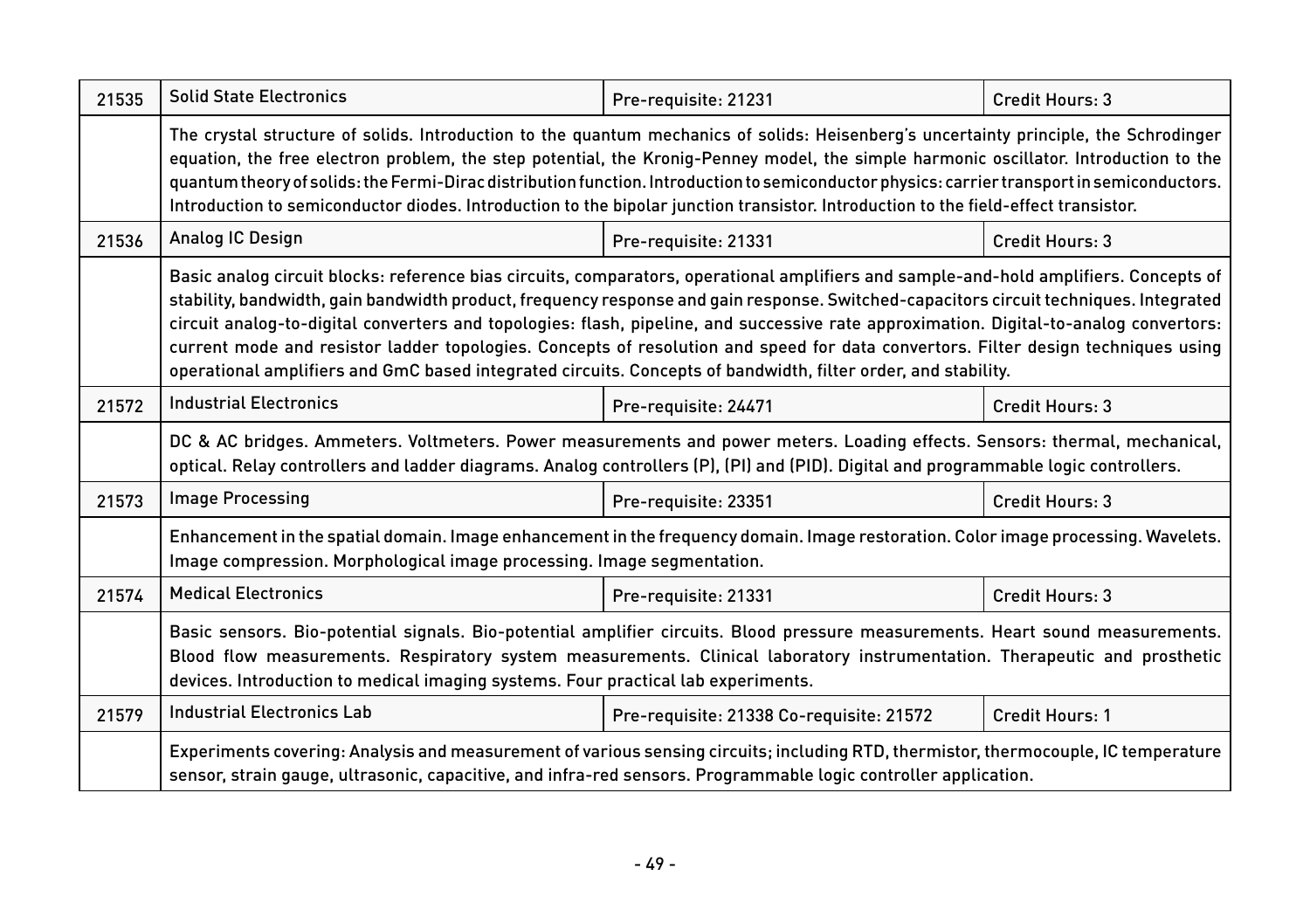| 21535 | <b>Solid State Electronics</b>                                                                                                                                                                                                                                                                                                                                                                                                                                                                                                                                                                                                                                                  | Pre-requisite: 21231                     | Credit Hours: 3        |  |
|-------|---------------------------------------------------------------------------------------------------------------------------------------------------------------------------------------------------------------------------------------------------------------------------------------------------------------------------------------------------------------------------------------------------------------------------------------------------------------------------------------------------------------------------------------------------------------------------------------------------------------------------------------------------------------------------------|------------------------------------------|------------------------|--|
|       | The crystal structure of solids. Introduction to the quantum mechanics of solids: Heisenberg's uncertainty principle, the Schrodinger<br>equation, the free electron problem, the step potential, the Kronig-Penney model, the simple harmonic oscillator. Introduction to the<br>quantum theory of solids: the Fermi-Dirac distribution function. Introduction to semiconductor physics: carrier transport in semiconductors.<br>Introduction to semiconductor diodes. Introduction to the bipolar junction transistor. Introduction to the field-effect transistor.                                                                                                           |                                          |                        |  |
| 21536 | Analog IC Design                                                                                                                                                                                                                                                                                                                                                                                                                                                                                                                                                                                                                                                                | Pre-requisite: 21331                     | Credit Hours: 3        |  |
|       | Basic analog circuit blocks: reference bias circuits, comparators, operational amplifiers and sample-and-hold amplifiers. Concepts of<br>stability, bandwidth, gain bandwidth product, frequency response and gain response. Switched-capacitors circuit techniques. Integrated<br>circuit analog-to-digital converters and topologies: flash, pipeline, and successive rate approximation. Digital-to-analog convertors:<br>current mode and resistor ladder topologies. Concepts of resolution and speed for data convertors. Filter design techniques using<br>operational amplifiers and GmC based integrated circuits. Concepts of bandwidth, filter order, and stability. |                                          |                        |  |
| 21572 | <b>Industrial Electronics</b>                                                                                                                                                                                                                                                                                                                                                                                                                                                                                                                                                                                                                                                   | Pre-requisite: 24471                     | Credit Hours: 3        |  |
|       | DC & AC bridges. Ammeters. Voltmeters. Power measurements and power meters. Loading effects. Sensors: thermal, mechanical,<br>optical. Relay controllers and ladder diagrams. Analog controllers (P), (PI) and (PID). Digital and programmable logic controllers.                                                                                                                                                                                                                                                                                                                                                                                                               |                                          |                        |  |
| 21573 | <b>Image Processing</b>                                                                                                                                                                                                                                                                                                                                                                                                                                                                                                                                                                                                                                                         | Pre-requisite: 23351                     | Credit Hours: 3        |  |
|       | Enhancement in the spatial domain. Image enhancement in the frequency domain. Image restoration. Color image processing. Wavelets.<br>Image compression. Morphological image processing. Image segmentation.                                                                                                                                                                                                                                                                                                                                                                                                                                                                    |                                          |                        |  |
| 21574 | <b>Medical Electronics</b>                                                                                                                                                                                                                                                                                                                                                                                                                                                                                                                                                                                                                                                      | Pre-requisite: 21331                     | Credit Hours: 3        |  |
|       | Basic sensors. Bio-potential signals. Bio-potential amplifier circuits. Blood pressure measurements. Heart sound measurements.<br>Blood flow measurements. Respiratory system measurements. Clinical laboratory instrumentation. Therapeutic and prosthetic<br>devices. Introduction to medical imaging systems. Four practical lab experiments.                                                                                                                                                                                                                                                                                                                                |                                          |                        |  |
| 21579 | <b>Industrial Electronics Lab</b>                                                                                                                                                                                                                                                                                                                                                                                                                                                                                                                                                                                                                                               | Pre-requisite: 21338 Co-requisite: 21572 | <b>Credit Hours: 1</b> |  |
|       | Experiments covering: Analysis and measurement of various sensing circuits; including RTD, thermistor, thermocouple, IC temperature<br>sensor, strain gauge, ultrasonic, capacitive, and infra-red sensors. Programmable logic controller application.                                                                                                                                                                                                                                                                                                                                                                                                                          |                                          |                        |  |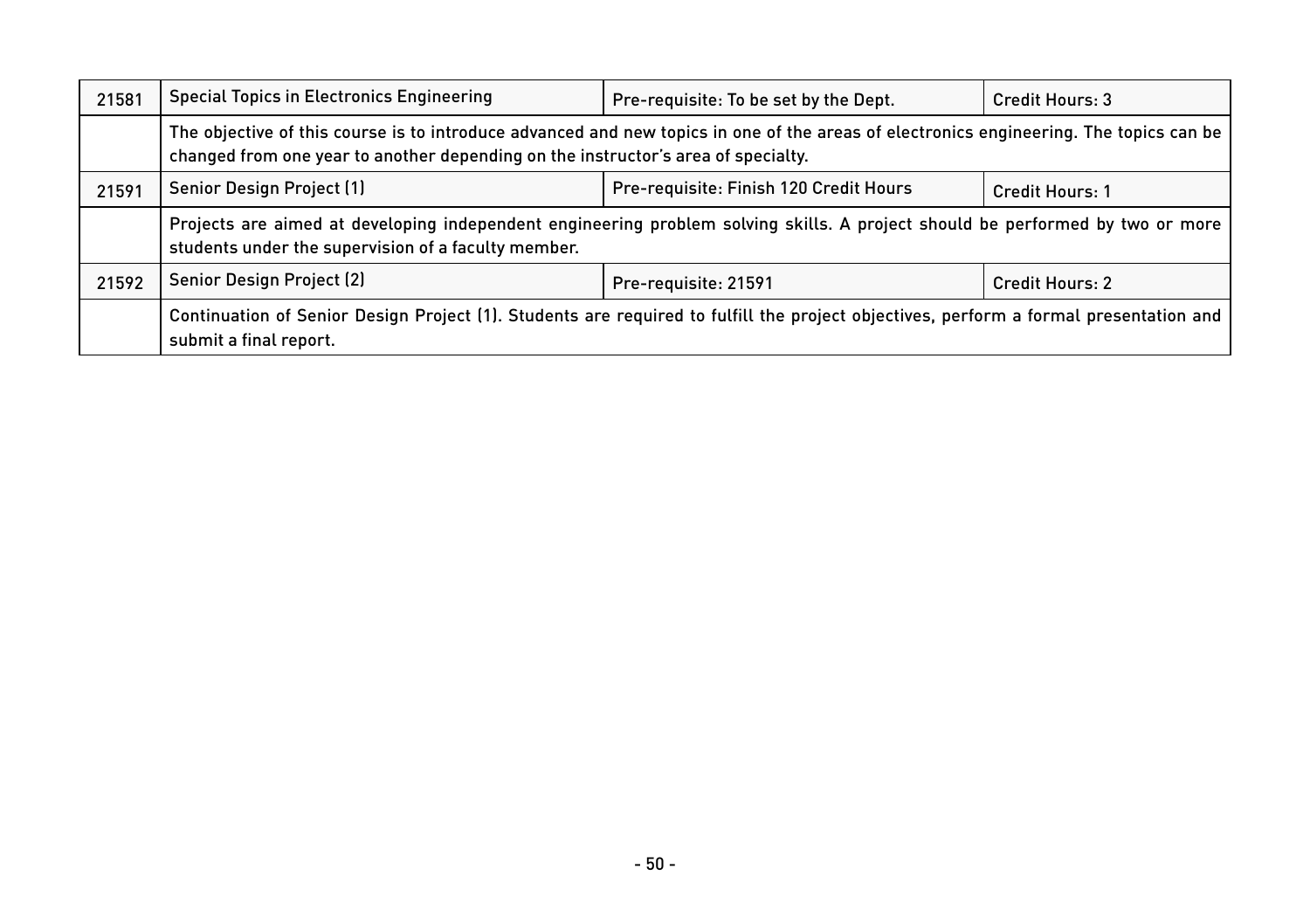| 21581 | <b>Special Topics in Electronics Engineering</b>                                                                                                                                                                            | Pre-requisite: To be set by the Dept.  | Credit Hours: 3        |  |
|-------|-----------------------------------------------------------------------------------------------------------------------------------------------------------------------------------------------------------------------------|----------------------------------------|------------------------|--|
|       | The objective of this course is to introduce advanced and new topics in one of the areas of electronics engineering. The topics can be<br>changed from one year to another depending on the instructor's area of specialty. |                                        |                        |  |
| 21591 | Senior Design Project (1)                                                                                                                                                                                                   | Pre-requisite: Finish 120 Credit Hours | Credit Hours: 1        |  |
|       | Projects are aimed at developing independent engineering problem solving skills. A project should be performed by two or more<br>students under the supervision of a faculty member.                                        |                                        |                        |  |
| 21592 | Senior Design Project (2)                                                                                                                                                                                                   | Pre-requisite: 21591                   | <b>Credit Hours: 2</b> |  |
|       | Continuation of Senior Design Project (1). Students are required to fulfill the project objectives, perform a formal presentation and<br>submit a final report.                                                             |                                        |                        |  |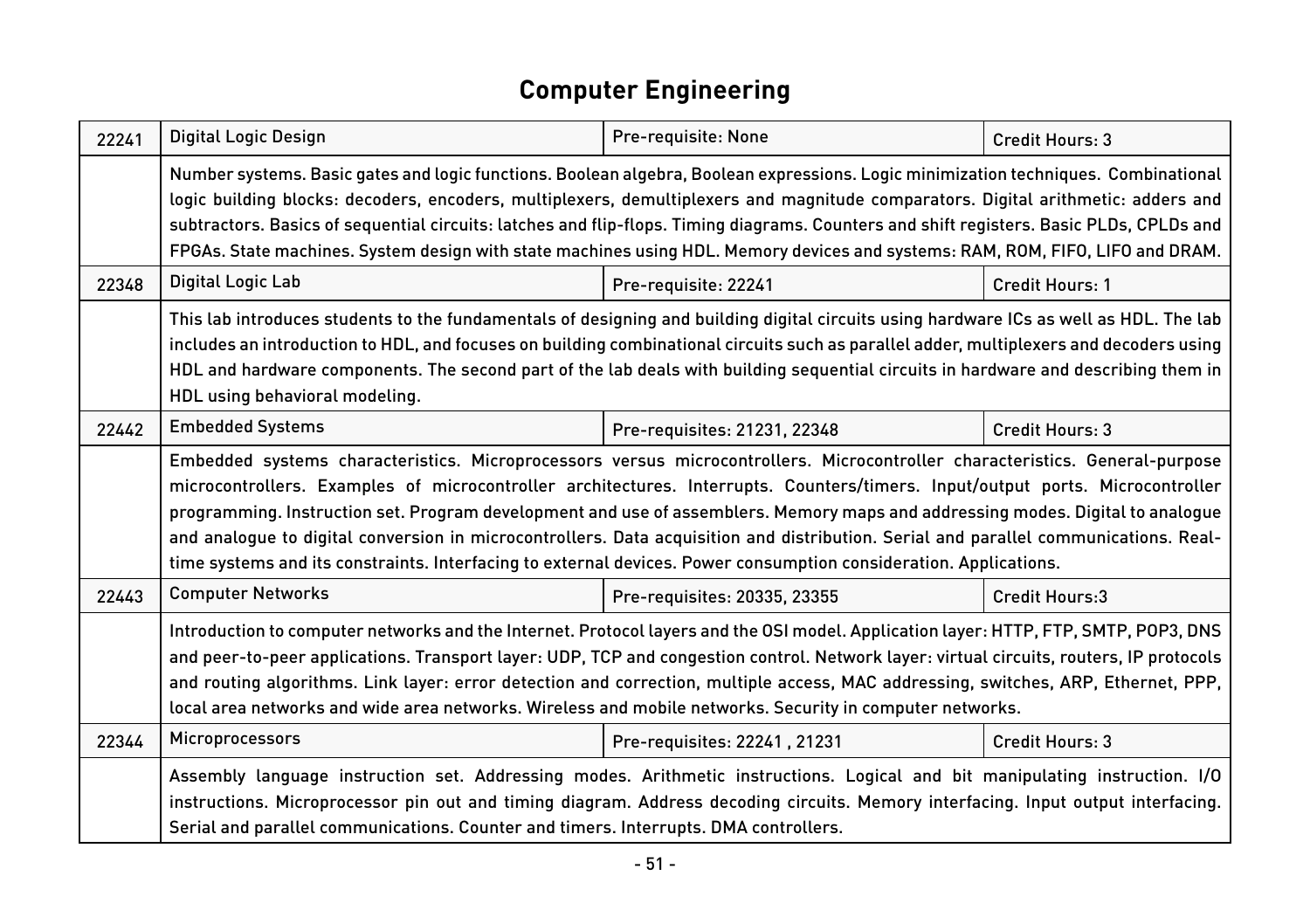#### **Computer Engineering**

| 22241 | Digital Logic Design                                                                                                                                                                                                                                                                                                                                                                                                                                                                                                                                                                                                                                        | Pre-requisite: None          | Credit Hours: 3        |  |
|-------|-------------------------------------------------------------------------------------------------------------------------------------------------------------------------------------------------------------------------------------------------------------------------------------------------------------------------------------------------------------------------------------------------------------------------------------------------------------------------------------------------------------------------------------------------------------------------------------------------------------------------------------------------------------|------------------------------|------------------------|--|
|       | Number systems. Basic gates and logic functions. Boolean algebra, Boolean expressions. Logic minimization techniques. Combinational<br>logic building blocks: decoders, encoders, multiplexers, demultiplexers and magnitude comparators. Digital arithmetic: adders and<br>subtractors. Basics of sequential circuits: latches and flip-flops. Timing diagrams. Counters and shift registers. Basic PLDs, CPLDs and<br>FPGAs. State machines. System design with state machines using HDL. Memory devices and systems: RAM, ROM, FIFO, LIFO and DRAM.                                                                                                      |                              |                        |  |
| 22348 | Digital Logic Lab                                                                                                                                                                                                                                                                                                                                                                                                                                                                                                                                                                                                                                           | Pre-requisite: 22241         | <b>Credit Hours: 1</b> |  |
|       | This lab introduces students to the fundamentals of designing and building digital circuits using hardware ICs as well as HDL. The lab<br>includes an introduction to HDL, and focuses on building combinational circuits such as parallel adder, multiplexers and decoders using<br>HDL and hardware components. The second part of the lab deals with building sequential circuits in hardware and describing them in<br>HDL using behavioral modeling.                                                                                                                                                                                                   |                              |                        |  |
| 22442 | <b>Embedded Systems</b>                                                                                                                                                                                                                                                                                                                                                                                                                                                                                                                                                                                                                                     | Pre-requisites: 21231, 22348 | Credit Hours: 3        |  |
|       | Embedded systems characteristics. Microprocessors versus microcontrollers. Microcontroller characteristics. General-purpose<br>microcontrollers. Examples of microcontroller architectures. Interrupts. Counters/timers. Input/output ports. Microcontroller<br>programming. Instruction set. Program development and use of assemblers. Memory maps and addressing modes. Digital to analogue<br>and analoque to digital conversion in microcontrollers. Data acquisition and distribution. Serial and parallel communications. Real-<br>time systems and its constraints. Interfacing to external devices. Power consumption consideration. Applications. |                              |                        |  |
| 22443 | <b>Computer Networks</b>                                                                                                                                                                                                                                                                                                                                                                                                                                                                                                                                                                                                                                    | Pre-requisites: 20335, 23355 | <b>Credit Hours:3</b>  |  |
|       | Introduction to computer networks and the Internet. Protocol layers and the OSI model. Application layer: HTTP, FTP, SMTP, POP3, DNS<br>and peer-to-peer applications. Transport layer: UDP, TCP and congestion control. Network layer: virtual circuits, routers, IP protocols<br>and routing algorithms. Link layer: error detection and correction, multiple access, MAC addressing, switches, ARP, Ethernet, PPP,<br>local area networks and wide area networks. Wireless and mobile networks. Security in computer networks.                                                                                                                           |                              |                        |  |
| 22344 | Microprocessors                                                                                                                                                                                                                                                                                                                                                                                                                                                                                                                                                                                                                                             | Pre-requisites: 22241, 21231 | Credit Hours: 3        |  |
|       | Assembly language instruction set. Addressing modes. Arithmetic instructions. Logical and bit manipulating instruction. I/O<br>instructions. Microprocessor pin out and timing diagram. Address decoding circuits. Memory interfacing. Input output interfacing.<br>Serial and parallel communications. Counter and timers. Interrupts. DMA controllers.                                                                                                                                                                                                                                                                                                    |                              |                        |  |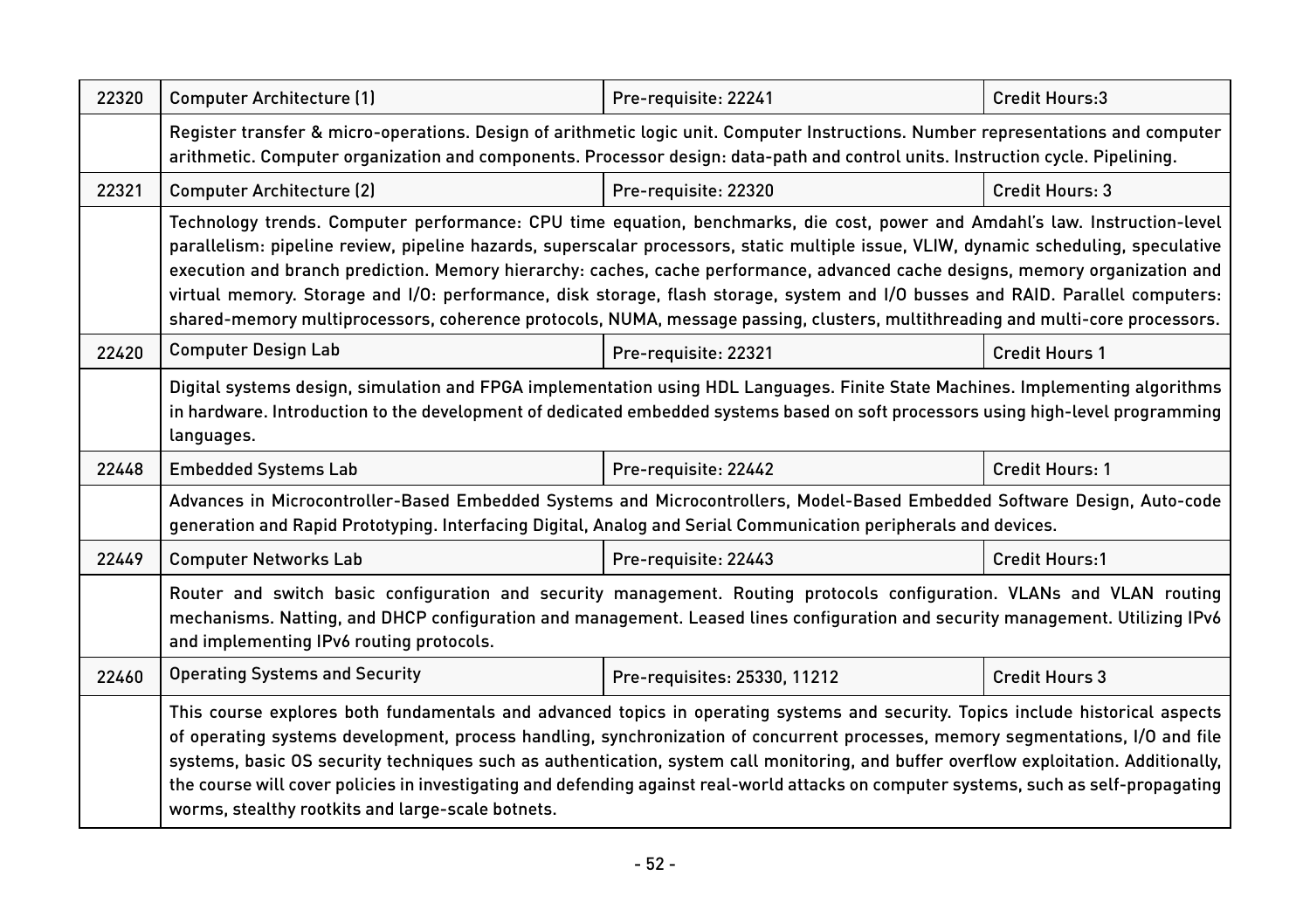| 22320 | Computer Architecture (1)                                                                                                                                                                                                                                                                                                                                                                                                                                                                                                                                                                                                                                                | Pre-requisite: 22241         | Credit Hours:3         |  |  |
|-------|--------------------------------------------------------------------------------------------------------------------------------------------------------------------------------------------------------------------------------------------------------------------------------------------------------------------------------------------------------------------------------------------------------------------------------------------------------------------------------------------------------------------------------------------------------------------------------------------------------------------------------------------------------------------------|------------------------------|------------------------|--|--|
|       | Register transfer & micro-operations. Design of arithmetic logic unit. Computer Instructions. Number representations and computer<br>arithmetic. Computer organization and components. Processor design: data-path and control units. Instruction cycle. Pipelining.                                                                                                                                                                                                                                                                                                                                                                                                     |                              |                        |  |  |
| 22321 | <b>Computer Architecture (2)</b><br>Pre-requisite: 22320<br>Credit Hours: 3                                                                                                                                                                                                                                                                                                                                                                                                                                                                                                                                                                                              |                              |                        |  |  |
|       | Technology trends. Computer performance: CPU time equation, benchmarks, die cost, power and Amdahl's law. Instruction-level<br>parallelism: pipeline review, pipeline hazards, superscalar processors, static multiple issue, VLIW, dynamic scheduling, speculative<br>execution and branch prediction. Memory hierarchy: caches, cache performance, advanced cache designs, memory organization and<br>virtual memory. Storage and I/O: performance, disk storage, flash storage, system and I/O busses and RAID. Parallel computers:<br>shared-memory multiprocessors, coherence protocols, NUMA, message passing, clusters, multithreading and multi-core processors. |                              |                        |  |  |
| 22420 | <b>Computer Design Lab</b>                                                                                                                                                                                                                                                                                                                                                                                                                                                                                                                                                                                                                                               | Pre-requisite: 22321         | <b>Credit Hours 1</b>  |  |  |
|       | Digital systems design, simulation and FPGA implementation using HDL Languages. Finite State Machines. Implementing algorithms<br>in hardware. Introduction to the development of dedicated embedded systems based on soft processors using high-level programming<br>languages.                                                                                                                                                                                                                                                                                                                                                                                         |                              |                        |  |  |
| 22448 | <b>Embedded Systems Lab</b>                                                                                                                                                                                                                                                                                                                                                                                                                                                                                                                                                                                                                                              | Pre-requisite: 22442         | <b>Credit Hours: 1</b> |  |  |
|       | Advances in Microcontroller-Based Embedded Systems and Microcontrollers, Model-Based Embedded Software Design, Auto-code<br>generation and Rapid Prototyping. Interfacing Digital, Analog and Serial Communication peripherals and devices.                                                                                                                                                                                                                                                                                                                                                                                                                              |                              |                        |  |  |
| 22449 | <b>Computer Networks Lab</b>                                                                                                                                                                                                                                                                                                                                                                                                                                                                                                                                                                                                                                             | Pre-requisite: 22443         | Credit Hours:1         |  |  |
|       | Router and switch basic configuration and security management. Routing protocols configuration. VLANs and VLAN routing<br>mechanisms. Natting, and DHCP configuration and management. Leased lines configuration and security management. Utilizing IPv6<br>and implementing IPv6 routing protocols.                                                                                                                                                                                                                                                                                                                                                                     |                              |                        |  |  |
| 22460 | <b>Operating Systems and Security</b>                                                                                                                                                                                                                                                                                                                                                                                                                                                                                                                                                                                                                                    | Pre-requisites: 25330, 11212 | <b>Credit Hours 3</b>  |  |  |
|       | This course explores both fundamentals and advanced topics in operating systems and security. Topics include historical aspects<br>of operating systems development, process handling, synchronization of concurrent processes, memory segmentations, I/O and file<br>systems, basic OS security techniques such as authentication, system call monitoring, and buffer overflow exploitation. Additionally,<br>the course will cover policies in investigating and defending against real-world attacks on computer systems, such as self-propagating<br>worms, stealthy rootkits and large-scale botnets.                                                               |                              |                        |  |  |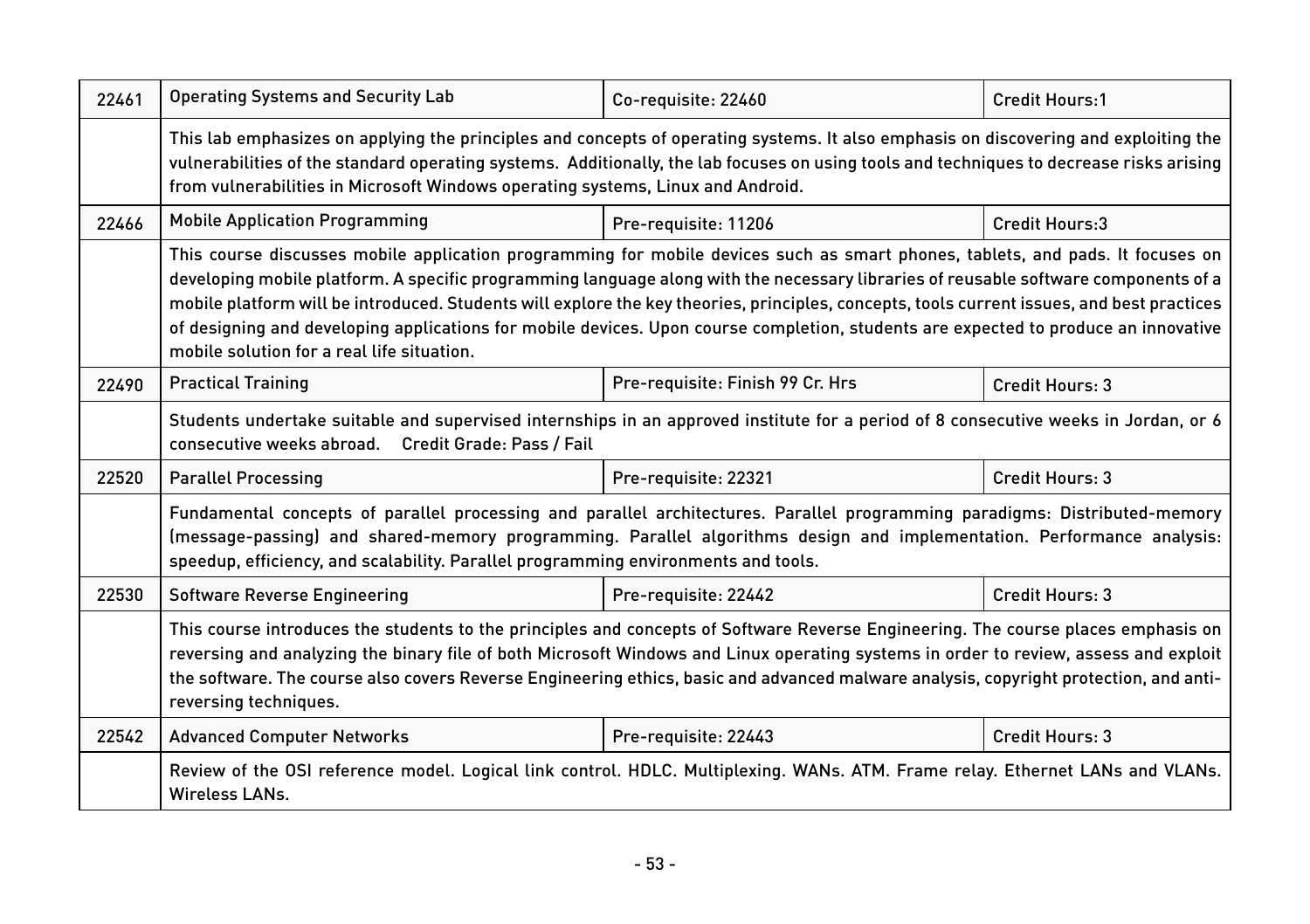| 22461 | <b>Operating Systems and Security Lab</b>                                                                                                                                                                                                                                                                                                                                                                                                                                                                                                                                                                | Co-requisite: 22460              | Credit Hours:1  |  |
|-------|----------------------------------------------------------------------------------------------------------------------------------------------------------------------------------------------------------------------------------------------------------------------------------------------------------------------------------------------------------------------------------------------------------------------------------------------------------------------------------------------------------------------------------------------------------------------------------------------------------|----------------------------------|-----------------|--|
|       | This lab emphasizes on applying the principles and concepts of operating systems. It also emphasis on discovering and exploiting the<br>vulnerabilities of the standard operating systems. Additionally, the lab focuses on using tools and techniques to decrease risks arising<br>from vulnerabilities in Microsoft Windows operating systems, Linux and Android.                                                                                                                                                                                                                                      |                                  |                 |  |
| 22466 | <b>Mobile Application Programming</b>                                                                                                                                                                                                                                                                                                                                                                                                                                                                                                                                                                    | Pre-requisite: 11206             | Credit Hours:3  |  |
|       | This course discusses mobile application programming for mobile devices such as smart phones, tablets, and pads. It focuses on<br>developing mobile platform. A specific programming language along with the necessary libraries of reusable software components of a<br>mobile platform will be introduced. Students will explore the key theories, principles, concepts, tools current issues, and best practices<br>of designing and developing applications for mobile devices. Upon course completion, students are expected to produce an innovative<br>mobile solution for a real life situation. |                                  |                 |  |
| 22490 | <b>Practical Training</b>                                                                                                                                                                                                                                                                                                                                                                                                                                                                                                                                                                                | Pre-requisite: Finish 99 Cr. Hrs | Credit Hours: 3 |  |
|       | Students undertake suitable and supervised internships in an approved institute for a period of 8 consecutive weeks in Jordan, or 6<br>consecutive weeks abroad. Credit Grade: Pass / Fail                                                                                                                                                                                                                                                                                                                                                                                                               |                                  |                 |  |
| 22520 | <b>Parallel Processing</b>                                                                                                                                                                                                                                                                                                                                                                                                                                                                                                                                                                               | Pre-requisite: 22321             | Credit Hours: 3 |  |
|       | Fundamental concepts of parallel processing and parallel architectures. Parallel programming paradigms: Distributed-memory<br>(message-passing) and shared-memory programming. Parallel algorithms design and implementation. Performance analysis:<br>speedup, efficiency, and scalability. Parallel programming environments and tools.                                                                                                                                                                                                                                                                |                                  |                 |  |
| 22530 | <b>Software Reverse Engineering</b>                                                                                                                                                                                                                                                                                                                                                                                                                                                                                                                                                                      | Pre-requisite: 22442             | Credit Hours: 3 |  |
|       | This course introduces the students to the principles and concepts of Software Reverse Engineering. The course places emphasis on<br>reversing and analyzing the binary file of both Microsoft Windows and Linux operating systems in order to review, assess and exploit<br>the software. The course also covers Reverse Engineering ethics, basic and advanced malware analysis, copyright protection, and anti-<br>reversing techniques.                                                                                                                                                              |                                  |                 |  |
| 22542 | <b>Advanced Computer Networks</b>                                                                                                                                                                                                                                                                                                                                                                                                                                                                                                                                                                        | Pre-requisite: 22443             | Credit Hours: 3 |  |
|       | Review of the OSI reference model. Logical link control. HDLC. Multiplexing. WANs. ATM. Frame relay. Ethernet LANs and VLANs.<br><b>Wireless LANs.</b>                                                                                                                                                                                                                                                                                                                                                                                                                                                   |                                  |                 |  |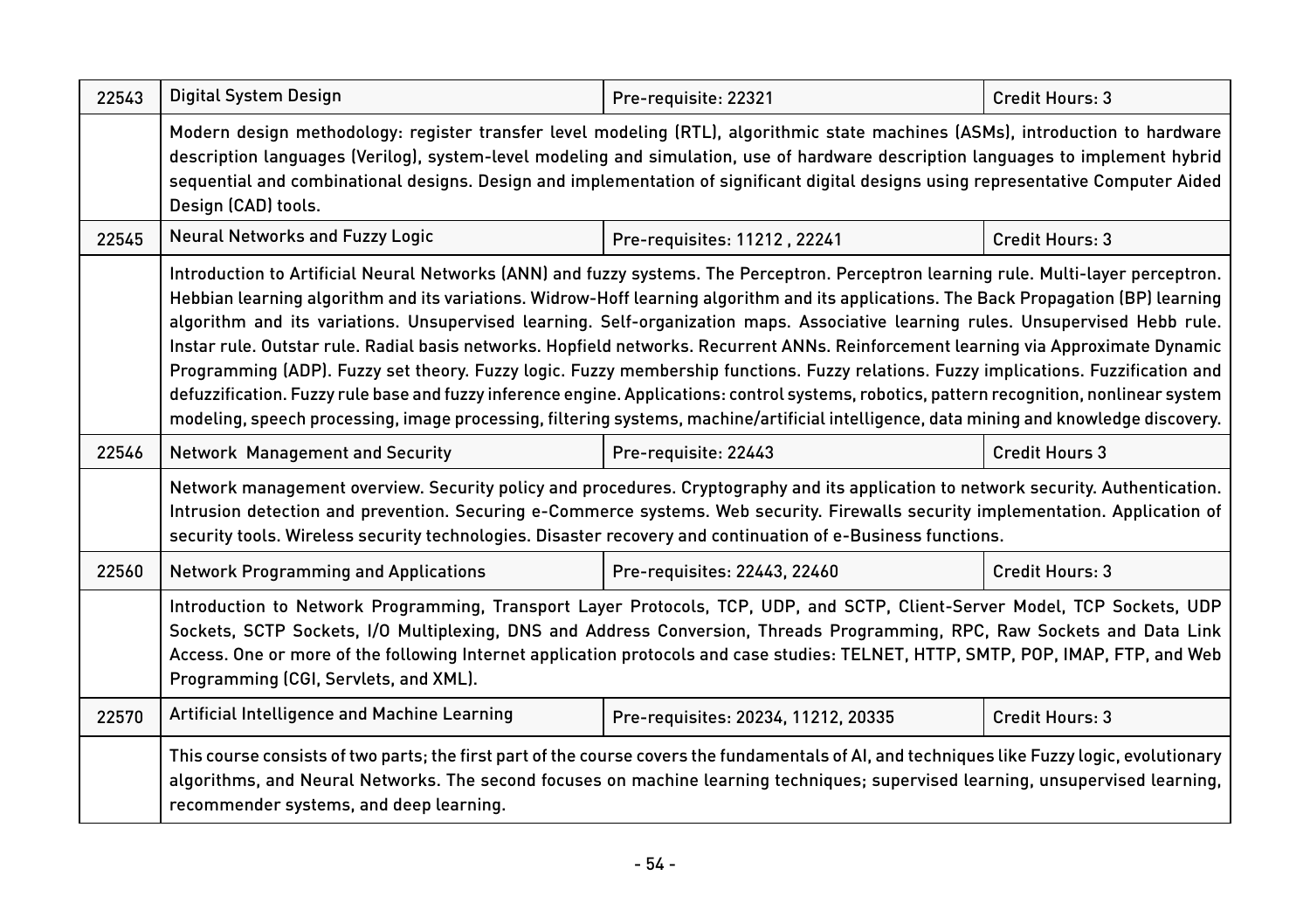| 22543 | Digital System Design                                                                                                                                                                                                                                                                                                                                                                                                                                                                                                                                                                                                                                                                                                                                                                                                                                                                                                                                                                        | Pre-requisite: 22321                | Credit Hours: 3        |  |
|-------|----------------------------------------------------------------------------------------------------------------------------------------------------------------------------------------------------------------------------------------------------------------------------------------------------------------------------------------------------------------------------------------------------------------------------------------------------------------------------------------------------------------------------------------------------------------------------------------------------------------------------------------------------------------------------------------------------------------------------------------------------------------------------------------------------------------------------------------------------------------------------------------------------------------------------------------------------------------------------------------------|-------------------------------------|------------------------|--|
|       | Modern design methodology: register transfer level modeling (RTL), algorithmic state machines (ASMs), introduction to hardware<br>description languages (Verilog), system-level modeling and simulation, use of hardware description languages to implement hybrid<br>sequential and combinational designs. Design and implementation of significant digital designs using representative Computer Aided<br>Design (CAD) tools.                                                                                                                                                                                                                                                                                                                                                                                                                                                                                                                                                              |                                     |                        |  |
| 22545 | <b>Neural Networks and Fuzzy Logic</b>                                                                                                                                                                                                                                                                                                                                                                                                                                                                                                                                                                                                                                                                                                                                                                                                                                                                                                                                                       | Pre-requisites: 11212, 22241        | Credit Hours: 3        |  |
|       | Introduction to Artificial Neural Networks (ANN) and fuzzy systems. The Perceptron. Perceptron learning rule. Multi-layer perceptron.<br>Hebbian learning algorithm and its variations. Widrow-Hoff learning algorithm and its applications. The Back Propagation (BP) learning<br>algorithm and its variations. Unsupervised learning. Self-organization maps. Associative learning rules. Unsupervised Hebb rule.<br>Instar rule. Outstar rule. Radial basis networks. Hopfield networks. Recurrent ANNs. Reinforcement learning via Approximate Dynamic<br>Programming (ADP). Fuzzy set theory. Fuzzy logic. Fuzzy membership functions. Fuzzy relations. Fuzzy implications. Fuzzification and<br>defuzzification. Fuzzy rule base and fuzzy inference engine. Applications: control systems, robotics, pattern recognition, nonlinear system<br>modeling, speech processing, image processing, filtering systems, machine/artificial intelligence, data mining and knowledge discovery. |                                     |                        |  |
| 22546 | Network Management and Security                                                                                                                                                                                                                                                                                                                                                                                                                                                                                                                                                                                                                                                                                                                                                                                                                                                                                                                                                              | Pre-requisite: 22443                | <b>Credit Hours 3</b>  |  |
|       | Network management overview. Security policy and procedures. Cryptography and its application to network security. Authentication.<br>Intrusion detection and prevention. Securing e-Commerce systems. Web security. Firewalls security implementation. Application of<br>security tools. Wireless security technologies. Disaster recovery and continuation of e-Business functions.                                                                                                                                                                                                                                                                                                                                                                                                                                                                                                                                                                                                        |                                     |                        |  |
| 22560 | <b>Network Programming and Applications</b>                                                                                                                                                                                                                                                                                                                                                                                                                                                                                                                                                                                                                                                                                                                                                                                                                                                                                                                                                  | Pre-requisites: 22443, 22460        | <b>Credit Hours: 3</b> |  |
|       | Introduction to Network Programming, Transport Layer Protocols, TCP, UDP, and SCTP, Client-Server Model, TCP Sockets, UDP<br>Sockets, SCTP Sockets, I/O Multiplexing, DNS and Address Conversion, Threads Programming, RPC, Raw Sockets and Data Link<br>Access. One or more of the following Internet application protocols and case studies: TELNET, HTTP, SMTP, POP, IMAP, FTP, and Web<br>Programming (CGI, Servlets, and XML).                                                                                                                                                                                                                                                                                                                                                                                                                                                                                                                                                          |                                     |                        |  |
| 22570 | Artificial Intelligence and Machine Learning                                                                                                                                                                                                                                                                                                                                                                                                                                                                                                                                                                                                                                                                                                                                                                                                                                                                                                                                                 | Pre-requisites: 20234, 11212, 20335 | Credit Hours: 3        |  |
|       | This course consists of two parts; the first part of the course covers the fundamentals of AI, and techniques like Fuzzy logic, evolutionary<br>algorithms, and Neural Networks. The second focuses on machine learning techniques; supervised learning, unsupervised learning,<br>recommender systems, and deep learning.                                                                                                                                                                                                                                                                                                                                                                                                                                                                                                                                                                                                                                                                   |                                     |                        |  |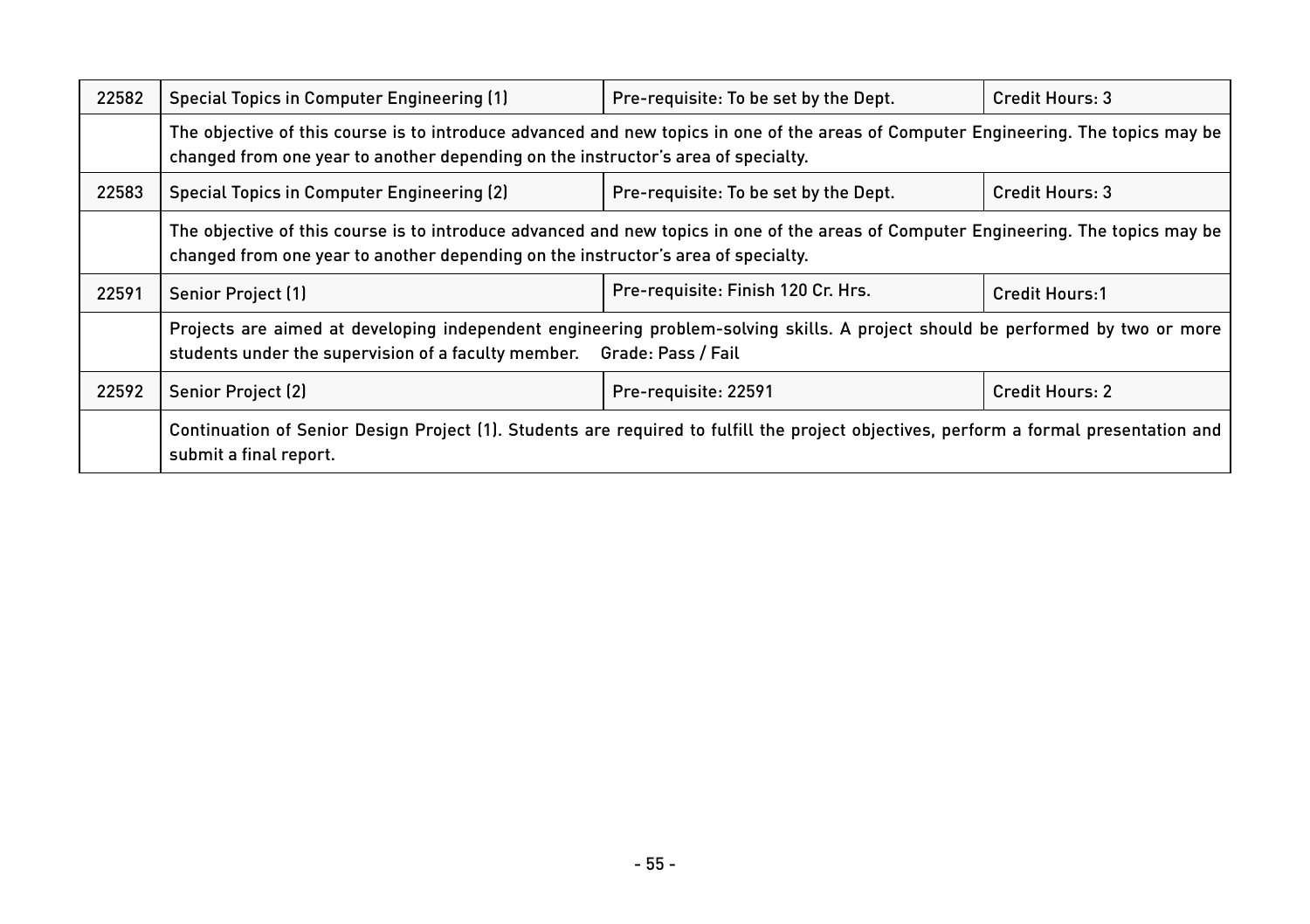| 22582 | Special Topics in Computer Engineering (1)                                                                                                                                                                               | Pre-requisite: To be set by the Dept. | Credit Hours: 3       |  |
|-------|--------------------------------------------------------------------------------------------------------------------------------------------------------------------------------------------------------------------------|---------------------------------------|-----------------------|--|
|       | The objective of this course is to introduce advanced and new topics in one of the areas of Computer Engineering. The topics may be<br>changed from one year to another depending on the instructor's area of specialty. |                                       |                       |  |
| 22583 | Special Topics in Computer Engineering (2)                                                                                                                                                                               | Pre-requisite: To be set by the Dept. | Credit Hours: 3       |  |
|       | The objective of this course is to introduce advanced and new topics in one of the areas of Computer Engineering. The topics may be<br>changed from one year to another depending on the instructor's area of specialty. |                                       |                       |  |
| 22591 | Senior Project (1)                                                                                                                                                                                                       | Pre-requisite: Finish 120 Cr. Hrs.    | <b>Credit Hours:1</b> |  |
|       | Projects are aimed at developing independent engineering problem-solving skills. A project should be performed by two or more<br>students under the supervision of a faculty member.  Grade: Pass / Fail                 |                                       |                       |  |
| 22592 | Senior Project (2)                                                                                                                                                                                                       | Pre-requisite: 22591                  | Credit Hours: 2       |  |
|       | Continuation of Senior Design Project (1). Students are required to fulfill the project objectives, perform a formal presentation and<br>submit a final report.                                                          |                                       |                       |  |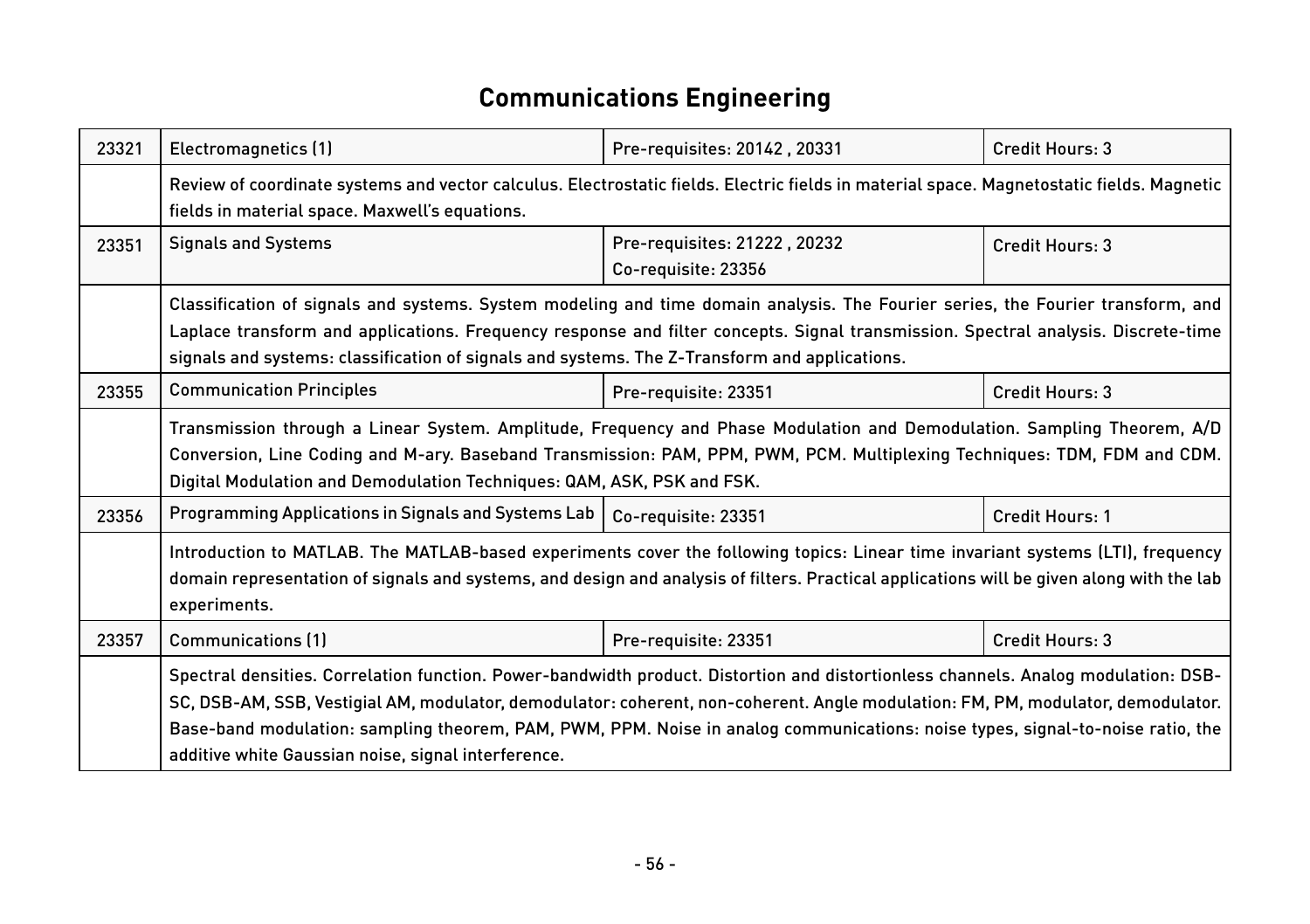# **Communications Engineering**

| 23321 | Electromagnetics (1)                                                                                                                                                                                                                                                                                                                                                                                                                                            | Pre-requisites: 20142, 20331                        | Credit Hours: 3 |  |
|-------|-----------------------------------------------------------------------------------------------------------------------------------------------------------------------------------------------------------------------------------------------------------------------------------------------------------------------------------------------------------------------------------------------------------------------------------------------------------------|-----------------------------------------------------|-----------------|--|
|       | Review of coordinate systems and vector calculus. Electrostatic fields. Electric fields in material space. Magnetostatic fields. Magnetic<br>fields in material space. Maxwell's equations.                                                                                                                                                                                                                                                                     |                                                     |                 |  |
| 23351 | <b>Signals and Systems</b>                                                                                                                                                                                                                                                                                                                                                                                                                                      | Pre-requisites: 21222, 20232<br>Co-requisite: 23356 | Credit Hours: 3 |  |
|       | Classification of signals and systems. System modeling and time domain analysis. The Fourier series, the Fourier transform, and<br>Laplace transform and applications. Frequency response and filter concepts. Signal transmission. Spectral analysis. Discrete-time<br>signals and systems: classification of signals and systems. The Z-Transform and applications.                                                                                           |                                                     |                 |  |
| 23355 | <b>Communication Principles</b>                                                                                                                                                                                                                                                                                                                                                                                                                                 | Pre-requisite: 23351                                | Credit Hours: 3 |  |
|       | Transmission through a Linear System. Amplitude, Frequency and Phase Modulation and Demodulation. Sampling Theorem, A/D<br>Conversion, Line Coding and M-ary. Baseband Transmission: PAM, PPM, PWM, PCM. Multiplexing Techniques: TDM, FDM and CDM.<br>Digital Modulation and Demodulation Techniques: QAM, ASK, PSK and FSK.                                                                                                                                   |                                                     |                 |  |
| 23356 | Programming Applications in Signals and Systems Lab                                                                                                                                                                                                                                                                                                                                                                                                             | Co-requisite: 23351                                 | Credit Hours: 1 |  |
|       | Introduction to MATLAB. The MATLAB-based experiments cover the following topics: Linear time invariant systems (LTI), frequency<br>domain representation of signals and systems, and design and analysis of filters. Practical applications will be given along with the lab<br>experiments.                                                                                                                                                                    |                                                     |                 |  |
| 23357 | <b>Communications (1)</b>                                                                                                                                                                                                                                                                                                                                                                                                                                       | Pre-requisite: 23351                                | Credit Hours: 3 |  |
|       | Spectral densities. Correlation function. Power-bandwidth product. Distortion and distortionless channels. Analog modulation: DSB-<br>SC, DSB-AM, SSB, Vestigial AM, modulator, demodulator: coherent, non-coherent. Angle modulation: FM, PM, modulator, demodulator.<br>Base-band modulation: sampling theorem, PAM, PWM, PPM. Noise in analog communications: noise types, signal-to-noise ratio, the<br>additive white Gaussian noise, signal interference. |                                                     |                 |  |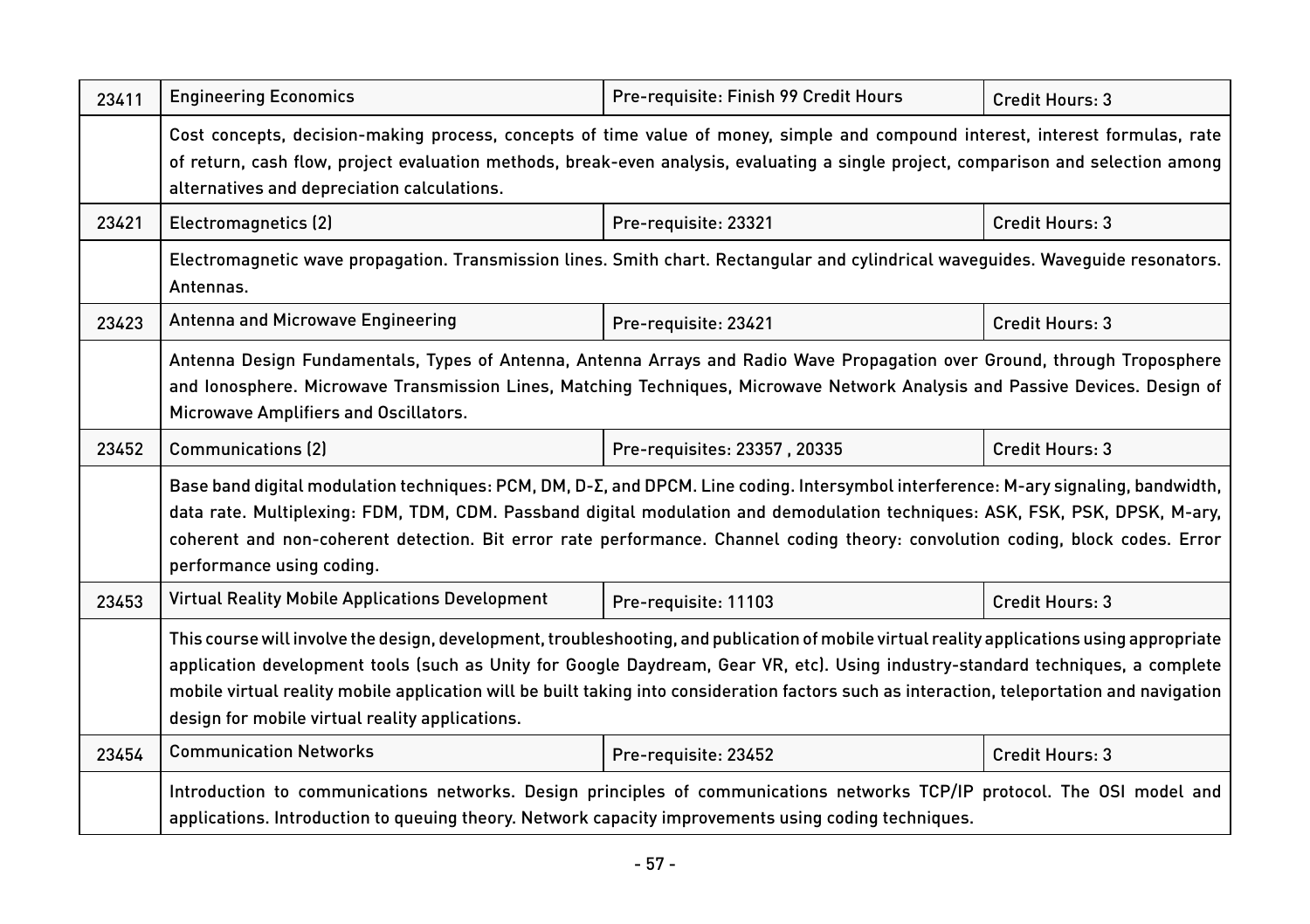| 23411 | <b>Engineering Economics</b>                                                                                                                                                                                                                                                                                                                                                                                                                                                     | Pre-requisite: Finish 99 Credit Hours | Credit Hours: 3 |  |
|-------|----------------------------------------------------------------------------------------------------------------------------------------------------------------------------------------------------------------------------------------------------------------------------------------------------------------------------------------------------------------------------------------------------------------------------------------------------------------------------------|---------------------------------------|-----------------|--|
|       | Cost concepts, decision-making process, concepts of time value of money, simple and compound interest, interest formulas, rate<br>of return, cash flow, project evaluation methods, break-even analysis, evaluating a single project, comparison and selection among<br>alternatives and depreciation calculations.                                                                                                                                                              |                                       |                 |  |
| 23421 | Electromagnetics (2)                                                                                                                                                                                                                                                                                                                                                                                                                                                             | Pre-requisite: 23321                  | Credit Hours: 3 |  |
|       | Electromagnetic wave propagation. Transmission lines. Smith chart. Rectangular and cylindrical wavequides. Wavequide resonators.<br>Antennas.                                                                                                                                                                                                                                                                                                                                    |                                       |                 |  |
| 23423 | Antenna and Microwave Engineering                                                                                                                                                                                                                                                                                                                                                                                                                                                | Pre-requisite: 23421                  | Credit Hours: 3 |  |
|       | Antenna Design Fundamentals, Types of Antenna, Antenna Arrays and Radio Wave Propagation over Ground, through Troposphere<br>and lonosphere. Microwave Transmission Lines, Matching Techniques, Microwave Network Analysis and Passive Devices. Design of<br>Microwave Amplifiers and Oscillators.                                                                                                                                                                               |                                       |                 |  |
| 23452 | <b>Communications (2)</b>                                                                                                                                                                                                                                                                                                                                                                                                                                                        | Pre-requisites: 23357, 20335          | Credit Hours: 3 |  |
|       | Base band digital modulation techniques: PCM, DM, D-E, and DPCM. Line coding. Intersymbol interference: M-ary signaling, bandwidth,<br>data rate. Multiplexing: FDM, TDM, CDM. Passband digital modulation and demodulation techniques: ASK, FSK, PSK, DPSK, M-ary,<br>coherent and non-coherent detection. Bit error rate performance. Channel coding theory: convolution coding, block codes. Error<br>performance using coding.                                               |                                       |                 |  |
| 23453 | <b>Virtual Reality Mobile Applications Development</b>                                                                                                                                                                                                                                                                                                                                                                                                                           | Pre-requisite: 11103                  | Credit Hours: 3 |  |
|       | This course will involve the design, development, troubleshooting, and publication of mobile virtual reality applications using appropriate<br>application development tools (such as Unity for Google Daydream, Gear VR, etc). Using industry-standard techniques, a complete<br>mobile virtual reality mobile application will be built taking into consideration factors such as interaction, teleportation and navigation<br>design for mobile virtual reality applications. |                                       |                 |  |
| 23454 | <b>Communication Networks</b>                                                                                                                                                                                                                                                                                                                                                                                                                                                    | Pre-requisite: 23452                  | Credit Hours: 3 |  |
|       | Introduction to communications networks. Design principles of communications networks TCP/IP protocol. The OSI model and<br>applications. Introduction to queuing theory. Network capacity improvements using coding techniques.                                                                                                                                                                                                                                                 |                                       |                 |  |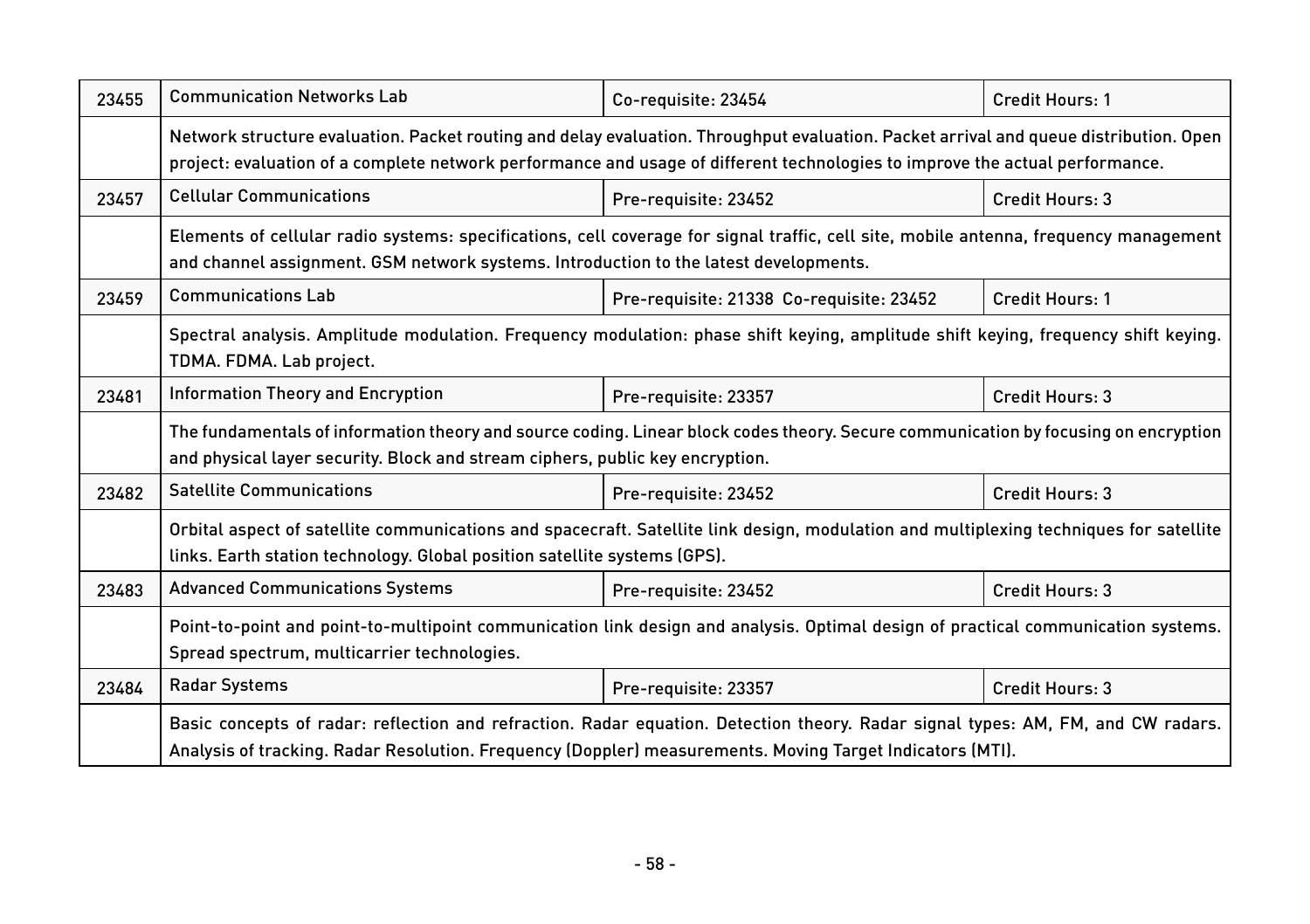| 23455 | <b>Communication Networks Lab</b>                                                                                                                                                                                                                                     | Co-requisite: 23454                      | Credit Hours: 1        |  |
|-------|-----------------------------------------------------------------------------------------------------------------------------------------------------------------------------------------------------------------------------------------------------------------------|------------------------------------------|------------------------|--|
|       | Network structure evaluation. Packet routing and delay evaluation. Throughput evaluation. Packet arrival and queue distribution. Open<br>project: evaluation of a complete network performance and usage of different technologies to improve the actual performance. |                                          |                        |  |
| 23457 | <b>Cellular Communications</b>                                                                                                                                                                                                                                        | Pre-requisite: 23452                     | Credit Hours: 3        |  |
|       | Elements of cellular radio systems: specifications, cell coverage for signal traffic, cell site, mobile antenna, frequency management<br>and channel assignment. GSM network systems. Introduction to the latest developments.                                        |                                          |                        |  |
| 23459 | <b>Communications Lab</b>                                                                                                                                                                                                                                             | Pre-requisite: 21338 Co-requisite: 23452 | <b>Credit Hours: 1</b> |  |
|       | Spectral analysis. Amplitude modulation. Frequency modulation: phase shift keying, amplitude shift keying, frequency shift keying.<br>TDMA. FDMA. Lab project.                                                                                                        |                                          |                        |  |
| 23481 | Information Theory and Encryption                                                                                                                                                                                                                                     | Pre-requisite: 23357                     | Credit Hours: 3        |  |
|       | The fundamentals of information theory and source coding. Linear block codes theory. Secure communication by focusing on encryption<br>and physical layer security. Block and stream ciphers, public key encryption.                                                  |                                          |                        |  |
| 23482 | <b>Satellite Communications</b>                                                                                                                                                                                                                                       | Pre-requisite: 23452                     | Credit Hours: 3        |  |
|       | Orbital aspect of satellite communications and spacecraft. Satellite link design, modulation and multiplexing techniques for satellite<br>links. Earth station technology. Global position satellite systems (GPS).                                                   |                                          |                        |  |
| 23483 | <b>Advanced Communications Systems</b>                                                                                                                                                                                                                                | Pre-requisite: 23452                     | Credit Hours: 3        |  |
|       | Point-to-point and point-to-multipoint communication link design and analysis. Optimal design of practical communication systems.<br>Spread spectrum, multicarrier technologies.                                                                                      |                                          |                        |  |
| 23484 | <b>Radar Systems</b>                                                                                                                                                                                                                                                  | Pre-requisite: 23357                     | <b>Credit Hours: 3</b> |  |
|       | Basic concepts of radar: reflection and refraction. Radar equation. Detection theory. Radar signal types: AM, FM, and CW radars.<br>Analysis of tracking. Radar Resolution. Frequency (Doppler) measurements. Moving Target Indicators (MTI).                         |                                          |                        |  |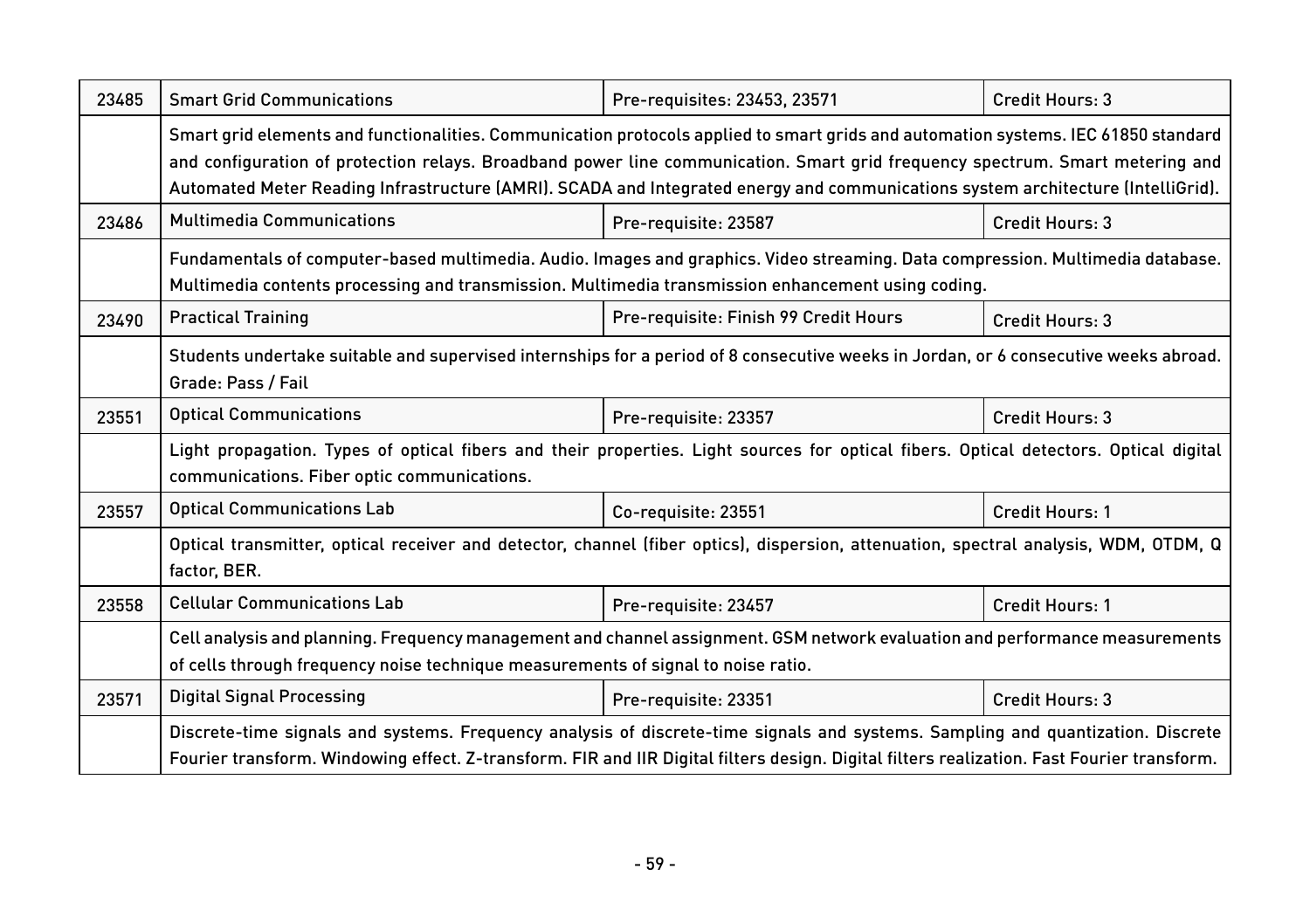| 23485 | <b>Smart Grid Communications</b>                                                                                                           | Pre-requisites: 23453, 23571          | Credit Hours: 3        |
|-------|--------------------------------------------------------------------------------------------------------------------------------------------|---------------------------------------|------------------------|
|       |                                                                                                                                            |                                       |                        |
|       | Smart grid elements and functionalities. Communication protocols applied to smart grids and automation systems. IEC 61850 standard         |                                       |                        |
|       | and configuration of protection relays. Broadband power line communication. Smart grid frequency spectrum. Smart metering and              |                                       |                        |
|       | Automated Meter Reading Infrastructure (AMRI). SCADA and Integrated energy and communications system architecture (IntelliGrid).           |                                       |                        |
| 23486 | <b>Multimedia Communications</b>                                                                                                           | Pre-requisite: 23587                  | Credit Hours: 3        |
|       | Fundamentals of computer-based multimedia. Audio. Images and graphics. Video streaming. Data compression. Multimedia database.             |                                       |                        |
|       | Multimedia contents processing and transmission. Multimedia transmission enhancement using coding.                                         |                                       |                        |
| 23490 | <b>Practical Training</b>                                                                                                                  | Pre-requisite: Finish 99 Credit Hours | Credit Hours: 3        |
|       | Students undertake suitable and supervised internships for a period of 8 consecutive weeks in Jordan, or 6 consecutive weeks abroad.       |                                       |                        |
|       | Grade: Pass / Fail                                                                                                                         |                                       |                        |
| 23551 | <b>Optical Communications</b>                                                                                                              | Pre-requisite: 23357                  | Credit Hours: 3        |
|       | Light propagation. Types of optical fibers and their properties. Light sources for optical fibers. Optical detectors. Optical digital      |                                       |                        |
|       | communications. Fiber optic communications.                                                                                                |                                       |                        |
| 23557 | <b>Optical Communications Lab</b>                                                                                                          | Co-requisite: 23551                   | <b>Credit Hours: 1</b> |
|       | Optical transmitter, optical receiver and detector, channel (fiber optics), dispersion, attenuation, spectral analysis, WDM, OTDM, Q       |                                       |                        |
|       | factor, BER.                                                                                                                               |                                       |                        |
| 23558 | <b>Cellular Communications Lab</b>                                                                                                         | Pre-requisite: 23457                  | <b>Credit Hours: 1</b> |
|       | Cell analysis and planning. Frequency management and channel assignment. GSM network evaluation and performance measurements               |                                       |                        |
|       | of cells through frequency noise technique measurements of signal to noise ratio.                                                          |                                       |                        |
| 23571 | <b>Digital Signal Processing</b>                                                                                                           | Pre-requisite: 23351                  | Credit Hours: 3        |
|       | Discrete-time signals and systems. Frequency analysis of discrete-time signals and systems. Sampling and quantization. Discrete            |                                       |                        |
|       | Fourier transform. Windowing effect. Z-transform. FIR and IIR Digital filters design. Digital filters realization. Fast Fourier transform. |                                       |                        |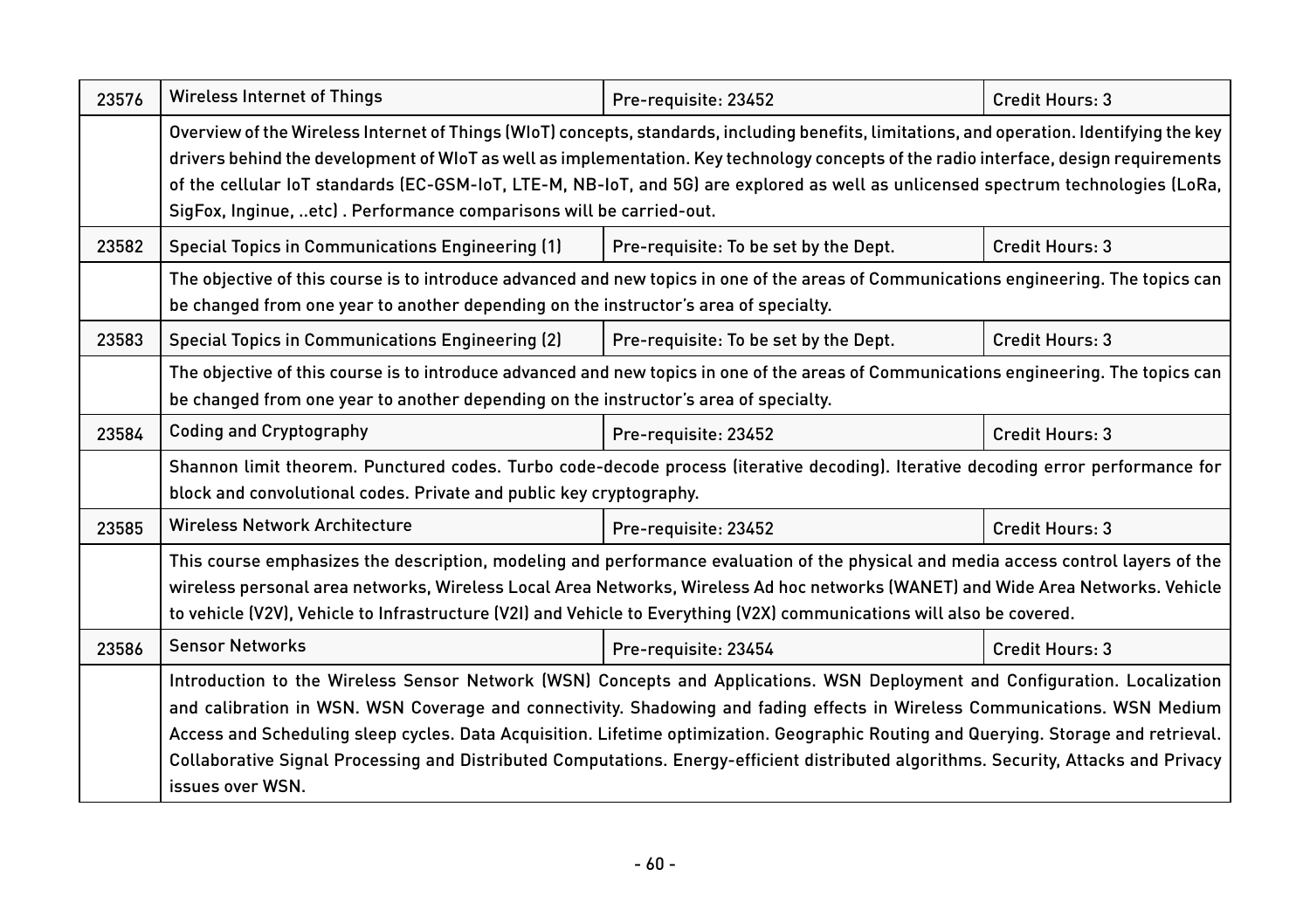| 23576 | <b>Wireless Internet of Things</b>                                                                                                                                                                                                                                                                                                                                                                                                                                                                                                                            | Pre-requisite: 23452                  | Credit Hours: 3        |  |
|-------|---------------------------------------------------------------------------------------------------------------------------------------------------------------------------------------------------------------------------------------------------------------------------------------------------------------------------------------------------------------------------------------------------------------------------------------------------------------------------------------------------------------------------------------------------------------|---------------------------------------|------------------------|--|
|       | Overview of the Wireless Internet of Things (WIoT) concepts, standards, including benefits, limitations, and operation. Identifying the key<br>drivers behind the development of WIoT as well as implementation. Key technology concepts of the radio interface, design requirements<br>of the cellular IoT standards (EC-GSM-IoT, LTE-M, NB-IoT, and 5G) are explored as well as unlicensed spectrum technologies (LoRa,<br>SigFox, Inginue, etc). Performance comparisons will be carried-out.                                                              |                                       |                        |  |
| 23582 | <b>Special Topics in Communications Engineering (1)</b>                                                                                                                                                                                                                                                                                                                                                                                                                                                                                                       | Pre-requisite: To be set by the Dept. | Credit Hours: 3        |  |
|       | The objective of this course is to introduce advanced and new topics in one of the areas of Communications engineering. The topics can<br>be changed from one year to another depending on the instructor's area of specialty.                                                                                                                                                                                                                                                                                                                                |                                       |                        |  |
| 23583 | <b>Special Topics in Communications Engineering (2)</b>                                                                                                                                                                                                                                                                                                                                                                                                                                                                                                       | Pre-requisite: To be set by the Dept. | Credit Hours: 3        |  |
|       | The objective of this course is to introduce advanced and new topics in one of the areas of Communications engineering. The topics can<br>be changed from one year to another depending on the instructor's area of specialty.                                                                                                                                                                                                                                                                                                                                |                                       |                        |  |
| 23584 | <b>Coding and Cryptography</b>                                                                                                                                                                                                                                                                                                                                                                                                                                                                                                                                | Pre-requisite: 23452                  | Credit Hours: 3        |  |
|       | Shannon limit theorem. Punctured codes. Turbo code-decode process (iterative decoding). Iterative decoding error performance for<br>block and convolutional codes. Private and public key cryptography.                                                                                                                                                                                                                                                                                                                                                       |                                       |                        |  |
| 23585 | <b>Wireless Network Architecture</b>                                                                                                                                                                                                                                                                                                                                                                                                                                                                                                                          | Pre-requisite: 23452                  | Credit Hours: 3        |  |
|       | This course emphasizes the description, modeling and performance evaluation of the physical and media access control layers of the<br>wireless personal area networks, Wireless Local Area Networks, Wireless Ad hoc networks (WANET) and Wide Area Networks. Vehicle<br>to vehicle (V2V), Vehicle to Infrastructure (V2I) and Vehicle to Everything (V2X) communications will also be covered.                                                                                                                                                               |                                       |                        |  |
| 23586 | <b>Sensor Networks</b>                                                                                                                                                                                                                                                                                                                                                                                                                                                                                                                                        | Pre-requisite: 23454                  | <b>Credit Hours: 3</b> |  |
|       | Introduction to the Wireless Sensor Network (WSN) Concepts and Applications. WSN Deployment and Configuration. Localization<br>and calibration in WSN. WSN Coverage and connectivity. Shadowing and fading effects in Wireless Communications. WSN Medium<br>Access and Scheduling sleep cycles. Data Acquisition. Lifetime optimization. Geographic Routing and Querying. Storage and retrieval.<br>Collaborative Signal Processing and Distributed Computations. Energy-efficient distributed algorithms. Security, Attacks and Privacy<br>issues over WSN. |                                       |                        |  |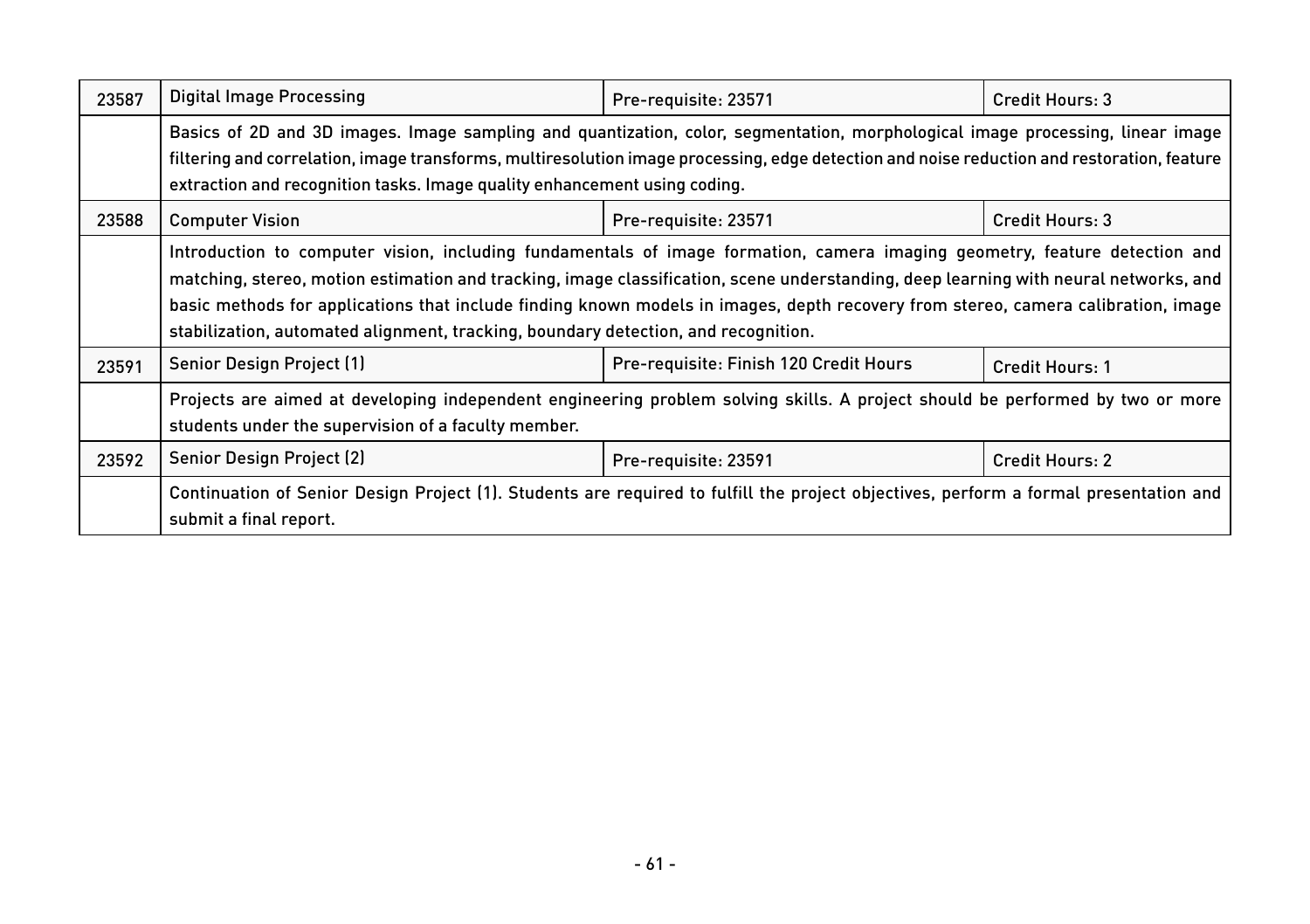| 23587 | Digital Image Processing                                                                                                                                                                                                                                                                                                                                                                                                                                                                      | Pre-requisite: 23571                   | Credit Hours: 3 |  |
|-------|-----------------------------------------------------------------------------------------------------------------------------------------------------------------------------------------------------------------------------------------------------------------------------------------------------------------------------------------------------------------------------------------------------------------------------------------------------------------------------------------------|----------------------------------------|-----------------|--|
|       | Basics of 2D and 3D images. Image sampling and quantization, color, segmentation, morphological image processing, linear image<br>filtering and correlation, image transforms, multiresolution image processing, edge detection and noise reduction and restoration, feature<br>extraction and recognition tasks. Image quality enhancement using coding.                                                                                                                                     |                                        |                 |  |
| 23588 | <b>Computer Vision</b>                                                                                                                                                                                                                                                                                                                                                                                                                                                                        | Pre-requisite: 23571                   | Credit Hours: 3 |  |
|       | Introduction to computer vision, including fundamentals of image formation, camera imaging geometry, feature detection and<br>matching, stereo, motion estimation and tracking, image classification, scene understanding, deep learning with neural networks, and<br>basic methods for applications that include finding known models in images, depth recovery from stereo, camera calibration, image<br>stabilization, automated alignment, tracking, boundary detection, and recognition. |                                        |                 |  |
| 23591 | Senior Design Project (1)                                                                                                                                                                                                                                                                                                                                                                                                                                                                     | Pre-requisite: Finish 120 Credit Hours | Credit Hours: 1 |  |
|       | Projects are aimed at developing independent engineering problem solving skills. A project should be performed by two or more<br>students under the supervision of a faculty member.                                                                                                                                                                                                                                                                                                          |                                        |                 |  |
| 23592 | Senior Design Project (2)                                                                                                                                                                                                                                                                                                                                                                                                                                                                     | Pre-requisite: 23591                   | Credit Hours: 2 |  |
|       | Continuation of Senior Design Project (1). Students are required to fulfill the project objectives, perform a formal presentation and<br>submit a final report.                                                                                                                                                                                                                                                                                                                               |                                        |                 |  |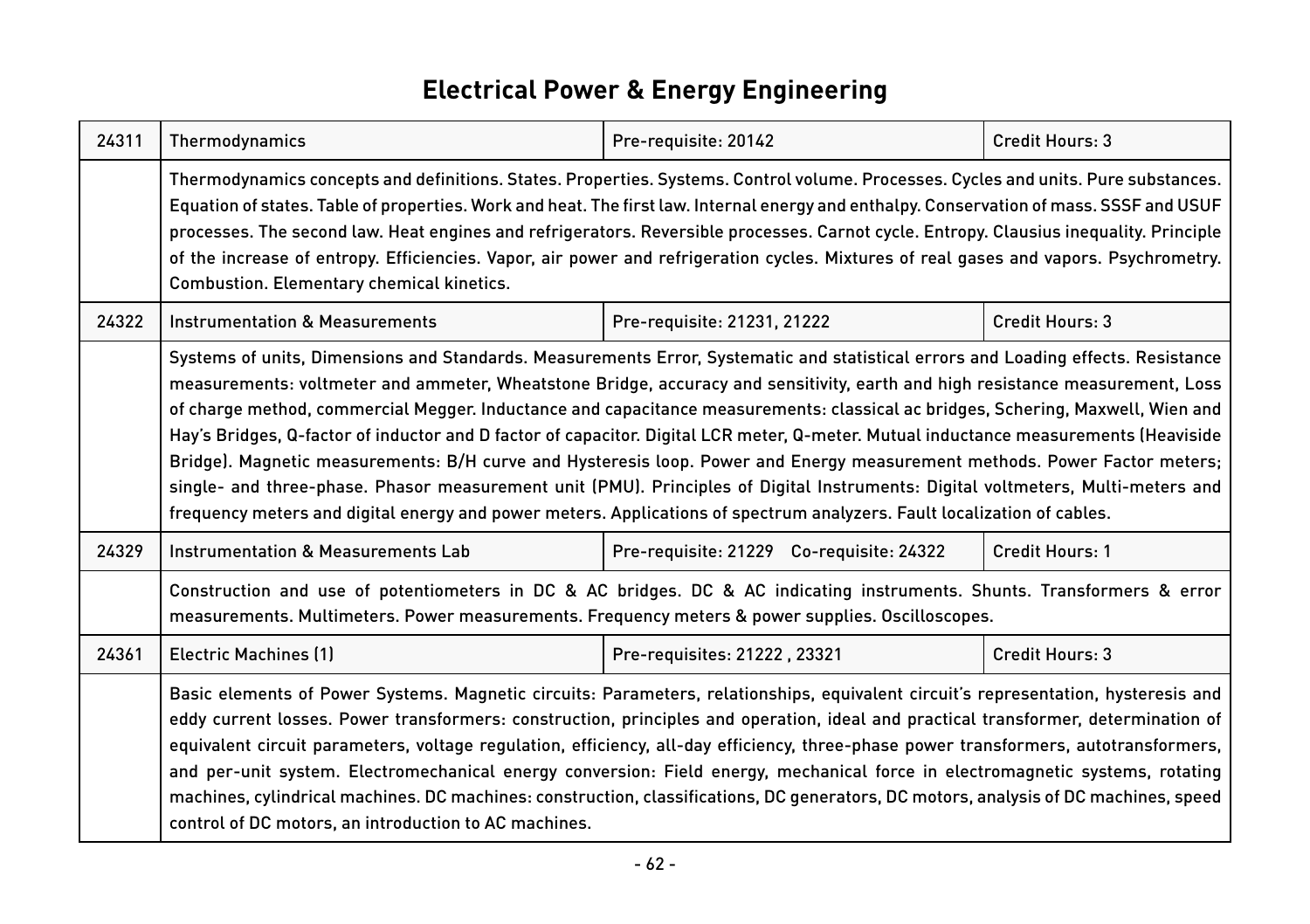#### **Electrical Power & Energy Engineering**

| 24311 | Thermodynamics                                                                                                                                                                                                                                                                                                                                                                                                                                                                                                                                                                                                                                                                                                                                                                                                                                                                                                                           | Pre-requisite: 20142                     | Credit Hours: 3 |
|-------|------------------------------------------------------------------------------------------------------------------------------------------------------------------------------------------------------------------------------------------------------------------------------------------------------------------------------------------------------------------------------------------------------------------------------------------------------------------------------------------------------------------------------------------------------------------------------------------------------------------------------------------------------------------------------------------------------------------------------------------------------------------------------------------------------------------------------------------------------------------------------------------------------------------------------------------|------------------------------------------|-----------------|
|       | Thermodynamics concepts and definitions. States. Properties. Systems. Control volume. Processes. Cycles and units. Pure substances.<br>Equation of states. Table of properties. Work and heat. The first law. Internal energy and enthalpy. Conservation of mass. SSSF and USUF<br>processes. The second law. Heat engines and refrigerators. Reversible processes. Carnot cycle. Entropy. Clausius inequality. Principle<br>of the increase of entropy. Efficiencies. Vapor, air power and refrigeration cycles. Mixtures of real gases and vapors. Psychrometry.<br>Combustion. Elementary chemical kinetics.                                                                                                                                                                                                                                                                                                                          |                                          |                 |
| 24322 | <b>Instrumentation &amp; Measurements</b>                                                                                                                                                                                                                                                                                                                                                                                                                                                                                                                                                                                                                                                                                                                                                                                                                                                                                                | Pre-requisite: 21231, 21222              | Credit Hours: 3 |
|       | Systems of units, Dimensions and Standards. Measurements Error, Systematic and statistical errors and Loading effects. Resistance<br>measurements: voltmeter and ammeter, Wheatstone Bridge, accuracy and sensitivity, earth and high resistance measurement, Loss<br>of charge method, commercial Megger. Inductance and capacitance measurements: classical ac bridges, Schering, Maxwell, Wien and<br>Hay's Bridges, Q-factor of inductor and D factor of capacitor. Digital LCR meter, Q-meter. Mutual inductance measurements (Heaviside<br>Bridge). Magnetic measurements: B/H curve and Hysteresis loop. Power and Energy measurement methods. Power Factor meters;<br>single- and three-phase. Phasor measurement unit (PMU). Principles of Digital Instruments: Digital voltmeters, Multi-meters and<br>frequency meters and digital energy and power meters. Applications of spectrum analyzers. Fault localization of cables. |                                          |                 |
| 24329 | Instrumentation & Measurements Lab                                                                                                                                                                                                                                                                                                                                                                                                                                                                                                                                                                                                                                                                                                                                                                                                                                                                                                       | Pre-requisite: 21229 Co-requisite: 24322 | Credit Hours: 1 |
|       | Construction and use of potentiometers in DC & AC bridges. DC & AC indicating instruments. Shunts. Transformers & error<br>measurements. Multimeters. Power measurements. Frequency meters & power supplies. Oscilloscopes.                                                                                                                                                                                                                                                                                                                                                                                                                                                                                                                                                                                                                                                                                                              |                                          |                 |
| 24361 | <b>Electric Machines (1)</b>                                                                                                                                                                                                                                                                                                                                                                                                                                                                                                                                                                                                                                                                                                                                                                                                                                                                                                             | Pre-requisites: 21222, 23321             | Credit Hours: 3 |
|       | Basic elements of Power Systems. Magnetic circuits: Parameters, relationships, equivalent circuit's representation, hysteresis and<br>eddy current losses. Power transformers: construction, principles and operation, ideal and practical transformer, determination of<br>equivalent circuit parameters, voltage regulation, efficiency, all-day efficiency, three-phase power transformers, autotransformers,<br>and per-unit system. Electromechanical energy conversion: Field energy, mechanical force in electromagnetic systems, rotating<br>machines, cylindrical machines. DC machines: construction, classifications, DC generators, DC motors, analysis of DC machines, speed<br>control of DC motors, an introduction to AC machines.                                                                                                                                                                                       |                                          |                 |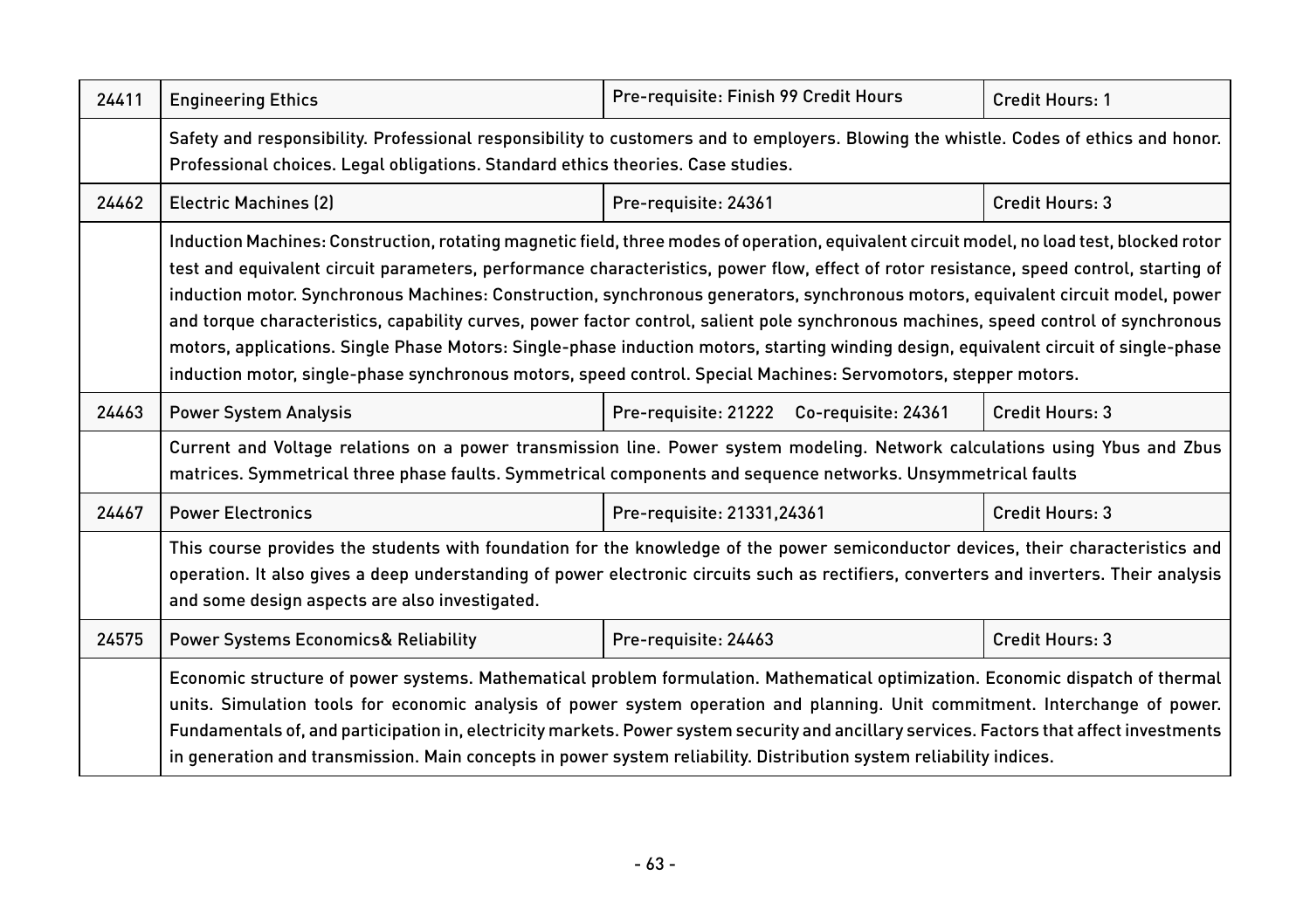| 24411 | <b>Engineering Ethics</b>                                                                                                                                                                                                                                                                                                                                                                                                                                                                                                                                                                                                                                                                                                                                                                                                     | Pre-requisite: Finish 99 Credit Hours    | Credit Hours: 1 |
|-------|-------------------------------------------------------------------------------------------------------------------------------------------------------------------------------------------------------------------------------------------------------------------------------------------------------------------------------------------------------------------------------------------------------------------------------------------------------------------------------------------------------------------------------------------------------------------------------------------------------------------------------------------------------------------------------------------------------------------------------------------------------------------------------------------------------------------------------|------------------------------------------|-----------------|
|       | Safety and responsibility. Professional responsibility to customers and to employers. Blowing the whistle. Codes of ethics and honor.<br>Professional choices. Legal obligations. Standard ethics theories. Case studies.                                                                                                                                                                                                                                                                                                                                                                                                                                                                                                                                                                                                     |                                          |                 |
| 24462 | <b>Electric Machines (2)</b>                                                                                                                                                                                                                                                                                                                                                                                                                                                                                                                                                                                                                                                                                                                                                                                                  | Pre-requisite: 24361                     | Credit Hours: 3 |
|       | Induction Machines: Construction, rotating magnetic field, three modes of operation, equivalent circuit model, no load test, blocked rotor<br>test and equivalent circuit parameters, performance characteristics, power flow, effect of rotor resistance, speed control, starting of<br>induction motor. Synchronous Machines: Construction, synchronous generators, synchronous motors, equivalent circuit model, power<br>and torque characteristics, capability curves, power factor control, salient pole synchronous machines, speed control of synchronous<br>motors, applications. Single Phase Motors: Single-phase induction motors, starting winding design, equivalent circuit of single-phase<br>induction motor, single-phase synchronous motors, speed control. Special Machines: Servomotors, stepper motors. |                                          |                 |
| 24463 | <b>Power System Analysis</b>                                                                                                                                                                                                                                                                                                                                                                                                                                                                                                                                                                                                                                                                                                                                                                                                  | Pre-requisite: 21222 Co-requisite: 24361 | Credit Hours: 3 |
|       | Current and Voltage relations on a power transmission line. Power system modeling. Network calculations using Ybus and Zbus<br>matrices. Symmetrical three phase faults. Symmetrical components and sequence networks. Unsymmetrical faults                                                                                                                                                                                                                                                                                                                                                                                                                                                                                                                                                                                   |                                          |                 |
| 24467 | <b>Power Electronics</b>                                                                                                                                                                                                                                                                                                                                                                                                                                                                                                                                                                                                                                                                                                                                                                                                      | Pre-requisite: 21331,24361               | Credit Hours: 3 |
|       | This course provides the students with foundation for the knowledge of the power semiconductor devices, their characteristics and<br>operation. It also gives a deep understanding of power electronic circuits such as rectifiers, converters and inverters. Their analysis<br>and some design aspects are also investigated.                                                                                                                                                                                                                                                                                                                                                                                                                                                                                                |                                          |                 |
| 24575 | <b>Power Systems Economics&amp; Reliability</b>                                                                                                                                                                                                                                                                                                                                                                                                                                                                                                                                                                                                                                                                                                                                                                               | Pre-requisite: 24463                     | Credit Hours: 3 |
|       | Economic structure of power systems. Mathematical problem formulation. Mathematical optimization. Economic dispatch of thermal<br>units. Simulation tools for economic analysis of power system operation and planning. Unit commitment. Interchange of power.<br>Fundamentals of, and participation in, electricity markets. Power system security and ancillary services. Factors that affect investments<br>in generation and transmission. Main concepts in power system reliability. Distribution system reliability indices.                                                                                                                                                                                                                                                                                            |                                          |                 |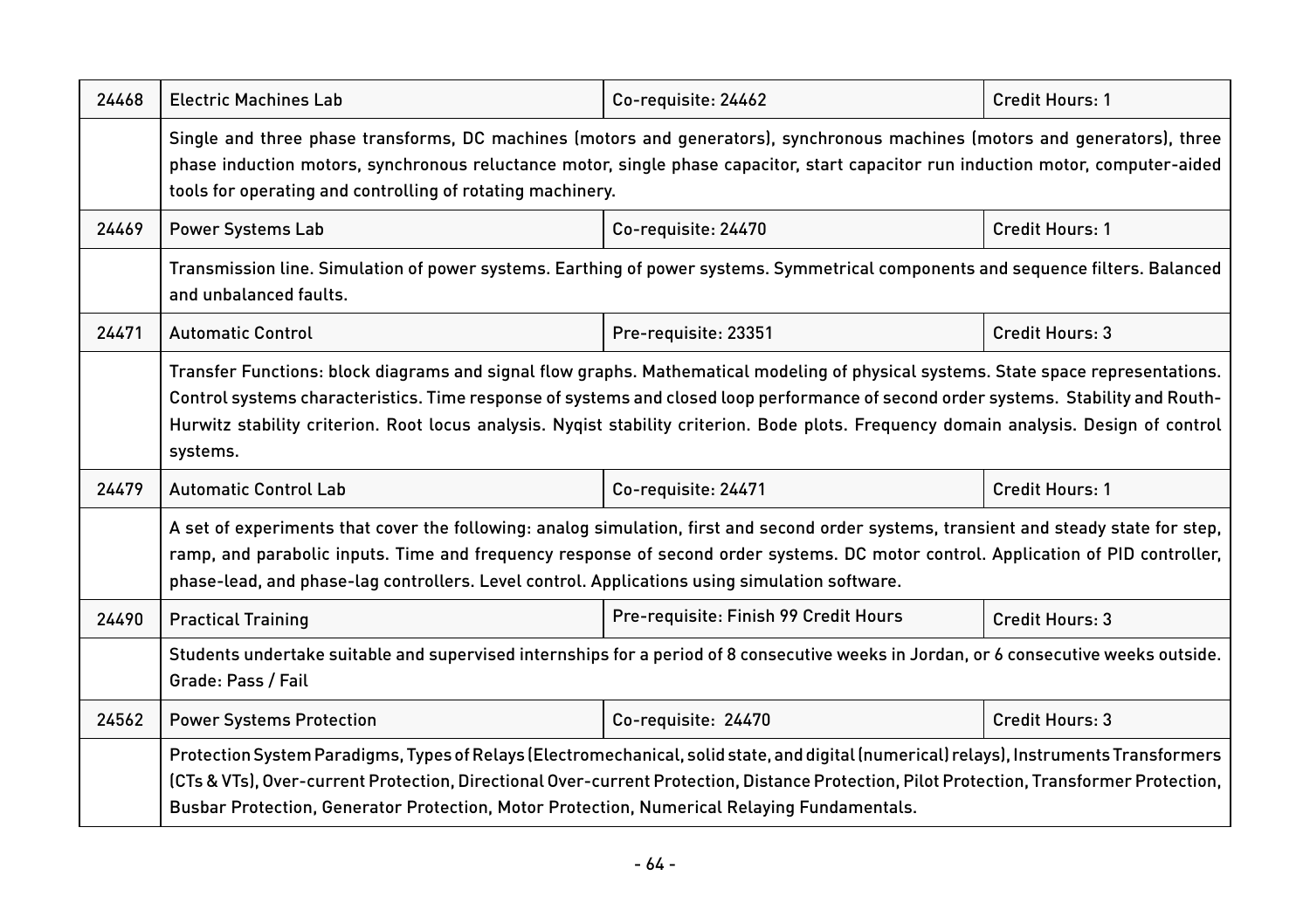| 24468 | <b>Electric Machines Lab</b>                                                                                                                                                                                                                                                                                                                                                                                                    | Co-requisite: 24462                   | Credit Hours: 1        |  |
|-------|---------------------------------------------------------------------------------------------------------------------------------------------------------------------------------------------------------------------------------------------------------------------------------------------------------------------------------------------------------------------------------------------------------------------------------|---------------------------------------|------------------------|--|
|       | Single and three phase transforms, DC machines (motors and generators), synchronous machines (motors and generators), three<br>phase induction motors, synchronous reluctance motor, single phase capacitor, start capacitor run induction motor, computer-aided<br>tools for operating and controlling of rotating machinery.                                                                                                  |                                       |                        |  |
| 24469 | <b>Power Systems Lab</b>                                                                                                                                                                                                                                                                                                                                                                                                        | Co-requisite: 24470                   | <b>Credit Hours: 1</b> |  |
|       | Transmission line. Simulation of power systems. Earthing of power systems. Symmetrical components and sequence filters. Balanced<br>and unbalanced faults.                                                                                                                                                                                                                                                                      |                                       |                        |  |
| 24471 | <b>Automatic Control</b>                                                                                                                                                                                                                                                                                                                                                                                                        | Pre-requisite: 23351                  | Credit Hours: 3        |  |
|       | Transfer Functions: block diagrams and signal flow graphs. Mathematical modeling of physical systems. State space representations.<br>Control systems characteristics. Time response of systems and closed loop performance of second order systems. Stability and Routh-<br>Hurwitz stability criterion. Root locus analysis. Nygist stability criterion. Bode plots. Frequency domain analysis. Design of control<br>systems. |                                       |                        |  |
| 24479 | <b>Automatic Control Lab</b>                                                                                                                                                                                                                                                                                                                                                                                                    | Co-requisite: 24471                   | Credit Hours: 1        |  |
|       | A set of experiments that cover the following: analog simulation, first and second order systems, transient and steady state for step,<br>ramp, and parabolic inputs. Time and frequency response of second order systems. DC motor control. Application of PID controller,<br>phase-lead, and phase-lag controllers. Level control. Applications using simulation software.                                                    |                                       |                        |  |
| 24490 | <b>Practical Training</b>                                                                                                                                                                                                                                                                                                                                                                                                       | Pre-requisite: Finish 99 Credit Hours | Credit Hours: 3        |  |
|       | Students undertake suitable and supervised internships for a period of 8 consecutive weeks in Jordan, or 6 consecutive weeks outside.<br>Grade: Pass / Fail                                                                                                                                                                                                                                                                     |                                       |                        |  |
| 24562 | <b>Power Systems Protection</b>                                                                                                                                                                                                                                                                                                                                                                                                 | Co-requisite: 24470                   | Credit Hours: 3        |  |
|       | Protection System Paradigms, Types of Relays (Electromechanical, solid state, and digital (numerical) relays), Instruments Transformers<br>(CTs & VTs), Over-current Protection, Directional Over-current Protection, Distance Protection, Pilot Protection, Transformer Protection,<br>Busbar Protection, Generator Protection, Motor Protection, Numerical Relaying Fundamentals.                                             |                                       |                        |  |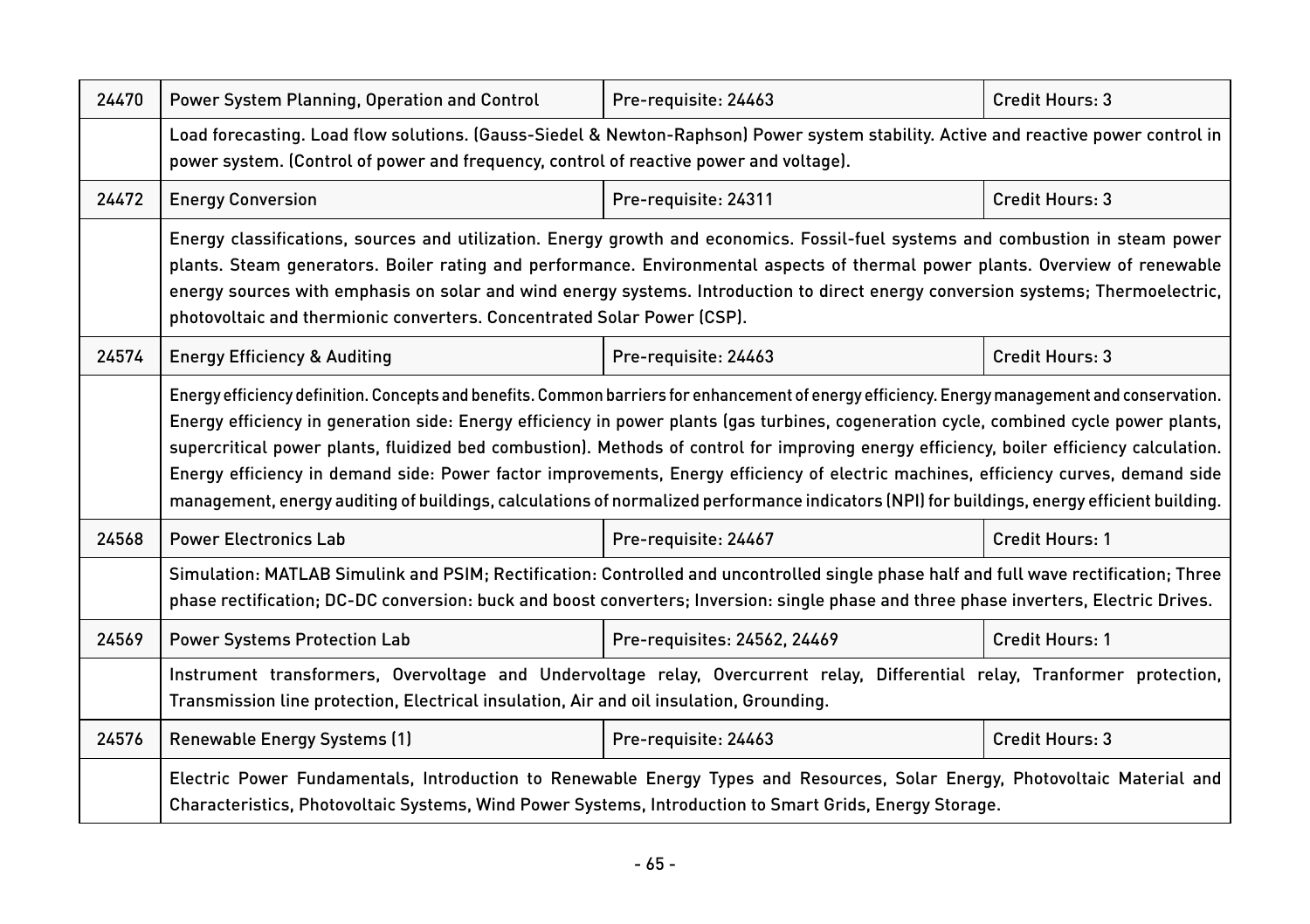| 24470 | Power System Planning, Operation and Control                                                                                                                                                                                                                                                                                                                                                                                                                                                                                                                                                                                                                                                                                 | Pre-requisite: 24463         | Credit Hours: 3 |  |
|-------|------------------------------------------------------------------------------------------------------------------------------------------------------------------------------------------------------------------------------------------------------------------------------------------------------------------------------------------------------------------------------------------------------------------------------------------------------------------------------------------------------------------------------------------------------------------------------------------------------------------------------------------------------------------------------------------------------------------------------|------------------------------|-----------------|--|
|       | Load forecasting. Load flow solutions. (Gauss-Siedel & Newton-Raphson) Power system stability. Active and reactive power control in<br>power system. (Control of power and frequency, control of reactive power and voltage).                                                                                                                                                                                                                                                                                                                                                                                                                                                                                                |                              |                 |  |
| 24472 | <b>Energy Conversion</b>                                                                                                                                                                                                                                                                                                                                                                                                                                                                                                                                                                                                                                                                                                     | Pre-requisite: 24311         | Credit Hours: 3 |  |
|       | Energy classifications, sources and utilization. Energy growth and economics. Fossil-fuel systems and combustion in steam power<br>plants. Steam generators. Boiler rating and performance. Environmental aspects of thermal power plants. Overview of renewable<br>energy sources with emphasis on solar and wind energy systems. Introduction to direct energy conversion systems; Thermoelectric,<br>photovoltaic and thermionic converters. Concentrated Solar Power (CSP).                                                                                                                                                                                                                                              |                              |                 |  |
| 24574 | <b>Energy Efficiency &amp; Auditing</b>                                                                                                                                                                                                                                                                                                                                                                                                                                                                                                                                                                                                                                                                                      | Pre-requisite: 24463         | Credit Hours: 3 |  |
|       | Energy efficiency definition. Concepts and benefits. Common barriers for enhancement of energy efficiency. Energy management and conservation.<br>Energy efficiency in generation side: Energy efficiency in power plants (gas turbines, cogeneration cycle, combined cycle power plants,<br>supercritical power plants, fluidized bed combustion). Methods of control for improving energy efficiency, boiler efficiency calculation.<br>Energy efficiency in demand side: Power factor improvements, Energy efficiency of electric machines, efficiency curves, demand side<br>management, energy auditing of buildings, calculations of normalized performance indicators (NPI) for buildings, energy efficient building. |                              |                 |  |
| 24568 | <b>Power Electronics Lab</b>                                                                                                                                                                                                                                                                                                                                                                                                                                                                                                                                                                                                                                                                                                 | Pre-requisite: 24467         | Credit Hours: 1 |  |
|       | Simulation: MATLAB Simulink and PSIM; Rectification: Controlled and uncontrolled single phase half and full wave rectification; Three<br>phase rectification; DC-DC conversion: buck and boost converters; Inversion: single phase and three phase inverters, Electric Drives.                                                                                                                                                                                                                                                                                                                                                                                                                                               |                              |                 |  |
| 24569 | <b>Power Systems Protection Lab</b>                                                                                                                                                                                                                                                                                                                                                                                                                                                                                                                                                                                                                                                                                          | Pre-requisites: 24562, 24469 | Credit Hours: 1 |  |
|       | Instrument transformers, Overvoltage and Undervoltage relay, Overcurrent relay, Differential relay, Tranformer protection,<br>Transmission line protection, Electrical insulation, Air and oil insulation, Grounding.                                                                                                                                                                                                                                                                                                                                                                                                                                                                                                        |                              |                 |  |
| 24576 | Renewable Energy Systems (1)                                                                                                                                                                                                                                                                                                                                                                                                                                                                                                                                                                                                                                                                                                 | Pre-requisite: 24463         | Credit Hours: 3 |  |
|       | Electric Power Fundamentals, Introduction to Renewable Energy Types and Resources, Solar Energy, Photovoltaic Material and<br>Characteristics, Photovoltaic Systems, Wind Power Systems, Introduction to Smart Grids, Energy Storage.                                                                                                                                                                                                                                                                                                                                                                                                                                                                                        |                              |                 |  |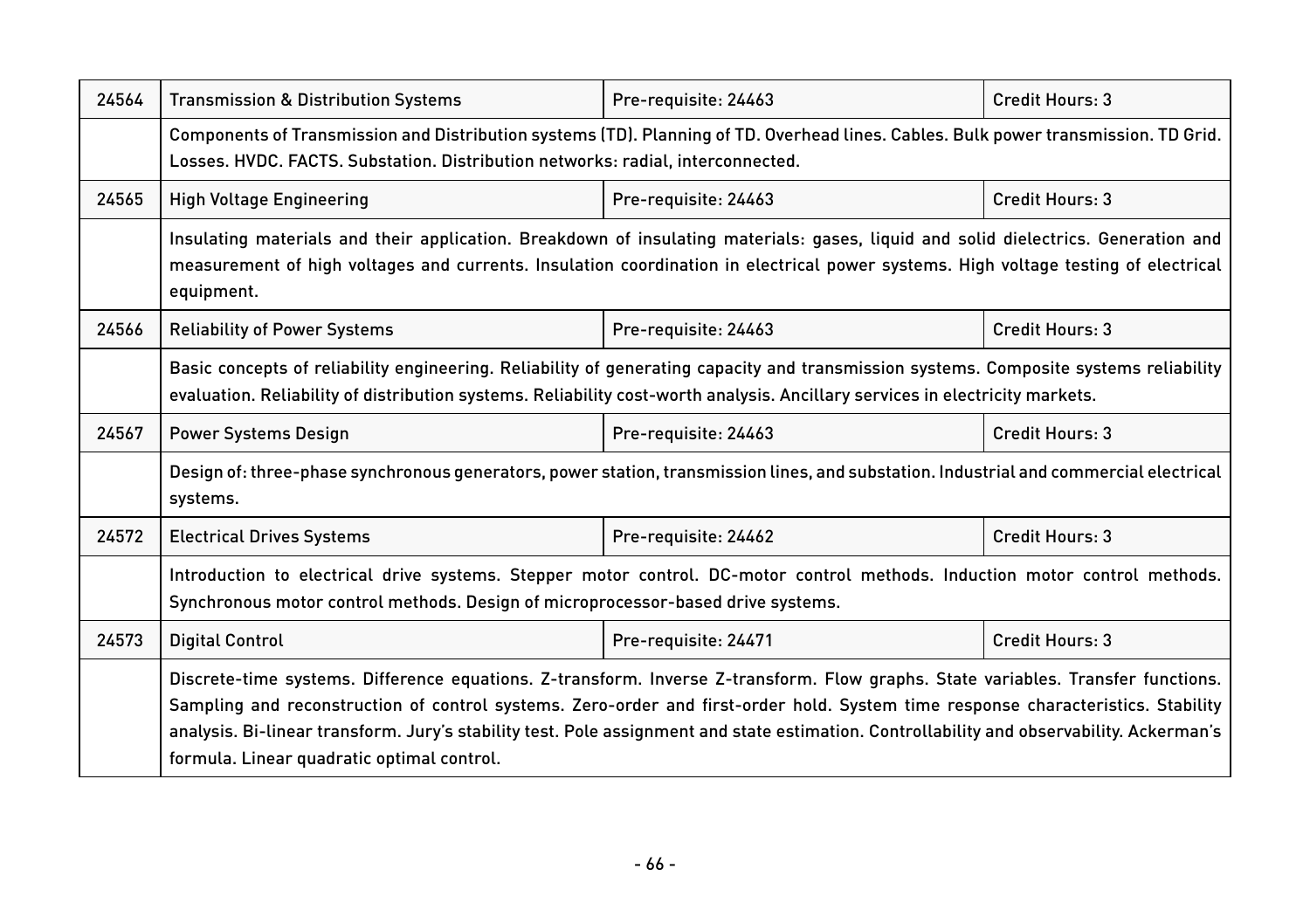| 24564 | <b>Transmission &amp; Distribution Systems</b>                                                                                                                                                                                                                                                                                                                                                                                                                  | Pre-requisite: 24463 | Credit Hours: 3 |
|-------|-----------------------------------------------------------------------------------------------------------------------------------------------------------------------------------------------------------------------------------------------------------------------------------------------------------------------------------------------------------------------------------------------------------------------------------------------------------------|----------------------|-----------------|
|       | Components of Transmission and Distribution systems (TD). Planning of TD. Overhead lines. Cables. Bulk power transmission. TD Grid.<br>Losses. HVDC. FACTS. Substation. Distribution networks: radial, interconnected.                                                                                                                                                                                                                                          |                      |                 |
| 24565 | <b>High Voltage Engineering</b>                                                                                                                                                                                                                                                                                                                                                                                                                                 | Pre-requisite: 24463 | Credit Hours: 3 |
|       | Insulating materials and their application. Breakdown of insulating materials: gases, liquid and solid dielectrics. Generation and<br>measurement of high voltages and currents. Insulation coordination in electrical power systems. High voltage testing of electrical<br>equipment.                                                                                                                                                                          |                      |                 |
| 24566 | <b>Reliability of Power Systems</b>                                                                                                                                                                                                                                                                                                                                                                                                                             | Pre-requisite: 24463 | Credit Hours: 3 |
|       | Basic concepts of reliability engineering. Reliability of generating capacity and transmission systems. Composite systems reliability<br>evaluation. Reliability of distribution systems. Reliability cost-worth analysis. Ancillary services in electricity markets.                                                                                                                                                                                           |                      |                 |
| 24567 | <b>Power Systems Design</b>                                                                                                                                                                                                                                                                                                                                                                                                                                     | Pre-requisite: 24463 | Credit Hours: 3 |
|       | Design of: three-phase synchronous generators, power station, transmission lines, and substation. Industrial and commercial electrical<br>systems.                                                                                                                                                                                                                                                                                                              |                      |                 |
| 24572 | <b>Electrical Drives Systems</b>                                                                                                                                                                                                                                                                                                                                                                                                                                | Pre-requisite: 24462 | Credit Hours: 3 |
|       | Introduction to electrical drive systems. Stepper motor control. DC-motor control methods. Induction motor control methods.<br>Synchronous motor control methods. Design of microprocessor-based drive systems.                                                                                                                                                                                                                                                 |                      |                 |
| 24573 | <b>Digital Control</b>                                                                                                                                                                                                                                                                                                                                                                                                                                          | Pre-requisite: 24471 | Credit Hours: 3 |
|       | Discrete-time systems. Difference equations. Z-transform. Inverse Z-transform. Flow graphs. State variables. Transfer functions.<br>Sampling and reconstruction of control systems. Zero-order and first-order hold. System time response characteristics. Stability<br>analysis. Bi-linear transform. Jury's stability test. Pole assignment and state estimation. Controllability and observability. Ackerman's<br>formula. Linear quadratic optimal control. |                      |                 |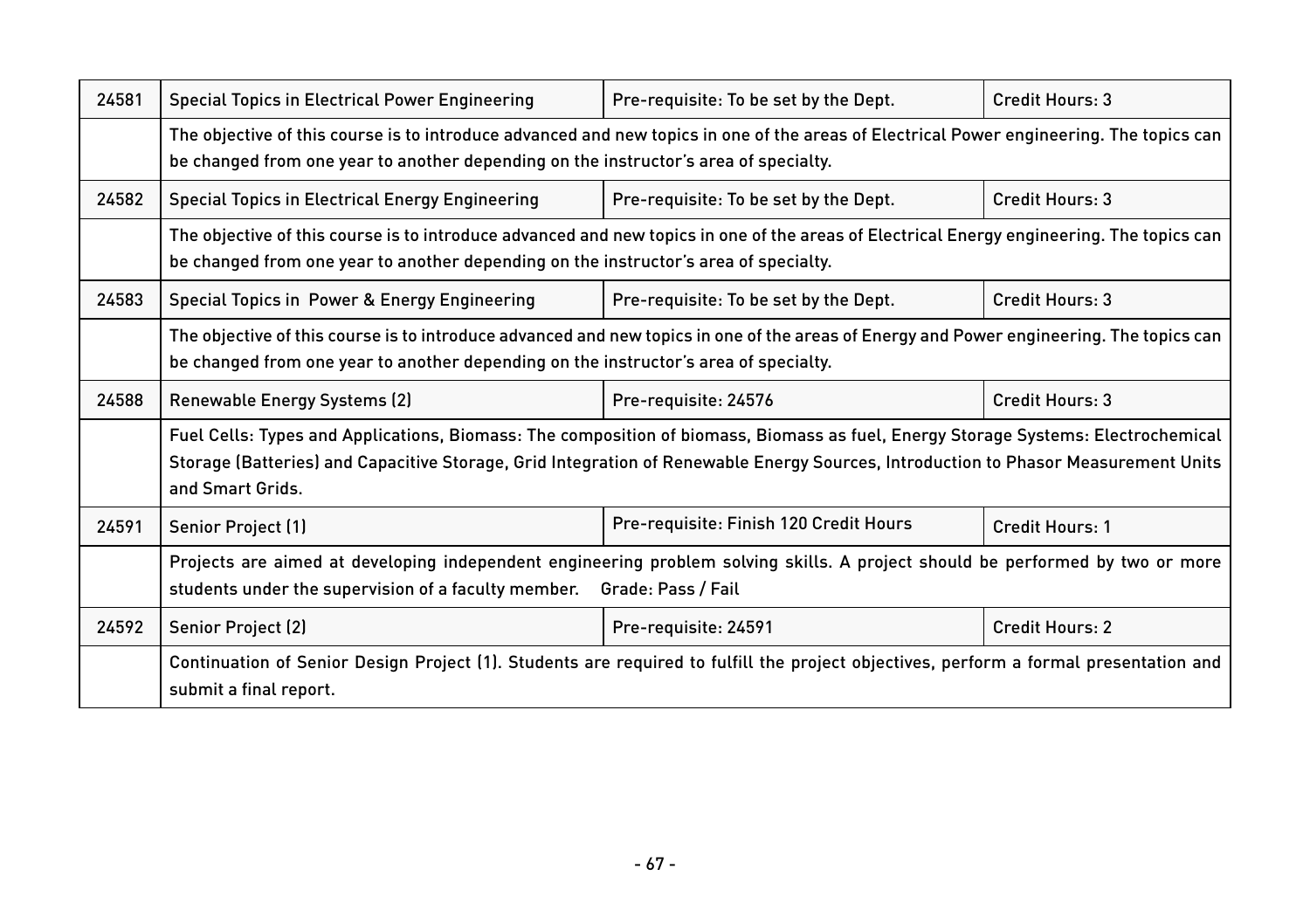| 24581 | Special Topics in Electrical Power Engineering                                                                                                                                                                                                                                              | Pre-requisite: To be set by the Dept.  | Credit Hours: 3        |
|-------|---------------------------------------------------------------------------------------------------------------------------------------------------------------------------------------------------------------------------------------------------------------------------------------------|----------------------------------------|------------------------|
|       | The objective of this course is to introduce advanced and new topics in one of the areas of Electrical Power engineering. The topics can<br>be changed from one year to another depending on the instructor's area of specialty.                                                            |                                        |                        |
| 24582 | <b>Special Topics in Electrical Energy Engineering</b>                                                                                                                                                                                                                                      | Pre-requisite: To be set by the Dept.  | Credit Hours: 3        |
|       | The objective of this course is to introduce advanced and new topics in one of the areas of Electrical Energy engineering. The topics can<br>be changed from one year to another depending on the instructor's area of specialty.                                                           |                                        |                        |
| 24583 | Special Topics in Power & Energy Engineering                                                                                                                                                                                                                                                | Pre-requisite: To be set by the Dept.  | Credit Hours: 3        |
|       | The objective of this course is to introduce advanced and new topics in one of the areas of Energy and Power engineering. The topics can<br>be changed from one year to another depending on the instructor's area of specialty.                                                            |                                        |                        |
| 24588 | Renewable Energy Systems (2)                                                                                                                                                                                                                                                                | Pre-requisite: 24576                   | Credit Hours: 3        |
|       | Fuel Cells: Types and Applications, Biomass: The composition of biomass, Biomass as fuel, Energy Storage Systems: Electrochemical<br>Storage (Batteries) and Capacitive Storage, Grid Integration of Renewable Energy Sources, Introduction to Phasor Measurement Units<br>and Smart Grids. |                                        |                        |
| 24591 | Senior Project (1)                                                                                                                                                                                                                                                                          | Pre-requisite: Finish 120 Credit Hours | <b>Credit Hours: 1</b> |
|       | Projects are aimed at developing independent engineering problem solving skills. A project should be performed by two or more<br>students under the supervision of a faculty member.<br>Grade: Pass / Fail                                                                                  |                                        |                        |
| 24592 | Senior Project (2)                                                                                                                                                                                                                                                                          | Pre-requisite: 24591                   | Credit Hours: 2        |
|       | Continuation of Senior Design Project (1). Students are required to fulfill the project objectives, perform a formal presentation and<br>submit a final report.                                                                                                                             |                                        |                        |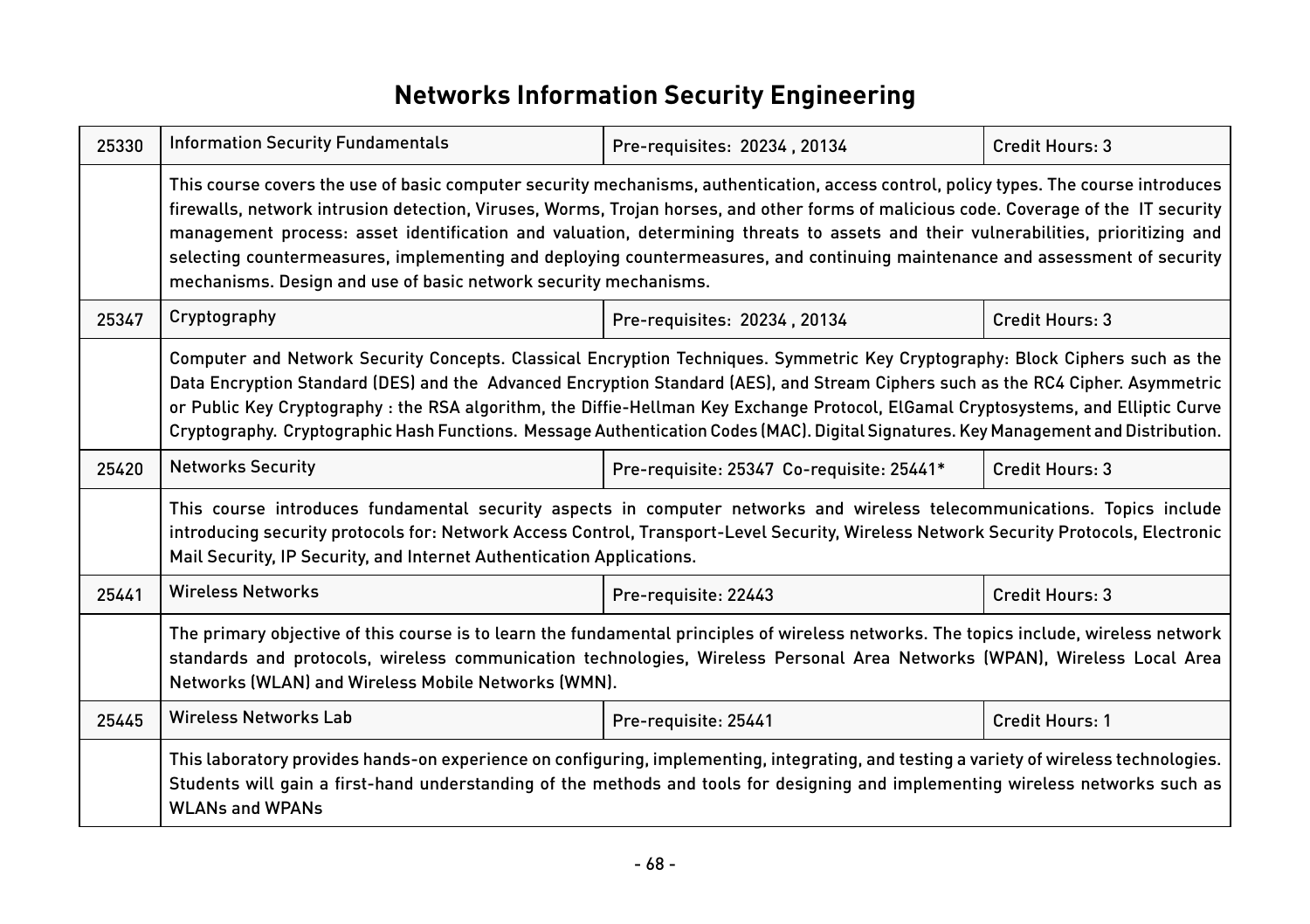# **Networks Information Security Engineering**

| 25330 | <b>Information Security Fundamentals</b>                                                                                                                                                                                                                                                                                                                                                                                                                                                                                                                                                                                | Pre-requisites: 20234, 20134              | Credit Hours: 3 |
|-------|-------------------------------------------------------------------------------------------------------------------------------------------------------------------------------------------------------------------------------------------------------------------------------------------------------------------------------------------------------------------------------------------------------------------------------------------------------------------------------------------------------------------------------------------------------------------------------------------------------------------------|-------------------------------------------|-----------------|
|       | This course covers the use of basic computer security mechanisms, authentication, access control, policy types. The course introduces<br>firewalls, network intrusion detection, Viruses, Worms, Trojan horses, and other forms of malicious code. Coverage of the IT security<br>management process: asset identification and valuation, determining threats to assets and their vulnerabilities, prioritizing and<br>selecting countermeasures, implementing and deploying countermeasures, and continuing maintenance and assessment of security<br>mechanisms. Design and use of basic network security mechanisms. |                                           |                 |
| 25347 | Cryptography                                                                                                                                                                                                                                                                                                                                                                                                                                                                                                                                                                                                            | Pre-requisites: 20234, 20134              | Credit Hours: 3 |
|       | Computer and Network Security Concepts. Classical Encryption Techniques. Symmetric Key Cryptography: Block Ciphers such as the<br>Data Encryption Standard (DES) and the Advanced Encryption Standard (AES), and Stream Ciphers such as the RC4 Cipher. Asymmetric<br>or Public Key Cryptography: the RSA algorithm, the Diffie-Hellman Key Exchange Protocol, ElGamal Cryptosystems, and Elliptic Curve<br>Cryptography. Cryptographic Hash Functions. Message Authentication Codes (MAC). Digital Signatures. Key Management and Distribution.                                                                        |                                           |                 |
| 25420 | <b>Networks Security</b>                                                                                                                                                                                                                                                                                                                                                                                                                                                                                                                                                                                                | Pre-requisite: 25347 Co-requisite: 25441* | Credit Hours: 3 |
|       | This course introduces fundamental security aspects in computer networks and wireless telecommunications. Topics include<br>introducing security protocols for: Network Access Control, Transport-Level Security, Wireless Network Security Protocols, Electronic<br>Mail Security, IP Security, and Internet Authentication Applications.                                                                                                                                                                                                                                                                              |                                           |                 |
| 25441 | <b>Wireless Networks</b>                                                                                                                                                                                                                                                                                                                                                                                                                                                                                                                                                                                                | Pre-requisite: 22443                      | Credit Hours: 3 |
|       | The primary objective of this course is to learn the fundamental principles of wireless networks. The topics include, wireless network<br>standards and protocols, wireless communication technologies, Wireless Personal Area Networks (WPAN), Wireless Local Area<br>Networks (WLAN) and Wireless Mobile Networks (WMN).                                                                                                                                                                                                                                                                                              |                                           |                 |
| 25445 | <b>Wireless Networks Lab</b>                                                                                                                                                                                                                                                                                                                                                                                                                                                                                                                                                                                            | Pre-requisite: 25441                      | Credit Hours: 1 |
|       | This laboratory provides hands-on experience on configuring, implementing, integrating, and testing a variety of wireless technologies.<br>Students will gain a first-hand understanding of the methods and tools for designing and implementing wireless networks such as<br><b>WLANs and WPANs</b>                                                                                                                                                                                                                                                                                                                    |                                           |                 |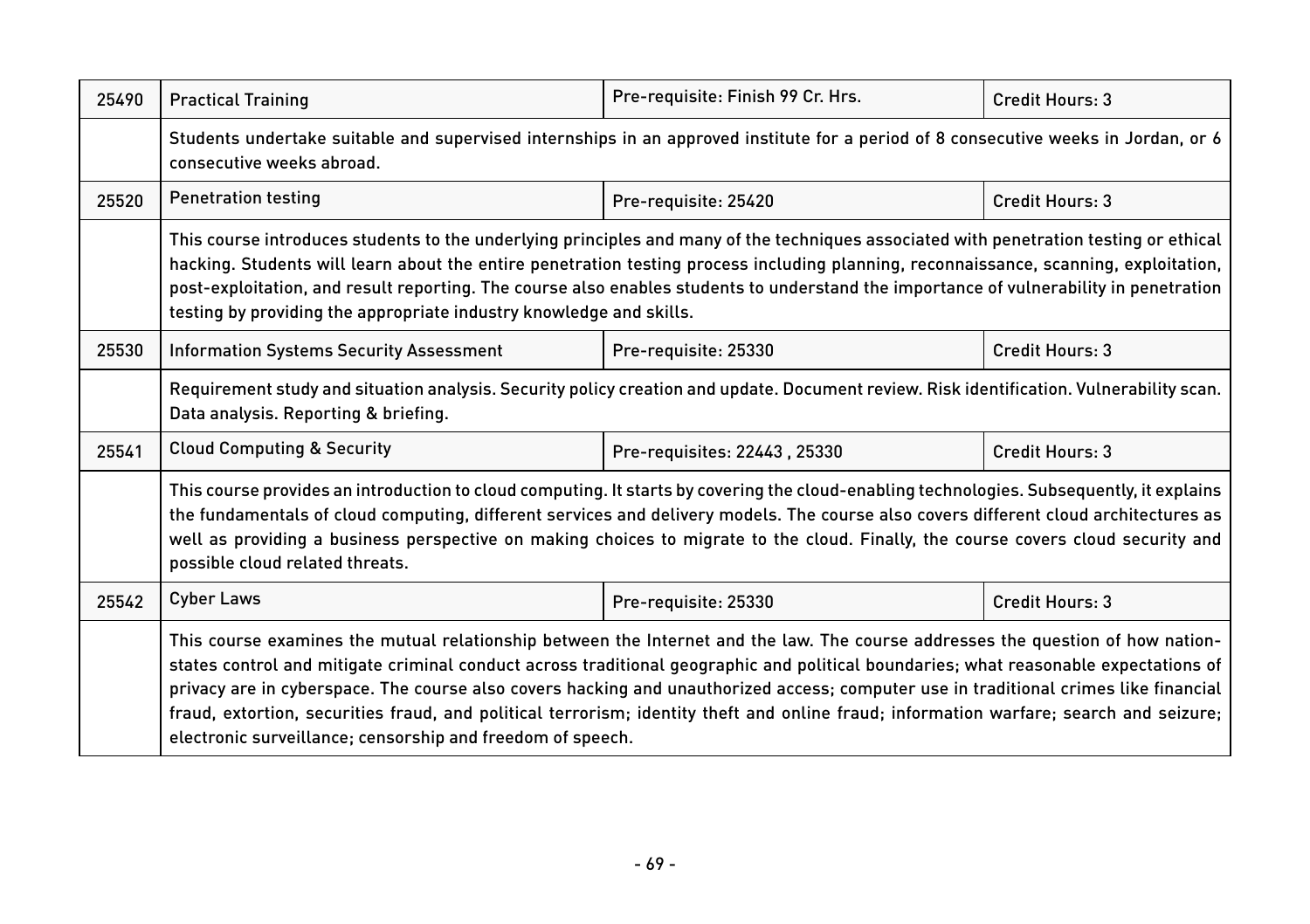| 25490 | <b>Practical Training</b>                                                                                                                                                                                                                                                                                                                                                                                                                                                                                                                                                                                               | Pre-requisite: Finish 99 Cr. Hrs. | Credit Hours: 3 |  |  |
|-------|-------------------------------------------------------------------------------------------------------------------------------------------------------------------------------------------------------------------------------------------------------------------------------------------------------------------------------------------------------------------------------------------------------------------------------------------------------------------------------------------------------------------------------------------------------------------------------------------------------------------------|-----------------------------------|-----------------|--|--|
|       | Students undertake suitable and supervised internships in an approved institute for a period of 8 consecutive weeks in Jordan, or 6<br>consecutive weeks abroad.                                                                                                                                                                                                                                                                                                                                                                                                                                                        |                                   |                 |  |  |
| 25520 | <b>Penetration testing</b><br>Pre-requisite: 25420<br>Credit Hours: 3                                                                                                                                                                                                                                                                                                                                                                                                                                                                                                                                                   |                                   |                 |  |  |
|       | This course introduces students to the underlying principles and many of the techniques associated with penetration testing or ethical<br>hacking. Students will learn about the entire penetration testing process including planning, reconnaissance, scanning, exploitation,<br>post-exploitation, and result reporting. The course also enables students to understand the importance of vulnerability in penetration<br>testing by providing the appropriate industry knowledge and skills.                                                                                                                        |                                   |                 |  |  |
| 25530 | Credit Hours: 3<br><b>Information Systems Security Assessment</b><br>Pre-requisite: 25330                                                                                                                                                                                                                                                                                                                                                                                                                                                                                                                               |                                   |                 |  |  |
|       | Requirement study and situation analysis. Security policy creation and update. Document review. Risk identification. Vulnerability scan.<br>Data analysis. Reporting & briefing.                                                                                                                                                                                                                                                                                                                                                                                                                                        |                                   |                 |  |  |
| 25541 | <b>Cloud Computing &amp; Security</b><br>Credit Hours: 3<br>Pre-requisites: 22443, 25330                                                                                                                                                                                                                                                                                                                                                                                                                                                                                                                                |                                   |                 |  |  |
|       | This course provides an introduction to cloud computing. It starts by covering the cloud-enabling technologies. Subsequently, it explains<br>the fundamentals of cloud computing, different services and delivery models. The course also covers different cloud architectures as<br>well as providing a business perspective on making choices to migrate to the cloud. Finally, the course covers cloud security and<br>possible cloud related threats.                                                                                                                                                               |                                   |                 |  |  |
| 25542 | <b>Cyber Laws</b>                                                                                                                                                                                                                                                                                                                                                                                                                                                                                                                                                                                                       | Pre-requisite: 25330              | Credit Hours: 3 |  |  |
|       | This course examines the mutual relationship between the Internet and the law. The course addresses the question of how nation-<br>states control and mitigate criminal conduct across traditional geographic and political boundaries; what reasonable expectations of<br>privacy are in cyberspace. The course also covers hacking and unauthorized access; computer use in traditional crimes like financial<br>fraud, extortion, securities fraud, and political terrorism; identity theft and online fraud; information warfare; search and seizure;<br>electronic surveillance; censorship and freedom of speech. |                                   |                 |  |  |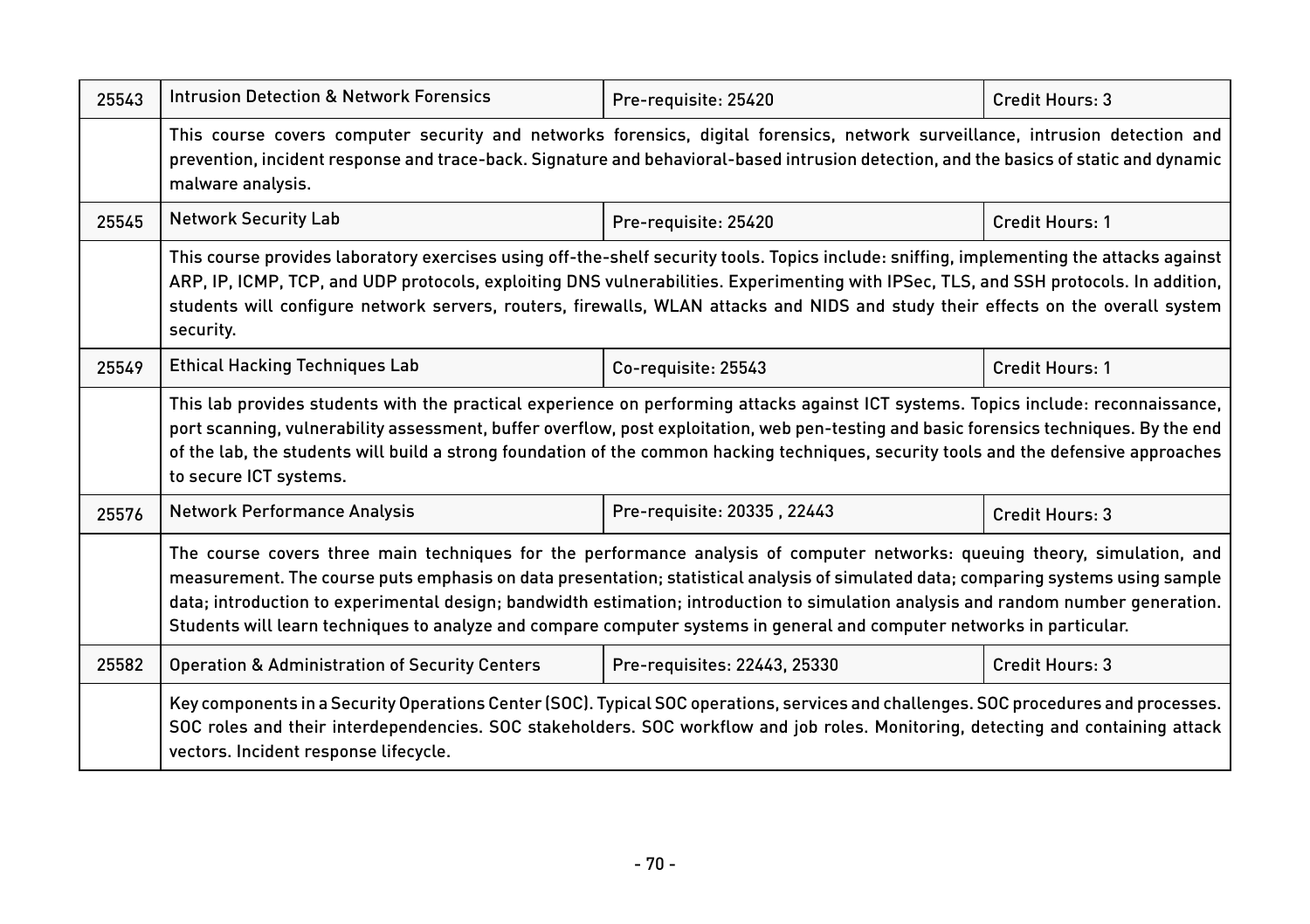| 25543 | <b>Intrusion Detection &amp; Network Forensics</b>                                                                                                                                                                                                                                                                                                                                                                                                                                                                               | Pre-requisite: 25420         | Credit Hours: 3 |  |
|-------|----------------------------------------------------------------------------------------------------------------------------------------------------------------------------------------------------------------------------------------------------------------------------------------------------------------------------------------------------------------------------------------------------------------------------------------------------------------------------------------------------------------------------------|------------------------------|-----------------|--|
|       | This course covers computer security and networks forensics, digital forensics, network surveillance, intrusion detection and<br>prevention, incident response and trace-back. Signature and behavioral-based intrusion detection, and the basics of static and dynamic<br>malware analysis.                                                                                                                                                                                                                                     |                              |                 |  |
| 25545 | <b>Network Security Lab</b>                                                                                                                                                                                                                                                                                                                                                                                                                                                                                                      | Pre-requisite: 25420         | Credit Hours: 1 |  |
|       | This course provides laboratory exercises using off-the-shelf security tools. Topics include: sniffing, implementing the attacks against<br>ARP, IP, ICMP, TCP, and UDP protocols, exploiting DNS vulnerabilities. Experimenting with IPSec, TLS, and SSH protocols. In addition,<br>students will configure network servers, routers, firewalls, WLAN attacks and NIDS and study their effects on the overall system<br>security.                                                                                               |                              |                 |  |
| 25549 | <b>Ethical Hacking Techniques Lab</b>                                                                                                                                                                                                                                                                                                                                                                                                                                                                                            | Co-requisite: 25543          | Credit Hours: 1 |  |
|       | This lab provides students with the practical experience on performing attacks against ICT systems. Topics include: reconnaissance,<br>port scanning, vulnerability assessment, buffer overflow, post exploitation, web pen-testing and basic forensics techniques. By the end<br>of the lab, the students will build a strong foundation of the common hacking techniques, security tools and the defensive approaches<br>to secure ICT systems.                                                                                |                              |                 |  |
| 25576 | <b>Network Performance Analysis</b>                                                                                                                                                                                                                                                                                                                                                                                                                                                                                              | Pre-requisite: 20335, 22443  | Credit Hours: 3 |  |
|       | The course covers three main techniques for the performance analysis of computer networks: queuing theory, simulation, and<br>measurement. The course puts emphasis on data presentation; statistical analysis of simulated data; comparing systems using sample<br>data; introduction to experimental design; bandwidth estimation; introduction to simulation analysis and random number generation.<br>Students will learn techniques to analyze and compare computer systems in general and computer networks in particular. |                              |                 |  |
| 25582 | <b>Operation &amp; Administration of Security Centers</b>                                                                                                                                                                                                                                                                                                                                                                                                                                                                        | Pre-requisites: 22443, 25330 | Credit Hours: 3 |  |
|       | Key components in a Security Operations Center (SOC). Typical SOC operations, services and challenges. SOC procedures and processes.<br>SOC roles and their interdependencies. SOC stakeholders. SOC workflow and job roles. Monitoring, detecting and containing attack<br>vectors. Incident response lifecycle.                                                                                                                                                                                                                |                              |                 |  |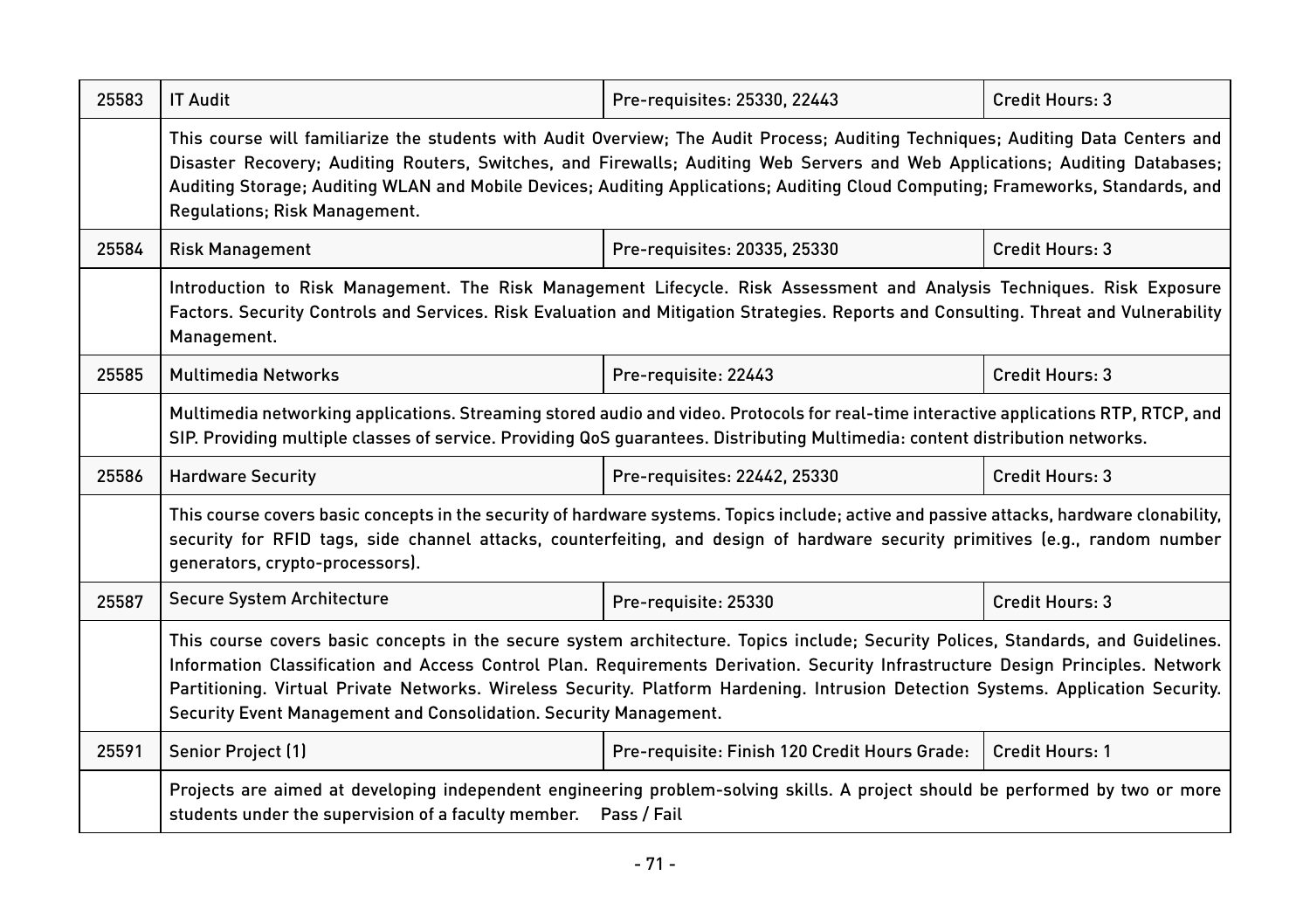| 25583 | <b>IT Audit</b>                                                                                                                                                                                                                                                                                                                                                                                                                                                                | Pre-requisites: 25330, 22443                  | Credit Hours: 3 |  |  |
|-------|--------------------------------------------------------------------------------------------------------------------------------------------------------------------------------------------------------------------------------------------------------------------------------------------------------------------------------------------------------------------------------------------------------------------------------------------------------------------------------|-----------------------------------------------|-----------------|--|--|
|       | This course will familiarize the students with Audit Overview; The Audit Process; Auditing Techniques; Auditing Data Centers and<br>Disaster Recovery; Auditing Routers, Switches, and Firewalls; Auditing Web Servers and Web Applications; Auditing Databases;<br>Auditing Storage; Auditing WLAN and Mobile Devices; Auditing Applications; Auditing Cloud Computing; Frameworks, Standards, and<br>Regulations; Risk Management.                                           |                                               |                 |  |  |
| 25584 | <b>Risk Management</b>                                                                                                                                                                                                                                                                                                                                                                                                                                                         | Pre-requisites: 20335, 25330                  | Credit Hours: 3 |  |  |
|       | Introduction to Risk Management. The Risk Management Lifecycle. Risk Assessment and Analysis Techniques. Risk Exposure<br>Factors. Security Controls and Services. Risk Evaluation and Mitigation Strategies. Reports and Consulting. Threat and Vulnerability<br>Management.                                                                                                                                                                                                  |                                               |                 |  |  |
| 25585 | <b>Multimedia Networks</b><br>Pre-requisite: 22443<br>Credit Hours: 3                                                                                                                                                                                                                                                                                                                                                                                                          |                                               |                 |  |  |
|       | Multimedia networking applications. Streaming stored audio and video. Protocols for real-time interactive applications RTP, RTCP, and<br>SIP. Providing multiple classes of service. Providing QoS guarantees. Distributing Multimedia: content distribution networks.                                                                                                                                                                                                         |                                               |                 |  |  |
| 25586 | Credit Hours: 3<br><b>Hardware Security</b><br>Pre-requisites: 22442, 25330                                                                                                                                                                                                                                                                                                                                                                                                    |                                               |                 |  |  |
|       | This course covers basic concepts in the security of hardware systems. Topics include; active and passive attacks, hardware clonability,<br>security for RFID tags, side channel attacks, counterfeiting, and design of hardware security primitives (e.g., random number<br>generators, crypto-processors).                                                                                                                                                                   |                                               |                 |  |  |
| 25587 | Secure System Architecture                                                                                                                                                                                                                                                                                                                                                                                                                                                     | Pre-requisite: 25330                          | Credit Hours: 3 |  |  |
|       | This course covers basic concepts in the secure system architecture. Topics include; Security Polices, Standards, and Guidelines.<br>Information Classification and Access Control Plan. Requirements Derivation. Security Infrastructure Design Principles. Network<br>Partitioning. Virtual Private Networks. Wireless Security. Platform Hardening. Intrusion Detection Systems. Application Security.<br>Security Event Management and Consolidation. Security Management. |                                               |                 |  |  |
| 25591 | Senior Project (1)                                                                                                                                                                                                                                                                                                                                                                                                                                                             | Pre-requisite: Finish 120 Credit Hours Grade: | Credit Hours: 1 |  |  |
|       | Projects are aimed at developing independent engineering problem-solving skills. A project should be performed by two or more<br>students under the supervision of a faculty member.  Pass / Fail                                                                                                                                                                                                                                                                              |                                               |                 |  |  |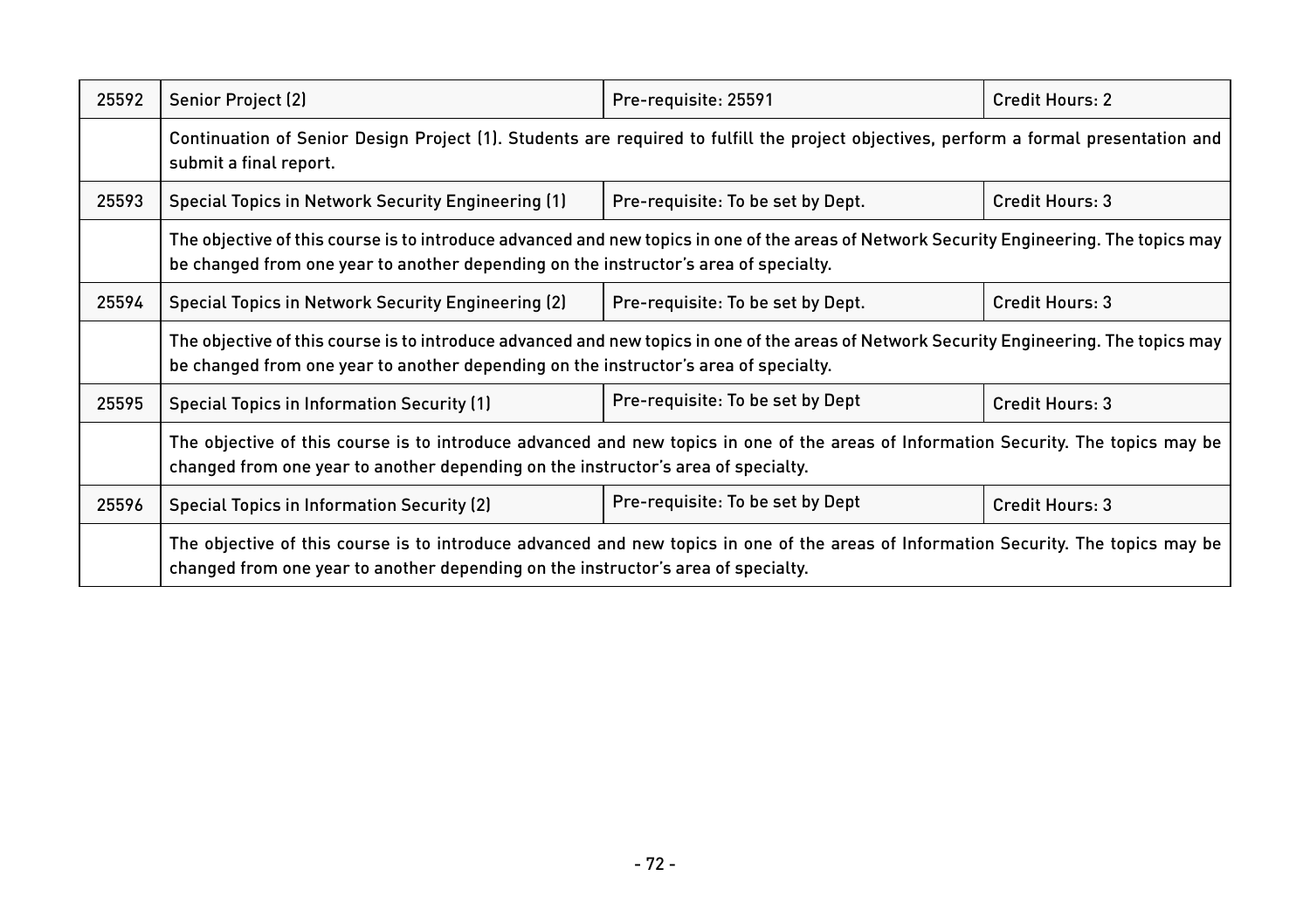| 25592 | Senior Project (2)                                                                                                                                                                                                               | Pre-requisite: 25591              | <b>Credit Hours: 2</b> |
|-------|----------------------------------------------------------------------------------------------------------------------------------------------------------------------------------------------------------------------------------|-----------------------------------|------------------------|
|       | Continuation of Senior Design Project (1). Students are required to fulfill the project objectives, perform a formal presentation and<br>submit a final report.                                                                  |                                   |                        |
| 25593 | Special Topics in Network Security Engineering (1)                                                                                                                                                                               | Pre-requisite: To be set by Dept. | Credit Hours: 3        |
|       | The objective of this course is to introduce advanced and new topics in one of the areas of Network Security Engineering. The topics may<br>be changed from one year to another depending on the instructor's area of specialty. |                                   |                        |
| 25594 | Special Topics in Network Security Engineering (2)                                                                                                                                                                               | Pre-requisite: To be set by Dept. | Credit Hours: 3        |
|       | The objective of this course is to introduce advanced and new topics in one of the areas of Network Security Engineering. The topics may<br>be changed from one year to another depending on the instructor's area of specialty. |                                   |                        |
| 25595 | <b>Special Topics in Information Security (1)</b>                                                                                                                                                                                | Pre-requisite: To be set by Dept  | Credit Hours: 3        |
|       | The objective of this course is to introduce advanced and new topics in one of the areas of Information Security. The topics may be<br>changed from one year to another depending on the instructor's area of specialty.         |                                   |                        |
| 25596 | <b>Special Topics in Information Security (2)</b>                                                                                                                                                                                | Pre-requisite: To be set by Dept  | Credit Hours: 3        |
|       | The objective of this course is to introduce advanced and new topics in one of the areas of Information Security. The topics may be<br>changed from one year to another depending on the instructor's area of specialty.         |                                   |                        |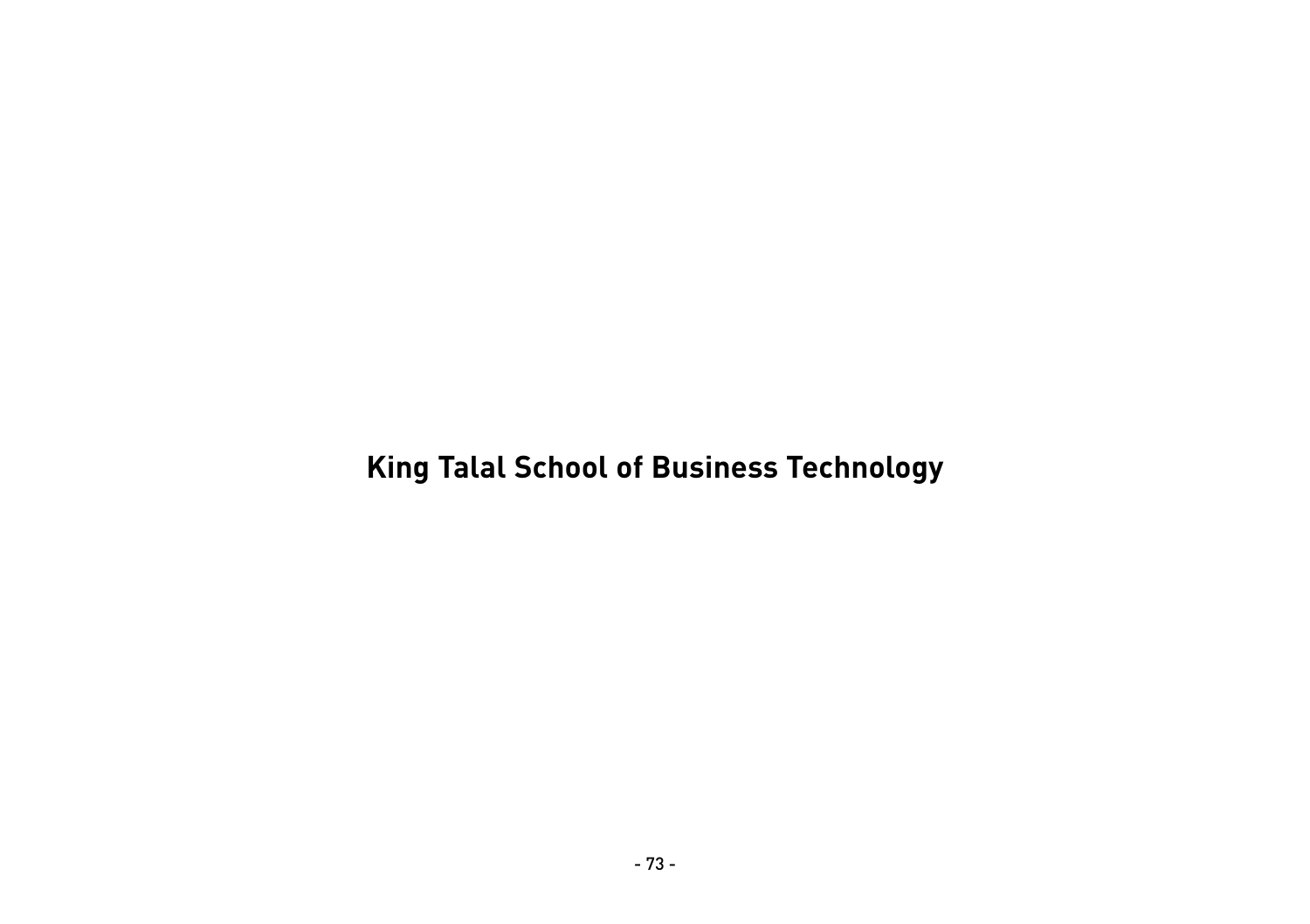# **King Talal School of Business Technology**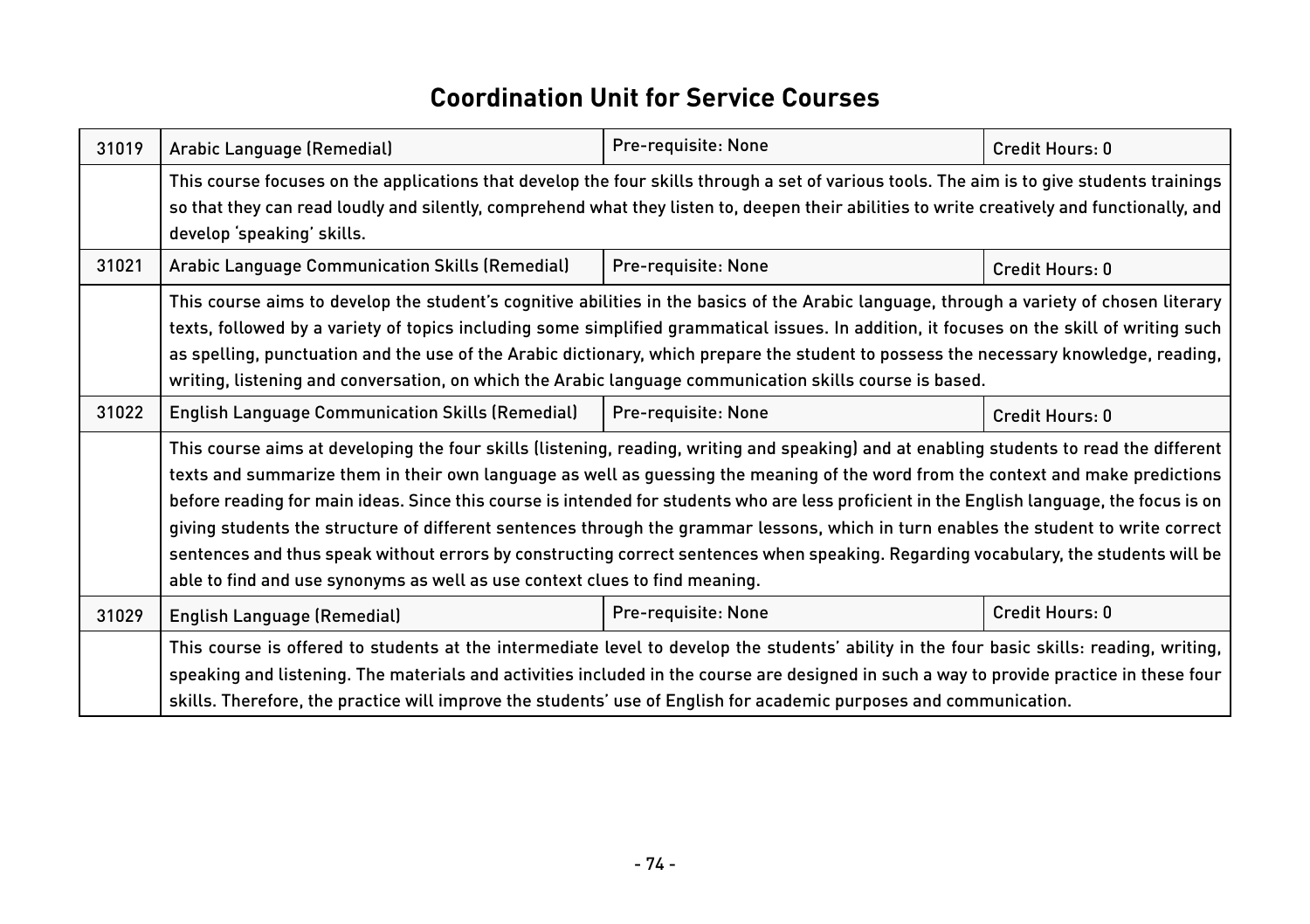#### **Coordination Unit for Service Courses**

| 31019 | Arabic Language (Remedial)                                                                                                                                                                                                                                                                                                                                                                                                                                                                                                                                                                                                                                                                                                                                                               | Pre-requisite: None | Credit Hours: 0 |
|-------|------------------------------------------------------------------------------------------------------------------------------------------------------------------------------------------------------------------------------------------------------------------------------------------------------------------------------------------------------------------------------------------------------------------------------------------------------------------------------------------------------------------------------------------------------------------------------------------------------------------------------------------------------------------------------------------------------------------------------------------------------------------------------------------|---------------------|-----------------|
|       | This course focuses on the applications that develop the four skills through a set of various tools. The aim is to give students trainings<br>so that they can read loudly and silently, comprehend what they listen to, deepen their abilities to write creatively and functionally, and<br>develop 'speaking' skills.                                                                                                                                                                                                                                                                                                                                                                                                                                                                  |                     |                 |
| 31021 | Arabic Language Communication Skills (Remedial)                                                                                                                                                                                                                                                                                                                                                                                                                                                                                                                                                                                                                                                                                                                                          | Pre-requisite: None | Credit Hours: 0 |
|       | This course aims to develop the student's cognitive abilities in the basics of the Arabic language, through a variety of chosen literary<br>texts, followed by a variety of topics including some simplified grammatical issues. In addition, it focuses on the skill of writing such<br>as spelling, punctuation and the use of the Arabic dictionary, which prepare the student to possess the necessary knowledge, reading,<br>writing, listening and conversation, on which the Arabic language communication skills course is based.                                                                                                                                                                                                                                                |                     |                 |
| 31022 | <b>English Language Communication Skills (Remedial)</b>                                                                                                                                                                                                                                                                                                                                                                                                                                                                                                                                                                                                                                                                                                                                  | Pre-requisite: None | Credit Hours: 0 |
|       | This course aims at developing the four skills (listening, reading, writing and speaking) and at enabling students to read the different<br>texts and summarize them in their own language as well as guessing the meaning of the word from the context and make predictions<br>before reading for main ideas. Since this course is intended for students who are less proficient in the English language, the focus is on<br>giving students the structure of different sentences through the grammar lessons, which in turn enables the student to write correct<br>sentences and thus speak without errors by constructing correct sentences when speaking. Regarding vocabulary, the students will be<br>able to find and use synonyms as well as use context clues to find meaning. |                     |                 |
| 31029 | English Language (Remedial)                                                                                                                                                                                                                                                                                                                                                                                                                                                                                                                                                                                                                                                                                                                                                              | Pre-requisite: None | Credit Hours: 0 |
|       | This course is offered to students at the intermediate level to develop the students' ability in the four basic skills: reading, writing,<br>speaking and listening. The materials and activities included in the course are designed in such a way to provide practice in these four<br>skills. Therefore, the practice will improve the students' use of English for academic purposes and communication.                                                                                                                                                                                                                                                                                                                                                                              |                     |                 |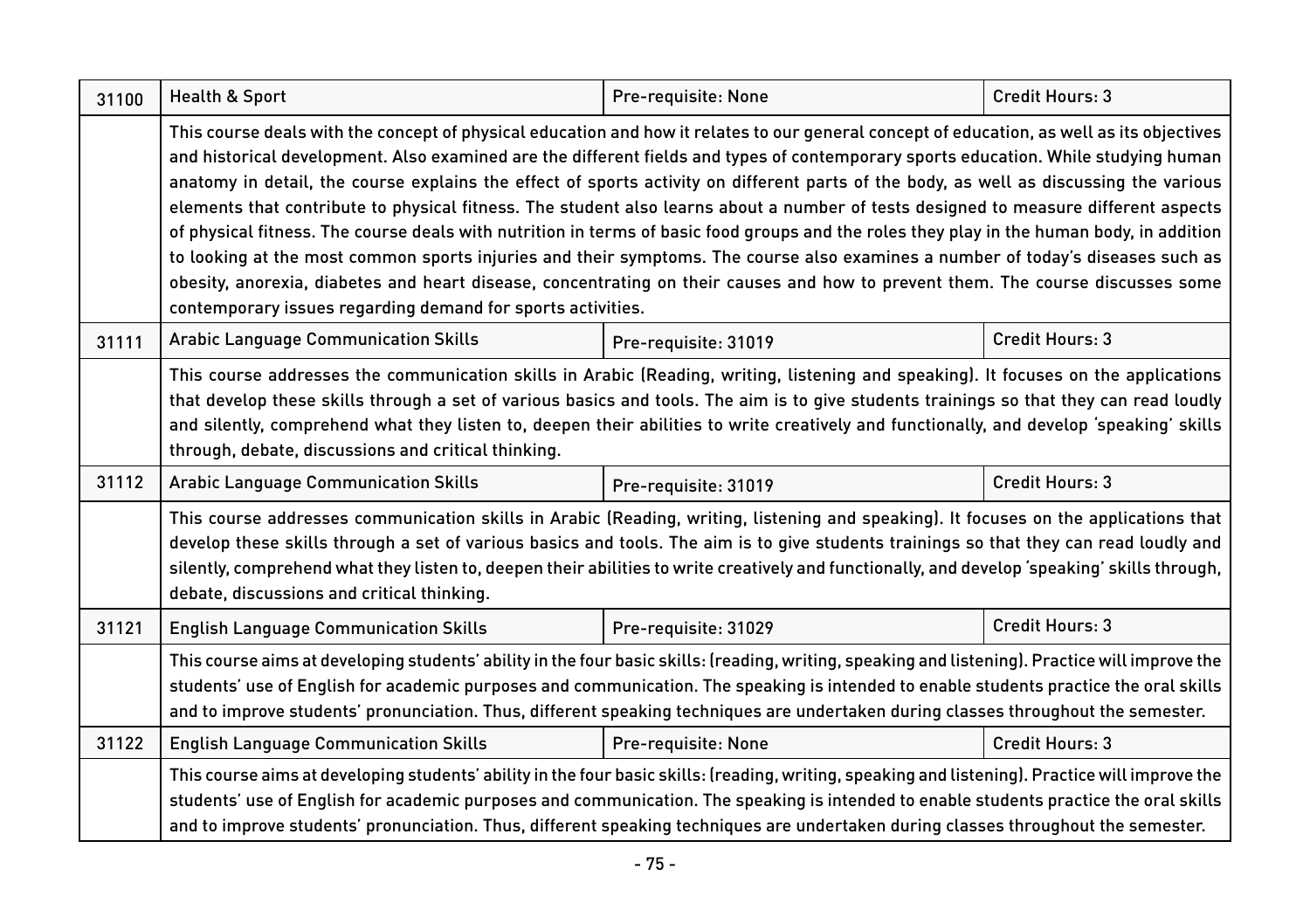| 31100 | Health & Sport                                                                                                                                                                                                                                                                                                                                                                                                                                                                                                                                                                                                                                                                                                                                                                                                                                                                                                                                                                                                                                       | Pre-requisite: None  | Credit Hours: 3 |  |
|-------|------------------------------------------------------------------------------------------------------------------------------------------------------------------------------------------------------------------------------------------------------------------------------------------------------------------------------------------------------------------------------------------------------------------------------------------------------------------------------------------------------------------------------------------------------------------------------------------------------------------------------------------------------------------------------------------------------------------------------------------------------------------------------------------------------------------------------------------------------------------------------------------------------------------------------------------------------------------------------------------------------------------------------------------------------|----------------------|-----------------|--|
|       | This course deals with the concept of physical education and how it relates to our general concept of education, as well as its objectives<br>and historical development. Also examined are the different fields and types of contemporary sports education. While studying human<br>anatomy in detail, the course explains the effect of sports activity on different parts of the body, as well as discussing the various<br>elements that contribute to physical fitness. The student also learns about a number of tests designed to measure different aspects<br>of physical fitness. The course deals with nutrition in terms of basic food groups and the roles they play in the human body, in addition<br>to looking at the most common sports injuries and their symptoms. The course also examines a number of today's diseases such as<br>obesity, anorexia, diabetes and heart disease, concentrating on their causes and how to prevent them. The course discusses some<br>contemporary issues regarding demand for sports activities. |                      |                 |  |
| 31111 | <b>Arabic Language Communication Skills</b>                                                                                                                                                                                                                                                                                                                                                                                                                                                                                                                                                                                                                                                                                                                                                                                                                                                                                                                                                                                                          | Pre-requisite: 31019 | Credit Hours: 3 |  |
|       | This course addresses the communication skills in Arabic (Reading, writing, listening and speaking). It focuses on the applications<br>that develop these skills through a set of various basics and tools. The aim is to give students trainings so that they can read loudly<br>and silently, comprehend what they listen to, deepen their abilities to write creatively and functionally, and develop 'speaking' skills<br>through, debate, discussions and critical thinking.                                                                                                                                                                                                                                                                                                                                                                                                                                                                                                                                                                    |                      |                 |  |
| 31112 | <b>Arabic Language Communication Skills</b>                                                                                                                                                                                                                                                                                                                                                                                                                                                                                                                                                                                                                                                                                                                                                                                                                                                                                                                                                                                                          | Pre-requisite: 31019 | Credit Hours: 3 |  |
|       | This course addresses communication skills in Arabic (Reading, writing, listening and speaking). It focuses on the applications that<br>develop these skills through a set of various basics and tools. The aim is to give students trainings so that they can read loudly and<br>silently, comprehend what they listen to, deepen their abilities to write creatively and functionally, and develop 'speaking' skills through,<br>debate, discussions and critical thinking.                                                                                                                                                                                                                                                                                                                                                                                                                                                                                                                                                                        |                      |                 |  |
| 31121 | <b>English Language Communication Skills</b>                                                                                                                                                                                                                                                                                                                                                                                                                                                                                                                                                                                                                                                                                                                                                                                                                                                                                                                                                                                                         | Pre-requisite: 31029 | Credit Hours: 3 |  |
|       | This course aims at developing students' ability in the four basic skills: (reading, writing, speaking and listening). Practice will improve the<br>students' use of English for academic purposes and communication. The speaking is intended to enable students practice the oral skills<br>and to improve students' pronunciation. Thus, different speaking techniques are undertaken during classes throughout the semester.                                                                                                                                                                                                                                                                                                                                                                                                                                                                                                                                                                                                                     |                      |                 |  |
| 31122 | <b>English Language Communication Skills</b>                                                                                                                                                                                                                                                                                                                                                                                                                                                                                                                                                                                                                                                                                                                                                                                                                                                                                                                                                                                                         | Pre-requisite: None  | Credit Hours: 3 |  |
|       | This course aims at developing students' ability in the four basic skills: (reading, writing, speaking and listening). Practice will improve the<br>students' use of English for academic purposes and communication. The speaking is intended to enable students practice the oral skills<br>and to improve students' pronunciation. Thus, different speaking techniques are undertaken during classes throughout the semester.                                                                                                                                                                                                                                                                                                                                                                                                                                                                                                                                                                                                                     |                      |                 |  |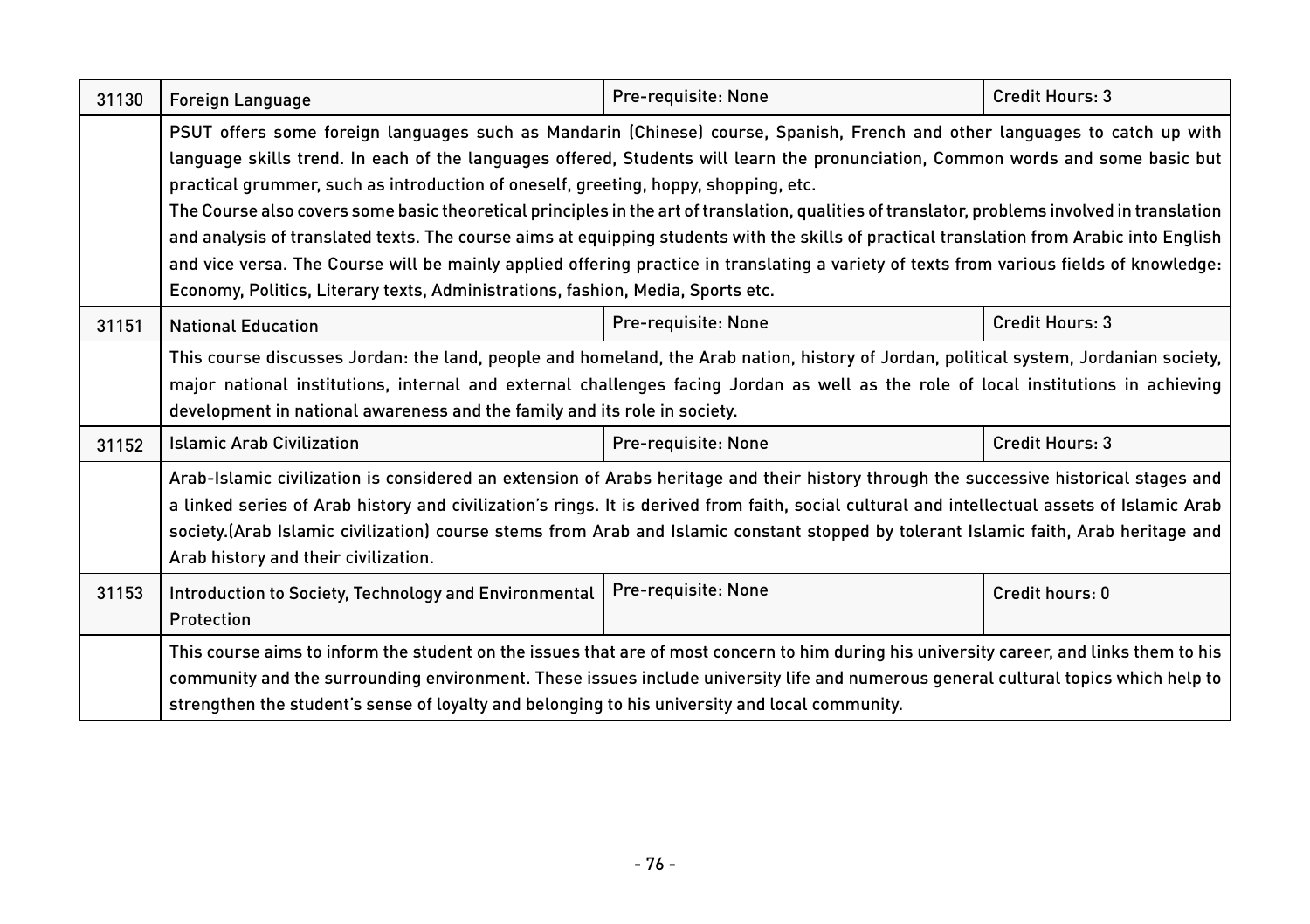| 31130 | <b>Foreign Language</b>                                                                                                                                                                                                                                                                                                                                                                                                                                                                                                                                                                                                                                                                                                                                                                                                                                                          | Pre-requisite: None | Credit Hours: 3 |
|-------|----------------------------------------------------------------------------------------------------------------------------------------------------------------------------------------------------------------------------------------------------------------------------------------------------------------------------------------------------------------------------------------------------------------------------------------------------------------------------------------------------------------------------------------------------------------------------------------------------------------------------------------------------------------------------------------------------------------------------------------------------------------------------------------------------------------------------------------------------------------------------------|---------------------|-----------------|
|       | PSUT offers some foreign languages such as Mandarin (Chinese) course, Spanish, French and other languages to catch up with<br>language skills trend. In each of the languages offered, Students will learn the pronunciation, Common words and some basic but<br>practical grummer, such as introduction of oneself, greeting, hoppy, shopping, etc.<br>The Course also covers some basic theoretical principles in the art of translation, qualities of translator, problems involved in translation<br>and analysis of translated texts. The course aims at equipping students with the skills of practical translation from Arabic into English<br>and vice versa. The Course will be mainly applied offering practice in translating a variety of texts from various fields of knowledge:<br>Economy, Politics, Literary texts, Administrations, fashion, Media, Sports etc. |                     |                 |
| 31151 | <b>National Education</b>                                                                                                                                                                                                                                                                                                                                                                                                                                                                                                                                                                                                                                                                                                                                                                                                                                                        | Pre-requisite: None | Credit Hours: 3 |
|       | This course discusses Jordan: the land, people and homeland, the Arab nation, history of Jordan, political system, Jordanian society,<br>major national institutions, internal and external challenges facing Jordan as well as the role of local institutions in achieving<br>development in national awareness and the family and its role in society.                                                                                                                                                                                                                                                                                                                                                                                                                                                                                                                         |                     |                 |
| 31152 | <b>Islamic Arab Civilization</b>                                                                                                                                                                                                                                                                                                                                                                                                                                                                                                                                                                                                                                                                                                                                                                                                                                                 | Pre-requisite: None | Credit Hours: 3 |
|       | Arab-Islamic civilization is considered an extension of Arabs heritage and their history through the successive historical stages and<br>a linked series of Arab history and civilization's rings. It is derived from faith, social cultural and intellectual assets of Islamic Arab<br>society.(Arab Islamic civilization) course stems from Arab and Islamic constant stopped by tolerant Islamic faith, Arab heritage and<br>Arab history and their civilization.                                                                                                                                                                                                                                                                                                                                                                                                             |                     |                 |
| 31153 | Introduction to Society, Technology and Environmental<br>Protection                                                                                                                                                                                                                                                                                                                                                                                                                                                                                                                                                                                                                                                                                                                                                                                                              | Pre-requisite: None | Credit hours: 0 |
|       | This course aims to inform the student on the issues that are of most concern to him during his university career, and links them to his<br>community and the surrounding environment. These issues include university life and numerous general cultural topics which help to<br>strengthen the student's sense of loyalty and belonging to his university and local community.                                                                                                                                                                                                                                                                                                                                                                                                                                                                                                 |                     |                 |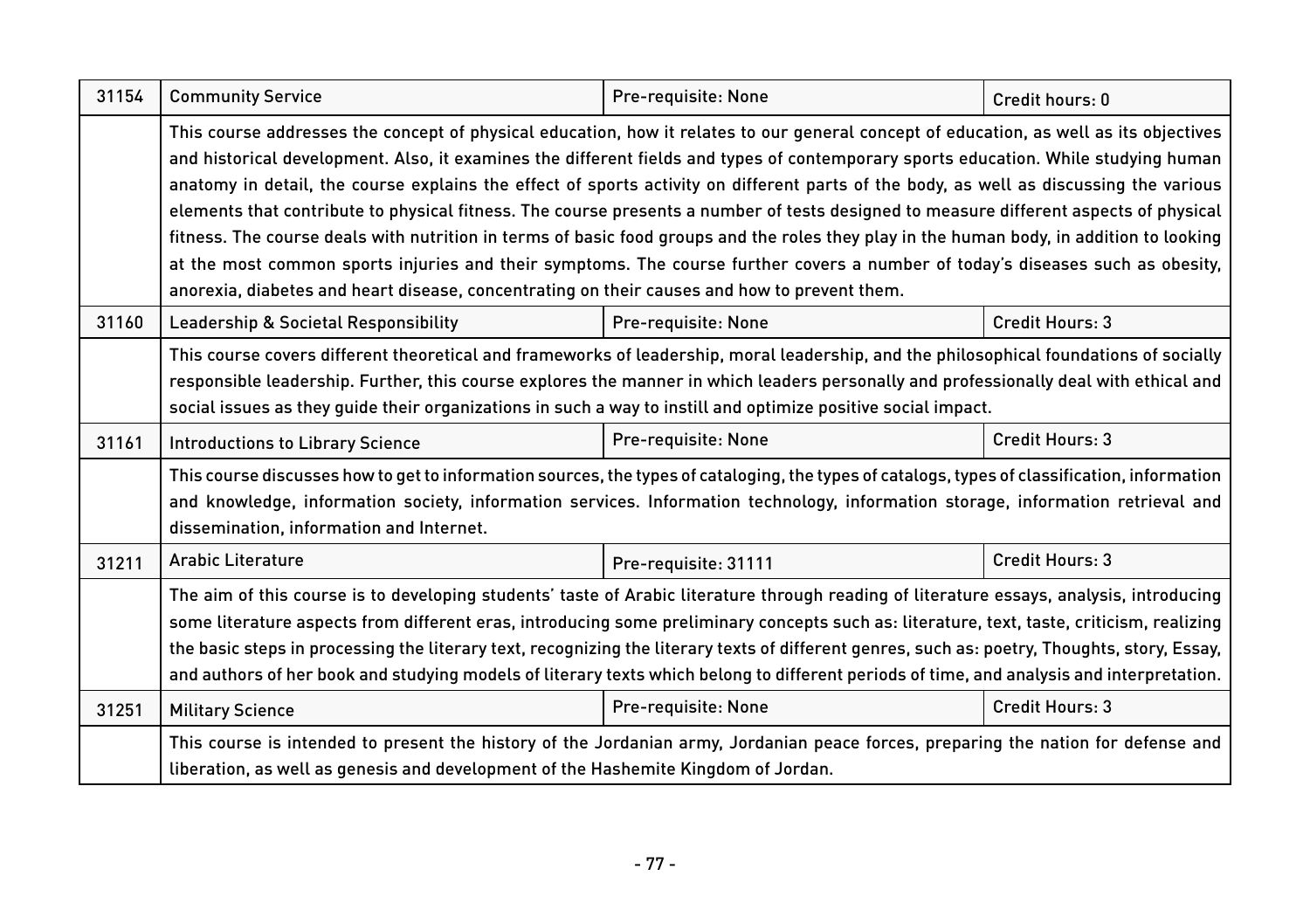| 31154 | <b>Community Service</b>                                                                                                                                                                                                                                                                                                                                                                                                                                                                                                                                                                                                                                                                                                                                                                                                                                                                                                                       | Pre-requisite: None  | Credit hours: 0 |  |
|-------|------------------------------------------------------------------------------------------------------------------------------------------------------------------------------------------------------------------------------------------------------------------------------------------------------------------------------------------------------------------------------------------------------------------------------------------------------------------------------------------------------------------------------------------------------------------------------------------------------------------------------------------------------------------------------------------------------------------------------------------------------------------------------------------------------------------------------------------------------------------------------------------------------------------------------------------------|----------------------|-----------------|--|
|       | This course addresses the concept of physical education, how it relates to our general concept of education, as well as its objectives<br>and historical development. Also, it examines the different fields and types of contemporary sports education. While studying human<br>anatomy in detail, the course explains the effect of sports activity on different parts of the body, as well as discussing the various<br>elements that contribute to physical fitness. The course presents a number of tests designed to measure different aspects of physical<br>fitness. The course deals with nutrition in terms of basic food groups and the roles they play in the human body, in addition to looking<br>at the most common sports injuries and their symptoms. The course further covers a number of today's diseases such as obesity,<br>anorexia, diabetes and heart disease, concentrating on their causes and how to prevent them. |                      |                 |  |
| 31160 | Leadership & Societal Responsibility                                                                                                                                                                                                                                                                                                                                                                                                                                                                                                                                                                                                                                                                                                                                                                                                                                                                                                           | Pre-requisite: None  | Credit Hours: 3 |  |
|       | This course covers different theoretical and frameworks of leadership, moral leadership, and the philosophical foundations of socially<br>responsible leadership. Further, this course explores the manner in which leaders personally and professionally deal with ethical and<br>social issues as they quide their organizations in such a way to instill and optimize positive social impact.                                                                                                                                                                                                                                                                                                                                                                                                                                                                                                                                               |                      |                 |  |
| 31161 | <b>Introductions to Library Science</b>                                                                                                                                                                                                                                                                                                                                                                                                                                                                                                                                                                                                                                                                                                                                                                                                                                                                                                        | Pre-requisite: None  | Credit Hours: 3 |  |
|       | This course discusses how to get to information sources, the types of cataloging, the types of catalogs, types of classification, information<br>and knowledge, information society, information services. Information technology, information storage, information retrieval and<br>dissemination, information and Internet.                                                                                                                                                                                                                                                                                                                                                                                                                                                                                                                                                                                                                  |                      |                 |  |
| 31211 | <b>Arabic Literature</b>                                                                                                                                                                                                                                                                                                                                                                                                                                                                                                                                                                                                                                                                                                                                                                                                                                                                                                                       | Pre-requisite: 31111 | Credit Hours: 3 |  |
|       | The aim of this course is to developing students' taste of Arabic literature through reading of literature essays, analysis, introducing<br>some literature aspects from different eras, introducing some preliminary concepts such as: literature, text, taste, criticism, realizing<br>the basic steps in processing the literary text, recognizing the literary texts of different genres, such as: poetry, Thoughts, story, Essay,<br>and authors of her book and studying models of literary texts which belong to different periods of time, and analysis and interpretation.                                                                                                                                                                                                                                                                                                                                                            |                      |                 |  |
| 31251 | <b>Military Science</b>                                                                                                                                                                                                                                                                                                                                                                                                                                                                                                                                                                                                                                                                                                                                                                                                                                                                                                                        | Pre-requisite: None  | Credit Hours: 3 |  |
|       | This course is intended to present the history of the Jordanian army, Jordanian peace forces, preparing the nation for defense and<br>liberation, as well as genesis and development of the Hashemite Kingdom of Jordan.                                                                                                                                                                                                                                                                                                                                                                                                                                                                                                                                                                                                                                                                                                                       |                      |                 |  |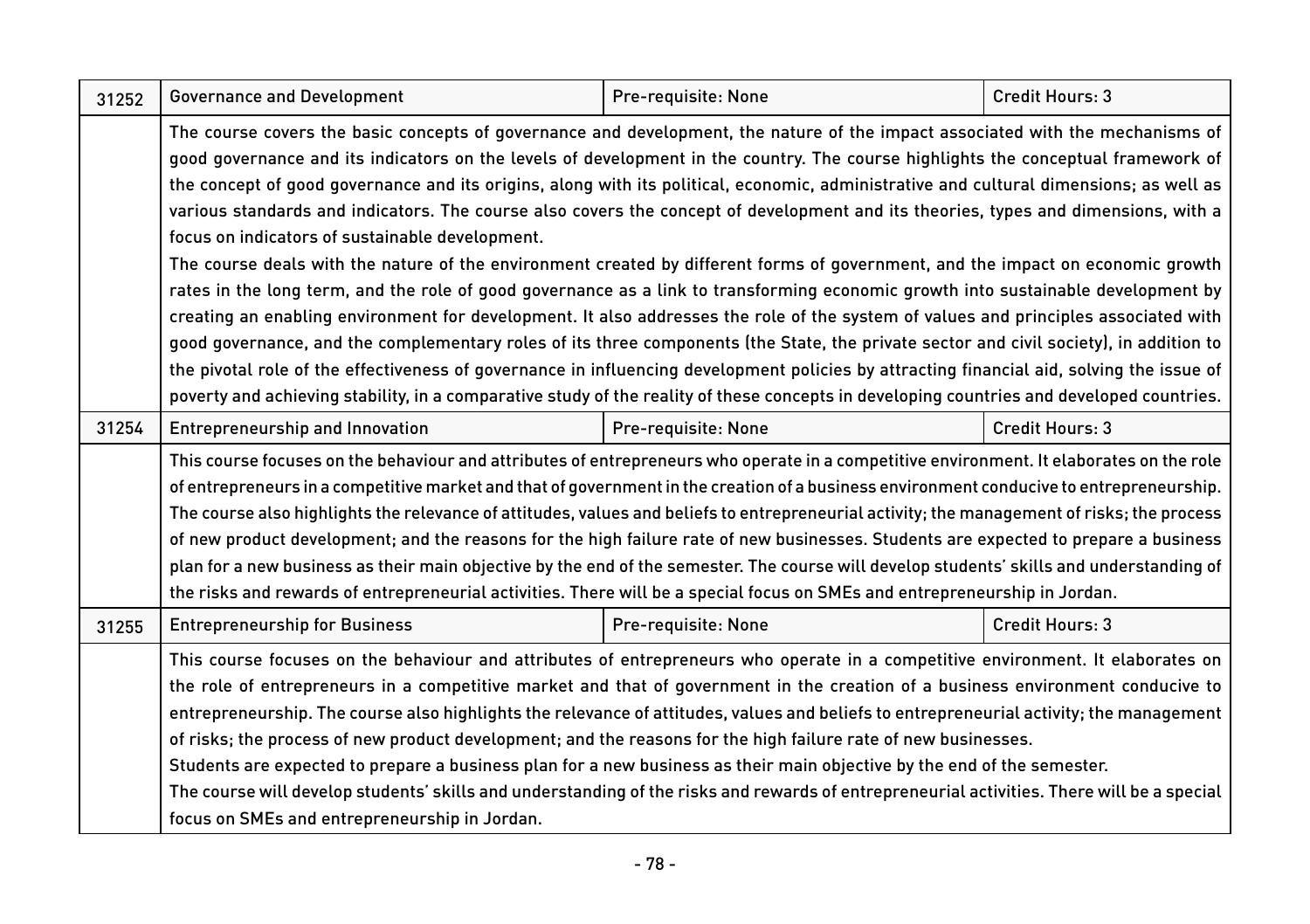| 31252 | <b>Governance and Development</b>                                                                                                                                                                                                                                                                                                                                                                                                                                                                                                                                                                                                                                                                                                                                                                                                                                                                                                                                                                                                                                                                                                                                                                                                                                                                                                                                                                                                                         | Pre-requisite: None | Credit Hours: 3 |
|-------|-----------------------------------------------------------------------------------------------------------------------------------------------------------------------------------------------------------------------------------------------------------------------------------------------------------------------------------------------------------------------------------------------------------------------------------------------------------------------------------------------------------------------------------------------------------------------------------------------------------------------------------------------------------------------------------------------------------------------------------------------------------------------------------------------------------------------------------------------------------------------------------------------------------------------------------------------------------------------------------------------------------------------------------------------------------------------------------------------------------------------------------------------------------------------------------------------------------------------------------------------------------------------------------------------------------------------------------------------------------------------------------------------------------------------------------------------------------|---------------------|-----------------|
|       | The course covers the basic concepts of governance and development, the nature of the impact associated with the mechanisms of<br>good governance and its indicators on the levels of development in the country. The course highlights the conceptual framework of<br>the concept of good governance and its origins, along with its political, economic, administrative and cultural dimensions; as well as<br>various standards and indicators. The course also covers the concept of development and its theories, types and dimensions, with a<br>focus on indicators of sustainable development.<br>The course deals with the nature of the environment created by different forms of government, and the impact on economic growth<br>rates in the long term, and the role of good governance as a link to transforming economic growth into sustainable development by<br>creating an enabling environment for development. It also addresses the role of the system of values and principles associated with<br>good governance, and the complementary roles of its three components (the State, the private sector and civil society), in addition to<br>the pivotal role of the effectiveness of governance in influencing development policies by attracting financial aid, solving the issue of<br>poverty and achieving stability, in a comparative study of the reality of these concepts in developing countries and developed countries. |                     |                 |
| 31254 | Entrepreneurship and Innovation                                                                                                                                                                                                                                                                                                                                                                                                                                                                                                                                                                                                                                                                                                                                                                                                                                                                                                                                                                                                                                                                                                                                                                                                                                                                                                                                                                                                                           | Pre-requisite: None | Credit Hours: 3 |
|       | This course focuses on the behaviour and attributes of entrepreneurs who operate in a competitive environment. It elaborates on the role<br>of entrepreneurs in a competitive market and that of government in the creation of a business environment conducive to entrepreneurship.<br>The course also highlights the relevance of attitudes, values and beliefs to entrepreneurial activity; the management of risks; the process<br>of new product development; and the reasons for the high failure rate of new businesses. Students are expected to prepare a business<br>plan for a new business as their main objective by the end of the semester. The course will develop students' skills and understanding of<br>the risks and rewards of entrepreneurial activities. There will be a special focus on SMEs and entrepreneurship in Jordan.                                                                                                                                                                                                                                                                                                                                                                                                                                                                                                                                                                                                    |                     |                 |
| 31255 | <b>Entrepreneurship for Business</b>                                                                                                                                                                                                                                                                                                                                                                                                                                                                                                                                                                                                                                                                                                                                                                                                                                                                                                                                                                                                                                                                                                                                                                                                                                                                                                                                                                                                                      | Pre-requisite: None | Credit Hours: 3 |
|       | This course focuses on the behaviour and attributes of entrepreneurs who operate in a competitive environment. It elaborates on<br>the role of entrepreneurs in a competitive market and that of government in the creation of a business environment conducive to<br>entrepreneurship. The course also highlights the relevance of attitudes, values and beliefs to entrepreneurial activity; the management<br>of risks; the process of new product development; and the reasons for the high failure rate of new businesses.<br>Students are expected to prepare a business plan for a new business as their main objective by the end of the semester.<br>The course will develop students' skills and understanding of the risks and rewards of entrepreneurial activities. There will be a special<br>focus on SMEs and entrepreneurship in Jordan.                                                                                                                                                                                                                                                                                                                                                                                                                                                                                                                                                                                                 |                     |                 |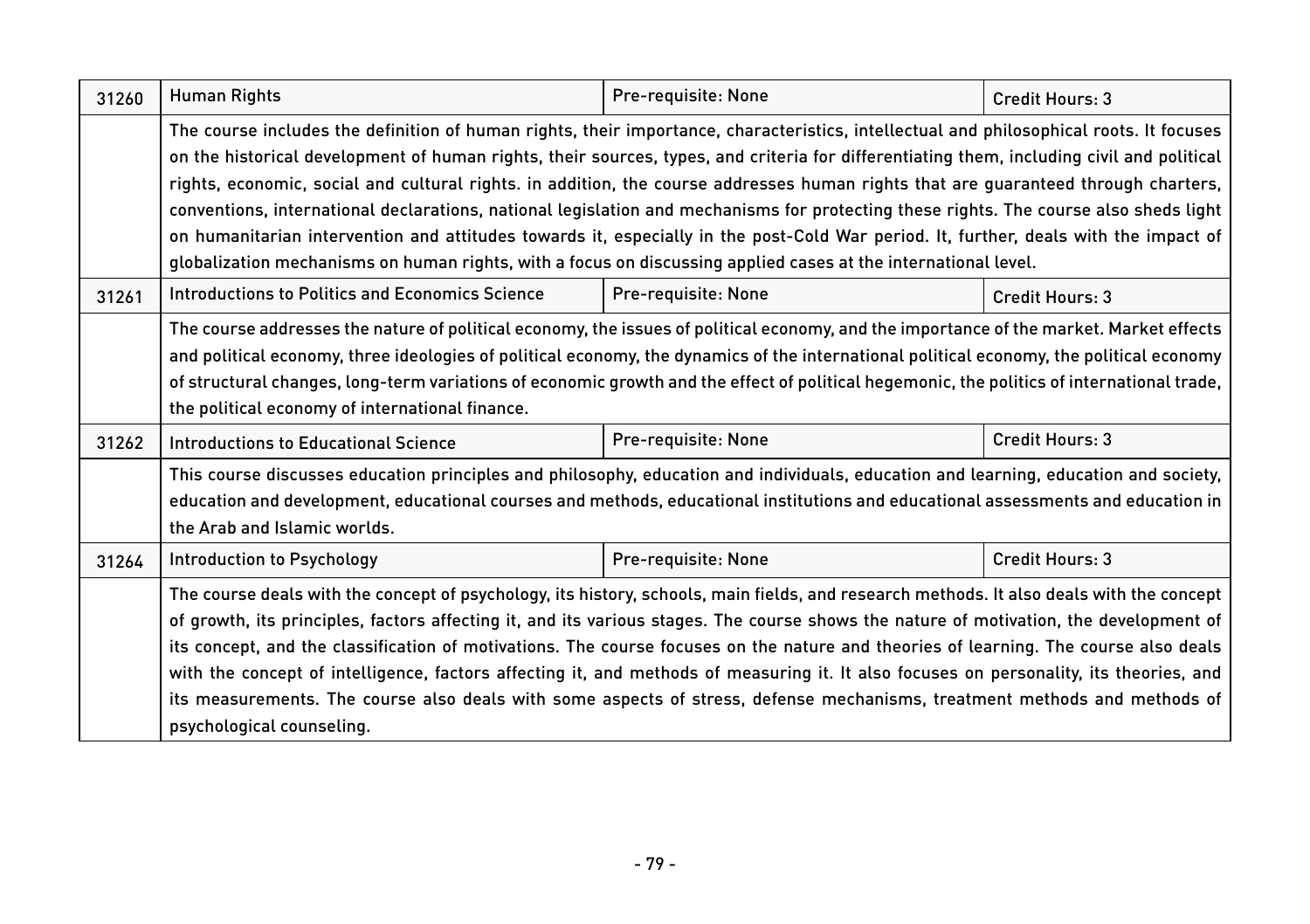| 31260 | <b>Human Rights</b>                                                                                                                                                                                                                                                                                                                                                                                                                                                                                                                                                                                                                                                                                                                                                                                                           | Pre-requisite: None | Credit Hours: 3 |
|-------|-------------------------------------------------------------------------------------------------------------------------------------------------------------------------------------------------------------------------------------------------------------------------------------------------------------------------------------------------------------------------------------------------------------------------------------------------------------------------------------------------------------------------------------------------------------------------------------------------------------------------------------------------------------------------------------------------------------------------------------------------------------------------------------------------------------------------------|---------------------|-----------------|
|       | The course includes the definition of human rights, their importance, characteristics, intellectual and philosophical roots. It focuses<br>on the historical development of human rights, their sources, types, and criteria for differentiating them, including civil and political<br>rights, economic, social and cultural rights. in addition, the course addresses human rights that are guaranteed through charters,<br>conventions, international declarations, national legislation and mechanisms for protecting these rights. The course also sheds light<br>on humanitarian intervention and attitudes towards it, especially in the post-Cold War period. It, further, deals with the impact of<br>globalization mechanisms on human rights, with a focus on discussing applied cases at the international level. |                     |                 |
| 31261 | Introductions to Politics and Economics Science                                                                                                                                                                                                                                                                                                                                                                                                                                                                                                                                                                                                                                                                                                                                                                               | Pre-requisite: None | Credit Hours: 3 |
|       | The course addresses the nature of political economy, the issues of political economy, and the importance of the market. Market effects<br>and political economy, three ideologies of political economy, the dynamics of the international political economy, the political economy<br>of structural changes, long-term variations of economic growth and the effect of political hegemonic, the politics of international trade,<br>the political economy of international finance.                                                                                                                                                                                                                                                                                                                                          |                     |                 |
| 31262 | Introductions to Educational Science                                                                                                                                                                                                                                                                                                                                                                                                                                                                                                                                                                                                                                                                                                                                                                                          | Pre-requisite: None | Credit Hours: 3 |
|       | This course discusses education principles and philosophy, education and individuals, education and learning, education and society,<br>education and development, educational courses and methods, educational institutions and educational assessments and education in<br>the Arab and Islamic worlds.                                                                                                                                                                                                                                                                                                                                                                                                                                                                                                                     |                     |                 |
| 31264 | Introduction to Psychology                                                                                                                                                                                                                                                                                                                                                                                                                                                                                                                                                                                                                                                                                                                                                                                                    | Pre-requisite: None | Credit Hours: 3 |
|       | The course deals with the concept of psychology, its history, schools, main fields, and research methods. It also deals with the concept<br>of growth, its principles, factors affecting it, and its various stages. The course shows the nature of motivation, the development of<br>its concept, and the classification of motivations. The course focuses on the nature and theories of learning. The course also deals<br>with the concept of intelligence, factors affecting it, and methods of measuring it. It also focuses on personality, its theories, and<br>its measurements. The course also deals with some aspects of stress, defense mechanisms, treatment methods and methods of<br>psychological counseling.                                                                                                |                     |                 |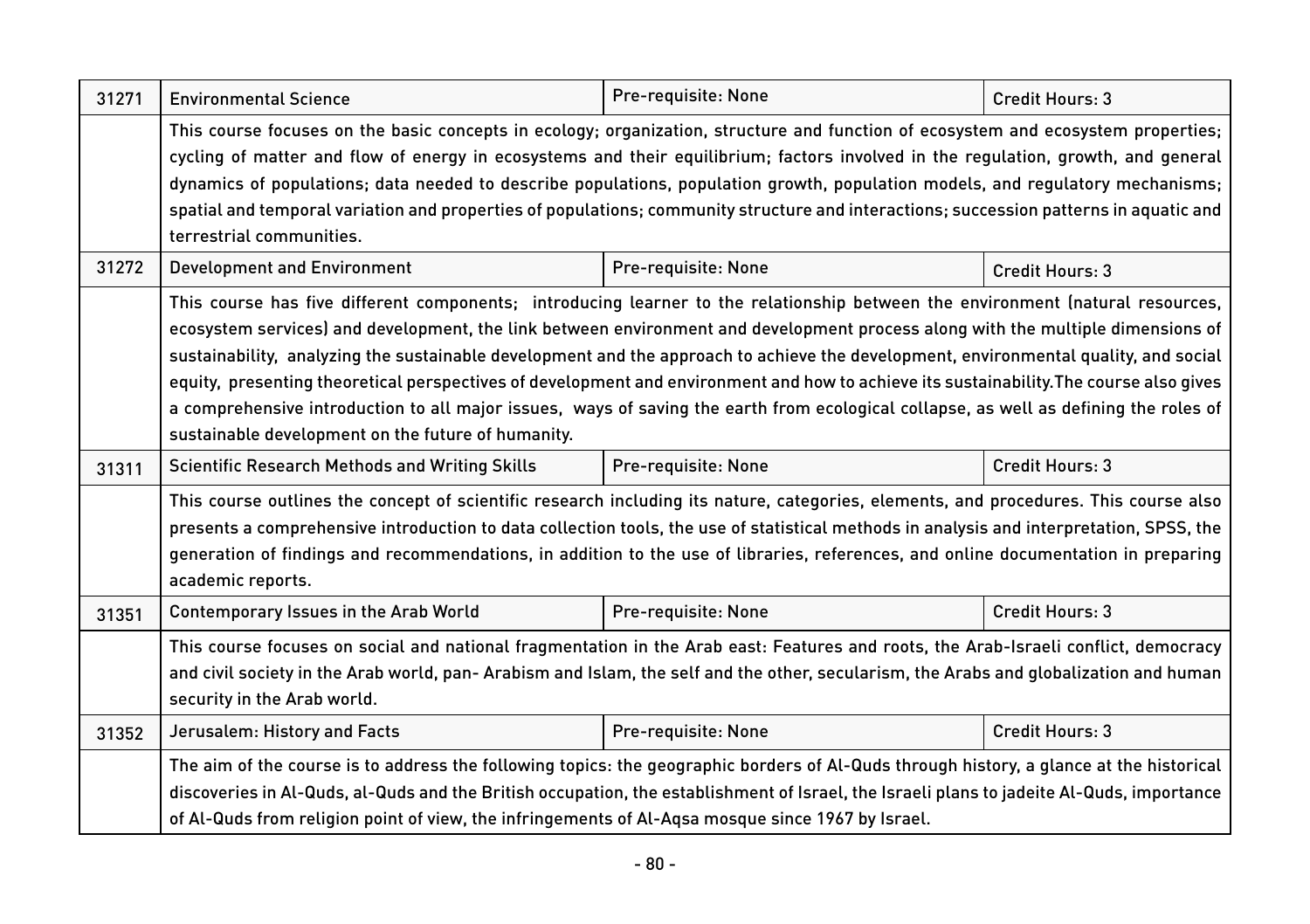| 31271 | <b>Environmental Science</b>                                                                                                                                                                                                                                                                                                                                                                                                                                                                                                                                                                                                                                                                                                                        | Pre-requisite: None | Credit Hours: 3 |  |
|-------|-----------------------------------------------------------------------------------------------------------------------------------------------------------------------------------------------------------------------------------------------------------------------------------------------------------------------------------------------------------------------------------------------------------------------------------------------------------------------------------------------------------------------------------------------------------------------------------------------------------------------------------------------------------------------------------------------------------------------------------------------------|---------------------|-----------------|--|
|       | This course focuses on the basic concepts in ecology; organization, structure and function of ecosystem and ecosystem properties;<br>cycling of matter and flow of energy in ecosystems and their equilibrium; factors involved in the regulation, growth, and general<br>dynamics of populations; data needed to describe populations, population growth, population models, and regulatory mechanisms;<br>spatial and temporal variation and properties of populations; community structure and interactions; succession patterns in aquatic and<br>terrestrial communities.                                                                                                                                                                      |                     |                 |  |
| 31272 | <b>Development and Environment</b>                                                                                                                                                                                                                                                                                                                                                                                                                                                                                                                                                                                                                                                                                                                  | Pre-requisite: None | Credit Hours: 3 |  |
|       | This course has five different components; introducing learner to the relationship between the environment (natural resources,<br>ecosystem services) and development, the link between environment and development process along with the multiple dimensions of<br>sustainability, analyzing the sustainable development and the approach to achieve the development, environmental quality, and social<br>equity, presenting theoretical perspectives of development and environment and how to achieve its sustainability. The course also gives<br>a comprehensive introduction to all major issues, ways of saving the earth from ecological collapse, as well as defining the roles of<br>sustainable development on the future of humanity. |                     |                 |  |
| 31311 | <b>Scientific Research Methods and Writing Skills</b>                                                                                                                                                                                                                                                                                                                                                                                                                                                                                                                                                                                                                                                                                               | Pre-requisite: None | Credit Hours: 3 |  |
|       | This course outlines the concept of scientific research including its nature, categories, elements, and procedures. This course also<br>presents a comprehensive introduction to data collection tools, the use of statistical methods in analysis and interpretation, SPSS, the<br>generation of findings and recommendations, in addition to the use of libraries, references, and online documentation in preparing<br>academic reports.                                                                                                                                                                                                                                                                                                         |                     |                 |  |
| 31351 | Contemporary Issues in the Arab World                                                                                                                                                                                                                                                                                                                                                                                                                                                                                                                                                                                                                                                                                                               | Pre-requisite: None | Credit Hours: 3 |  |
|       | This course focuses on social and national fragmentation in the Arab east: Features and roots, the Arab-Israeli conflict, democracy<br>and civil society in the Arab world, pan-Arabism and Islam, the self and the other, secularism, the Arabs and qlobalization and human<br>security in the Arab world.                                                                                                                                                                                                                                                                                                                                                                                                                                         |                     |                 |  |
| 31352 | Jerusalem: History and Facts                                                                                                                                                                                                                                                                                                                                                                                                                                                                                                                                                                                                                                                                                                                        | Pre-requisite: None | Credit Hours: 3 |  |
|       | The aim of the course is to address the following topics: the geographic borders of Al-Quds through history, a glance at the historical<br>discoveries in Al-Quds, al-Quds and the British occupation, the establishment of Israel, the Israeli plans to jadeite Al-Quds, importance<br>of Al-Quds from religion point of view, the infringements of Al-Agsa mosque since 1967 by Israel.                                                                                                                                                                                                                                                                                                                                                           |                     |                 |  |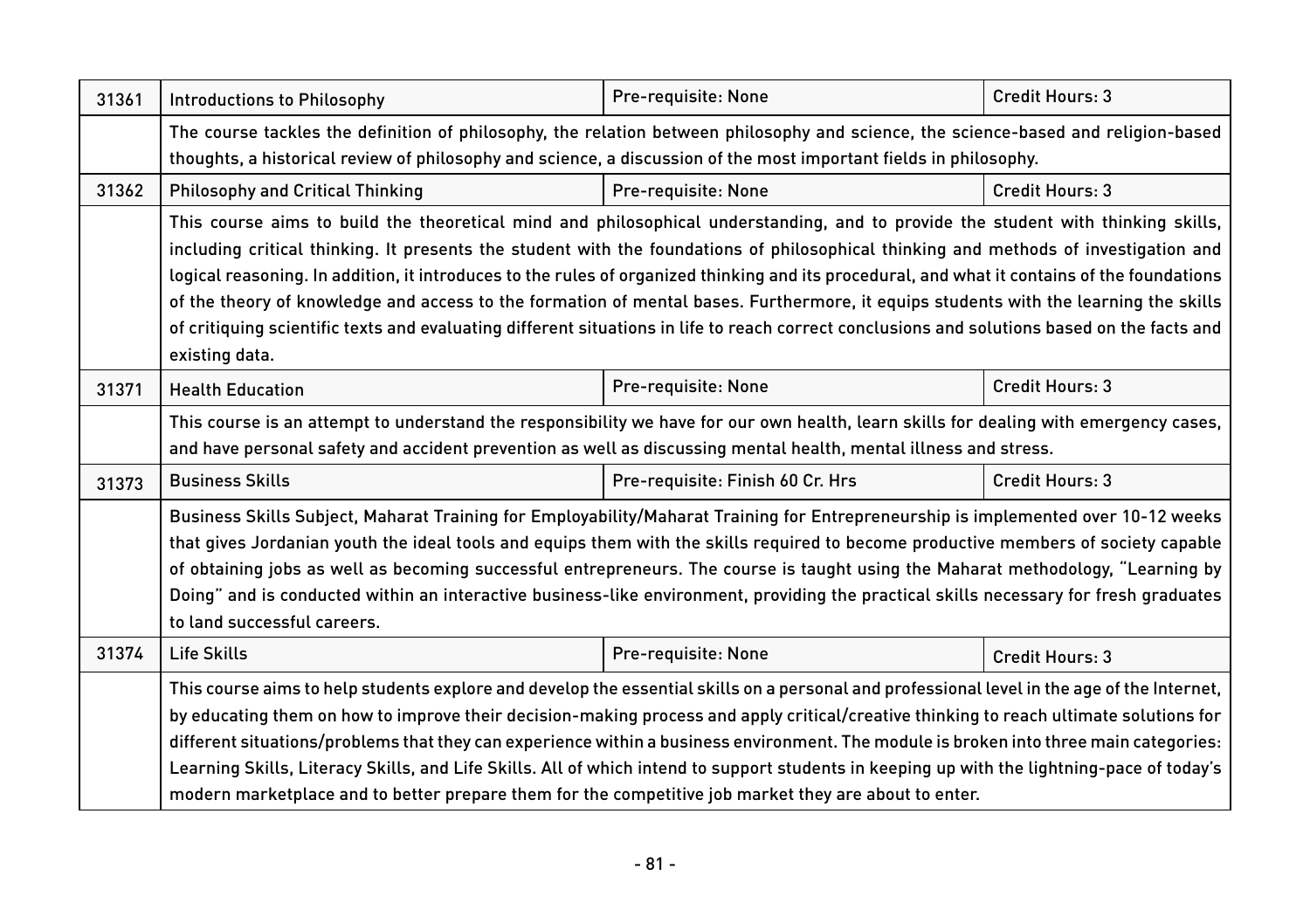| 31361 | <b>Introductions to Philosophy</b>                                                                                                                                                                                                                      | Pre-requisite: None              | Credit Hours: 3 |
|-------|---------------------------------------------------------------------------------------------------------------------------------------------------------------------------------------------------------------------------------------------------------|----------------------------------|-----------------|
|       | The course tackles the definition of philosophy, the relation between philosophy and science, the science-based and religion-based<br>thoughts, a historical review of philosophy and science, a discussion of the most important fields in philosophy. |                                  |                 |
|       |                                                                                                                                                                                                                                                         |                                  |                 |
| 31362 | <b>Philosophy and Critical Thinking</b>                                                                                                                                                                                                                 | Pre-requisite: None              | Credit Hours: 3 |
|       | This course aims to build the theoretical mind and philosophical understanding, and to provide the student with thinking skills,                                                                                                                        |                                  |                 |
|       | including critical thinking. It presents the student with the foundations of philosophical thinking and methods of investigation and                                                                                                                    |                                  |                 |
|       | logical reasoning. In addition, it introduces to the rules of organized thinking and its procedural, and what it contains of the foundations                                                                                                            |                                  |                 |
|       | of the theory of knowledge and access to the formation of mental bases. Furthermore, it equips students with the learning the skills                                                                                                                    |                                  |                 |
|       | of critiquing scientific texts and evaluating different situations in life to reach correct conclusions and solutions based on the facts and                                                                                                            |                                  |                 |
|       | existing data.                                                                                                                                                                                                                                          |                                  |                 |
| 31371 | <b>Health Education</b>                                                                                                                                                                                                                                 | Pre-requisite: None              | Credit Hours: 3 |
|       | This course is an attempt to understand the responsibility we have for our own health, learn skills for dealing with emergency cases,                                                                                                                   |                                  |                 |
|       | and have personal safety and accident prevention as well as discussing mental health, mental illness and stress.                                                                                                                                        |                                  |                 |
| 31373 | <b>Business Skills</b>                                                                                                                                                                                                                                  | Pre-requisite: Finish 60 Cr. Hrs | Credit Hours: 3 |
|       | Business Skills Subject, Maharat Training for Employability/Maharat Training for Entrepreneurship is implemented over 10-12 weeks                                                                                                                       |                                  |                 |
|       | that gives Jordanian youth the ideal tools and equips them with the skills required to become productive members of society capable                                                                                                                     |                                  |                 |
|       | of obtaining jobs as well as becoming successful entrepreneurs. The course is taught using the Maharat methodology, "Learning by                                                                                                                        |                                  |                 |
|       | Doing" and is conducted within an interactive business-like environment, providing the practical skills necessary for fresh graduates                                                                                                                   |                                  |                 |
|       | to land successful careers.                                                                                                                                                                                                                             |                                  |                 |
| 31374 | Life Skills                                                                                                                                                                                                                                             | Pre-requisite: None              | Credit Hours: 3 |
|       | This course aims to help students explore and develop the essential skills on a personal and professional level in the age of the Internet,                                                                                                             |                                  |                 |
|       | by educating them on how to improve their decision-making process and apply critical/creative thinking to reach ultimate solutions for                                                                                                                  |                                  |                 |
|       | different situations/problems that they can experience within a business environment. The module is broken into three main categories:                                                                                                                  |                                  |                 |
|       | Learning Skills, Literacy Skills, and Life Skills. All of which intend to support students in keeping up with the lightning-pace of today's                                                                                                             |                                  |                 |
|       | modern marketplace and to better prepare them for the competitive job market they are about to enter.                                                                                                                                                   |                                  |                 |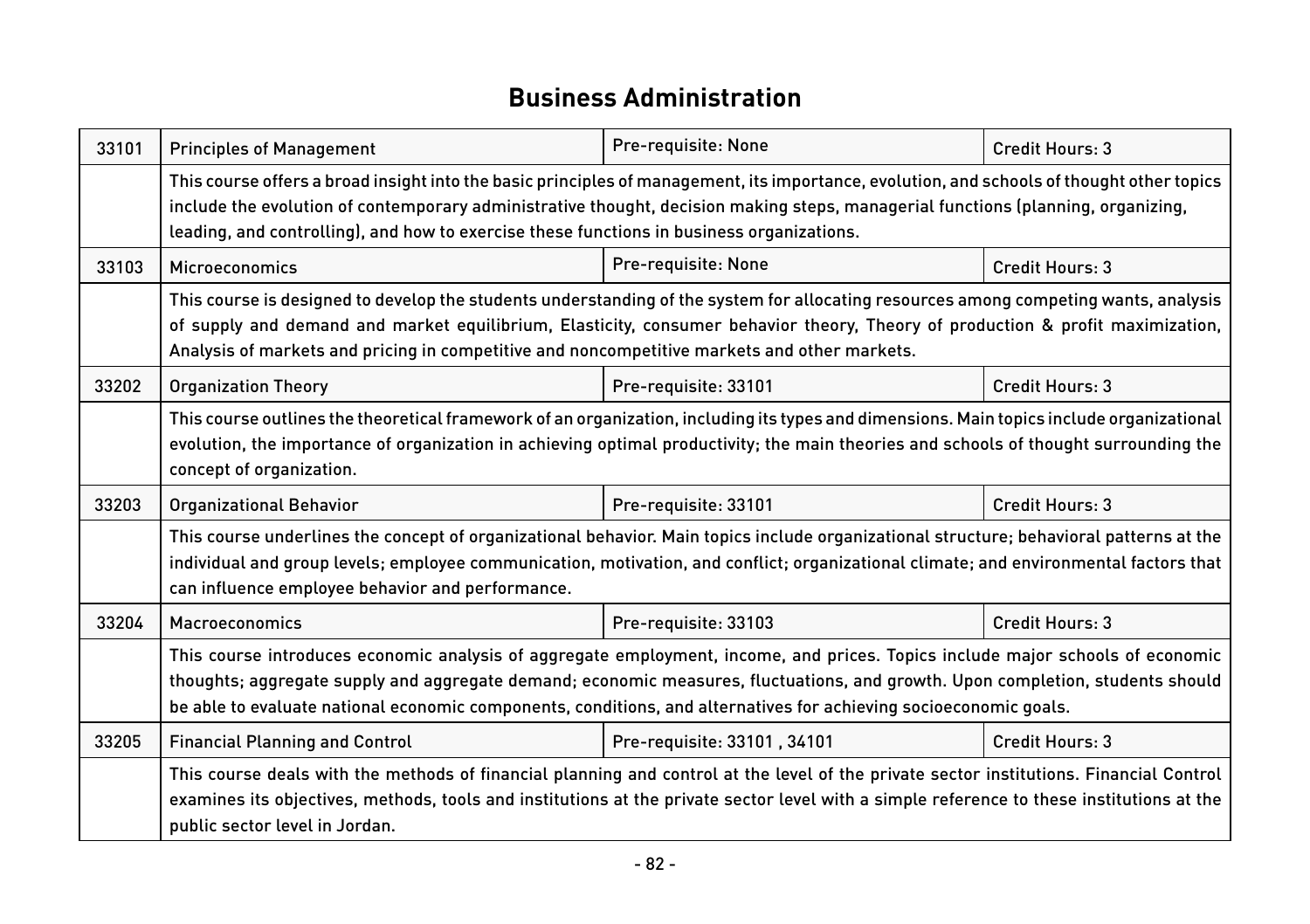#### **Business Administration**

| 33101 | <b>Principles of Management</b>                                                                                                                                                                                                                                                                                                                                                       | Pre-requisite: None         | Credit Hours: 3 |  |
|-------|---------------------------------------------------------------------------------------------------------------------------------------------------------------------------------------------------------------------------------------------------------------------------------------------------------------------------------------------------------------------------------------|-----------------------------|-----------------|--|
|       | This course offers a broad insight into the basic principles of management, its importance, evolution, and schools of thought other topics<br>include the evolution of contemporary administrative thought, decision making steps, managerial functions (planning, organizing,<br>leading, and controlling), and how to exercise these functions in business organizations.           |                             |                 |  |
| 33103 | Microeconomics                                                                                                                                                                                                                                                                                                                                                                        | Pre-requisite: None         | Credit Hours: 3 |  |
|       | This course is designed to develop the students understanding of the system for allocating resources among competing wants, analysis<br>of supply and demand and market equilibrium, Elasticity, consumer behavior theory, Theory of production & profit maximization,<br>Analysis of markets and pricing in competitive and noncompetitive markets and other markets.                |                             |                 |  |
| 33202 | <b>Organization Theory</b>                                                                                                                                                                                                                                                                                                                                                            | Pre-requisite: 33101        | Credit Hours: 3 |  |
|       | This course outlines the theoretical framework of an organization, including its types and dimensions. Main topics include organizational<br>evolution, the importance of organization in achieving optimal productivity; the main theories and schools of thought surrounding the<br>concept of organization.                                                                        |                             |                 |  |
| 33203 | <b>Organizational Behavior</b>                                                                                                                                                                                                                                                                                                                                                        | Pre-requisite: 33101        | Credit Hours: 3 |  |
|       | This course underlines the concept of organizational behavior. Main topics include organizational structure; behavioral patterns at the<br>individual and group levels; employee communication, motivation, and conflict; organizational climate; and environmental factors that<br>can influence employee behavior and performance.                                                  |                             |                 |  |
| 33204 | Macroeconomics                                                                                                                                                                                                                                                                                                                                                                        | Pre-requisite: 33103        | Credit Hours: 3 |  |
|       | This course introduces economic analysis of aggregate employment, income, and prices. Topics include major schools of economic<br>thoughts; aggregate supply and aggregate demand; economic measures, fluctuations, and growth. Upon completion, students should<br>be able to evaluate national economic components, conditions, and alternatives for achieving socioeconomic goals. |                             |                 |  |
| 33205 | <b>Financial Planning and Control</b>                                                                                                                                                                                                                                                                                                                                                 | Pre-requisite: 33101, 34101 | Credit Hours: 3 |  |
|       | This course deals with the methods of financial planning and control at the level of the private sector institutions. Financial Control<br>examines its objectives, methods, tools and institutions at the private sector level with a simple reference to these institutions at the<br>public sector level in Jordan.                                                                |                             |                 |  |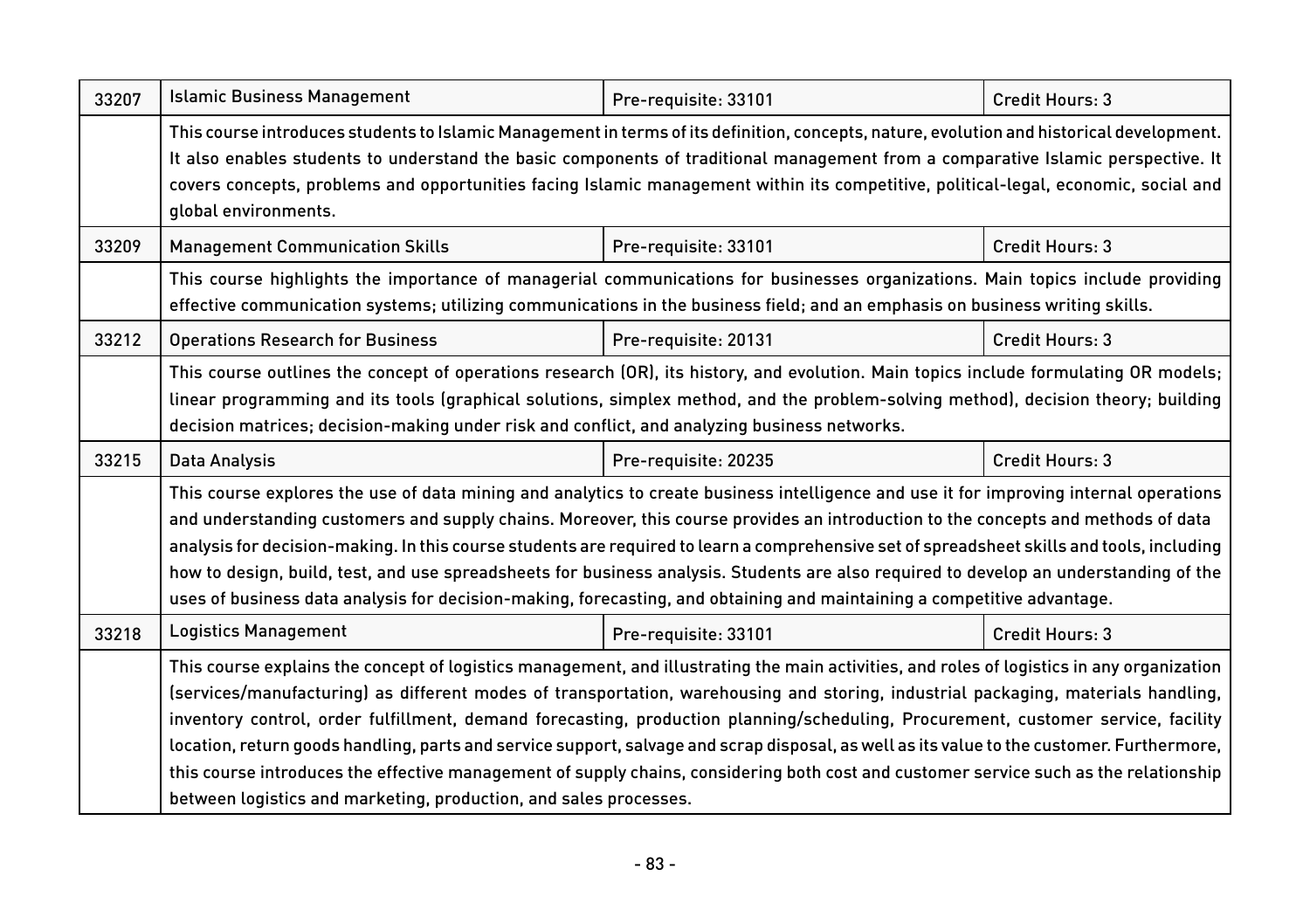| 33207 | <b>Islamic Business Management</b>                                                                                                                                                                                                                                                                                                                                                                                                                                                                                                                                                                                                                                                                                                                                               | Pre-requisite: 33101 | Credit Hours: 3        |  |
|-------|----------------------------------------------------------------------------------------------------------------------------------------------------------------------------------------------------------------------------------------------------------------------------------------------------------------------------------------------------------------------------------------------------------------------------------------------------------------------------------------------------------------------------------------------------------------------------------------------------------------------------------------------------------------------------------------------------------------------------------------------------------------------------------|----------------------|------------------------|--|
|       | This course introduces students to Islamic Management in terms of its definition, concepts, nature, evolution and historical development.<br>It also enables students to understand the basic components of traditional management from a comparative Islamic perspective. It<br>covers concepts, problems and opportunities facing Islamic management within its competitive, political-legal, economic, social and<br>global environments.                                                                                                                                                                                                                                                                                                                                     |                      |                        |  |
| 33209 | <b>Management Communication Skills</b>                                                                                                                                                                                                                                                                                                                                                                                                                                                                                                                                                                                                                                                                                                                                           | Pre-requisite: 33101 | Credit Hours: 3        |  |
|       | This course highlights the importance of managerial communications for businesses organizations. Main topics include providing<br>effective communication systems; utilizing communications in the business field; and an emphasis on business writing skills.                                                                                                                                                                                                                                                                                                                                                                                                                                                                                                                   |                      |                        |  |
| 33212 | <b>Operations Research for Business</b>                                                                                                                                                                                                                                                                                                                                                                                                                                                                                                                                                                                                                                                                                                                                          | Pre-requisite: 20131 | <b>Credit Hours: 3</b> |  |
|       | This course outlines the concept of operations research (OR), its history, and evolution. Main topics include formulating OR models;<br>linear programming and its tools (graphical solutions, simplex method, and the problem-solving method), decision theory; building<br>decision matrices; decision-making under risk and conflict, and analyzing business networks.                                                                                                                                                                                                                                                                                                                                                                                                        |                      |                        |  |
| 33215 | Data Analysis                                                                                                                                                                                                                                                                                                                                                                                                                                                                                                                                                                                                                                                                                                                                                                    | Pre-requisite: 20235 | Credit Hours: 3        |  |
|       | This course explores the use of data mining and analytics to create business intelligence and use it for improving internal operations<br>and understanding customers and supply chains. Moreover, this course provides an introduction to the concepts and methods of data<br>analysis for decision-making. In this course students are required to learn a comprehensive set of spreadsheet skills and tools, including<br>how to design, build, test, and use spreadsheets for business analysis. Students are also required to develop an understanding of the<br>uses of business data analysis for decision-making, forecasting, and obtaining and maintaining a competitive advantage.                                                                                    |                      |                        |  |
| 33218 | <b>Logistics Management</b>                                                                                                                                                                                                                                                                                                                                                                                                                                                                                                                                                                                                                                                                                                                                                      | Pre-requisite: 33101 | Credit Hours: 3        |  |
|       | This course explains the concept of logistics management, and illustrating the main activities, and roles of logistics in any organization<br>(services/manufacturing) as different modes of transportation, warehousing and storing, industrial packaging, materials handling,<br>inventory control, order fulfillment, demand forecasting, production planning/scheduling, Procurement, customer service, facility<br>location, return goods handling, parts and service support, salvage and scrap disposal, as well as its value to the customer. Furthermore,<br>this course introduces the effective management of supply chains, considering both cost and customer service such as the relationship<br>between logistics and marketing, production, and sales processes. |                      |                        |  |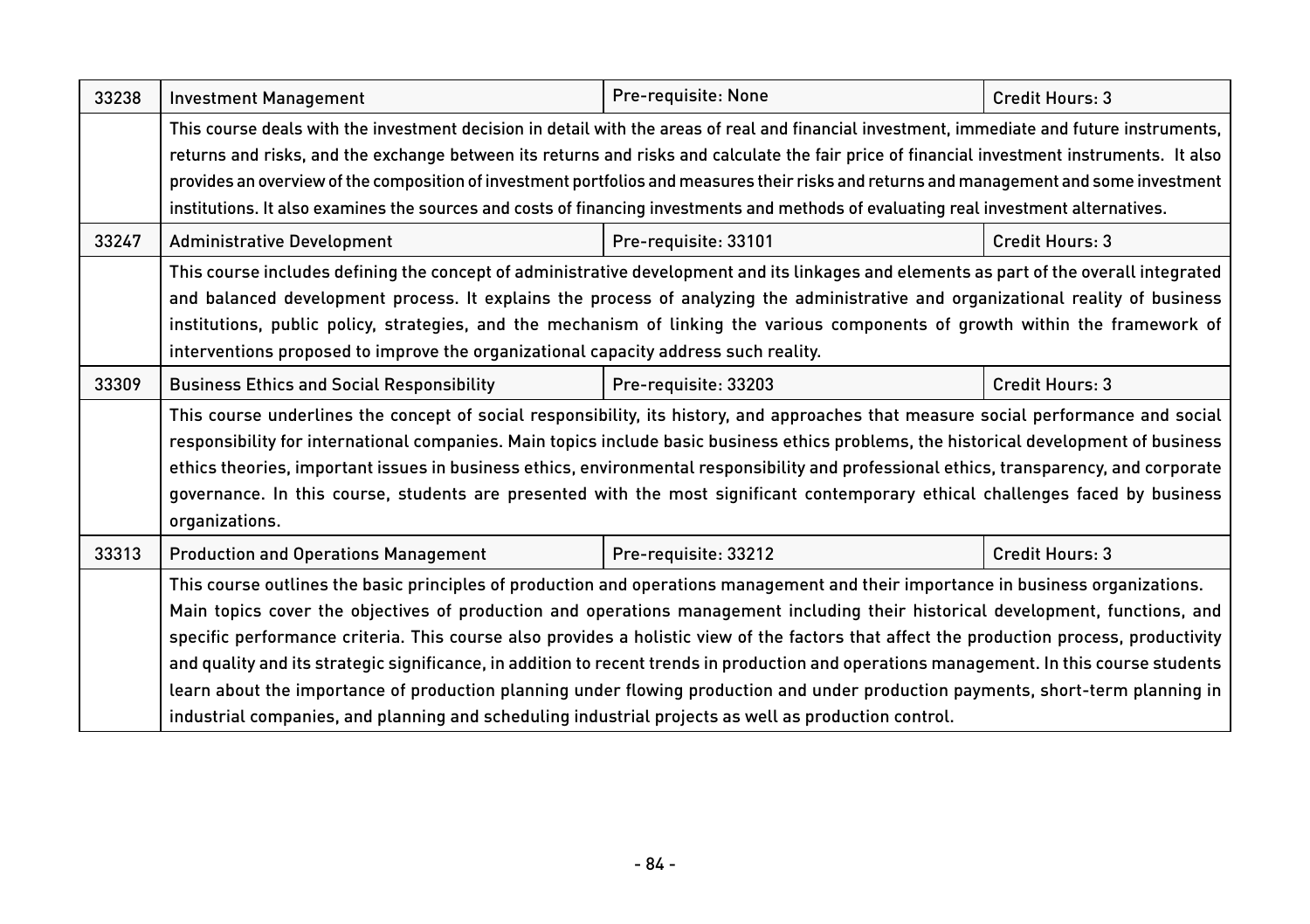| 33238 | <b>Investment Management</b>                                                                                                                                                                                                                                                                                                                                                                                                                                                                                                                                                                                                                                                                                                                                                                              | Pre-requisite: None  | Credit Hours: 3        |
|-------|-----------------------------------------------------------------------------------------------------------------------------------------------------------------------------------------------------------------------------------------------------------------------------------------------------------------------------------------------------------------------------------------------------------------------------------------------------------------------------------------------------------------------------------------------------------------------------------------------------------------------------------------------------------------------------------------------------------------------------------------------------------------------------------------------------------|----------------------|------------------------|
|       | This course deals with the investment decision in detail with the areas of real and financial investment, immediate and future instruments,<br>returns and risks, and the exchange between its returns and risks and calculate the fair price of financial investment instruments. It also<br>provides an overview of the composition of investment portfolios and measures their risks and returns and management and some investment<br>institutions. It also examines the sources and costs of financing investments and methods of evaluating real investment alternatives.                                                                                                                                                                                                                           |                      |                        |
| 33247 | <b>Administrative Development</b>                                                                                                                                                                                                                                                                                                                                                                                                                                                                                                                                                                                                                                                                                                                                                                         | Pre-requisite: 33101 | Credit Hours: 3        |
|       | This course includes defining the concept of administrative development and its linkages and elements as part of the overall integrated<br>and balanced development process. It explains the process of analyzing the administrative and organizational reality of business<br>institutions, public policy, strategies, and the mechanism of linking the various components of growth within the framework of<br>interventions proposed to improve the organizational capacity address such reality.                                                                                                                                                                                                                                                                                                      |                      |                        |
| 33309 | <b>Business Ethics and Social Responsibility</b>                                                                                                                                                                                                                                                                                                                                                                                                                                                                                                                                                                                                                                                                                                                                                          | Pre-requisite: 33203 | <b>Credit Hours: 3</b> |
|       | This course underlines the concept of social responsibility, its history, and approaches that measure social performance and social<br>responsibility for international companies. Main topics include basic business ethics problems, the historical development of business<br>ethics theories, important issues in business ethics, environmental responsibility and professional ethics, transparency, and corporate<br>governance. In this course, students are presented with the most significant contemporary ethical challenges faced by business<br>organizations.                                                                                                                                                                                                                              |                      |                        |
| 33313 | <b>Production and Operations Management</b>                                                                                                                                                                                                                                                                                                                                                                                                                                                                                                                                                                                                                                                                                                                                                               | Pre-requisite: 33212 | Credit Hours: 3        |
|       | This course outlines the basic principles of production and operations management and their importance in business organizations.<br>Main topics cover the objectives of production and operations management including their historical development, functions, and<br>specific performance criteria. This course also provides a holistic view of the factors that affect the production process, productivity<br>and quality and its strategic significance, in addition to recent trends in production and operations management. In this course students<br>learn about the importance of production planning under flowing production and under production payments, short-term planning in<br>industrial companies, and planning and scheduling industrial projects as well as production control. |                      |                        |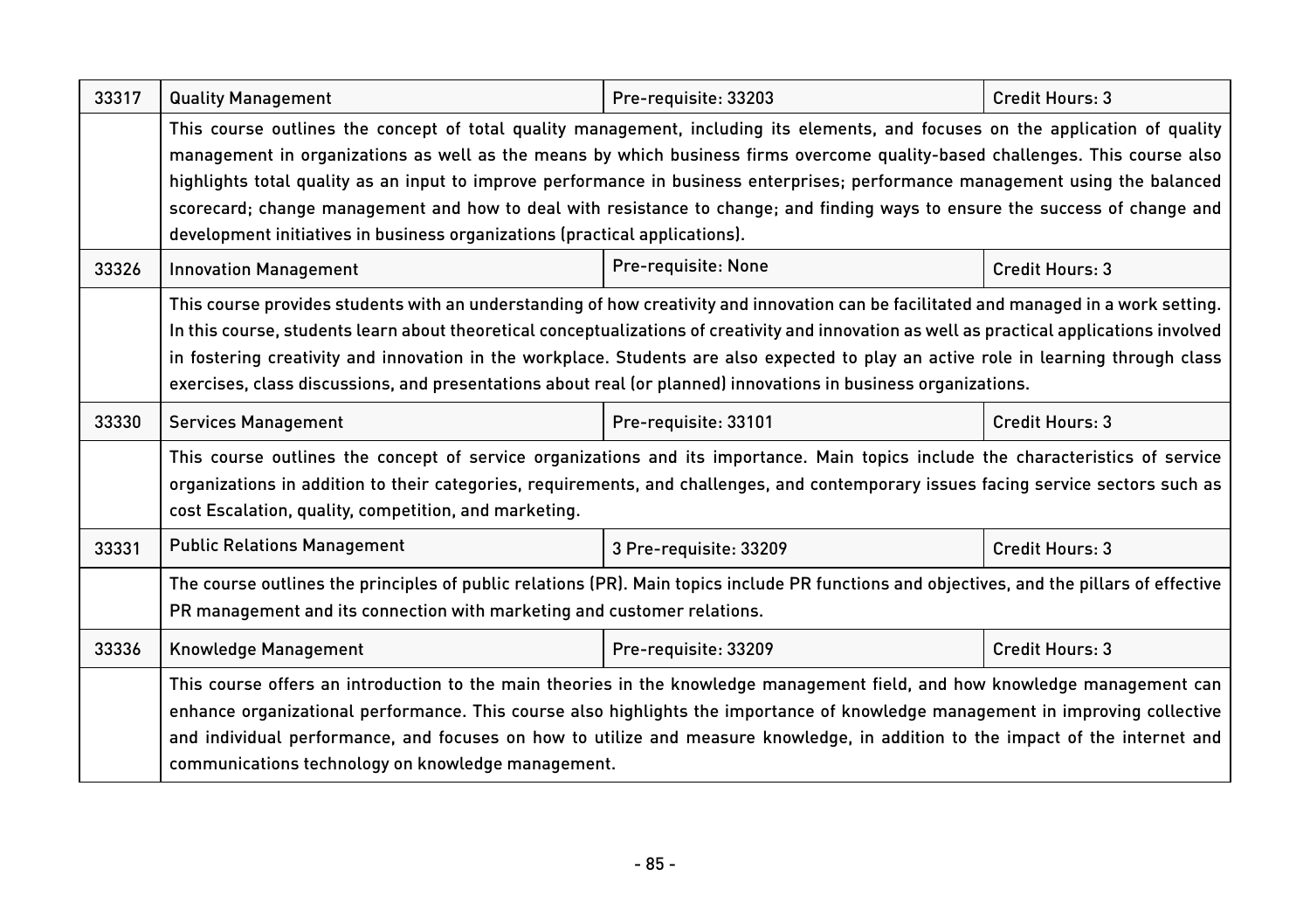| 33317 | <b>Quality Management</b>                                                                                                                                                                                                                                                                                                                                                                                                                                                                                                                                                                                                                                                                  | Pre-requisite: 33203   | Credit Hours: 3 |  |
|-------|--------------------------------------------------------------------------------------------------------------------------------------------------------------------------------------------------------------------------------------------------------------------------------------------------------------------------------------------------------------------------------------------------------------------------------------------------------------------------------------------------------------------------------------------------------------------------------------------------------------------------------------------------------------------------------------------|------------------------|-----------------|--|
| 33326 | This course outlines the concept of total quality management, including its elements, and focuses on the application of quality<br>management in organizations as well as the means by which business firms overcome quality-based challenges. This course also<br>highlights total quality as an input to improve performance in business enterprises; performance management using the balanced<br>scorecard; change management and how to deal with resistance to change; and finding ways to ensure the success of change and<br>development initiatives in business organizations (practical applications).<br>Pre-requisite: None<br>Credit Hours: 3<br><b>Innovation Management</b> |                        |                 |  |
|       | This course provides students with an understanding of how creativity and innovation can be facilitated and managed in a work setting.<br>In this course, students learn about theoretical conceptualizations of creativity and innovation as well as practical applications involved<br>in fostering creativity and innovation in the workplace. Students are also expected to play an active role in learning through class<br>exercises, class discussions, and presentations about real (or planned) innovations in business organizations.                                                                                                                                            |                        |                 |  |
| 33330 | <b>Services Management</b>                                                                                                                                                                                                                                                                                                                                                                                                                                                                                                                                                                                                                                                                 | Pre-requisite: 33101   | Credit Hours: 3 |  |
|       | This course outlines the concept of service organizations and its importance. Main topics include the characteristics of service<br>organizations in addition to their categories, requirements, and challenges, and contemporary issues facing service sectors such as<br>cost Escalation, quality, competition, and marketing.                                                                                                                                                                                                                                                                                                                                                           |                        |                 |  |
| 33331 | <b>Public Relations Management</b>                                                                                                                                                                                                                                                                                                                                                                                                                                                                                                                                                                                                                                                         | 3 Pre-requisite: 33209 | Credit Hours: 3 |  |
|       | The course outlines the principles of public relations (PR). Main topics include PR functions and objectives, and the pillars of effective<br>PR management and its connection with marketing and customer relations.                                                                                                                                                                                                                                                                                                                                                                                                                                                                      |                        |                 |  |
| 33336 | Knowledge Management                                                                                                                                                                                                                                                                                                                                                                                                                                                                                                                                                                                                                                                                       | Pre-requisite: 33209   | Credit Hours: 3 |  |
|       | This course offers an introduction to the main theories in the knowledge management field, and how knowledge management can<br>enhance organizational performance. This course also highlights the importance of knowledge management in improving collective<br>and individual performance, and focuses on how to utilize and measure knowledge, in addition to the impact of the internet and<br>communications technology on knowledge management.                                                                                                                                                                                                                                      |                        |                 |  |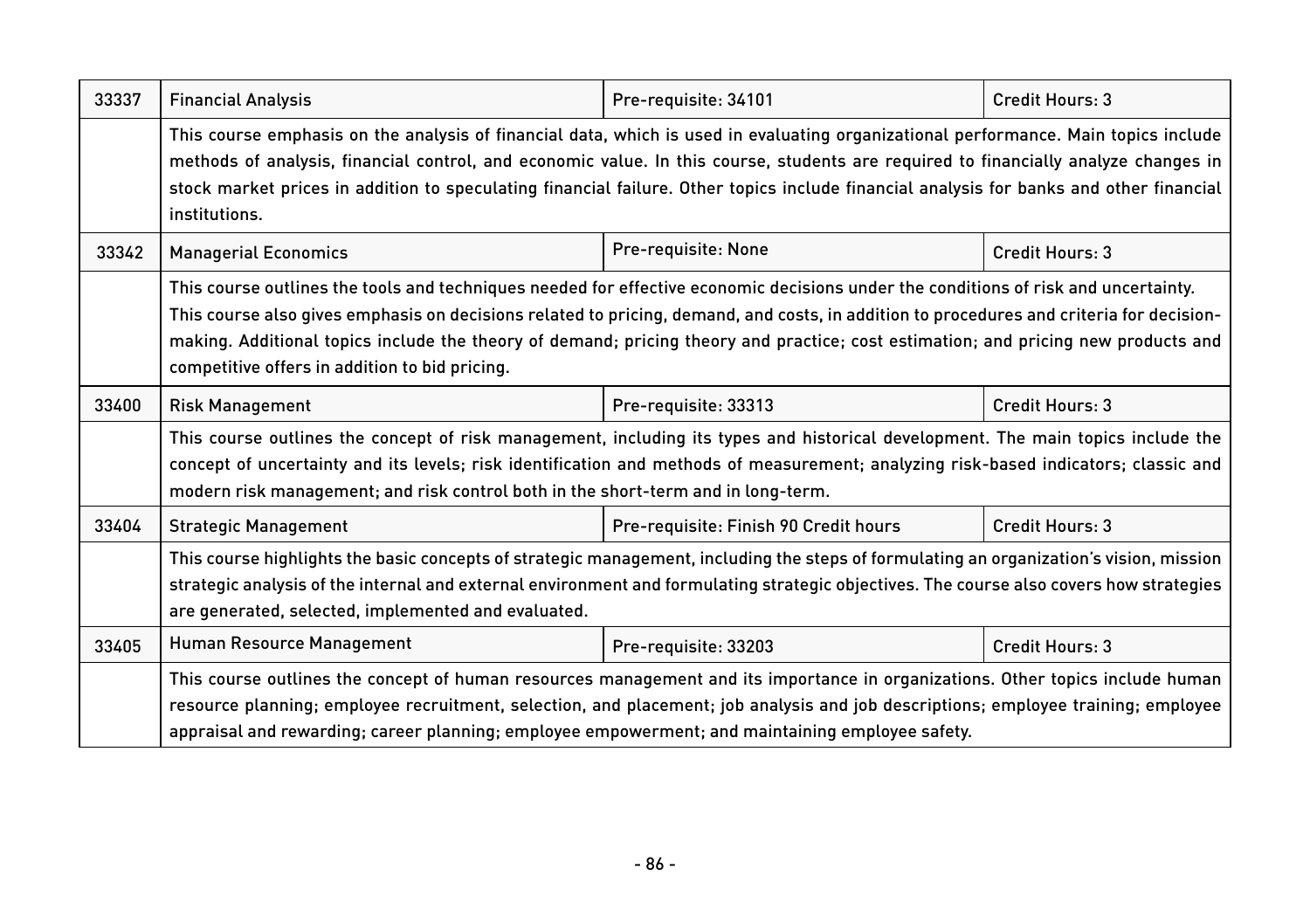| 33337 | <b>Financial Analysis</b>                                                                                                                                                                                                                                                                                                                                                                                                                                               | Pre-requisite: 34101                  | Credit Hours: 3 |  |
|-------|-------------------------------------------------------------------------------------------------------------------------------------------------------------------------------------------------------------------------------------------------------------------------------------------------------------------------------------------------------------------------------------------------------------------------------------------------------------------------|---------------------------------------|-----------------|--|
|       | This course emphasis on the analysis of financial data, which is used in evaluating organizational performance. Main topics include<br>methods of analysis, financial control, and economic value. In this course, students are required to financially analyze changes in<br>stock market prices in addition to speculating financial failure. Other topics include financial analysis for banks and other financial<br>institutions.                                  |                                       |                 |  |
| 33342 | <b>Managerial Economics</b>                                                                                                                                                                                                                                                                                                                                                                                                                                             | Pre-requisite: None                   | Credit Hours: 3 |  |
|       | This course outlines the tools and techniques needed for effective economic decisions under the conditions of risk and uncertainty.<br>This course also gives emphasis on decisions related to pricing, demand, and costs, in addition to procedures and criteria for decision-<br>making. Additional topics include the theory of demand; pricing theory and practice; cost estimation; and pricing new products and<br>competitive offers in addition to bid pricing. |                                       |                 |  |
| 33400 | <b>Risk Management</b>                                                                                                                                                                                                                                                                                                                                                                                                                                                  | Pre-requisite: 33313                  | Credit Hours: 3 |  |
|       | This course outlines the concept of risk management, including its types and historical development. The main topics include the<br>concept of uncertainty and its levels; risk identification and methods of measurement; analyzing risk-based indicators; classic and<br>modern risk management; and risk control both in the short-term and in long-term.                                                                                                            |                                       |                 |  |
| 33404 | <b>Strategic Management</b>                                                                                                                                                                                                                                                                                                                                                                                                                                             | Pre-requisite: Finish 90 Credit hours | Credit Hours: 3 |  |
|       | This course highlights the basic concepts of strategic management, including the steps of formulating an organization's vision, mission<br>strategic analysis of the internal and external environment and formulating strategic objectives. The course also covers how strategies<br>are generated, selected, implemented and evaluated.                                                                                                                               |                                       |                 |  |
| 33405 | Human Resource Management                                                                                                                                                                                                                                                                                                                                                                                                                                               | Pre-requisite: 33203                  | Credit Hours: 3 |  |
|       | This course outlines the concept of human resources management and its importance in organizations. Other topics include human<br>resource planning; employee recruitment, selection, and placement; job analysis and job descriptions; employee training; employee<br>appraisal and rewarding; career planning; employee empowerment; and maintaining employee safety.                                                                                                 |                                       |                 |  |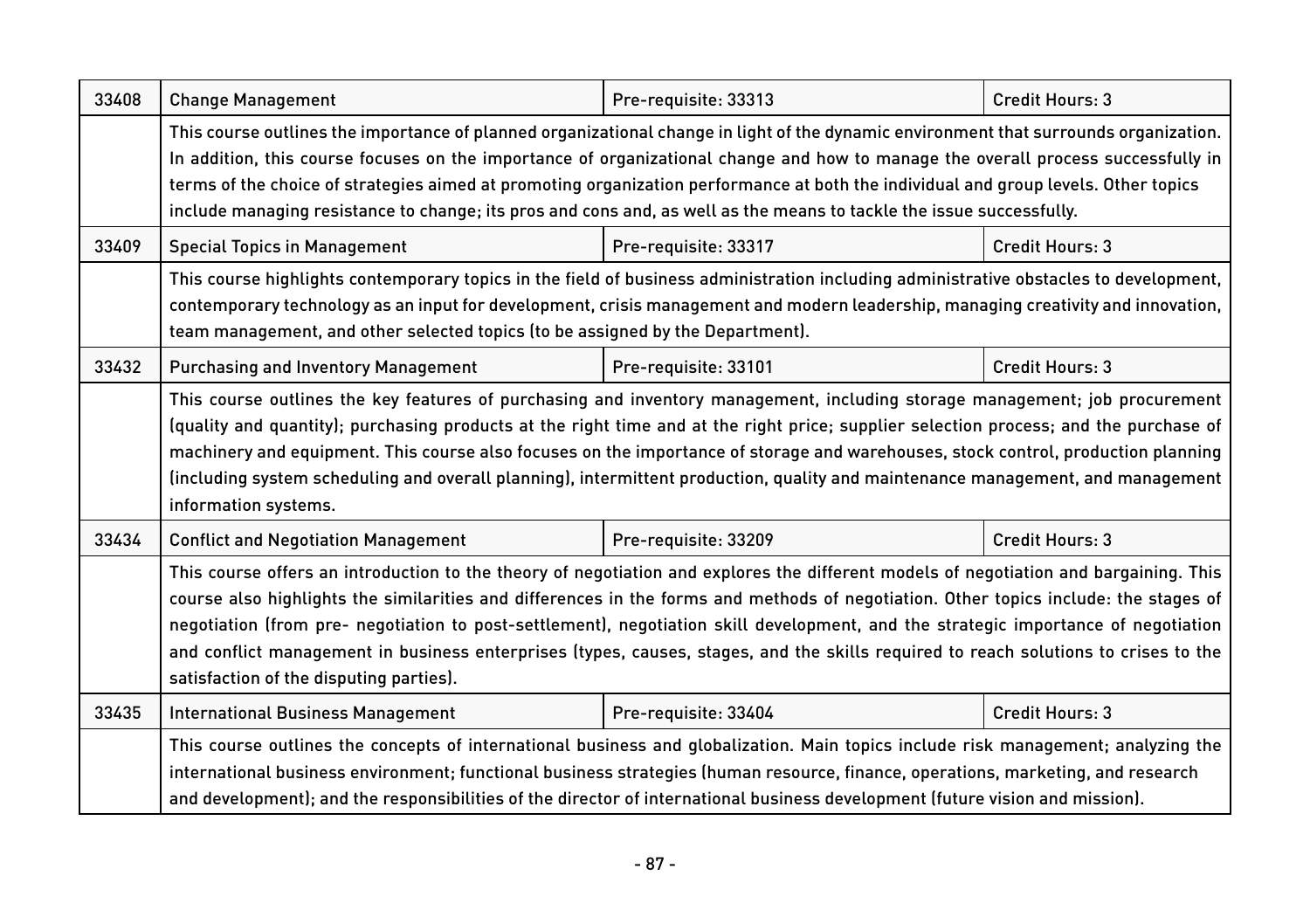| 33408 | <b>Change Management</b>                                                                                                                                                                                                                                                                                                                                                                                                                                                                                                                                                                              | Pre-requisite: 33313 | Credit Hours: 3 |  |
|-------|-------------------------------------------------------------------------------------------------------------------------------------------------------------------------------------------------------------------------------------------------------------------------------------------------------------------------------------------------------------------------------------------------------------------------------------------------------------------------------------------------------------------------------------------------------------------------------------------------------|----------------------|-----------------|--|
|       | This course outlines the importance of planned organizational change in light of the dynamic environment that surrounds organization.<br>In addition, this course focuses on the importance of organizational change and how to manage the overall process successfully in<br>terms of the choice of strategies aimed at promoting organization performance at both the individual and group levels. Other topics<br>include managing resistance to change; its pros and cons and, as well as the means to tackle the issue successfully.                                                             |                      |                 |  |
| 33409 | <b>Special Topics in Management</b>                                                                                                                                                                                                                                                                                                                                                                                                                                                                                                                                                                   | Pre-requisite: 33317 | Credit Hours: 3 |  |
|       | This course highlights contemporary topics in the field of business administration including administrative obstacles to development,<br>contemporary technology as an input for development, crisis management and modern leadership, managing creativity and innovation,<br>team management, and other selected topics (to be assigned by the Department).                                                                                                                                                                                                                                          |                      |                 |  |
| 33432 | <b>Purchasing and Inventory Management</b>                                                                                                                                                                                                                                                                                                                                                                                                                                                                                                                                                            | Pre-requisite: 33101 | Credit Hours: 3 |  |
|       | This course outlines the key features of purchasing and inventory management, including storage management; job procurement<br>(quality and quantity); purchasing products at the right time and at the right price; supplier selection process; and the purchase of<br>machinery and equipment. This course also focuses on the importance of storage and warehouses, stock control, production planning<br>(including system scheduling and overall planning), intermittent production, quality and maintenance management, and management<br>information systems.                                  |                      |                 |  |
| 33434 | <b>Conflict and Negotiation Management</b>                                                                                                                                                                                                                                                                                                                                                                                                                                                                                                                                                            | Pre-requisite: 33209 | Credit Hours: 3 |  |
|       | This course offers an introduction to the theory of negotiation and explores the different models of negotiation and bargaining. This<br>course also highlights the similarities and differences in the forms and methods of negotiation. Other topics include: the stages of<br>negotiation (from pre- negotiation to post-settlement), negotiation skill development, and the strategic importance of negotiation<br>and conflict management in business enterprises (types, causes, stages, and the skills required to reach solutions to crises to the<br>satisfaction of the disputing parties). |                      |                 |  |
| 33435 | <b>International Business Management</b>                                                                                                                                                                                                                                                                                                                                                                                                                                                                                                                                                              | Pre-requisite: 33404 | Credit Hours: 3 |  |
|       | This course outlines the concepts of international business and globalization. Main topics include risk management; analyzing the<br>international business environment; functional business strategies (human resource, finance, operations, marketing, and research<br>and development); and the responsibilities of the director of international business development (future vision and mission).                                                                                                                                                                                                |                      |                 |  |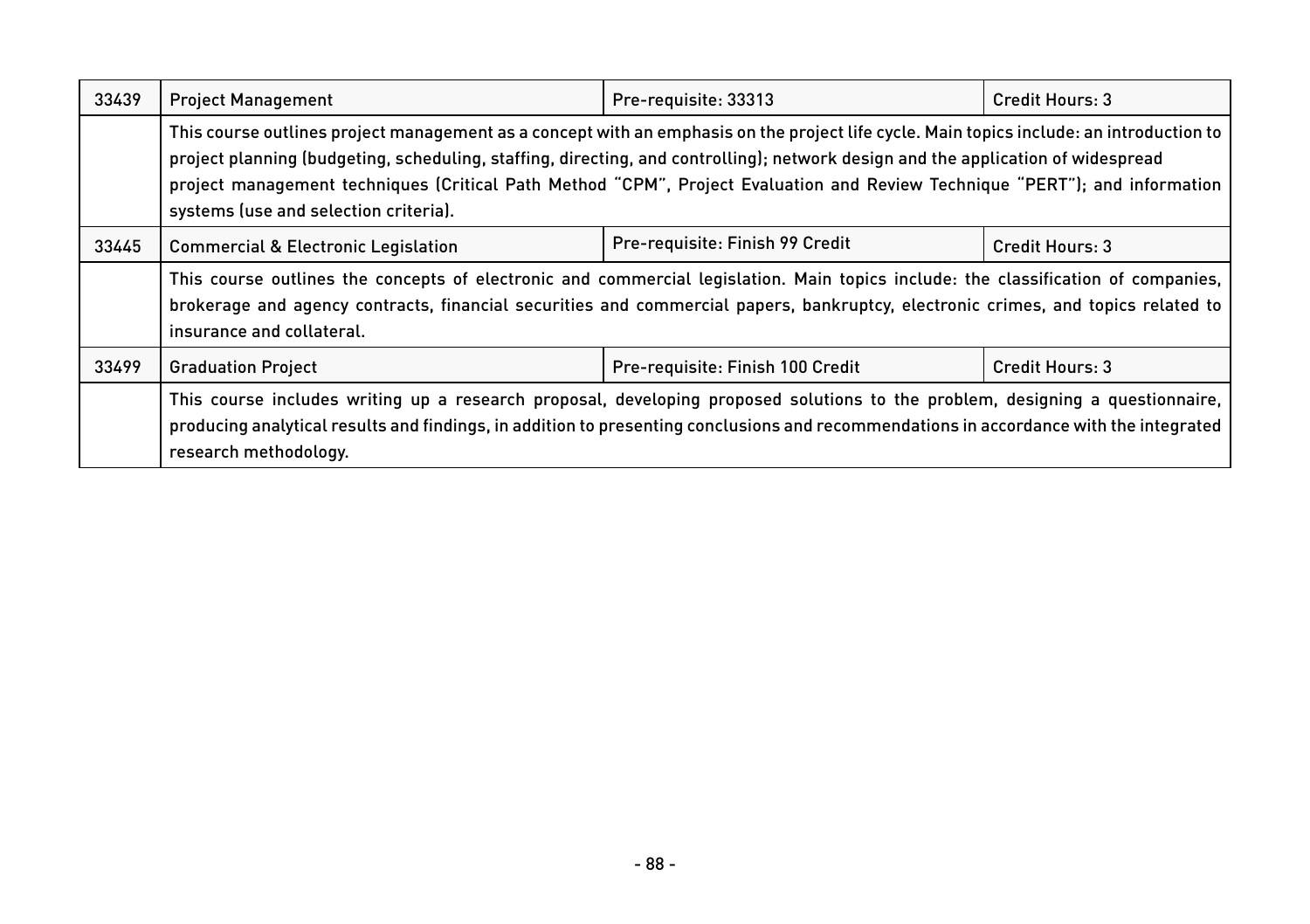| 33439 | <b>Project Management</b>                                                                                                                                                                                                                                                                                                                                                                                                                            | Pre-requisite: 33313             | Credit Hours: 3 |
|-------|------------------------------------------------------------------------------------------------------------------------------------------------------------------------------------------------------------------------------------------------------------------------------------------------------------------------------------------------------------------------------------------------------------------------------------------------------|----------------------------------|-----------------|
|       | This course outlines project management as a concept with an emphasis on the project life cycle. Main topics include: an introduction to<br>project planning (budgeting, scheduling, staffing, directing, and controlling); network design and the application of widespread<br>project management techniques (Critical Path Method "CPM", Project Evaluation and Review Technique "PERT"); and information<br>systems (use and selection criteria). |                                  |                 |
| 33445 | <b>Commercial &amp; Electronic Legislation</b>                                                                                                                                                                                                                                                                                                                                                                                                       | Pre-requisite: Finish 99 Credit  | Credit Hours: 3 |
|       | This course outlines the concepts of electronic and commercial legislation. Main topics include: the classification of companies,<br>brokerage and agency contracts, financial securities and commercial papers, bankruptcy, electronic crimes, and topics related to<br>insurance and collateral.                                                                                                                                                   |                                  |                 |
| 33499 | <b>Graduation Project</b>                                                                                                                                                                                                                                                                                                                                                                                                                            | Pre-requisite: Finish 100 Credit | Credit Hours: 3 |
|       | This course includes writing up a research proposal, developing proposed solutions to the problem, designing a questionnaire,<br>producing analytical results and findings, in addition to presenting conclusions and recommendations in accordance with the integrated<br>research methodology.                                                                                                                                                     |                                  |                 |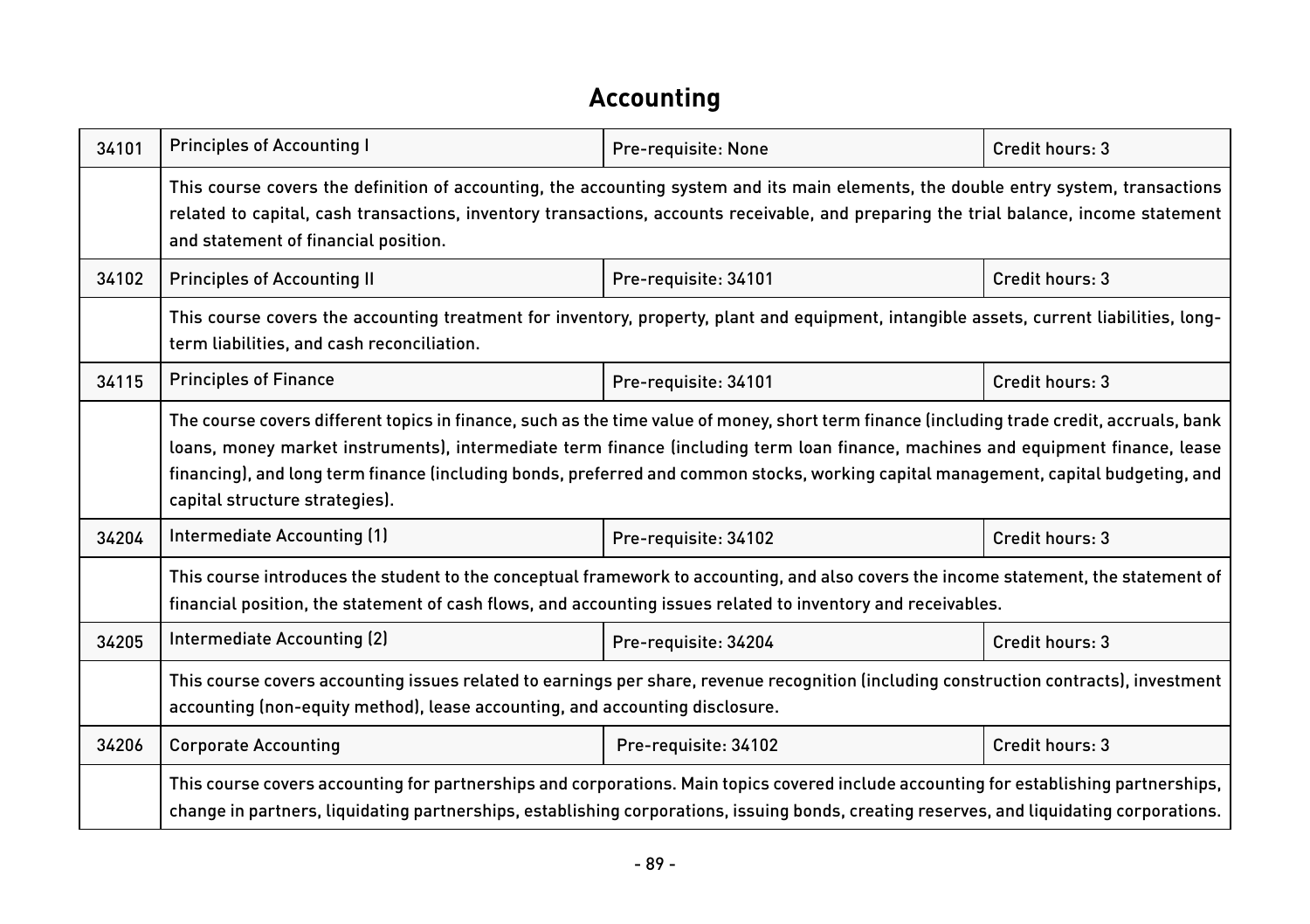#### **Accounting**

| 34101 | <b>Principles of Accounting I</b>                                                                                                                                                                                                                                                                                                                                                                                                                      | Pre-requisite: None  | Credit hours: 3 |  |
|-------|--------------------------------------------------------------------------------------------------------------------------------------------------------------------------------------------------------------------------------------------------------------------------------------------------------------------------------------------------------------------------------------------------------------------------------------------------------|----------------------|-----------------|--|
|       | This course covers the definition of accounting, the accounting system and its main elements, the double entry system, transactions<br>related to capital, cash transactions, inventory transactions, accounts receivable, and preparing the trial balance, income statement<br>and statement of financial position.                                                                                                                                   |                      |                 |  |
| 34102 | <b>Principles of Accounting II</b>                                                                                                                                                                                                                                                                                                                                                                                                                     | Pre-requisite: 34101 | Credit hours: 3 |  |
|       | This course covers the accounting treatment for inventory, property, plant and equipment, intangible assets, current liabilities, long-<br>term liabilities, and cash reconciliation.                                                                                                                                                                                                                                                                  |                      |                 |  |
| 34115 | <b>Principles of Finance</b>                                                                                                                                                                                                                                                                                                                                                                                                                           | Pre-requisite: 34101 | Credit hours: 3 |  |
|       | The course covers different topics in finance, such as the time value of money, short term finance (including trade credit, accruals, bank<br>loans, money market instruments), intermediate term finance (including term loan finance, machines and equipment finance, lease<br>financing), and long term finance (including bonds, preferred and common stocks, working capital management, capital budgeting, and<br>capital structure strategies). |                      |                 |  |
| 34204 | Intermediate Accounting (1)                                                                                                                                                                                                                                                                                                                                                                                                                            | Pre-requisite: 34102 | Credit hours: 3 |  |
|       | This course introduces the student to the conceptual framework to accounting, and also covers the income statement, the statement of<br>financial position, the statement of cash flows, and accounting issues related to inventory and receivables.                                                                                                                                                                                                   |                      |                 |  |
| 34205 | Intermediate Accounting (2)                                                                                                                                                                                                                                                                                                                                                                                                                            | Pre-requisite: 34204 | Credit hours: 3 |  |
|       | This course covers accounting issues related to earnings per share, revenue recognition (including construction contracts), investment<br>accounting (non-equity method), lease accounting, and accounting disclosure.                                                                                                                                                                                                                                 |                      |                 |  |
| 34206 | <b>Corporate Accounting</b>                                                                                                                                                                                                                                                                                                                                                                                                                            | Pre-requisite: 34102 | Credit hours: 3 |  |
|       | This course covers accounting for partnerships and corporations. Main topics covered include accounting for establishing partnerships,<br>change in partners, liquidating partnerships, establishing corporations, issuing bonds, creating reserves, and liquidating corporations.                                                                                                                                                                     |                      |                 |  |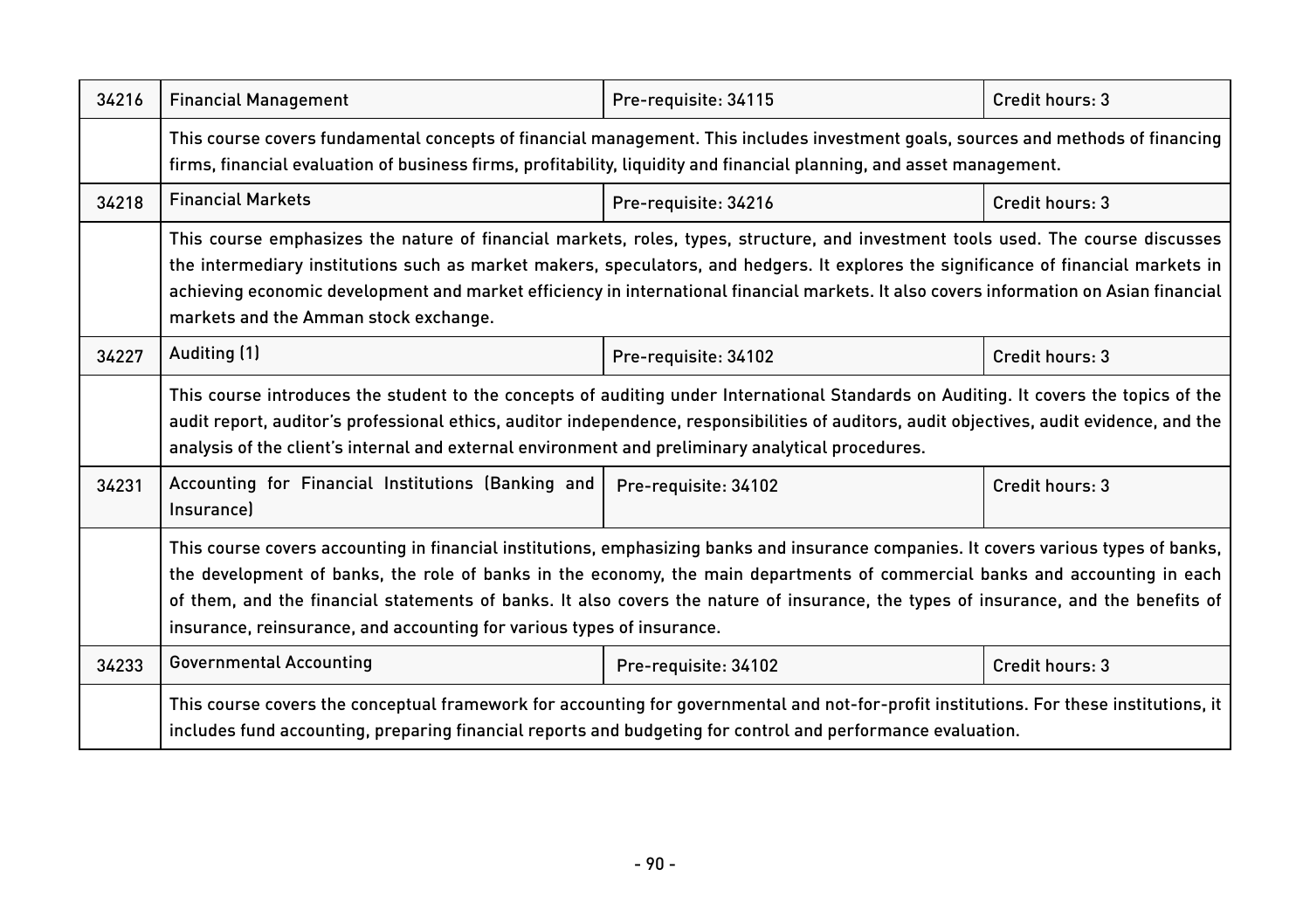| 34216 | <b>Financial Management</b>                                                                                                                                                                                                                                                                                                                                                                                                                                                           | Pre-requisite: 34115 | Credit hours: 3 |  |
|-------|---------------------------------------------------------------------------------------------------------------------------------------------------------------------------------------------------------------------------------------------------------------------------------------------------------------------------------------------------------------------------------------------------------------------------------------------------------------------------------------|----------------------|-----------------|--|
|       | This course covers fundamental concepts of financial management. This includes investment goals, sources and methods of financing<br>firms, financial evaluation of business firms, profitability, liquidity and financial planning, and asset management.                                                                                                                                                                                                                            |                      |                 |  |
| 34218 | <b>Financial Markets</b>                                                                                                                                                                                                                                                                                                                                                                                                                                                              | Pre-requisite: 34216 | Credit hours: 3 |  |
|       | This course emphasizes the nature of financial markets, roles, types, structure, and investment tools used. The course discusses<br>the intermediary institutions such as market makers, speculators, and hedgers. It explores the significance of financial markets in<br>achieving economic development and market efficiency in international financial markets. It also covers information on Asian financial<br>markets and the Amman stock exchange.                            |                      |                 |  |
| 34227 | Auditing (1)                                                                                                                                                                                                                                                                                                                                                                                                                                                                          | Pre-requisite: 34102 | Credit hours: 3 |  |
|       | This course introduces the student to the concepts of auditing under International Standards on Auditing. It covers the topics of the<br>audit report, auditor's professional ethics, auditor independence, responsibilities of auditors, audit objectives, audit evidence, and the<br>analysis of the client's internal and external environment and preliminary analytical procedures.                                                                                              |                      |                 |  |
| 34231 | Accounting for Financial Institutions (Banking and<br><b>Insurancel</b>                                                                                                                                                                                                                                                                                                                                                                                                               | Pre-requisite: 34102 | Credit hours: 3 |  |
|       | This course covers accounting in financial institutions, emphasizing banks and insurance companies. It covers various types of banks,<br>the development of banks, the role of banks in the economy, the main departments of commercial banks and accounting in each<br>of them, and the financial statements of banks. It also covers the nature of insurance, the types of insurance, and the benefits of<br>insurance, reinsurance, and accounting for various types of insurance. |                      |                 |  |
| 34233 | <b>Governmental Accounting</b>                                                                                                                                                                                                                                                                                                                                                                                                                                                        | Pre-requisite: 34102 | Credit hours: 3 |  |
|       | This course covers the conceptual framework for accounting for governmental and not-for-profit institutions. For these institutions, it<br>includes fund accounting, preparing financial reports and budgeting for control and performance evaluation.                                                                                                                                                                                                                                |                      |                 |  |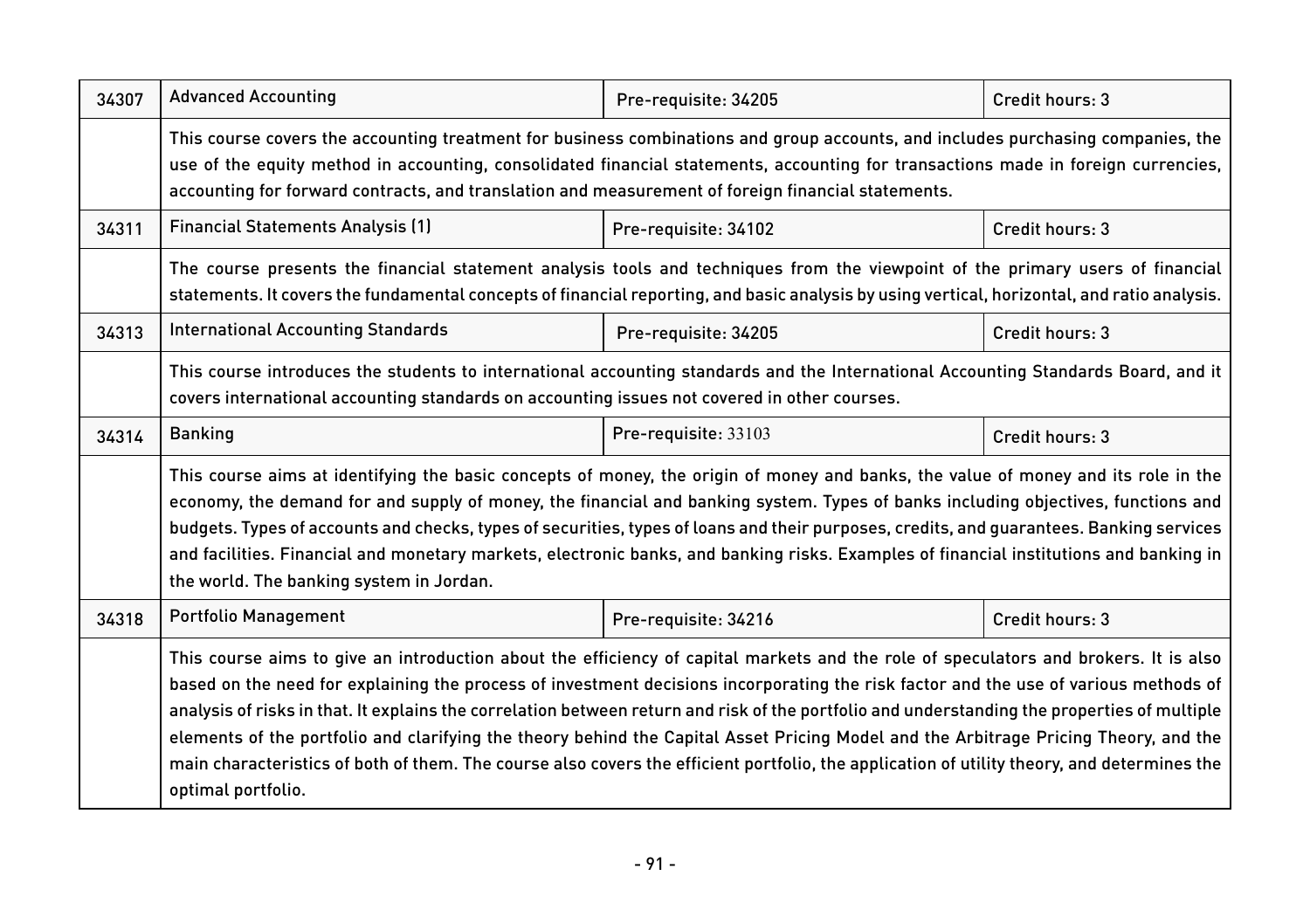| 34307 | <b>Advanced Accounting</b>                                                                                                                                                                                                                                                                                                                                                                                                                                                                                                                                                                                                                                                                                                                | Pre-requisite: 34205 | Credit hours: 3 |  |
|-------|-------------------------------------------------------------------------------------------------------------------------------------------------------------------------------------------------------------------------------------------------------------------------------------------------------------------------------------------------------------------------------------------------------------------------------------------------------------------------------------------------------------------------------------------------------------------------------------------------------------------------------------------------------------------------------------------------------------------------------------------|----------------------|-----------------|--|
|       | This course covers the accounting treatment for business combinations and group accounts, and includes purchasing companies, the<br>use of the equity method in accounting, consolidated financial statements, accounting for transactions made in foreign currencies,<br>accounting for forward contracts, and translation and measurement of foreign financial statements.                                                                                                                                                                                                                                                                                                                                                              |                      |                 |  |
| 34311 | <b>Financial Statements Analysis (1)</b>                                                                                                                                                                                                                                                                                                                                                                                                                                                                                                                                                                                                                                                                                                  | Pre-requisite: 34102 | Credit hours: 3 |  |
|       | The course presents the financial statement analysis tools and techniques from the viewpoint of the primary users of financial<br>statements. It covers the fundamental concepts of financial reporting, and basic analysis by using vertical, horizontal, and ratio analysis.                                                                                                                                                                                                                                                                                                                                                                                                                                                            |                      |                 |  |
| 34313 | <b>International Accounting Standards</b>                                                                                                                                                                                                                                                                                                                                                                                                                                                                                                                                                                                                                                                                                                 | Pre-requisite: 34205 | Credit hours: 3 |  |
|       | This course introduces the students to international accounting standards and the International Accounting Standards Board, and it<br>covers international accounting standards on accounting issues not covered in other courses.                                                                                                                                                                                                                                                                                                                                                                                                                                                                                                        |                      |                 |  |
| 34314 | <b>Banking</b>                                                                                                                                                                                                                                                                                                                                                                                                                                                                                                                                                                                                                                                                                                                            | Pre-requisite: 33103 | Credit hours: 3 |  |
|       | This course aims at identifying the basic concepts of money, the origin of money and banks, the value of money and its role in the<br>economy, the demand for and supply of money, the financial and banking system. Types of banks including objectives, functions and<br>budgets. Types of accounts and checks, types of securities, types of loans and their purposes, credits, and guarantees. Banking services<br>and facilities. Financial and monetary markets, electronic banks, and banking risks. Examples of financial institutions and banking in<br>the world. The banking system in Jordan.                                                                                                                                 |                      |                 |  |
| 34318 | Portfolio Management                                                                                                                                                                                                                                                                                                                                                                                                                                                                                                                                                                                                                                                                                                                      | Pre-requisite: 34216 | Credit hours: 3 |  |
|       | This course aims to give an introduction about the efficiency of capital markets and the role of speculators and brokers. It is also<br>based on the need for explaining the process of investment decisions incorporating the risk factor and the use of various methods of<br>analysis of risks in that. It explains the correlation between return and risk of the portfolio and understanding the properties of multiple<br>elements of the portfolio and clarifying the theory behind the Capital Asset Pricing Model and the Arbitrage Pricing Theory, and the<br>main characteristics of both of them. The course also covers the efficient portfolio, the application of utility theory, and determines the<br>optimal portfolio. |                      |                 |  |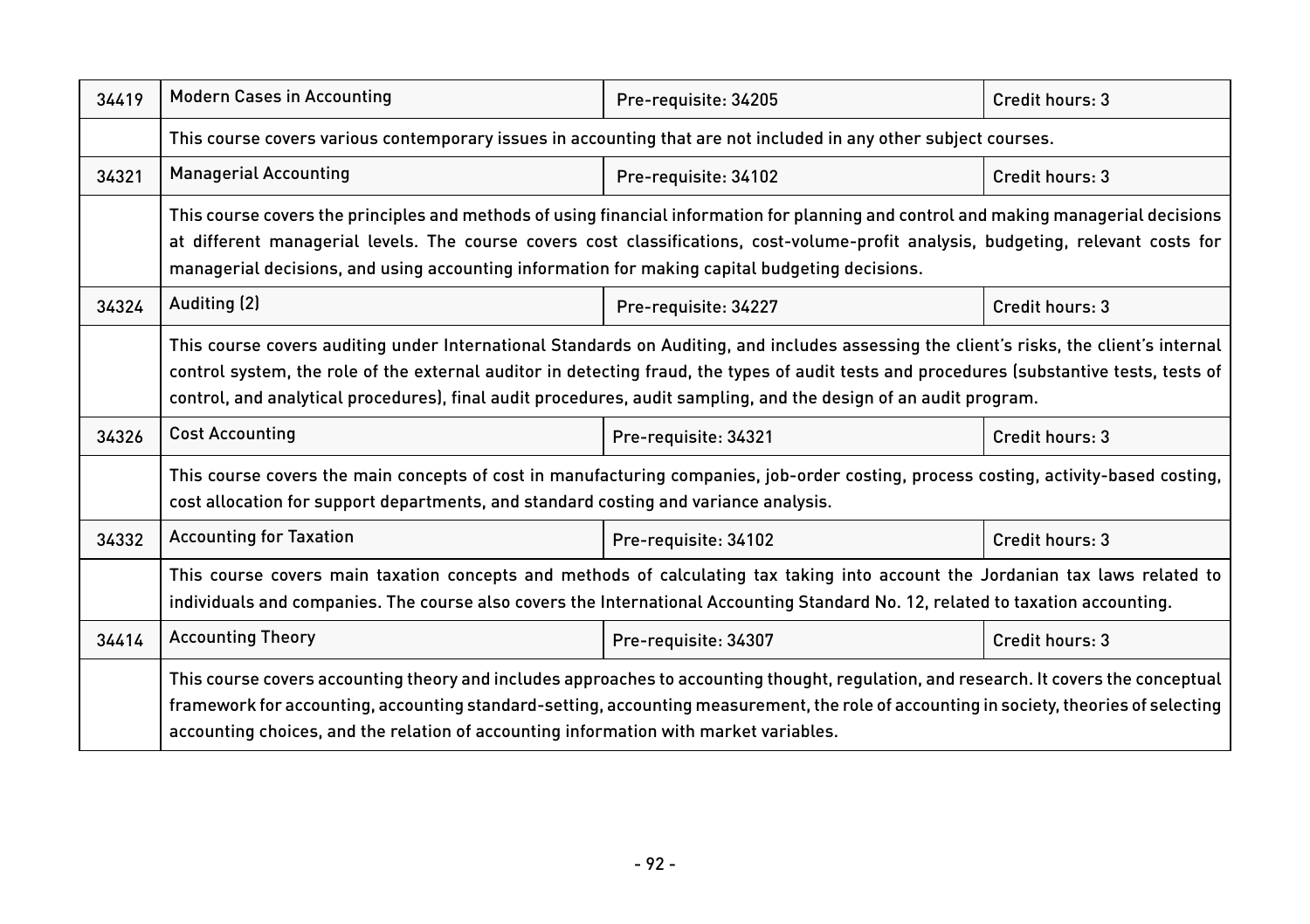| 34419 | <b>Modern Cases in Accounting</b>                                                                                                                                                                                                                                                                                                                                                                        | Pre-requisite: 34205 | Credit hours: 3 |  |
|-------|----------------------------------------------------------------------------------------------------------------------------------------------------------------------------------------------------------------------------------------------------------------------------------------------------------------------------------------------------------------------------------------------------------|----------------------|-----------------|--|
|       | This course covers various contemporary issues in accounting that are not included in any other subject courses.                                                                                                                                                                                                                                                                                         |                      |                 |  |
| 34321 | <b>Managerial Accounting</b>                                                                                                                                                                                                                                                                                                                                                                             | Pre-requisite: 34102 | Credit hours: 3 |  |
|       | This course covers the principles and methods of using financial information for planning and control and making managerial decisions<br>at different managerial levels. The course covers cost classifications, cost-volume-profit analysis, budgeting, relevant costs for<br>managerial decisions, and using accounting information for making capital budgeting decisions.                            |                      |                 |  |
| 34324 | Auditing (2)                                                                                                                                                                                                                                                                                                                                                                                             | Pre-requisite: 34227 | Credit hours: 3 |  |
|       | This course covers auditing under International Standards on Auditing, and includes assessing the client's risks, the client's internal<br>control system, the role of the external auditor in detecting fraud, the types of audit tests and procedures (substantive tests, tests of<br>control, and analytical procedures), final audit procedures, audit sampling, and the design of an audit program. |                      |                 |  |
| 34326 | <b>Cost Accounting</b>                                                                                                                                                                                                                                                                                                                                                                                   | Pre-requisite: 34321 | Credit hours: 3 |  |
|       | This course covers the main concepts of cost in manufacturing companies, job-order costing, process costing, activity-based costing,<br>cost allocation for support departments, and standard costing and variance analysis.                                                                                                                                                                             |                      |                 |  |
| 34332 | <b>Accounting for Taxation</b>                                                                                                                                                                                                                                                                                                                                                                           | Pre-requisite: 34102 | Credit hours: 3 |  |
|       | This course covers main taxation concepts and methods of calculating tax taking into account the Jordanian tax laws related to<br>individuals and companies. The course also covers the International Accounting Standard No. 12, related to taxation accounting.                                                                                                                                        |                      |                 |  |
| 34414 | <b>Accounting Theory</b>                                                                                                                                                                                                                                                                                                                                                                                 | Pre-requisite: 34307 | Credit hours: 3 |  |
|       | This course covers accounting theory and includes approaches to accounting thought, regulation, and research. It covers the conceptual<br>framework for accounting, accounting standard-setting, accounting measurement, the role of accounting in society, theories of selecting<br>accounting choices, and the relation of accounting information with market variables.                               |                      |                 |  |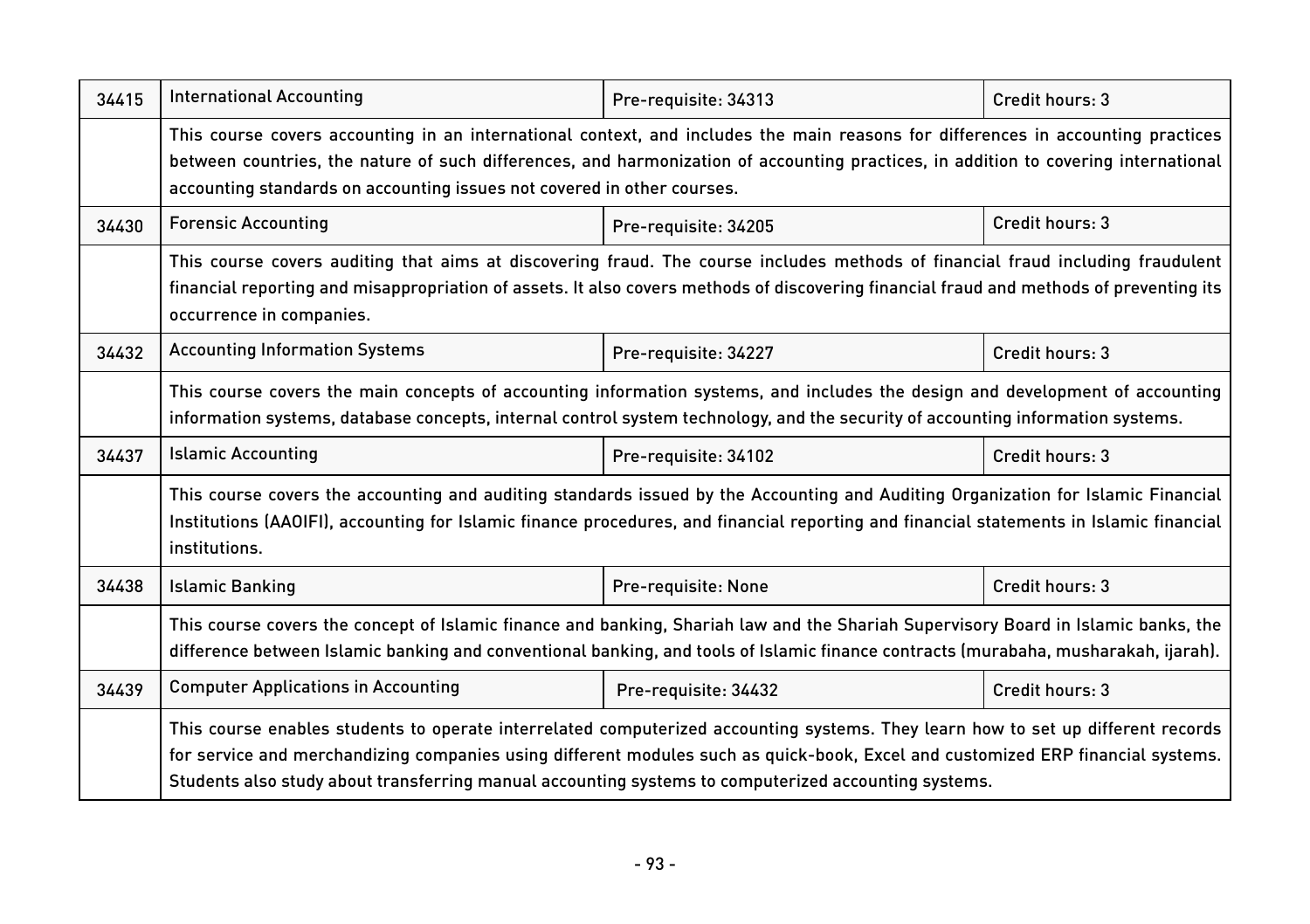| 34415 | <b>International Accounting</b>                                                                                                                                                                                                                                                                                                                                             | Pre-requisite: 34313 | Credit hours: 3 |  |
|-------|-----------------------------------------------------------------------------------------------------------------------------------------------------------------------------------------------------------------------------------------------------------------------------------------------------------------------------------------------------------------------------|----------------------|-----------------|--|
|       | This course covers accounting in an international context, and includes the main reasons for differences in accounting practices<br>between countries, the nature of such differences, and harmonization of accounting practices, in addition to covering international<br>accounting standards on accounting issues not covered in other courses.                          |                      |                 |  |
| 34430 | <b>Forensic Accounting</b>                                                                                                                                                                                                                                                                                                                                                  | Pre-requisite: 34205 | Credit hours: 3 |  |
|       | This course covers auditing that aims at discovering fraud. The course includes methods of financial fraud including fraudulent<br>financial reporting and misappropriation of assets. It also covers methods of discovering financial fraud and methods of preventing its<br>occurrence in companies.                                                                      |                      |                 |  |
| 34432 | <b>Accounting Information Systems</b>                                                                                                                                                                                                                                                                                                                                       | Pre-requisite: 34227 | Credit hours: 3 |  |
|       | This course covers the main concepts of accounting information systems, and includes the design and development of accounting<br>information systems, database concepts, internal control system technology, and the security of accounting information systems.                                                                                                            |                      |                 |  |
| 34437 | <b>Islamic Accounting</b>                                                                                                                                                                                                                                                                                                                                                   | Pre-requisite: 34102 | Credit hours: 3 |  |
|       | This course covers the accounting and auditing standards issued by the Accounting and Auditing Organization for Islamic Financial<br>Institutions (AAOIFI), accounting for Islamic finance procedures, and financial reporting and financial statements in Islamic financial<br>institutions.                                                                               |                      |                 |  |
| 34438 | <b>Islamic Banking</b>                                                                                                                                                                                                                                                                                                                                                      | Pre-requisite: None  | Credit hours: 3 |  |
|       | This course covers the concept of Islamic finance and banking, Shariah law and the Shariah Supervisory Board in Islamic banks, the<br>difference between Islamic banking and conventional banking, and tools of Islamic finance contracts (murabaha, musharakah, ijarah).                                                                                                   |                      |                 |  |
| 34439 | <b>Computer Applications in Accounting</b>                                                                                                                                                                                                                                                                                                                                  | Pre-requisite: 34432 | Credit hours: 3 |  |
|       | This course enables students to operate interrelated computerized accounting systems. They learn how to set up different records<br>for service and merchandizing companies using different modules such as quick-book, Excel and customized ERP financial systems.<br>Students also study about transferring manual accounting systems to computerized accounting systems. |                      |                 |  |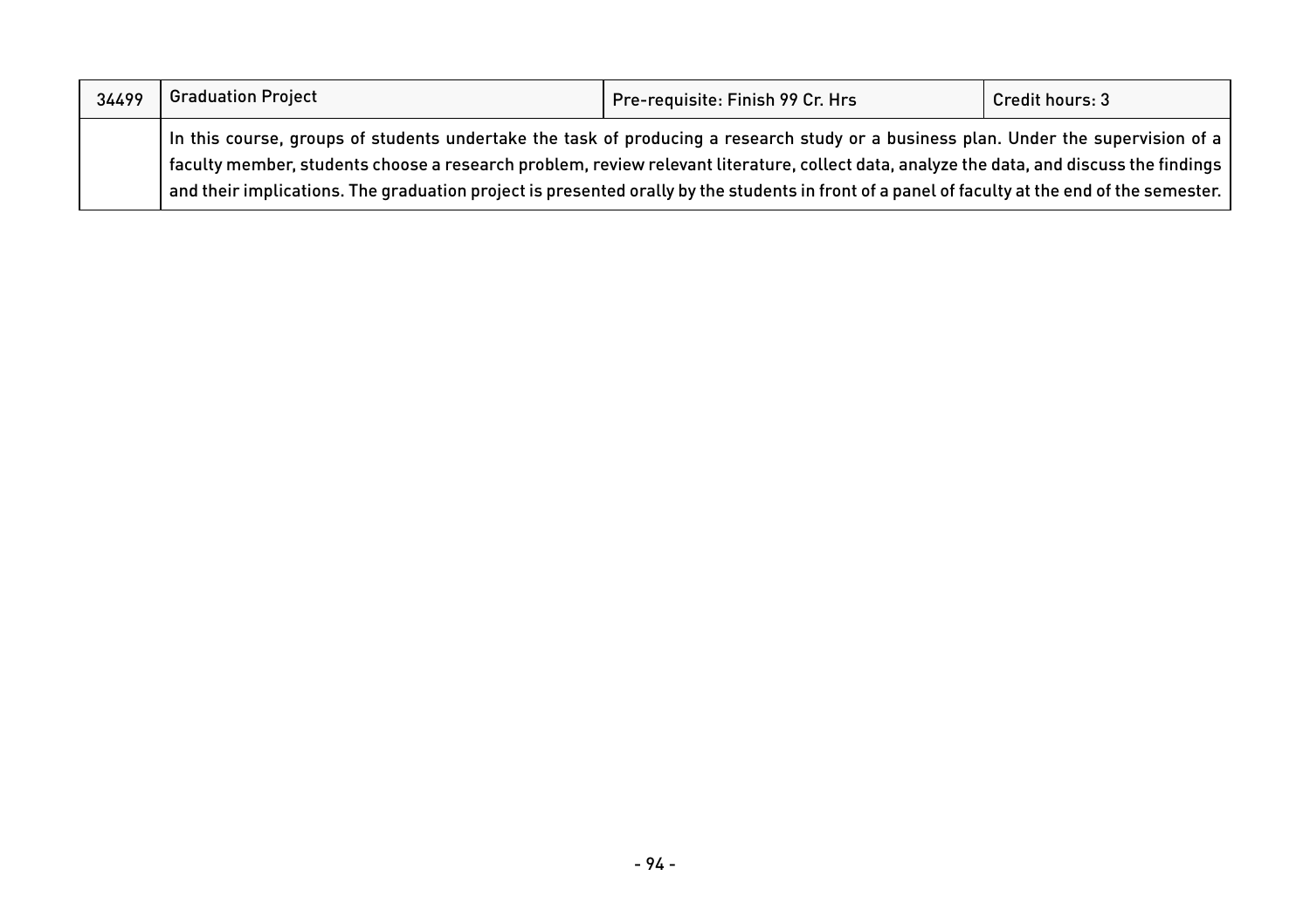| 34499 | <b>Graduation Project</b>                                                                                                                                                                                                                                                                                                                                                                                                       | Pre-requisite: Finish 99 Cr. Hrs | Credit hours: 3 |
|-------|---------------------------------------------------------------------------------------------------------------------------------------------------------------------------------------------------------------------------------------------------------------------------------------------------------------------------------------------------------------------------------------------------------------------------------|----------------------------------|-----------------|
|       | In this course, groups of students undertake the task of producing a research study or a business plan. Under the supervision of a<br>faculty member, students choose a research problem, review relevant literature, collect data, analyze the data, and discuss the findings<br>and their implications. The graduation project is presented orally by the students in front of a panel of faculty at the end of the semester. |                                  |                 |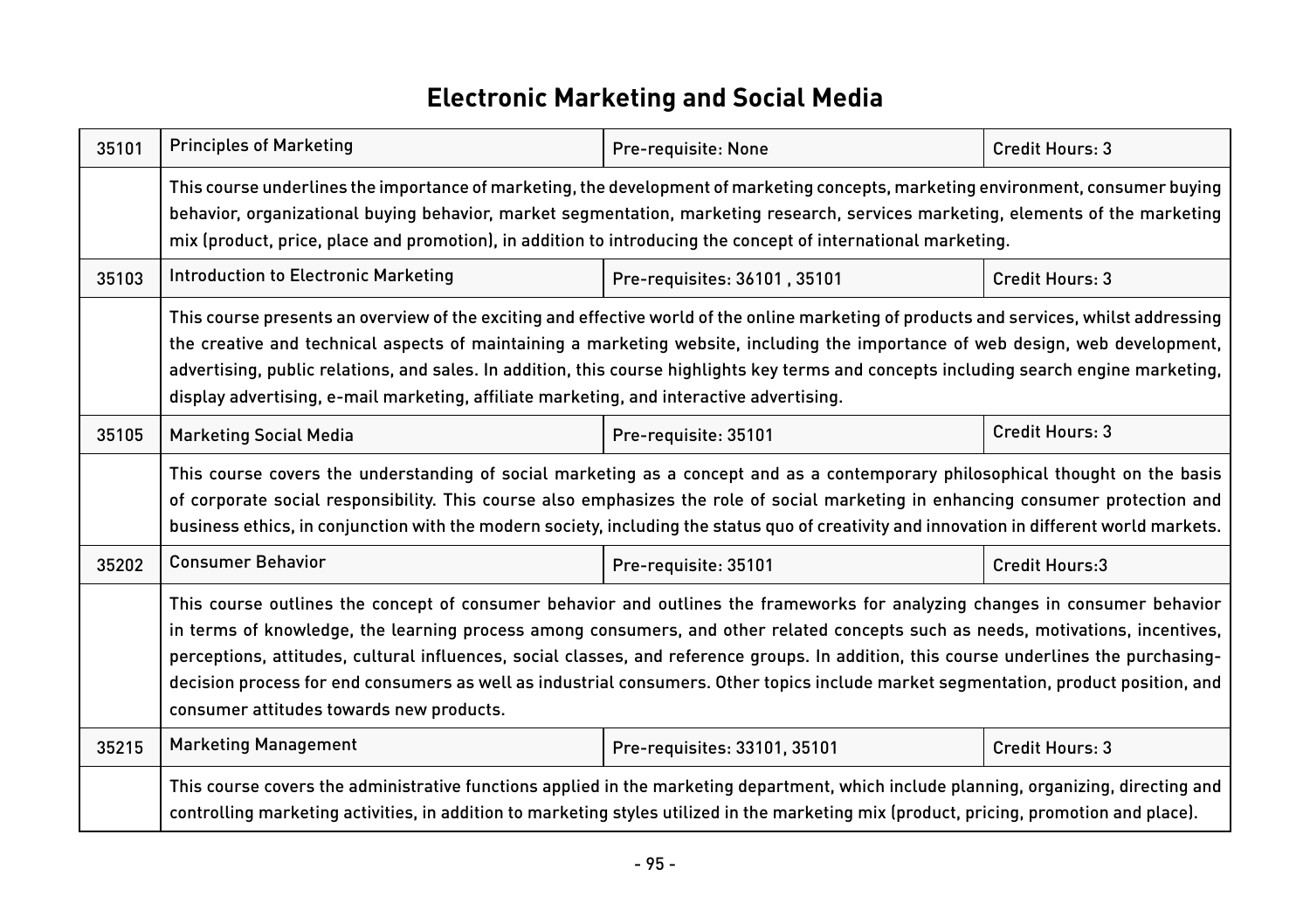## **Electronic Marketing and Social Media**

| 35101 | <b>Principles of Marketing</b>                                                                                                                                                                                                                                                                                                                                                                                                                                                                                                                                                               | Pre-requisite: None          | Credit Hours: 3 |
|-------|----------------------------------------------------------------------------------------------------------------------------------------------------------------------------------------------------------------------------------------------------------------------------------------------------------------------------------------------------------------------------------------------------------------------------------------------------------------------------------------------------------------------------------------------------------------------------------------------|------------------------------|-----------------|
|       | This course underlines the importance of marketing, the development of marketing concepts, marketing environment, consumer buying<br>behavior, organizational buying behavior, market segmentation, marketing research, services marketing, elements of the marketing<br>mix (product, price, place and promotion), in addition to introducing the concept of international marketing.                                                                                                                                                                                                       |                              |                 |
| 35103 | Introduction to Electronic Marketing                                                                                                                                                                                                                                                                                                                                                                                                                                                                                                                                                         | Pre-requisites: 36101, 35101 | Credit Hours: 3 |
|       | This course presents an overview of the exciting and effective world of the online marketing of products and services, whilst addressing<br>the creative and technical aspects of maintaining a marketing website, including the importance of web design, web development,<br>advertising, public relations, and sales. In addition, this course highlights key terms and concepts including search engine marketing,<br>display advertising, e-mail marketing, affiliate marketing, and interactive advertising.                                                                           |                              |                 |
| 35105 | <b>Marketing Social Media</b>                                                                                                                                                                                                                                                                                                                                                                                                                                                                                                                                                                | Pre-requisite: 35101         | Credit Hours: 3 |
|       | This course covers the understanding of social marketing as a concept and as a contemporary philosophical thought on the basis<br>of corporate social responsibility. This course also emphasizes the role of social marketing in enhancing consumer protection and<br>business ethics, in conjunction with the modern society, including the status quo of creativity and innovation in different world markets.                                                                                                                                                                            |                              |                 |
| 35202 | <b>Consumer Behavior</b>                                                                                                                                                                                                                                                                                                                                                                                                                                                                                                                                                                     | Pre-requisite: 35101         | Credit Hours:3  |
|       | This course outlines the concept of consumer behavior and outlines the frameworks for analyzing changes in consumer behavior<br>in terms of knowledge, the learning process among consumers, and other related concepts such as needs, motivations, incentives,<br>perceptions, attitudes, cultural influences, social classes, and reference groups. In addition, this course underlines the purchasing-<br>decision process for end consumers as well as industrial consumers. Other topics include market segmentation, product position, and<br>consumer attitudes towards new products. |                              |                 |
| 35215 | <b>Marketing Management</b>                                                                                                                                                                                                                                                                                                                                                                                                                                                                                                                                                                  | Pre-requisites: 33101, 35101 | Credit Hours: 3 |
|       | This course covers the administrative functions applied in the marketing department, which include planning, organizing, directing and<br>controlling marketing activities, in addition to marketing styles utilized in the marketing mix (product, pricing, promotion and place).                                                                                                                                                                                                                                                                                                           |                              |                 |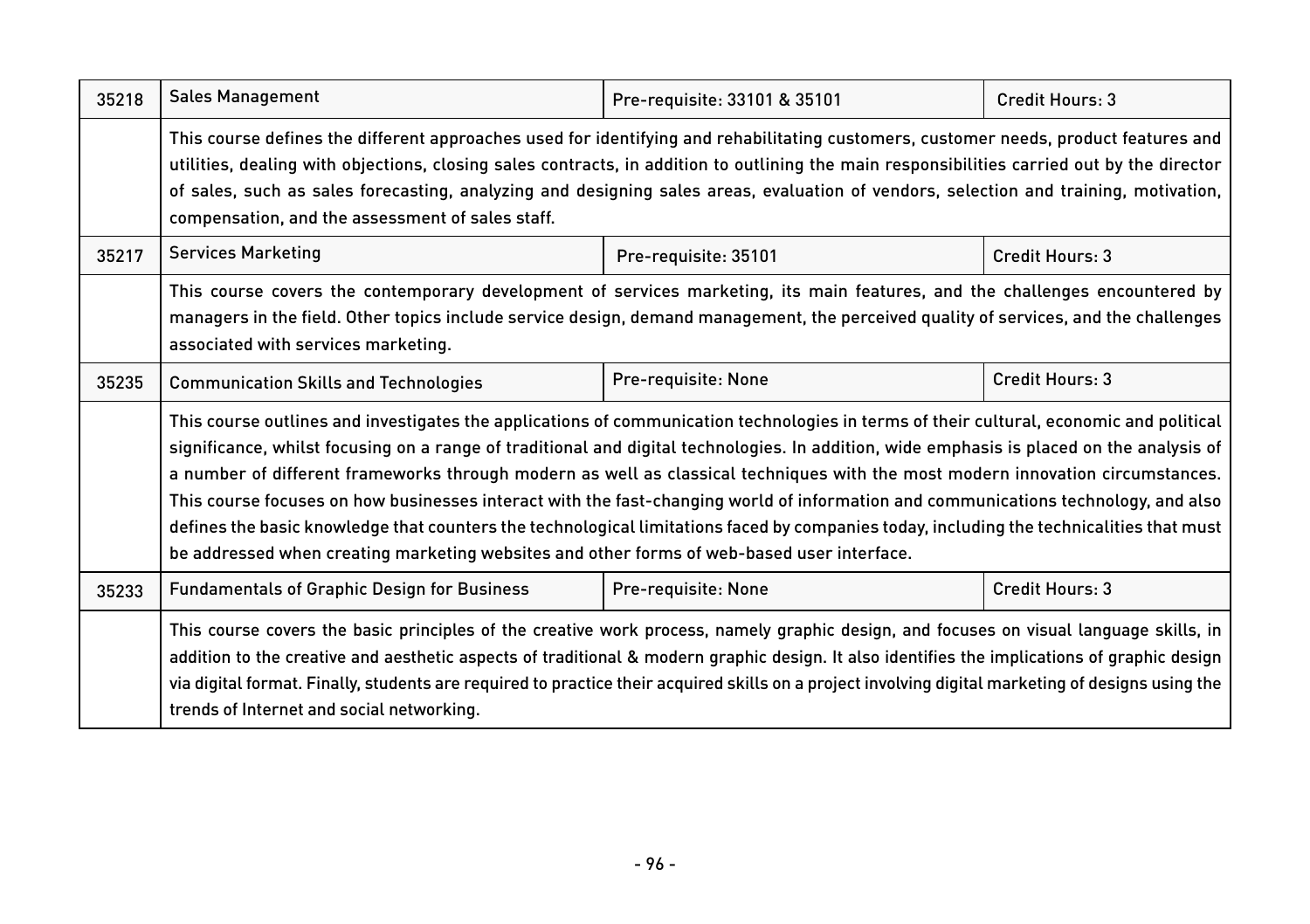| 35218 | <b>Sales Management</b>                                                                                                                                                                                                                                                                                                                                                                                                                                                                                                                                                                                                                                                                                                                                                                                | Pre-requisite: 33101 & 35101 | Credit Hours: 3 |  |
|-------|--------------------------------------------------------------------------------------------------------------------------------------------------------------------------------------------------------------------------------------------------------------------------------------------------------------------------------------------------------------------------------------------------------------------------------------------------------------------------------------------------------------------------------------------------------------------------------------------------------------------------------------------------------------------------------------------------------------------------------------------------------------------------------------------------------|------------------------------|-----------------|--|
|       | This course defines the different approaches used for identifying and rehabilitating customers, customer needs, product features and<br>utilities, dealing with objections, closing sales contracts, in addition to outlining the main responsibilities carried out by the director<br>of sales, such as sales forecasting, analyzing and designing sales areas, evaluation of vendors, selection and training, motivation,<br>compensation, and the assessment of sales staff.                                                                                                                                                                                                                                                                                                                        |                              |                 |  |
| 35217 | <b>Services Marketing</b>                                                                                                                                                                                                                                                                                                                                                                                                                                                                                                                                                                                                                                                                                                                                                                              | Pre-requisite: 35101         | Credit Hours: 3 |  |
|       | This course covers the contemporary development of services marketing, its main features, and the challenges encountered by<br>managers in the field. Other topics include service design, demand management, the perceived quality of services, and the challenges<br>associated with services marketing.                                                                                                                                                                                                                                                                                                                                                                                                                                                                                             |                              |                 |  |
| 35235 | <b>Communication Skills and Technologies</b>                                                                                                                                                                                                                                                                                                                                                                                                                                                                                                                                                                                                                                                                                                                                                           | Pre-requisite: None          | Credit Hours: 3 |  |
|       | This course outlines and investigates the applications of communication technologies in terms of their cultural, economic and political<br>significance, whilst focusing on a range of traditional and digital technologies. In addition, wide emphasis is placed on the analysis of<br>a number of different frameworks through modern as well as classical techniques with the most modern innovation circumstances.<br>This course focuses on how businesses interact with the fast-changing world of information and communications technology, and also<br>defines the basic knowledge that counters the technological limitations faced by companies today, including the technicalities that must<br>be addressed when creating marketing websites and other forms of web-based user interface. |                              |                 |  |
| 35233 | <b>Fundamentals of Graphic Design for Business</b>                                                                                                                                                                                                                                                                                                                                                                                                                                                                                                                                                                                                                                                                                                                                                     | Pre-requisite: None          | Credit Hours: 3 |  |
|       | This course covers the basic principles of the creative work process, namely graphic design, and focuses on visual language skills, in<br>addition to the creative and aesthetic aspects of traditional & modern graphic design. It also identifies the implications of graphic design<br>via digital format. Finally, students are required to practice their acquired skills on a project involving digital marketing of designs using the<br>trends of Internet and social networking.                                                                                                                                                                                                                                                                                                              |                              |                 |  |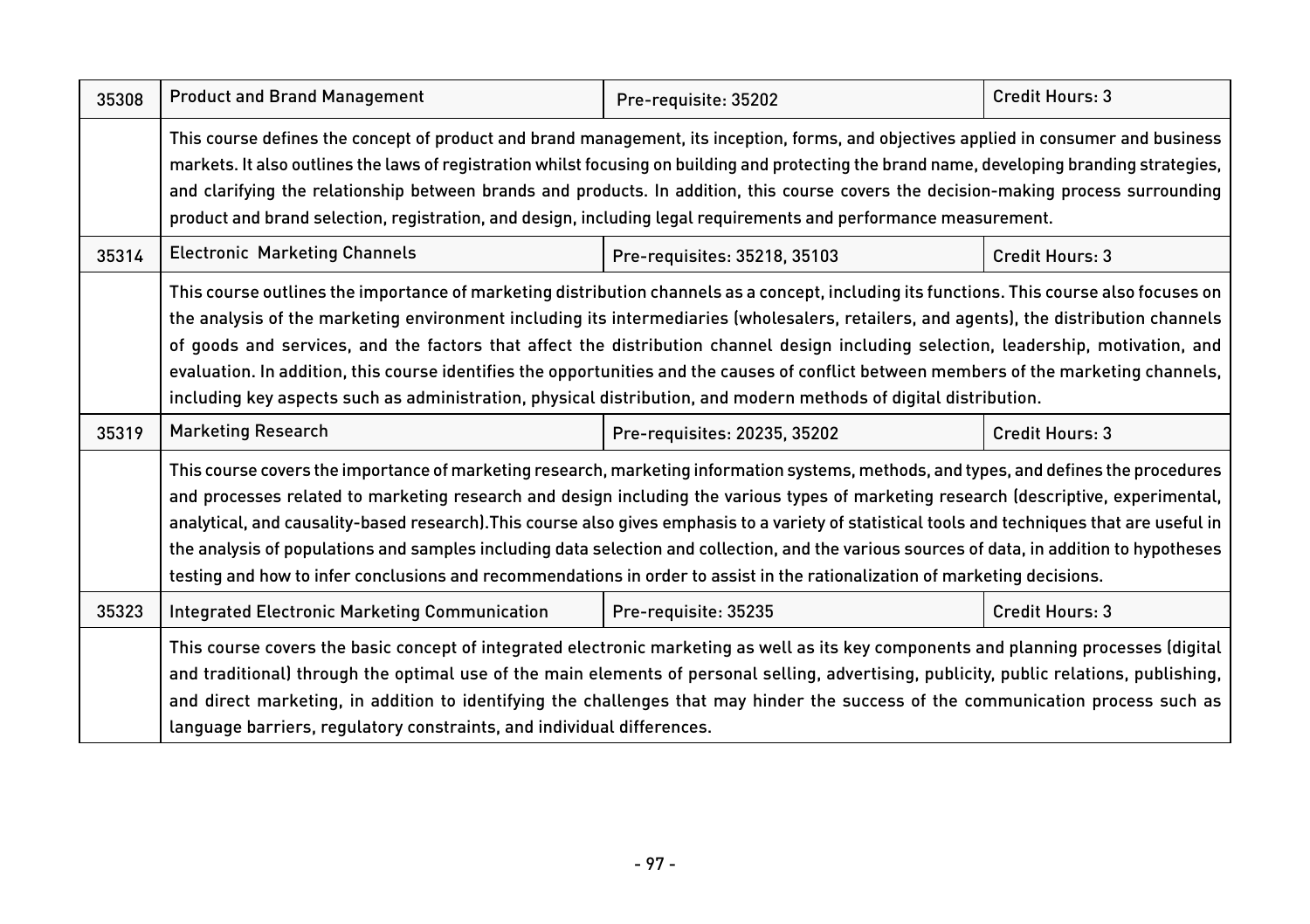| 35308 | <b>Product and Brand Management</b>                                                                                                                                                                                                                                                                                                                                                                                                                                                                                                                                                                                                                                                                           | Pre-requisite: 35202         | Credit Hours: 3 |
|-------|---------------------------------------------------------------------------------------------------------------------------------------------------------------------------------------------------------------------------------------------------------------------------------------------------------------------------------------------------------------------------------------------------------------------------------------------------------------------------------------------------------------------------------------------------------------------------------------------------------------------------------------------------------------------------------------------------------------|------------------------------|-----------------|
|       | This course defines the concept of product and brand management, its inception, forms, and objectives applied in consumer and business<br>markets. It also outlines the laws of registration whilst focusing on building and protecting the brand name, developing branding strategies,<br>and clarifying the relationship between brands and products. In addition, this course covers the decision-making process surrounding<br>product and brand selection, registration, and design, including legal requirements and performance measurement.                                                                                                                                                           |                              |                 |
| 35314 | <b>Electronic Marketing Channels</b>                                                                                                                                                                                                                                                                                                                                                                                                                                                                                                                                                                                                                                                                          | Pre-requisites: 35218, 35103 | Credit Hours: 3 |
|       | This course outlines the importance of marketing distribution channels as a concept, including its functions. This course also focuses on<br>the analysis of the marketing environment including its intermediaries (wholesalers, retailers, and agents), the distribution channels<br>of goods and services, and the factors that affect the distribution channel design including selection, leadership, motivation, and<br>evaluation. In addition, this course identifies the opportunities and the causes of conflict between members of the marketing channels,<br>including key aspects such as administration, physical distribution, and modern methods of digital distribution.                     |                              |                 |
| 35319 | <b>Marketing Research</b>                                                                                                                                                                                                                                                                                                                                                                                                                                                                                                                                                                                                                                                                                     | Pre-requisites: 20235, 35202 | Credit Hours: 3 |
|       | This course covers the importance of marketing research, marketing information systems, methods, and types, and defines the procedures<br>and processes related to marketing research and design including the various types of marketing research (descriptive, experimental,<br>analytical, and causality-based research). This course also gives emphasis to a variety of statistical tools and techniques that are useful in<br>the analysis of populations and samples including data selection and collection, and the various sources of data, in addition to hypotheses<br>testing and how to infer conclusions and recommendations in order to assist in the rationalization of marketing decisions. |                              |                 |
| 35323 | Integrated Electronic Marketing Communication                                                                                                                                                                                                                                                                                                                                                                                                                                                                                                                                                                                                                                                                 | Pre-requisite: 35235         | Credit Hours: 3 |
|       | This course covers the basic concept of integrated electronic marketing as well as its key components and planning processes (digital<br>and traditional) through the optimal use of the main elements of personal selling, advertising, publicity, public relations, publishing,<br>and direct marketing, in addition to identifying the challenges that may hinder the success of the communication process such as<br>language barriers, regulatory constraints, and individual differences.                                                                                                                                                                                                               |                              |                 |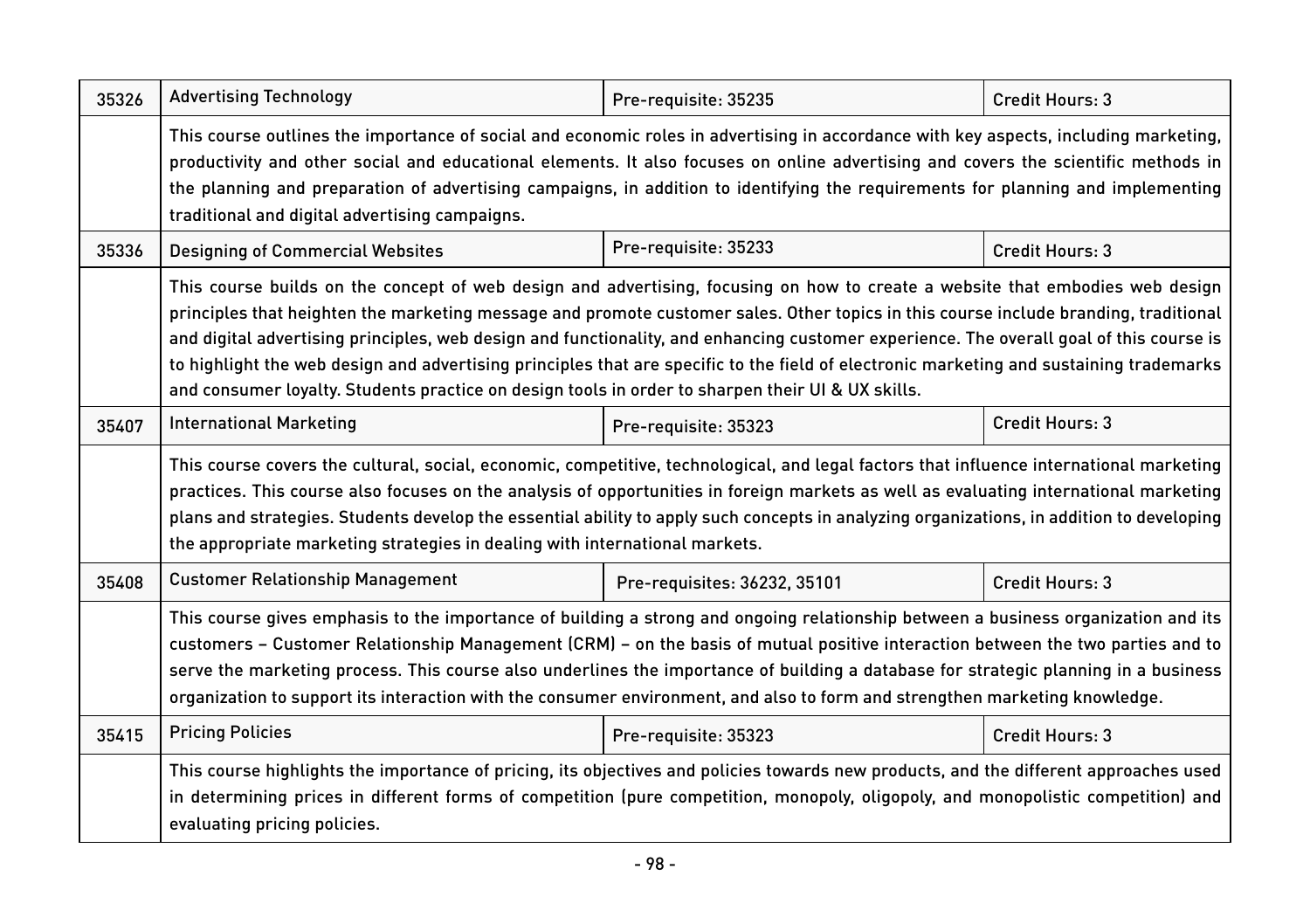| 35326 | <b>Advertising Technology</b>                                                                                                                                                                                                                                                                                                                                                                                                                                                                                                                                                                                                                                    | Pre-requisite: 35235         | Credit Hours: 3 |
|-------|------------------------------------------------------------------------------------------------------------------------------------------------------------------------------------------------------------------------------------------------------------------------------------------------------------------------------------------------------------------------------------------------------------------------------------------------------------------------------------------------------------------------------------------------------------------------------------------------------------------------------------------------------------------|------------------------------|-----------------|
|       | This course outlines the importance of social and economic roles in advertising in accordance with key aspects, including marketing,<br>productivity and other social and educational elements. It also focuses on online advertising and covers the scientific methods in<br>the planning and preparation of advertising campaigns, in addition to identifying the requirements for planning and implementing<br>traditional and digital advertising campaigns.                                                                                                                                                                                                 |                              |                 |
| 35336 | <b>Designing of Commercial Websites</b>                                                                                                                                                                                                                                                                                                                                                                                                                                                                                                                                                                                                                          | Pre-requisite: 35233         | Credit Hours: 3 |
|       | This course builds on the concept of web design and advertising, focusing on how to create a website that embodies web design<br>principles that heighten the marketing message and promote customer sales. Other topics in this course include branding, traditional<br>and digital advertising principles, web design and functionality, and enhancing customer experience. The overall goal of this course is<br>to highlight the web design and advertising principles that are specific to the field of electronic marketing and sustaining trademarks<br>and consumer loyalty. Students practice on design tools in order to sharpen their UI & UX skills. |                              |                 |
| 35407 | <b>International Marketing</b>                                                                                                                                                                                                                                                                                                                                                                                                                                                                                                                                                                                                                                   | Pre-requisite: 35323         | Credit Hours: 3 |
|       | This course covers the cultural, social, economic, competitive, technological, and legal factors that influence international marketing<br>practices. This course also focuses on the analysis of opportunities in foreign markets as well as evaluating international marketing<br>plans and strategies. Students develop the essential ability to apply such concepts in analyzing organizations, in addition to developing<br>the appropriate marketing strategies in dealing with international markets.                                                                                                                                                     |                              |                 |
| 35408 | <b>Customer Relationship Management</b>                                                                                                                                                                                                                                                                                                                                                                                                                                                                                                                                                                                                                          | Pre-requisites: 36232, 35101 | Credit Hours: 3 |
|       | This course gives emphasis to the importance of building a strong and ongoing relationship between a business organization and its<br>customers - Customer Relationship Management (CRM) - on the basis of mutual positive interaction between the two parties and to<br>serve the marketing process. This course also underlines the importance of building a database for strategic planning in a business<br>organization to support its interaction with the consumer environment, and also to form and strengthen marketing knowledge.                                                                                                                      |                              |                 |
| 35415 | <b>Pricing Policies</b>                                                                                                                                                                                                                                                                                                                                                                                                                                                                                                                                                                                                                                          | Pre-requisite: 35323         | Credit Hours: 3 |
|       | This course highlights the importance of pricing, its objectives and policies towards new products, and the different approaches used<br>in determining prices in different forms of competition (pure competition, monopoly, oligopoly, and monopolistic competition) and<br>evaluating pricing policies.                                                                                                                                                                                                                                                                                                                                                       |                              |                 |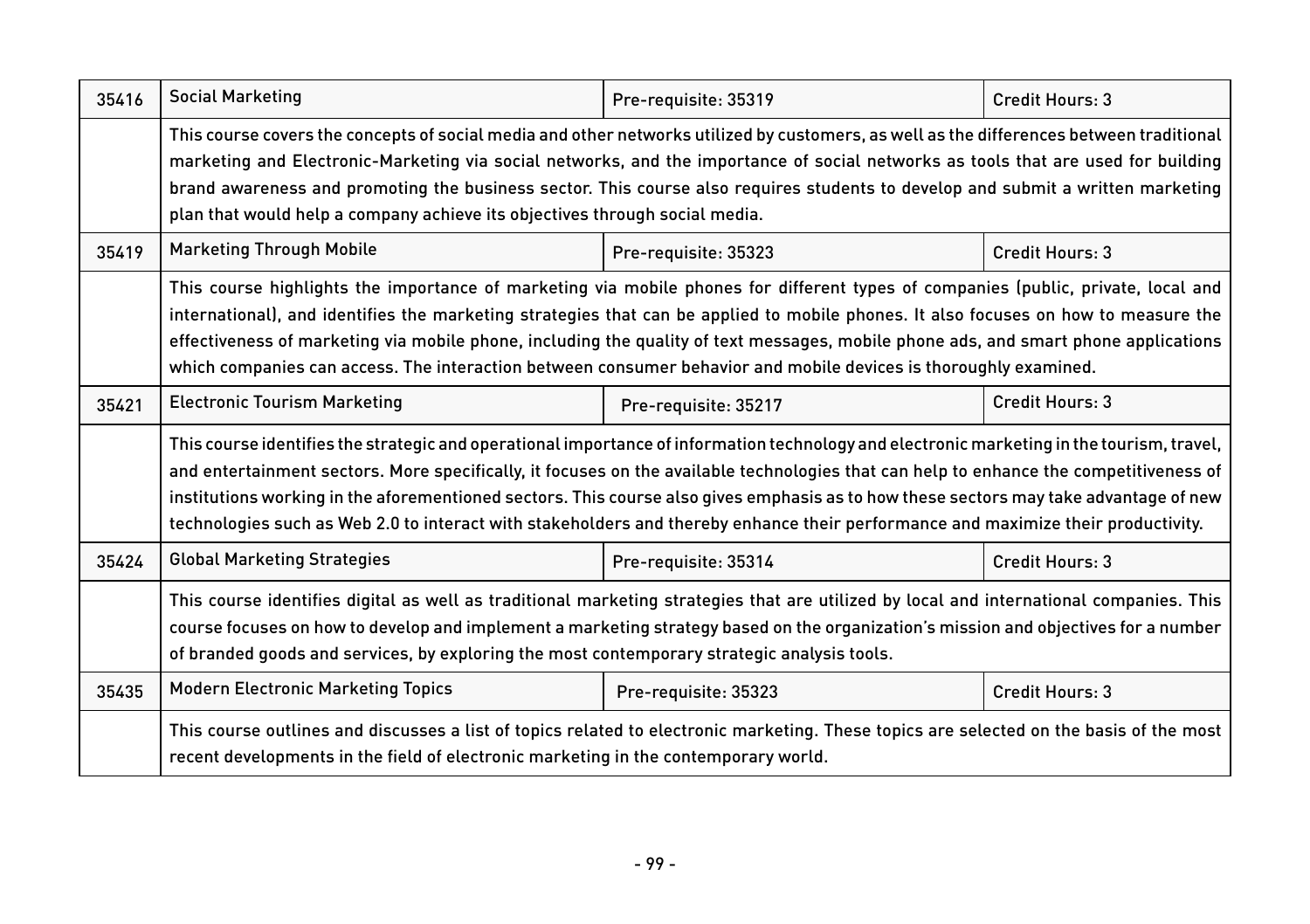| 35416 | <b>Social Marketing</b>                                                                                                                                                                                                                                                                                                                                                                                                                                                                                                                                            | Pre-requisite: 35319 | Credit Hours: 3 |
|-------|--------------------------------------------------------------------------------------------------------------------------------------------------------------------------------------------------------------------------------------------------------------------------------------------------------------------------------------------------------------------------------------------------------------------------------------------------------------------------------------------------------------------------------------------------------------------|----------------------|-----------------|
|       | This course covers the concepts of social media and other networks utilized by customers, as well as the differences between traditional<br>marketing and Electronic-Marketing via social networks, and the importance of social networks as tools that are used for building<br>brand awareness and promoting the business sector. This course also requires students to develop and submit a written marketing<br>plan that would help a company achieve its objectives through social media.                                                                    |                      |                 |
| 35419 | <b>Marketing Through Mobile</b>                                                                                                                                                                                                                                                                                                                                                                                                                                                                                                                                    | Pre-requisite: 35323 | Credit Hours: 3 |
|       | This course highlights the importance of marketing via mobile phones for different types of companies (public, private, local and<br>international), and identifies the marketing strategies that can be applied to mobile phones. It also focuses on how to measure the<br>effectiveness of marketing via mobile phone, including the quality of text messages, mobile phone ads, and smart phone applications<br>which companies can access. The interaction between consumer behavior and mobile devices is thoroughly examined.                                |                      |                 |
| 35421 | <b>Electronic Tourism Marketing</b>                                                                                                                                                                                                                                                                                                                                                                                                                                                                                                                                | Pre-requisite: 35217 | Credit Hours: 3 |
|       | This course identifies the strategic and operational importance of information technology and electronic marketing in the tourism, travel,<br>and entertainment sectors. More specifically, it focuses on the available technologies that can help to enhance the competitiveness of<br>institutions working in the aforementioned sectors. This course also gives emphasis as to how these sectors may take advantage of new<br>technologies such as Web 2.0 to interact with stakeholders and thereby enhance their performance and maximize their productivity. |                      |                 |
| 35424 | <b>Global Marketing Strategies</b>                                                                                                                                                                                                                                                                                                                                                                                                                                                                                                                                 | Pre-requisite: 35314 | Credit Hours: 3 |
|       | This course identifies digital as well as traditional marketing strategies that are utilized by local and international companies. This<br>course focuses on how to develop and implement a marketing strategy based on the organization's mission and objectives for a number<br>of branded goods and services, by exploring the most contemporary strategic analysis tools.                                                                                                                                                                                      |                      |                 |
| 35435 | <b>Modern Electronic Marketing Topics</b>                                                                                                                                                                                                                                                                                                                                                                                                                                                                                                                          | Pre-requisite: 35323 | Credit Hours: 3 |
|       | This course outlines and discusses a list of topics related to electronic marketing. These topics are selected on the basis of the most<br>recent developments in the field of electronic marketing in the contemporary world.                                                                                                                                                                                                                                                                                                                                     |                      |                 |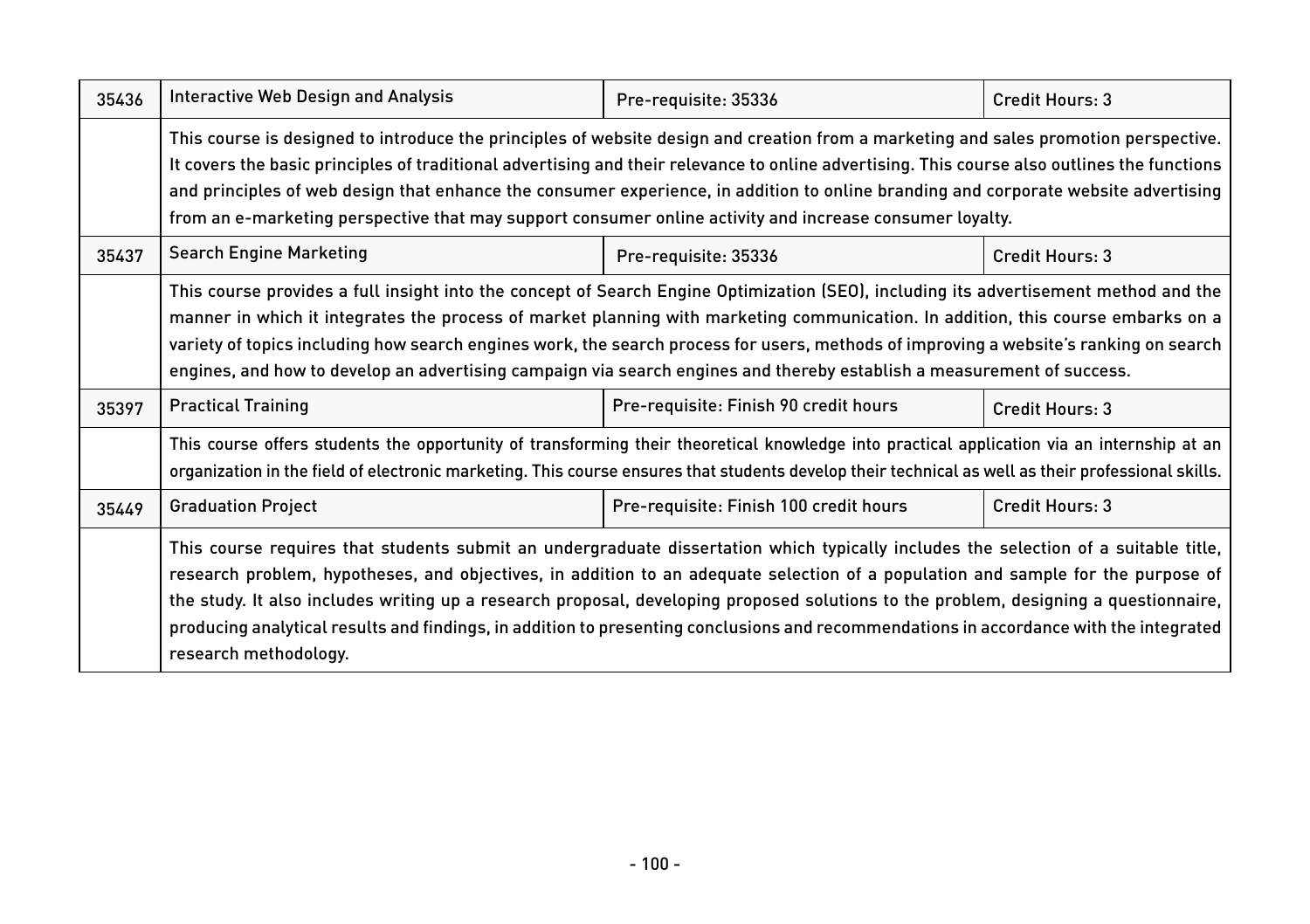| 35436 | <b>Interactive Web Design and Analysis</b>                                                                                                                                                                                                                                                                                                                                                                                                                                                                                                                                         | Pre-requisite: 35336                   | Credit Hours: 3 |
|-------|------------------------------------------------------------------------------------------------------------------------------------------------------------------------------------------------------------------------------------------------------------------------------------------------------------------------------------------------------------------------------------------------------------------------------------------------------------------------------------------------------------------------------------------------------------------------------------|----------------------------------------|-----------------|
|       | This course is designed to introduce the principles of website design and creation from a marketing and sales promotion perspective.<br>It covers the basic principles of traditional advertising and their relevance to online advertising. This course also outlines the functions<br>and principles of web design that enhance the consumer experience, in addition to online branding and corporate website advertising<br>from an e-marketing perspective that may support consumer online activity and increase consumer loyalty.                                            |                                        |                 |
| 35437 | <b>Search Engine Marketing</b>                                                                                                                                                                                                                                                                                                                                                                                                                                                                                                                                                     | Pre-requisite: 35336                   | Credit Hours: 3 |
|       | This course provides a full insight into the concept of Search Engine Optimization (SEO), including its advertisement method and the<br>manner in which it integrates the process of market planning with marketing communication. In addition, this course embarks on a<br>variety of topics including how search engines work, the search process for users, methods of improving a website's ranking on search<br>engines, and how to develop an advertising campaign via search engines and thereby establish a measurement of success.                                        |                                        |                 |
| 35397 | <b>Practical Training</b>                                                                                                                                                                                                                                                                                                                                                                                                                                                                                                                                                          | Pre-requisite: Finish 90 credit hours  | Credit Hours: 3 |
|       | This course offers students the opportunity of transforming their theoretical knowledge into practical application via an internship at an<br>organization in the field of electronic marketing. This course ensures that students develop their technical as well as their professional skills.                                                                                                                                                                                                                                                                                   |                                        |                 |
| 35449 | <b>Graduation Project</b>                                                                                                                                                                                                                                                                                                                                                                                                                                                                                                                                                          | Pre-requisite: Finish 100 credit hours | Credit Hours: 3 |
|       | This course requires that students submit an undergraduate dissertation which typically includes the selection of a suitable title,<br>research problem, hypotheses, and objectives, in addition to an adequate selection of a population and sample for the purpose of<br>the study. It also includes writing up a research proposal, developing proposed solutions to the problem, designing a questionnaire,<br>producing analytical results and findings, in addition to presenting conclusions and recommendations in accordance with the integrated<br>research methodology. |                                        |                 |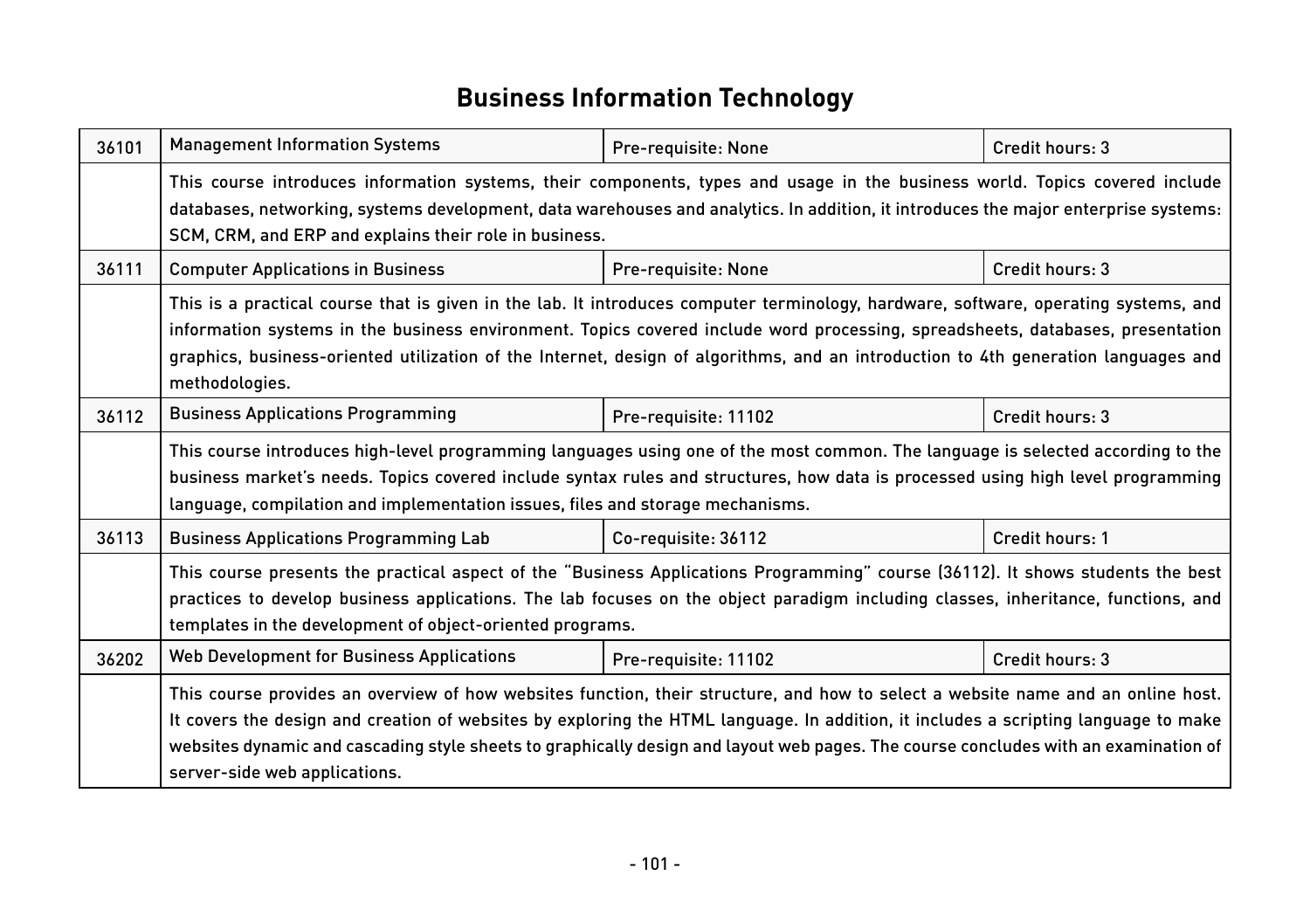### **Business Information Technology**

| 36101 | <b>Management Information Systems</b>                                                                                                                                                                                                                                                                                                                                                                                                           | Pre-requisite: None  | Credit hours: 3 |  |
|-------|-------------------------------------------------------------------------------------------------------------------------------------------------------------------------------------------------------------------------------------------------------------------------------------------------------------------------------------------------------------------------------------------------------------------------------------------------|----------------------|-----------------|--|
|       | This course introduces information systems, their components, types and usage in the business world. Topics covered include<br>databases, networking, systems development, data warehouses and analytics. In addition, it introduces the major enterprise systems:<br>SCM, CRM, and ERP and explains their role in business.                                                                                                                    |                      |                 |  |
| 36111 | <b>Computer Applications in Business</b>                                                                                                                                                                                                                                                                                                                                                                                                        | Pre-requisite: None  | Credit hours: 3 |  |
|       | This is a practical course that is given in the lab. It introduces computer terminology, hardware, software, operating systems, and<br>information systems in the business environment. Topics covered include word processing, spreadsheets, databases, presentation<br>graphics, business-oriented utilization of the Internet, design of algorithms, and an introduction to 4th generation languages and<br>methodologies.                   |                      |                 |  |
| 36112 | <b>Business Applications Programming</b>                                                                                                                                                                                                                                                                                                                                                                                                        | Pre-requisite: 11102 | Credit hours: 3 |  |
|       | This course introduces high-level programming languages using one of the most common. The language is selected according to the<br>business market's needs. Topics covered include syntax rules and structures, how data is processed using high level programming<br>language, compilation and implementation issues, files and storage mechanisms.                                                                                            |                      |                 |  |
| 36113 | <b>Business Applications Programming Lab</b>                                                                                                                                                                                                                                                                                                                                                                                                    | Co-requisite: 36112  | Credit hours: 1 |  |
|       | This course presents the practical aspect of the "Business Applications Programming" course (36112). It shows students the best<br>practices to develop business applications. The lab focuses on the object paradigm including classes, inheritance, functions, and<br>templates in the development of object-oriented programs.                                                                                                               |                      |                 |  |
| 36202 | Web Development for Business Applications                                                                                                                                                                                                                                                                                                                                                                                                       | Pre-requisite: 11102 | Credit hours: 3 |  |
|       | This course provides an overview of how websites function, their structure, and how to select a website name and an online host.<br>It covers the design and creation of websites by exploring the HTML language. In addition, it includes a scripting language to make<br>websites dynamic and cascading style sheets to graphically design and layout web pages. The course concludes with an examination of<br>server-side web applications. |                      |                 |  |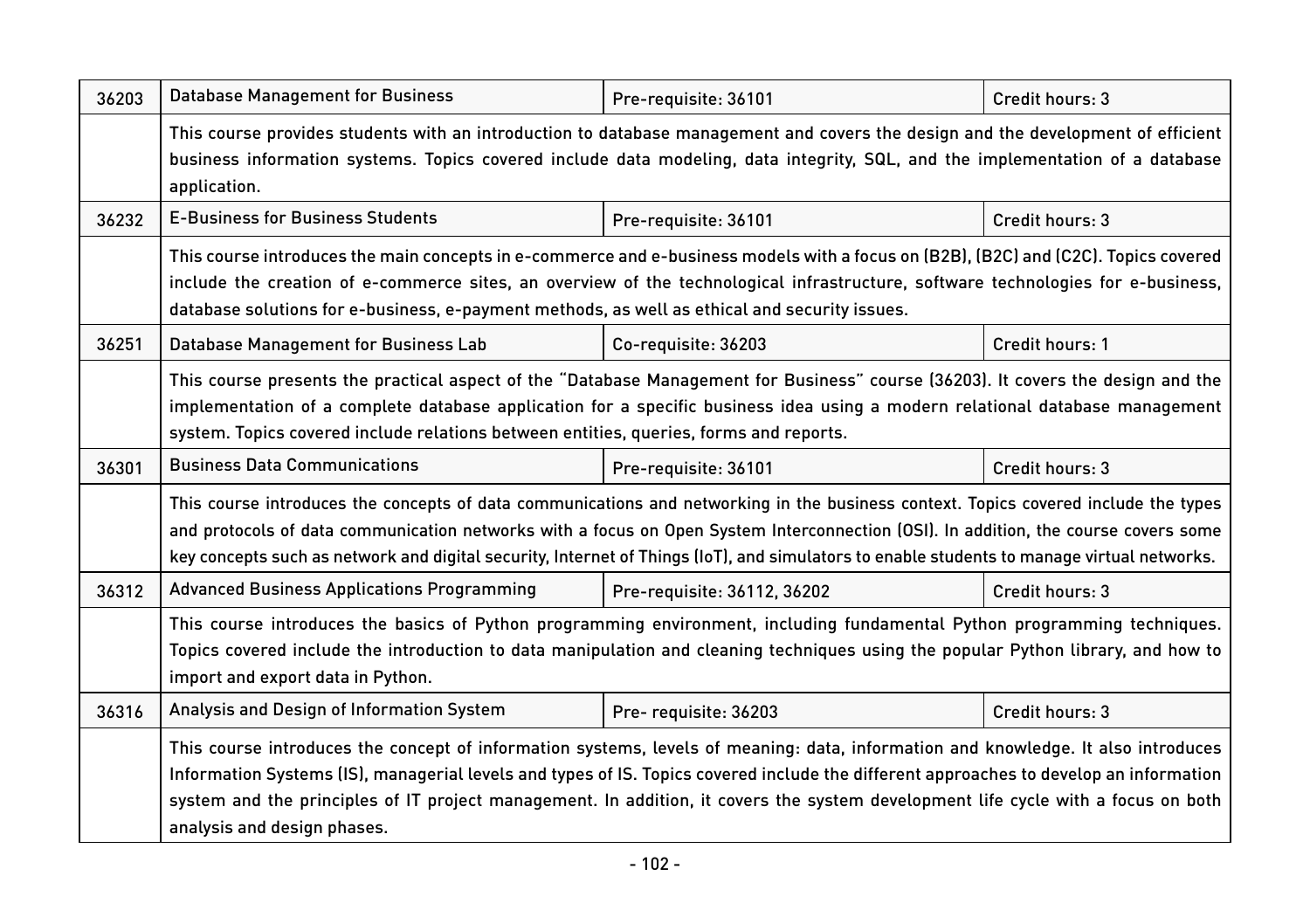| 36203 | <b>Database Management for Business</b>                                                                                                                                                                                                                                                                                                                                                                                                         | Pre-requisite: 36101        | Credit hours: 3 |
|-------|-------------------------------------------------------------------------------------------------------------------------------------------------------------------------------------------------------------------------------------------------------------------------------------------------------------------------------------------------------------------------------------------------------------------------------------------------|-----------------------------|-----------------|
|       | This course provides students with an introduction to database management and covers the design and the development of efficient<br>business information systems. Topics covered include data modeling, data integrity, SQL, and the implementation of a database<br>application.                                                                                                                                                               |                             |                 |
| 36232 | <b>E-Business for Business Students</b>                                                                                                                                                                                                                                                                                                                                                                                                         | Pre-requisite: 36101        | Credit hours: 3 |
|       | This course introduces the main concepts in e-commerce and e-business models with a focus on (B2B), (B2C) and (C2C). Topics covered<br>include the creation of e-commerce sites, an overview of the technological infrastructure, software technologies for e-business,<br>database solutions for e-business, e-payment methods, as well as ethical and security issues.                                                                        |                             |                 |
| 36251 | Database Management for Business Lab                                                                                                                                                                                                                                                                                                                                                                                                            | Co-requisite: 36203         | Credit hours: 1 |
|       | This course presents the practical aspect of the "Database Management for Business" course (36203). It covers the design and the<br>implementation of a complete database application for a specific business idea using a modern relational database management<br>system. Topics covered include relations between entities, queries, forms and reports.                                                                                      |                             |                 |
| 36301 | <b>Business Data Communications</b>                                                                                                                                                                                                                                                                                                                                                                                                             | Pre-requisite: 36101        | Credit hours: 3 |
|       | This course introduces the concepts of data communications and networking in the business context. Topics covered include the types<br>and protocols of data communication networks with a focus on Open System Interconnection (OSI). In addition, the course covers some<br>key concepts such as network and digital security, Internet of Things (IoT), and simulators to enable students to manage virtual networks.                        |                             |                 |
| 36312 | <b>Advanced Business Applications Programming</b>                                                                                                                                                                                                                                                                                                                                                                                               | Pre-requisite: 36112, 36202 | Credit hours: 3 |
|       | This course introduces the basics of Python programming environment, including fundamental Python programming techniques.<br>Topics covered include the introduction to data manipulation and cleaning techniques using the popular Python library, and how to<br>import and export data in Python.                                                                                                                                             |                             |                 |
| 36316 | Analysis and Design of Information System                                                                                                                                                                                                                                                                                                                                                                                                       | Pre-requisite: 36203        | Credit hours: 3 |
|       | This course introduces the concept of information systems, levels of meaning: data, information and knowledge. It also introduces<br>Information Systems (IS), managerial levels and types of IS. Topics covered include the different approaches to develop an information<br>system and the principles of IT project management. In addition, it covers the system development life cycle with a focus on both<br>analysis and design phases. |                             |                 |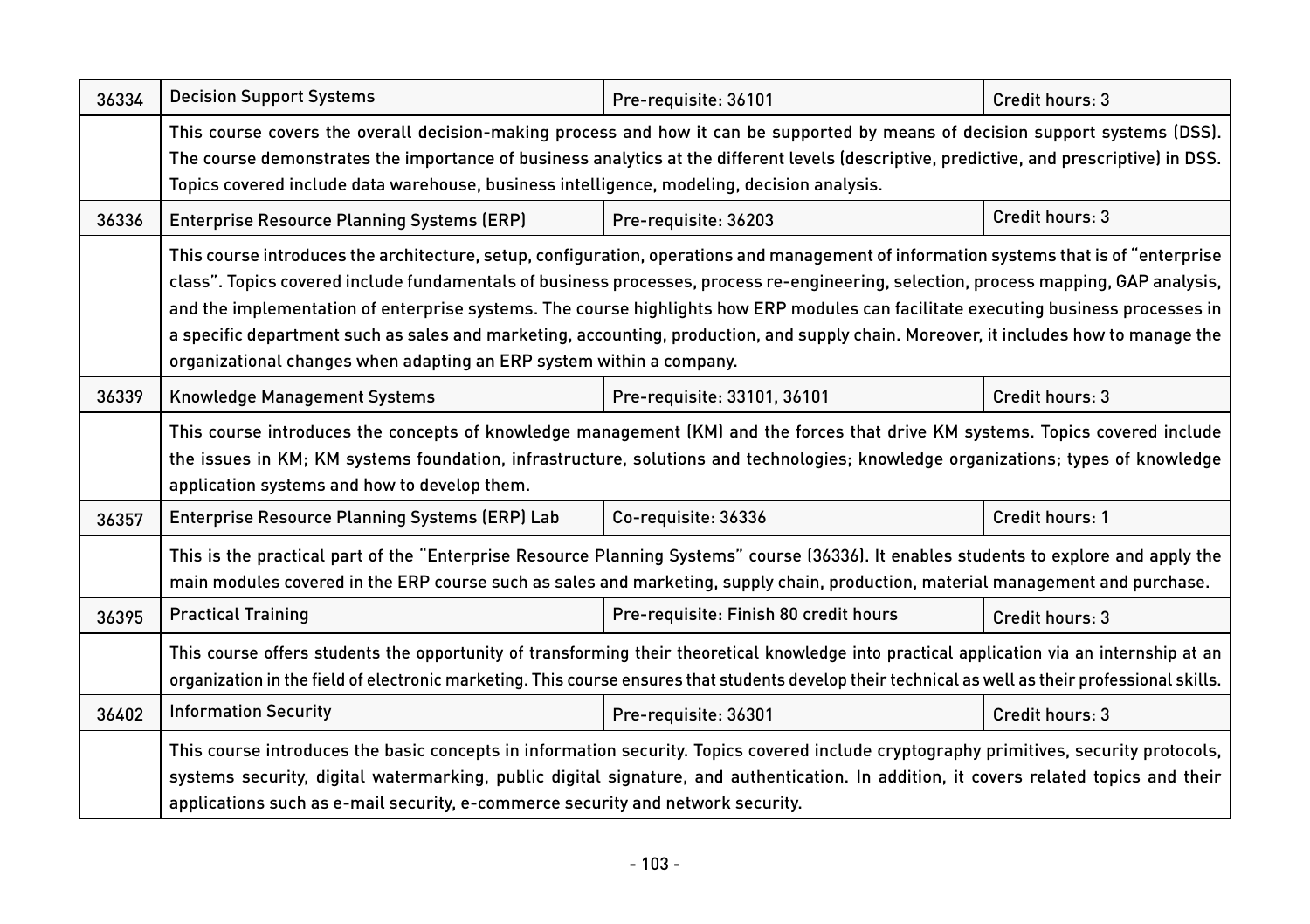| 36334 | <b>Decision Support Systems</b>                                                                                                                                                                                                                                                                                                                                                                                                                                                                                                                                                                                                      | Pre-requisite: 36101                  | Credit hours: 3 |
|-------|--------------------------------------------------------------------------------------------------------------------------------------------------------------------------------------------------------------------------------------------------------------------------------------------------------------------------------------------------------------------------------------------------------------------------------------------------------------------------------------------------------------------------------------------------------------------------------------------------------------------------------------|---------------------------------------|-----------------|
|       | This course covers the overall decision-making process and how it can be supported by means of decision support systems (DSS).<br>The course demonstrates the importance of business analytics at the different levels (descriptive, predictive, and prescriptive) in DSS.<br>Topics covered include data warehouse, business intelligence, modeling, decision analysis.                                                                                                                                                                                                                                                             |                                       |                 |
| 36336 | <b>Enterprise Resource Planning Systems (ERP)</b>                                                                                                                                                                                                                                                                                                                                                                                                                                                                                                                                                                                    | Pre-requisite: 36203                  | Credit hours: 3 |
|       | This course introduces the architecture, setup, configuration, operations and management of information systems that is of "enterprise<br>class". Topics covered include fundamentals of business processes, process re-engineering, selection, process mapping, GAP analysis,<br>and the implementation of enterprise systems. The course highlights how ERP modules can facilitate executing business processes in<br>a specific department such as sales and marketing, accounting, production, and supply chain. Moreover, it includes how to manage the<br>organizational changes when adapting an ERP system within a company. |                                       |                 |
| 36339 | <b>Knowledge Management Systems</b>                                                                                                                                                                                                                                                                                                                                                                                                                                                                                                                                                                                                  | Pre-requisite: 33101, 36101           | Credit hours: 3 |
|       | This course introduces the concepts of knowledge management (KM) and the forces that drive KM systems. Topics covered include<br>the issues in KM; KM systems foundation, infrastructure, solutions and technologies; knowledge organizations; types of knowledge<br>application systems and how to develop them.                                                                                                                                                                                                                                                                                                                    |                                       |                 |
| 36357 | Enterprise Resource Planning Systems (ERP) Lab                                                                                                                                                                                                                                                                                                                                                                                                                                                                                                                                                                                       | Co-requisite: 36336                   | Credit hours: 1 |
|       | This is the practical part of the "Enterprise Resource Planning Systems" course (36336). It enables students to explore and apply the<br>main modules covered in the ERP course such as sales and marketing, supply chain, production, material management and purchase.                                                                                                                                                                                                                                                                                                                                                             |                                       |                 |
| 36395 | <b>Practical Training</b>                                                                                                                                                                                                                                                                                                                                                                                                                                                                                                                                                                                                            | Pre-requisite: Finish 80 credit hours | Credit hours: 3 |
|       | This course offers students the opportunity of transforming their theoretical knowledge into practical application via an internship at an<br>organization in the field of electronic marketing. This course ensures that students develop their technical as well as their professional skills.                                                                                                                                                                                                                                                                                                                                     |                                       |                 |
| 36402 | <b>Information Security</b>                                                                                                                                                                                                                                                                                                                                                                                                                                                                                                                                                                                                          | Pre-requisite: 36301                  | Credit hours: 3 |
|       | This course introduces the basic concepts in information security. Topics covered include cryptography primitives, security protocols,<br>systems security, digital watermarking, public digital signature, and authentication. In addition, it covers related topics and their<br>applications such as e-mail security, e-commerce security and network security.                                                                                                                                                                                                                                                                   |                                       |                 |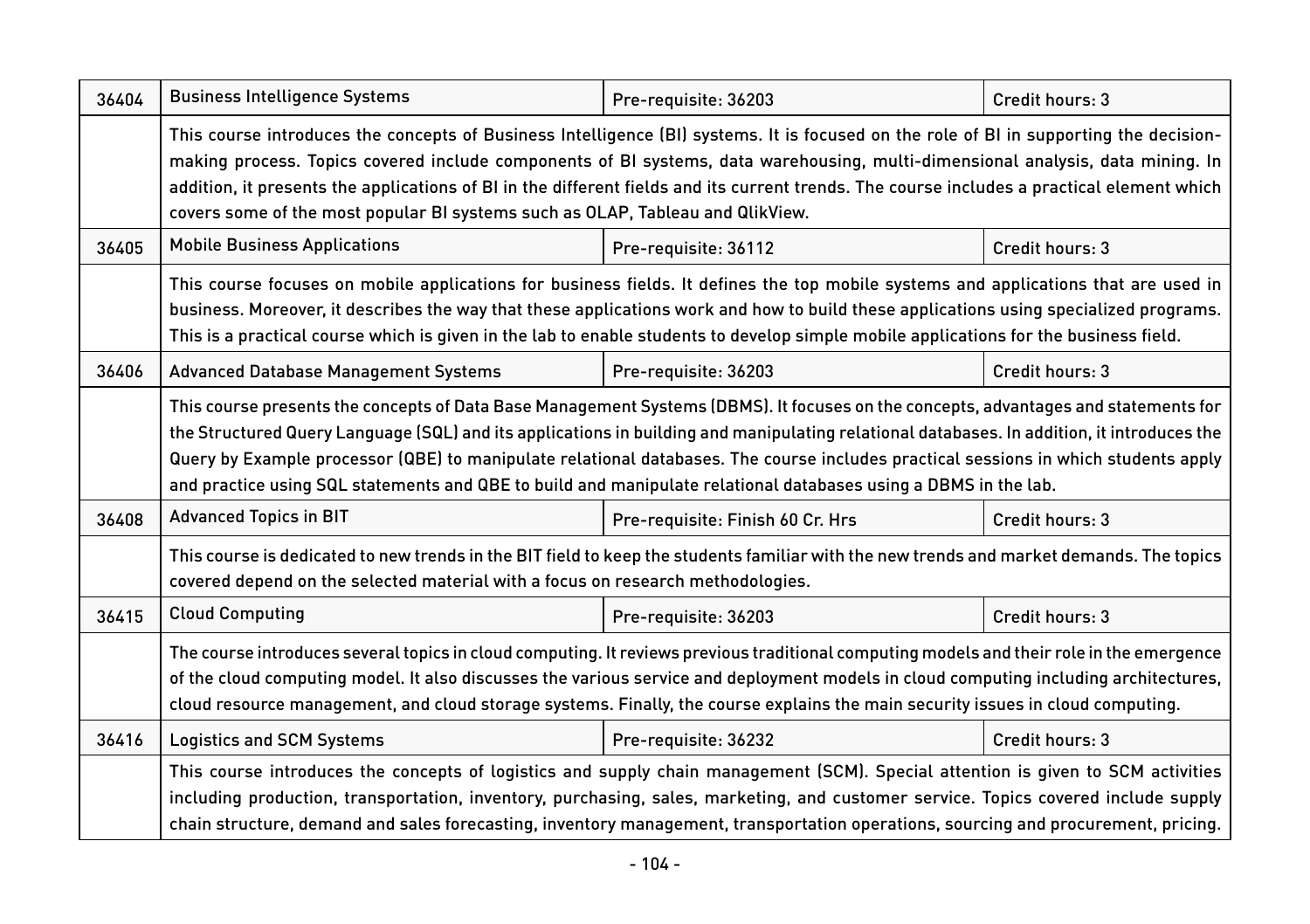| 36404 | <b>Business Intelligence Systems</b>                                                                                                                                                                                                                                                                                                                                                                                                                                                                                                        | Pre-requisite: 36203             | Credit hours: 3 |
|-------|---------------------------------------------------------------------------------------------------------------------------------------------------------------------------------------------------------------------------------------------------------------------------------------------------------------------------------------------------------------------------------------------------------------------------------------------------------------------------------------------------------------------------------------------|----------------------------------|-----------------|
|       | This course introduces the concepts of Business Intelligence (BI) systems. It is focused on the role of BI in supporting the decision-<br>making process. Topics covered include components of BI systems, data warehousing, multi-dimensional analysis, data mining. In<br>addition, it presents the applications of BI in the different fields and its current trends. The course includes a practical element which<br>covers some of the most popular BI systems such as OLAP, Tableau and QlikView.                                    |                                  |                 |
| 36405 | <b>Mobile Business Applications</b>                                                                                                                                                                                                                                                                                                                                                                                                                                                                                                         | Pre-requisite: 36112             | Credit hours: 3 |
|       | This course focuses on mobile applications for business fields. It defines the top mobile systems and applications that are used in<br>business. Moreover, it describes the way that these applications work and how to build these applications using specialized programs.<br>This is a practical course which is given in the lab to enable students to develop simple mobile applications for the business field.                                                                                                                       |                                  |                 |
| 36406 | <b>Advanced Database Management Systems</b>                                                                                                                                                                                                                                                                                                                                                                                                                                                                                                 | Pre-requisite: 36203             | Credit hours: 3 |
|       | This course presents the concepts of Data Base Management Systems (DBMS). It focuses on the concepts, advantages and statements for<br>the Structured Query Language (SQL) and its applications in building and manipulating relational databases. In addition, it introduces the<br>Query by Example processor (QBE) to manipulate relational databases. The course includes practical sessions in which students apply<br>and practice using SQL statements and QBE to build and manipulate relational databases using a DBMS in the lab. |                                  |                 |
| 36408 | <b>Advanced Topics in BIT</b>                                                                                                                                                                                                                                                                                                                                                                                                                                                                                                               | Pre-requisite: Finish 60 Cr. Hrs | Credit hours: 3 |
|       | This course is dedicated to new trends in the BIT field to keep the students familiar with the new trends and market demands. The topics<br>covered depend on the selected material with a focus on research methodologies.                                                                                                                                                                                                                                                                                                                 |                                  |                 |
| 36415 | <b>Cloud Computing</b>                                                                                                                                                                                                                                                                                                                                                                                                                                                                                                                      | Pre-requisite: 36203             | Credit hours: 3 |
|       | The course introduces several topics in cloud computing. It reviews previous traditional computing models and their role in the emergence<br>of the cloud computing model. It also discusses the various service and deployment models in cloud computing including architectures,<br>cloud resource management, and cloud storage systems. Finally, the course explains the main security issues in cloud computing.                                                                                                                       |                                  |                 |
| 36416 | <b>Logistics and SCM Systems</b>                                                                                                                                                                                                                                                                                                                                                                                                                                                                                                            | Pre-requisite: 36232             | Credit hours: 3 |
|       | This course introduces the concepts of logistics and supply chain management (SCM). Special attention is given to SCM activities<br>including production, transportation, inventory, purchasing, sales, marketing, and customer service. Topics covered include supply<br>chain structure, demand and sales forecasting, inventory management, transportation operations, sourcing and procurement, pricing.                                                                                                                                |                                  |                 |